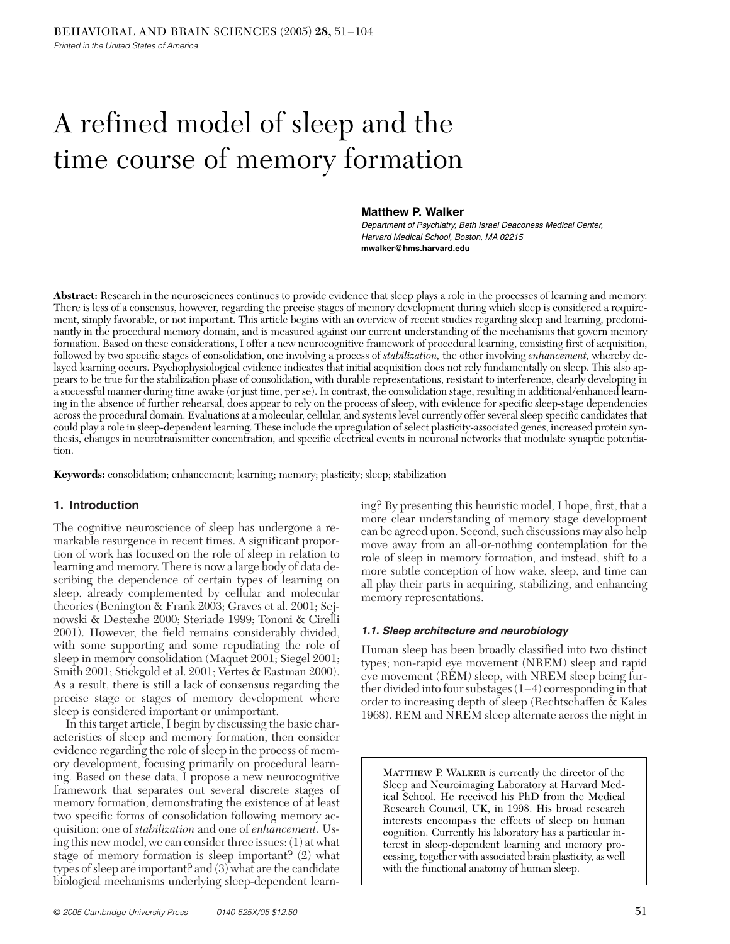Printed in the United States of America

# A refined model of sleep and the time course of memory formation

## **Matthew P. Walker**

*Department of Psychiatry, Beth Israel Deaconess Medical Center, Harvard Medical School, Boston, MA 02215* **mwalker@hms.harvard.edu**

**Abstract:** Research in the neurosciences continues to provide evidence that sleep plays a role in the processes of learning and memory. There is less of a consensus, however, regarding the precise stages of memory development during which sleep is considered a requirement, simply favorable, or not important. This article begins with an overview of recent studies regarding sleep and learning, predominantly in the procedural memory domain, and is measured against our current understanding of the mechanisms that govern memory formation. Based on these considerations, I offer a new neurocognitive framework of procedural learning, consisting first of acquisition, followed by two specific stages of consolidation, one involving a process of *stabilization,* the other involving *enhancement,* whereby delayed learning occurs. Psychophysiological evidence indicates that initial acquisition does not rely fundamentally on sleep. This also appears to be true for the stabilization phase of consolidation, with durable representations, resistant to interference, clearly developing in a successful manner during time awake (or just time, per se). In contrast, the consolidation stage, resulting in additional/enhanced learning in the absence of further rehearsal, does appear to rely on the process of sleep, with evidence for specific sleep-stage dependencies across the procedural domain. Evaluations at a molecular, cellular, and systems level currently offer several sleep specific candidates that could play a role in sleep-dependent learning. These include the upregulation of select plasticity-associated genes, increased protein synthesis, changes in neurotransmitter concentration, and specific electrical events in neuronal networks that modulate synaptic potentiation.

**Keywords:** consolidation; enhancement; learning; memory; plasticity; sleep; stabilization

## **1. Introduction**

The cognitive neuroscience of sleep has undergone a remarkable resurgence in recent times. A significant proportion of work has focused on the role of sleep in relation to learning and memory. There is now a large body of data describing the dependence of certain types of learning on sleep, already complemented by cellular and molecular theories (Benington & Frank 2003; Graves et al. 2001; Sejnowski & Destexhe 2000; Steriade 1999; Tononi & Cirelli 2001). However, the field remains considerably divided, with some supporting and some repudiating the role of sleep in memory consolidation (Maquet 2001; Siegel 2001; Smith 2001; Stickgold et al. 2001; Vertes & Eastman 2000). As a result, there is still a lack of consensus regarding the precise stage or stages of memory development where sleep is considered important or unimportant.

In this target article, I begin by discussing the basic characteristics of sleep and memory formation, then consider evidence regarding the role of sleep in the process of memory development, focusing primarily on procedural learning. Based on these data, I propose a new neurocognitive framework that separates out several discrete stages of memory formation, demonstrating the existence of at least two specific forms of consolidation following memory acquisition; one of *stabilization* and one of *enhancement.* Using this new model, we can consider three issues: (1) at what stage of memory formation is sleep important? (2) what types of sleep are important? and (3) what are the candidate biological mechanisms underlying sleep-dependent learning? By presenting this heuristic model, I hope, first, that a more clear understanding of memory stage development can be agreed upon. Second, such discussions may also help move away from an all-or-nothing contemplation for the role of sleep in memory formation, and instead, shift to a more subtle conception of how wake, sleep, and time can all play their parts in acquiring, stabilizing, and enhancing memory representations.

## *1.1. Sleep architecture and neurobiology*

Human sleep has been broadly classified into two distinct types; non-rapid eye movement (NREM) sleep and rapid eye movement (REM) sleep, with NREM sleep being further divided into four substages (1–4) corresponding in that order to increasing depth of sleep (Rechtschaffen & Kales 1968). REM and NREM sleep alternate across the night in

MATTHEW P. WALKER is currently the director of the Sleep and Neuroimaging Laboratory at Harvard Medical School. He received his PhD from the Medical Research Council, UK, in 1998. His broad research interests encompass the effects of sleep on human cognition. Currently his laboratory has a particular interest in sleep-dependent learning and memory processing, together with associated brain plasticity, as well with the functional anatomy of human sleep.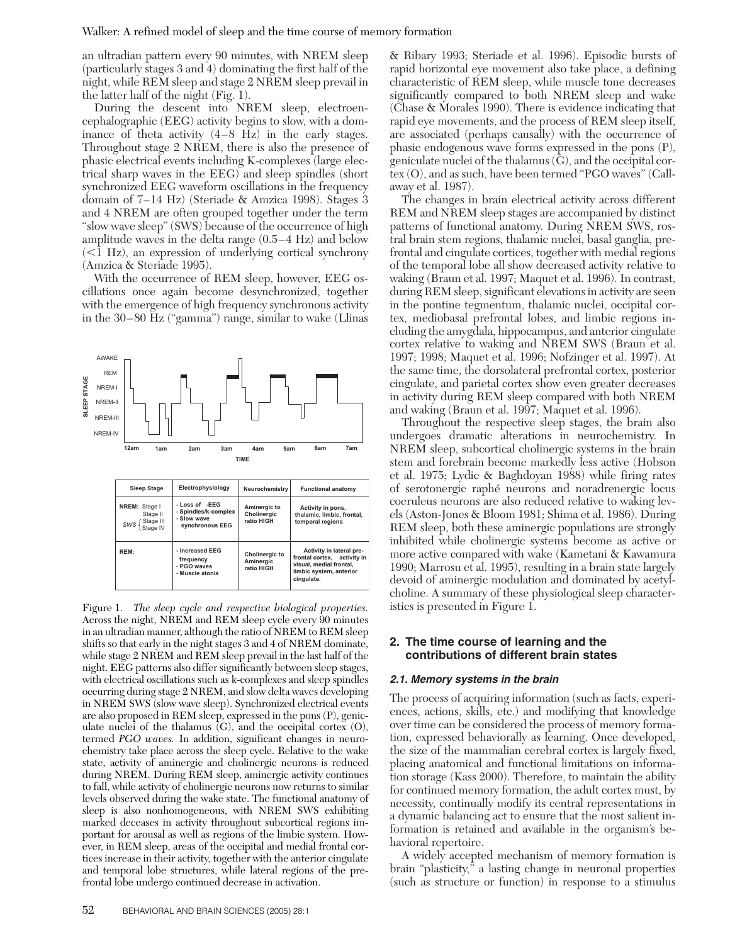an ultradian pattern every 90 minutes, with NREM sleep (particularly stages 3 and 4) dominating the first half of the night, while REM sleep and stage 2 NREM sleep prevail in the latter half of the night (Fig. 1).

During the descent into NREM sleep, electroencephalographic (EEG) activity begins to slow, with a dominance of theta activity (4–8 Hz) in the early stages. Throughout stage 2 NREM, there is also the presence of phasic electrical events including K-complexes (large electrical sharp waves in the EEG) and sleep spindles (short synchronized EEG waveform oscillations in the frequency domain of 7–14 Hz) (Steriade & Amzica 1998). Stages 3 and 4 NREM are often grouped together under the term "slow wave sleep" (SWS) because of the occurrence of high amplitude waves in the delta range (0.5–4 Hz) and below (-1 Hz), an expression of underlying cortical synchrony (Amzica & Steriade 1995).

With the occurrence of REM sleep, however, EEG oscillations once again become desynchronized, together with the emergence of high frequency synchronous activity in the 30–80 Hz ("gamma") range, similar to wake (Llinas



Figure 1. *The sleep cycle and respective biological properties.* Across the night, NREM and REM sleep cycle every 90 minutes in an ultradian manner, although the ratio of NREM to REM sleep shifts so that early in the night stages 3 and 4 of NREM dominate, while stage 2 NREM and REM sleep prevail in the last half of the night. EEG patterns also differ significantly between sleep stages, with electrical oscillations such as k-complexes and sleep spindles occurring during stage 2 NREM, and slow delta waves developing in NREM SWS (slow wave sleep). Synchronized electrical events are also proposed in REM sleep, expressed in the pons (P), geniculate nuclei of the thalamus  $(G)$ , and the occipital cortex  $(O)$ , termed *PGO waves.* In addition, significant changes in neurochemistry take place across the sleep cycle. Relative to the wake state, activity of aminergic and cholinergic neurons is reduced during NREM. During REM sleep, aminergic activity continues to fall, while activity of cholinergic neurons now returns to similar levels observed during the wake state. The functional anatomy of sleep is also nonhomogeneous, with NREM SWS exhibiting marked deceases in activity throughout subcortical regions important for arousal as well as regions of the limbic system. However, in REM sleep, areas of the occipital and medial frontal cortices increase in their activity, together with the anterior cingulate and temporal lobe structures, while lateral regions of the prefrontal lobe undergo continued decrease in activation.

& Ribary 1993; Steriade et al. 1996). Episodic bursts of rapid horizontal eye movement also take place, a defining characteristic of REM sleep, while muscle tone decreases significantly compared to both NREM sleep and wake (Chase & Morales 1990). There is evidence indicating that rapid eye movements, and the process of REM sleep itself, are associated (perhaps causally) with the occurrence of phasic endogenous wave forms expressed in the pons (P), geniculate nuclei of the thalamus (G), and the occipital cortex (O), and as such, have been termed "PGO waves" (Callaway et al. 1987).

The changes in brain electrical activity across different REM and NREM sleep stages are accompanied by distinct patterns of functional anatomy. During NREM SWS, rostral brain stem regions, thalamic nuclei, basal ganglia, prefrontal and cingulate cortices, together with medial regions of the temporal lobe all show decreased activity relative to waking (Braun et al. 1997; Maquet et al. 1996). In contrast, during REM sleep, significant elevations in activity are seen in the pontine tegmentum, thalamic nuclei, occipital cortex, mediobasal prefrontal lobes, and limbic regions including the amygdala, hippocampus, and anterior cingulate cortex relative to waking and NREM SWS (Braun et al. 1997; 1998; Maquet et al. 1996; Nofzinger et al. 1997). At the same time, the dorsolateral prefrontal cortex, posterior cingulate, and parietal cortex show even greater decreases in activity during REM sleep compared with both NREM and waking (Braun et al. 1997; Maquet et al. 1996).

Throughout the respective sleep stages, the brain also undergoes dramatic alterations in neurochemistry. In NREM sleep, subcortical cholinergic systems in the brain stem and forebrain become markedly less active (Hobson et al. 1975; Lydic & Baghdoyan 1988) while firing rates of serotonergic raphé neurons and noradrenergic locus coeruleus neurons are also reduced relative to waking levels (Aston-Jones & Bloom 1981; Shima et al. 1986). During REM sleep, both these aminergic populations are strongly inhibited while cholinergic systems become as active or more active compared with wake (Kametani & Kawamura 1990; Marrosu et al. 1995), resulting in a brain state largely devoid of aminergic modulation and dominated by acetylcholine. A summary of these physiological sleep characteristics is presented in Figure 1.

## **2. The time course of learning and the contributions of different brain states**

#### *2.1. Memory systems in the brain*

The process of acquiring information (such as facts, experiences, actions, skills, etc.) and modifying that knowledge over time can be considered the process of memory formation, expressed behaviorally as learning. Once developed, the size of the mammalian cerebral cortex is largely fixed, placing anatomical and functional limitations on information storage (Kass 2000). Therefore, to maintain the ability for continued memory formation, the adult cortex must, by necessity, continually modify its central representations in a dynamic balancing act to ensure that the most salient information is retained and available in the organism's behavioral repertoire.

A widely accepted mechanism of memory formation is brain "plasticity," a lasting change in neuronal properties (such as structure or function) in response to a stimulus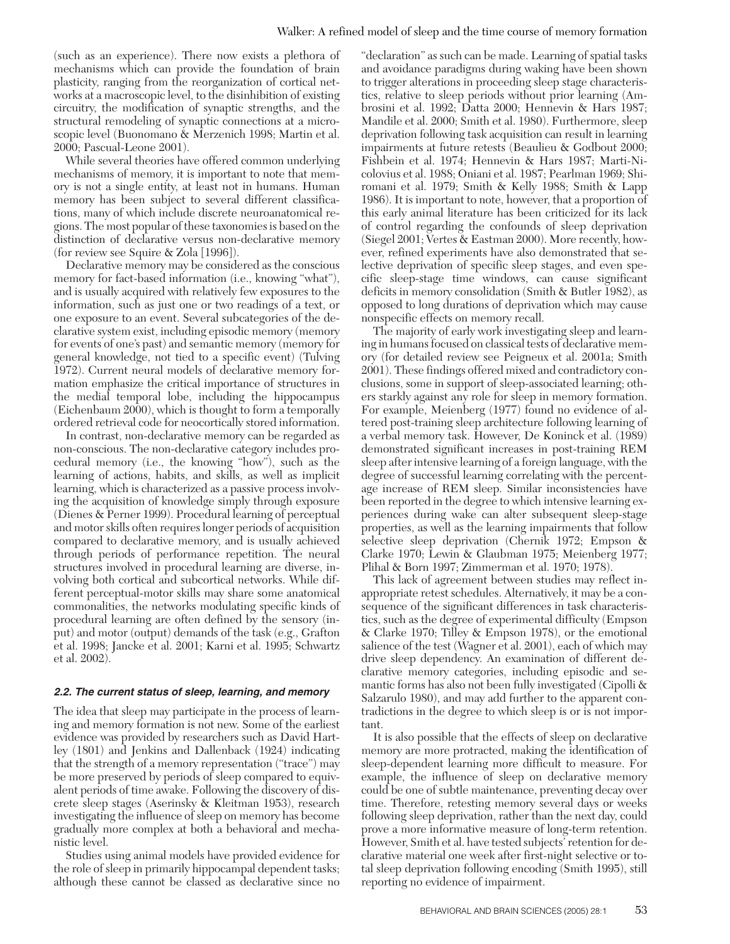(such as an experience). There now exists a plethora of mechanisms which can provide the foundation of brain plasticity, ranging from the reorganization of cortical networks at a macroscopic level, to the disinhibition of existing circuitry, the modification of synaptic strengths, and the structural remodeling of synaptic connections at a microscopic level (Buonomano & Merzenich 1998; Martin et al. 2000; Pascual-Leone 2001).

While several theories have offered common underlying mechanisms of memory, it is important to note that memory is not a single entity, at least not in humans. Human memory has been subject to several different classifications, many of which include discrete neuroanatomical regions. The most popular of these taxonomies is based on the distinction of declarative versus non-declarative memory (for review see Squire & Zola [1996]).

Declarative memory may be considered as the conscious memory for fact-based information (i.e., knowing "what"), and is usually acquired with relatively few exposures to the information, such as just one or two readings of a text, or one exposure to an event. Several subcategories of the declarative system exist, including episodic memory (memory for events of one's past) and semantic memory (memory for general knowledge, not tied to a specific event) (Tulving 1972). Current neural models of declarative memory formation emphasize the critical importance of structures in the medial temporal lobe, including the hippocampus (Eichenbaum 2000), which is thought to form a temporally ordered retrieval code for neocortically stored information.

In contrast, non-declarative memory can be regarded as non-conscious. The non-declarative category includes procedural memory (i.e., the knowing "how"), such as the learning of actions, habits, and skills, as well as implicit learning, which is characterized as a passive process involving the acquisition of knowledge simply through exposure (Dienes & Perner 1999). Procedural learning of perceptual and motor skills often requires longer periods of acquisition compared to declarative memory, and is usually achieved through periods of performance repetition. The neural structures involved in procedural learning are diverse, involving both cortical and subcortical networks. While different perceptual-motor skills may share some anatomical commonalities, the networks modulating specific kinds of procedural learning are often defined by the sensory (input) and motor (output) demands of the task (e.g., Grafton et al. 1998; Jancke et al. 2001; Karni et al. 1995; Schwartz et al. 2002).

#### *2.2. The current status of sleep, learning, and memory*

The idea that sleep may participate in the process of learning and memory formation is not new. Some of the earliest evidence was provided by researchers such as David Hartley (1801) and Jenkins and Dallenback (1924) indicating that the strength of a memory representation ("trace") may be more preserved by periods of sleep compared to equivalent periods of time awake. Following the discovery of discrete sleep stages (Aserinsky & Kleitman 1953), research investigating the influence of sleep on memory has become gradually more complex at both a behavioral and mechanistic level.

Studies using animal models have provided evidence for the role of sleep in primarily hippocampal dependent tasks; although these cannot be classed as declarative since no

"declaration" as such can be made. Learning of spatial tasks and avoidance paradigms during waking have been shown to trigger alterations in proceeding sleep stage characteristics, relative to sleep periods without prior learning (Ambrosini et al. 1992; Datta 2000; Hennevin & Hars 1987; Mandile et al. 2000; Smith et al. 1980). Furthermore, sleep deprivation following task acquisition can result in learning impairments at future retests (Beaulieu & Godbout 2000; Fishbein et al. 1974; Hennevin & Hars 1987; Marti-Nicolovius et al. 1988; Oniani et al. 1987; Pearlman 1969; Shiromani et al. 1979; Smith & Kelly 1988; Smith & Lapp 1986). It is important to note, however, that a proportion of this early animal literature has been criticized for its lack of control regarding the confounds of sleep deprivation (Siegel 2001; Vertes & Eastman 2000). More recently, however, refined experiments have also demonstrated that selective deprivation of specific sleep stages, and even specific sleep-stage time windows, can cause significant deficits in memory consolidation (Smith & Butler 1982), as opposed to long durations of deprivation which may cause nonspecific effects on memory recall.

The majority of early work investigating sleep and learning in humans focused on classical tests of declarative memory (for detailed review see Peigneux et al. 2001a; Smith 2001). These findings offered mixed and contradictory conclusions, some in support of sleep-associated learning; others starkly against any role for sleep in memory formation. For example, Meienberg (1977) found no evidence of altered post-training sleep architecture following learning of a verbal memory task. However, De Koninck et al. (1989) demonstrated significant increases in post-training REM sleep after intensive learning of a foreign language, with the degree of successful learning correlating with the percentage increase of REM sleep. Similar inconsistencies have been reported in the degree to which intensive learning experiences during wake can alter subsequent sleep-stage properties, as well as the learning impairments that follow selective sleep deprivation (Chernik 1972; Empson & Clarke 1970; Lewin & Glaubman 1975; Meienberg 1977; Plihal & Born 1997; Zimmerman et al. 1970; 1978).

This lack of agreement between studies may reflect inappropriate retest schedules. Alternatively, it may be a consequence of the significant differences in task characteristics, such as the degree of experimental difficulty (Empson & Clarke 1970; Tilley & Empson 1978), or the emotional salience of the test (Wagner et al. 2001), each of which may drive sleep dependency. An examination of different declarative memory categories, including episodic and semantic forms has also not been fully investigated (Cipolli & Salzarulo 1980), and may add further to the apparent contradictions in the degree to which sleep is or is not important.

It is also possible that the effects of sleep on declarative memory are more protracted, making the identification of sleep-dependent learning more difficult to measure. For example, the influence of sleep on declarative memory could be one of subtle maintenance, preventing decay over time. Therefore, retesting memory several days or weeks following sleep deprivation, rather than the next day, could prove a more informative measure of long-term retention. However, Smith et al. have tested subjects' retention for declarative material one week after first-night selective or total sleep deprivation following encoding (Smith 1995), still reporting no evidence of impairment.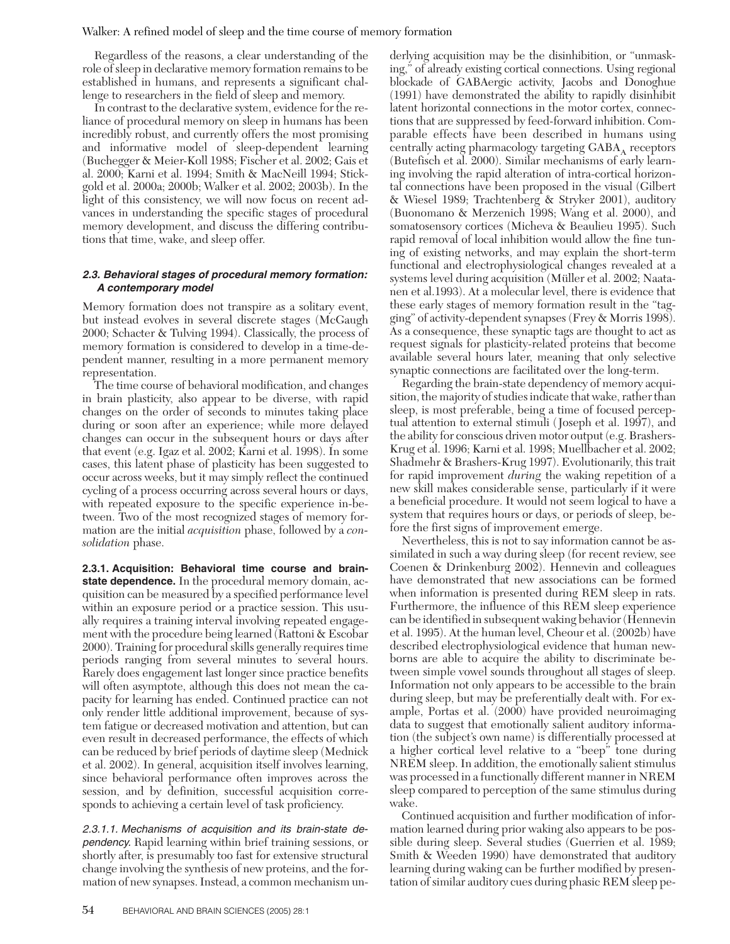Regardless of the reasons, a clear understanding of the role of sleep in declarative memory formation remains to be established in humans, and represents a significant challenge to researchers in the field of sleep and memory.

In contrast to the declarative system, evidence for the reliance of procedural memory on sleep in humans has been incredibly robust, and currently offers the most promising and informative model of sleep-dependent learning (Buchegger & Meier-Koll 1988; Fischer et al. 2002; Gais et al. 2000; Karni et al. 1994; Smith & MacNeill 1994; Stickgold et al. 2000a; 2000b; Walker et al. 2002; 2003b). In the light of this consistency, we will now focus on recent advances in understanding the specific stages of procedural memory development, and discuss the differing contributions that time, wake, and sleep offer.

## *2.3. Behavioral stages of procedural memory formation: A contemporary model*

Memory formation does not transpire as a solitary event, but instead evolves in several discrete stages (McGaugh 2000; Schacter & Tulving 1994). Classically, the process of memory formation is considered to develop in a time-dependent manner, resulting in a more permanent memory representation.

The time course of behavioral modification, and changes in brain plasticity, also appear to be diverse, with rapid changes on the order of seconds to minutes taking place during or soon after an experience; while more delayed changes can occur in the subsequent hours or days after that event (e.g. Igaz et al. 2002; Karni et al. 1998). In some cases, this latent phase of plasticity has been suggested to occur across weeks, but it may simply reflect the continued cycling of a process occurring across several hours or days, with repeated exposure to the specific experience in-between. Two of the most recognized stages of memory formation are the initial *acquisition* phase, followed by a *consolidation* phase.

**2.3.1. Acquisition: Behavioral time course and brainstate dependence.** In the procedural memory domain, acquisition can be measured by a specified performance level within an exposure period or a practice session. This usually requires a training interval involving repeated engagement with the procedure being learned (Rattoni & Escobar 2000). Training for procedural skills generally requires time periods ranging from several minutes to several hours. Rarely does engagement last longer since practice benefits will often asymptote, although this does not mean the capacity for learning has ended. Continued practice can not only render little additional improvement, because of system fatigue or decreased motivation and attention, but can even result in decreased performance, the effects of which can be reduced by brief periods of daytime sleep (Mednick et al. 2002). In general, acquisition itself involves learning, since behavioral performance often improves across the session, and by definition, successful acquisition corresponds to achieving a certain level of task proficiency.

*2.3.1.1. Mechanisms of acquisition and its brain-state dependency.* Rapid learning within brief training sessions, or shortly after, is presumably too fast for extensive structural change involving the synthesis of new proteins, and the formation of new synapses. Instead, a common mechanism underlying acquisition may be the disinhibition, or "unmasking," of already existing cortical connections. Using regional blockade of GABAergic activity, Jacobs and Donoghue (1991) have demonstrated the ability to rapidly disinhibit latent horizontal connections in the motor cortex, connections that are suppressed by feed-forward inhibition. Comparable effects have been described in humans using centrally acting pharmacology targeting  $GABA_A$  receptors (Butefisch et al. 2000). Similar mechanisms of early learning involving the rapid alteration of intra-cortical horizontal connections have been proposed in the visual (Gilbert & Wiesel 1989; Trachtenberg & Stryker 2001), auditory (Buonomano & Merzenich 1998; Wang et al. 2000), and somatosensory cortices (Micheva & Beaulieu 1995). Such rapid removal of local inhibition would allow the fine tuning of existing networks, and may explain the short-term functional and electrophysiological changes revealed at a systems level during acquisition (Müller et al. 2002; Naatanen et al.1993). At a molecular level, there is evidence that these early stages of memory formation result in the "tagging" of activity-dependent synapses (Frey & Morris 1998). As a consequence, these synaptic tags are thought to act as request signals for plasticity-related proteins that become available several hours later, meaning that only selective synaptic connections are facilitated over the long-term.

Regarding the brain-state dependency of memory acquisition, the majority of studies indicate that wake, rather than sleep, is most preferable, being a time of focused perceptual attention to external stimuli (Joseph et al. 1997), and the ability for conscious driven motor output (e.g. Brashers-Krug et al. 1996; Karni et al. 1998; Muellbacher et al. 2002; Shadmehr & Brashers-Krug 1997). Evolutionarily, this trait for rapid improvement *during* the waking repetition of a new skill makes considerable sense, particularly if it were a beneficial procedure. It would not seem logical to have a system that requires hours or days, or periods of sleep, before the first signs of improvement emerge.

Nevertheless, this is not to say information cannot be assimilated in such a way during sleep (for recent review, see Coenen & Drinkenburg 2002). Hennevin and colleagues have demonstrated that new associations can be formed when information is presented during REM sleep in rats. Furthermore, the influence of this REM sleep experience can be identified in subsequent waking behavior (Hennevin et al. 1995). At the human level, Cheour et al. (2002b) have described electrophysiological evidence that human newborns are able to acquire the ability to discriminate between simple vowel sounds throughout all stages of sleep. Information not only appears to be accessible to the brain during sleep, but may be preferentially dealt with. For example, Portas et al. (2000) have provided neuroimaging data to suggest that emotionally salient auditory information (the subject's own name) is differentially processed at a higher cortical level relative to a "beep" tone during NREM sleep. In addition, the emotionally salient stimulus was processed in a functionally different manner in NREM sleep compared to perception of the same stimulus during wake.

Continued acquisition and further modification of information learned during prior waking also appears to be possible during sleep. Several studies (Guerrien et al. 1989; Smith & Weeden 1990) have demonstrated that auditory learning during waking can be further modified by presentation of similar auditory cues during phasic REM sleep pe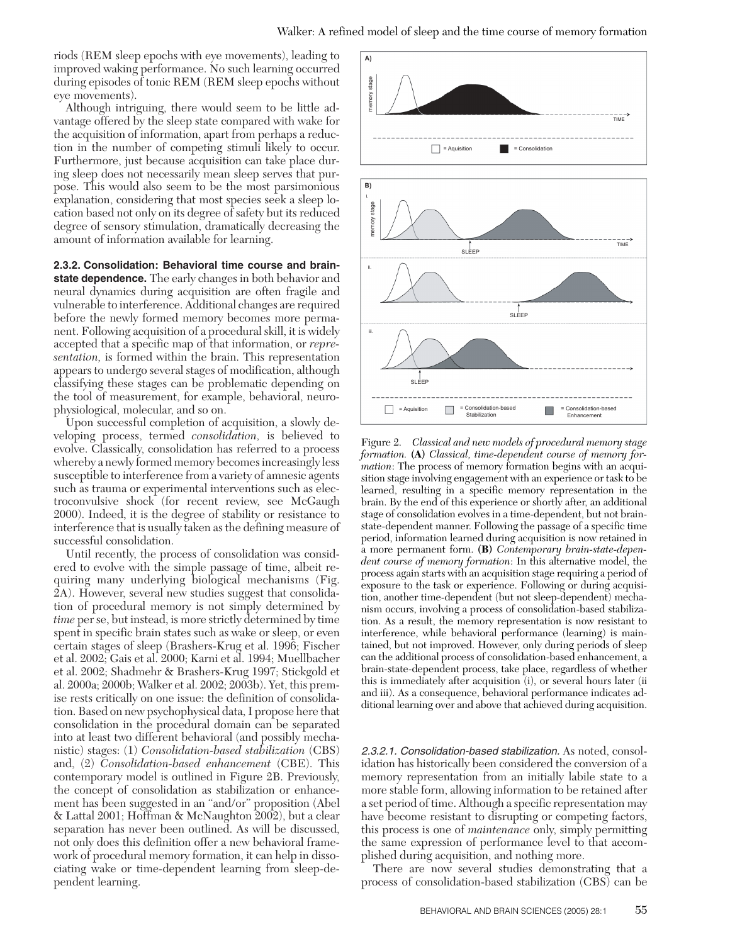riods (REM sleep epochs with eye movements), leading to improved waking performance. No such learning occurred during episodes of tonic REM (REM sleep epochs without eye movements).

Although intriguing, there would seem to be little advantage offered by the sleep state compared with wake for the acquisition of information, apart from perhaps a reduction in the number of competing stimuli likely to occur. Furthermore, just because acquisition can take place during sleep does not necessarily mean sleep serves that purpose. This would also seem to be the most parsimonious explanation, considering that most species seek a sleep location based not only on its degree of safety but its reduced degree of sensory stimulation, dramatically decreasing the amount of information available for learning.

#### **2.3.2. Consolidation: Behavioral time course and brain-**

**state dependence.** The early changes in both behavior and neural dynamics during acquisition are often fragile and vulnerable to interference. Additional changes are required before the newly formed memory becomes more permanent. Following acquisition of a procedural skill, it is widely accepted that a specific map of that information, or *representation,* is formed within the brain. This representation appears to undergo several stages of modification, although classifying these stages can be problematic depending on the tool of measurement, for example, behavioral, neurophysiological, molecular, and so on.

Upon successful completion of acquisition, a slowly developing process, termed *consolidation,* is believed to evolve. Classically, consolidation has referred to a process whereby a newly formed memory becomes increasingly less susceptible to interference from a variety of amnesic agents such as trauma or experimental interventions such as electroconvulsive shock (for recent review, see McGaugh 2000). Indeed, it is the degree of stability or resistance to interference that is usually taken as the defining measure of successful consolidation.

Until recently, the process of consolidation was considered to evolve with the simple passage of time, albeit requiring many underlying biological mechanisms (Fig. 2A). However, several new studies suggest that consolidation of procedural memory is not simply determined by *time* per se, but instead, is more strictly determined by time spent in specific brain states such as wake or sleep, or even certain stages of sleep (Brashers-Krug et al. 1996; Fischer et al. 2002; Gais et al. 2000; Karni et al. 1994; Muellbacher et al. 2002; Shadmehr & Brashers-Krug 1997; Stickgold et al. 2000a; 2000b; Walker et al. 2002; 2003b). Yet, this premise rests critically on one issue: the definition of consolidation. Based on new psychophysical data, I propose here that consolidation in the procedural domain can be separated into at least two different behavioral (and possibly mechanistic) stages: (1) *Consolidation-based stabilization* (CBS) and, (2) *Consolidation-based enhancement* (CBE). This contemporary model is outlined in Figure 2B. Previously, the concept of consolidation as stabilization or enhancement has been suggested in an "and/or" proposition (Abel & Lattal 2001; Hoffman & McNaughton 2002), but a clear separation has never been outlined. As will be discussed, not only does this definition offer a new behavioral framework of procedural memory formation, it can help in dissociating wake or time-dependent learning from sleep-dependent learning.



Figure 2. *Classical and new models of procedural memory stage formation.* **(A)** *Classical, time-dependent course of memory formation*: The process of memory formation begins with an acquisition stage involving engagement with an experience or task to be learned, resulting in a specific memory representation in the brain. By the end of this experience or shortly after, an additional stage of consolidation evolves in a time-dependent, but not brainstate-dependent manner. Following the passage of a specific time period, information learned during acquisition is now retained in a more permanent form. **(B)** *Contemporary brain-state-dependent course of memory formation*: In this alternative model, the process again starts with an acquisition stage requiring a period of exposure to the task or experience. Following or during acquisition, another time-dependent (but not sleep-dependent) mechanism occurs, involving a process of consolidation-based stabilization. As a result, the memory representation is now resistant to interference, while behavioral performance (learning) is maintained, but not improved. However, only during periods of sleep can the additional process of consolidation-based enhancement, a brain-state-dependent process, take place, regardless of whether this is immediately after acquisition (i), or several hours later (ii and iii). As a consequence, behavioral performance indicates additional learning over and above that achieved during acquisition.

*2.3.2.1. Consolidation-based stabilization.* As noted, consolidation has historically been considered the conversion of a memory representation from an initially labile state to a more stable form, allowing information to be retained after a set period of time. Although a specific representation may have become resistant to disrupting or competing factors, this process is one of *maintenance* only, simply permitting the same expression of performance level to that accomplished during acquisition, and nothing more.

There are now several studies demonstrating that a process of consolidation-based stabilization (CBS) can be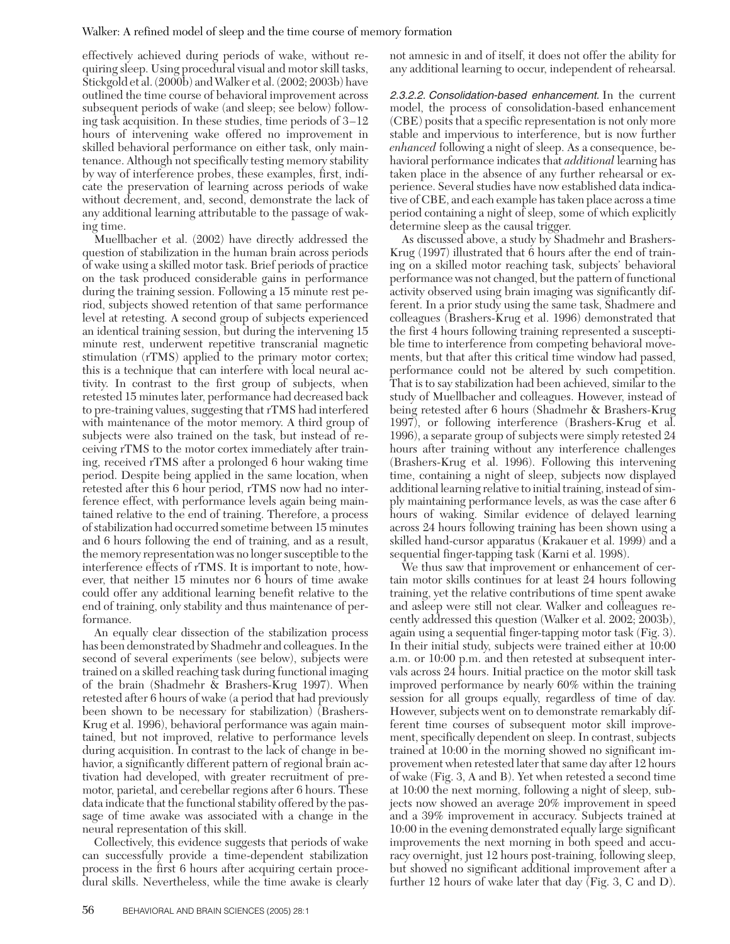effectively achieved during periods of wake, without requiring sleep. Using procedural visual and motor skill tasks, Stickgold et al. (2000b) and Walker et al. (2002; 2003b) have outlined the time course of behavioral improvement across subsequent periods of wake (and sleep; see below) following task acquisition. In these studies, time periods of 3–12 hours of intervening wake offered no improvement in skilled behavioral performance on either task, only maintenance. Although not specifically testing memory stability by way of interference probes, these examples, first, indicate the preservation of learning across periods of wake without decrement, and, second, demonstrate the lack of any additional learning attributable to the passage of waking time.

Muellbacher et al. (2002) have directly addressed the question of stabilization in the human brain across periods of wake using a skilled motor task. Brief periods of practice on the task produced considerable gains in performance during the training session. Following a 15 minute rest period, subjects showed retention of that same performance level at retesting. A second group of subjects experienced an identical training session, but during the intervening 15 minute rest, underwent repetitive transcranial magnetic stimulation (rTMS) applied to the primary motor cortex; this is a technique that can interfere with local neural activity. In contrast to the first group of subjects, when retested 15 minutes later, performance had decreased back to pre-training values, suggesting that rTMS had interfered with maintenance of the motor memory. A third group of subjects were also trained on the task, but instead of receiving rTMS to the motor cortex immediately after training, received rTMS after a prolonged 6 hour waking time period. Despite being applied in the same location, when retested after this 6 hour period, rTMS now had no interference effect, with performance levels again being maintained relative to the end of training. Therefore, a process of stabilization had occurred sometime between 15 minutes and 6 hours following the end of training, and as a result, the memory representation was no longer susceptible to the interference effects of rTMS. It is important to note, however, that neither 15 minutes nor 6 hours of time awake could offer any additional learning benefit relative to the end of training, only stability and thus maintenance of performance.

An equally clear dissection of the stabilization process has been demonstrated by Shadmehr and colleagues. In the second of several experiments (see below), subjects were trained on a skilled reaching task during functional imaging of the brain (Shadmehr & Brashers-Krug 1997). When retested after 6 hours of wake (a period that had previously been shown to be necessary for stabilization) (Brashers-Krug et al. 1996), behavioral performance was again maintained, but not improved, relative to performance levels during acquisition. In contrast to the lack of change in behavior, a significantly different pattern of regional brain activation had developed, with greater recruitment of premotor, parietal, and cerebellar regions after 6 hours. These data indicate that the functional stability offered by the passage of time awake was associated with a change in the neural representation of this skill.

Collectively, this evidence suggests that periods of wake can successfully provide a time-dependent stabilization process in the first 6 hours after acquiring certain procedural skills. Nevertheless, while the time awake is clearly not amnesic in and of itself, it does not offer the ability for any additional learning to occur, independent of rehearsal.

*2.3.2.2. Consolidation-based enhancement.* In the current model, the process of consolidation-based enhancement (CBE) posits that a specific representation is not only more stable and impervious to interference, but is now further *enhanced* following a night of sleep. As a consequence, behavioral performance indicates that *additional* learning has taken place in the absence of any further rehearsal or experience. Several studies have now established data indicative of CBE, and each example has taken place across a time period containing a night of sleep, some of which explicitly determine sleep as the causal trigger.

As discussed above, a study by Shadmehr and Brashers-Krug (1997) illustrated that 6 hours after the end of training on a skilled motor reaching task, subjects' behavioral performance was not changed, but the pattern of functional activity observed using brain imaging was significantly different. In a prior study using the same task, Shadmere and colleagues (Brashers-Krug et al. 1996) demonstrated that the first 4 hours following training represented a susceptible time to interference from competing behavioral movements, but that after this critical time window had passed, performance could not be altered by such competition. That is to say stabilization had been achieved, similar to the study of Muellbacher and colleagues. However, instead of being retested after 6 hours (Shadmehr & Brashers-Krug 1997), or following interference (Brashers-Krug et al. 1996), a separate group of subjects were simply retested 24 hours after training without any interference challenges (Brashers-Krug et al. 1996). Following this intervening time, containing a night of sleep, subjects now displayed additional learning relative to initial training, instead of simply maintaining performance levels, as was the case after 6 hours of waking. Similar evidence of delayed learning across 24 hours following training has been shown using a skilled hand-cursor apparatus (Krakauer et al. 1999) and a sequential finger-tapping task (Karni et al. 1998).

We thus saw that improvement or enhancement of certain motor skills continues for at least 24 hours following training, yet the relative contributions of time spent awake and asleep were still not clear. Walker and colleagues recently addressed this question (Walker et al. 2002; 2003b), again using a sequential finger-tapping motor task (Fig. 3). In their initial study, subjects were trained either at 10:00 a.m. or 10:00 p.m. and then retested at subsequent intervals across 24 hours. Initial practice on the motor skill task improved performance by nearly 60% within the training session for all groups equally, regardless of time of day. However, subjects went on to demonstrate remarkably different time courses of subsequent motor skill improvement, specifically dependent on sleep. In contrast, subjects trained at 10:00 in the morning showed no significant improvement when retested later that same day after 12 hours of wake (Fig. 3, A and B). Yet when retested a second time at 10:00 the next morning, following a night of sleep, subjects now showed an average 20% improvement in speed and a 39% improvement in accuracy. Subjects trained at 10:00 in the evening demonstrated equally large significant improvements the next morning in both speed and accuracy overnight, just 12 hours post-training, following sleep, but showed no significant additional improvement after a further 12 hours of wake later that day (Fig. 3, C and D).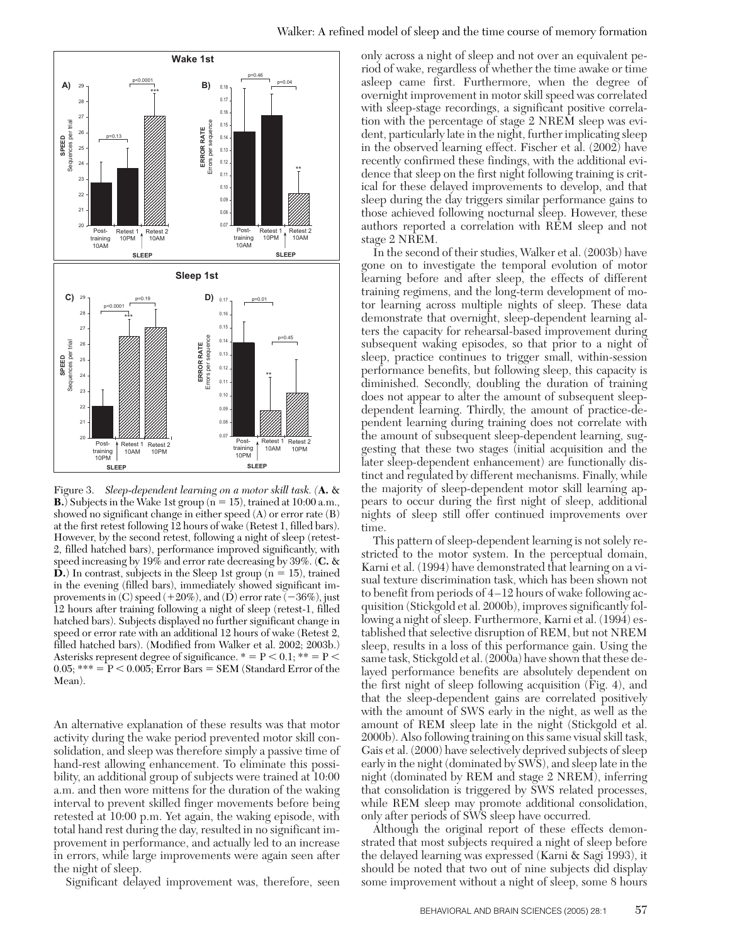

Figure 3. *Sleep-dependent learning on a motor skill task. (***A.** & **B.**) Subjects in the Wake 1st group  $(n = 15)$ , trained at 10:00 a.m., showed no significant change in either speed  $(A)$  or error rate  $(B)$ at the first retest following  $\overline{12}$  hours of wake (Retest 1, filled bars). However, by the second retest, following a night of sleep (retest-2, filled hatched bars), performance improved significantly, with speed increasing by 19% and error rate decreasing by 39%. (**C.** &  $\overline{D}$ .) In contrast, subjects in the Sleep 1st group ( $n = 15$ ), trained in the evening (filled bars), immediately showed significant improvements in (C) speed (+20%), and (D) error rate  $\bar{(-36\%)}$ , just 12 hours after training following a night of sleep (retest-1, filled hatched bars). Subjects displayed no further significant change in speed or error rate with an additional 12 hours of wake (Retest 2, filled hatched bars). (Modified from Walker et al. 2002; 2003b.) Asterisks represent degree of significance.  ${}^{*} = P < 0.1;$   ${}^{**} = P <$  $0.05;*** = P < 0.005;$  Error Bars = SEM (Standard Error of the Mean).

An alternative explanation of these results was that motor activity during the wake period prevented motor skill consolidation, and sleep was therefore simply a passive time of hand-rest allowing enhancement. To eliminate this possibility, an additional group of subjects were trained at 10:00 a.m. and then wore mittens for the duration of the waking interval to prevent skilled finger movements before being retested at 10:00 p.m. Yet again, the waking episode, with total hand rest during the day, resulted in no significant improvement in performance, and actually led to an increase in errors, while large improvements were again seen after the night of sleep.

Significant delayed improvement was, therefore, seen

only across a night of sleep and not over an equivalent period of wake, regardless of whether the time awake or time asleep came first. Furthermore, when the degree of overnight improvement in motor skill speed was correlated with sleep-stage recordings, a significant positive correlation with the percentage of stage 2 NREM sleep was evident, particularly late in the night, further implicating sleep in the observed learning effect. Fischer et al. (2002) have recently confirmed these findings, with the additional evidence that sleep on the first night following training is critical for these delayed improvements to develop, and that sleep during the day triggers similar performance gains to those achieved following nocturnal sleep. However, these authors reported a correlation with REM sleep and not stage 2 NREM.

In the second of their studies, Walker et al. (2003b) have gone on to investigate the temporal evolution of motor learning before and after sleep, the effects of different training regimens, and the long-term development of motor learning across multiple nights of sleep. These data demonstrate that overnight, sleep-dependent learning alters the capacity for rehearsal-based improvement during subsequent waking episodes, so that prior to a night of sleep, practice continues to trigger small, within-session performance benefits, but following sleep, this capacity is diminished. Secondly, doubling the duration of training does not appear to alter the amount of subsequent sleepdependent learning. Thirdly, the amount of practice-dependent learning during training does not correlate with the amount of subsequent sleep-dependent learning, suggesting that these two stages (initial acquisition and the later sleep-dependent enhancement) are functionally distinct and regulated by different mechanisms. Finally, while the majority of sleep-dependent motor skill learning appears to occur during the first night of sleep, additional nights of sleep still offer continued improvements over time.

This pattern of sleep-dependent learning is not solely restricted to the motor system. In the perceptual domain, Karni et al. (1994) have demonstrated that learning on a visual texture discrimination task, which has been shown not to benefit from periods of 4–12 hours of wake following acquisition (Stickgold et al. 2000b), improves significantly following a night of sleep. Furthermore, Karni et al. (1994) established that selective disruption of REM, but not NREM sleep, results in a loss of this performance gain. Using the same task, Stickgold et al. (2000a) have shown that these delayed performance benefits are absolutely dependent on the first night of sleep following acquisition (Fig. 4), and that the sleep-dependent gains are correlated positively with the amount of SWS early in the night, as well as the amount of REM sleep late in the night (Stickgold et al. 2000b). Also following training on this same visual skill task, Gais et al. (2000) have selectively deprived subjects of sleep early in the night (dominated by SWS), and sleep late in the night (dominated by REM and stage 2 NREM), inferring that consolidation is triggered by SWS related processes, while REM sleep may promote additional consolidation, only after periods of SWS sleep have occurred.

Although the original report of these effects demonstrated that most subjects required a night of sleep before the delayed learning was expressed (Karni & Sagi 1993), it should be noted that two out of nine subjects did display some improvement without a night of sleep, some 8 hours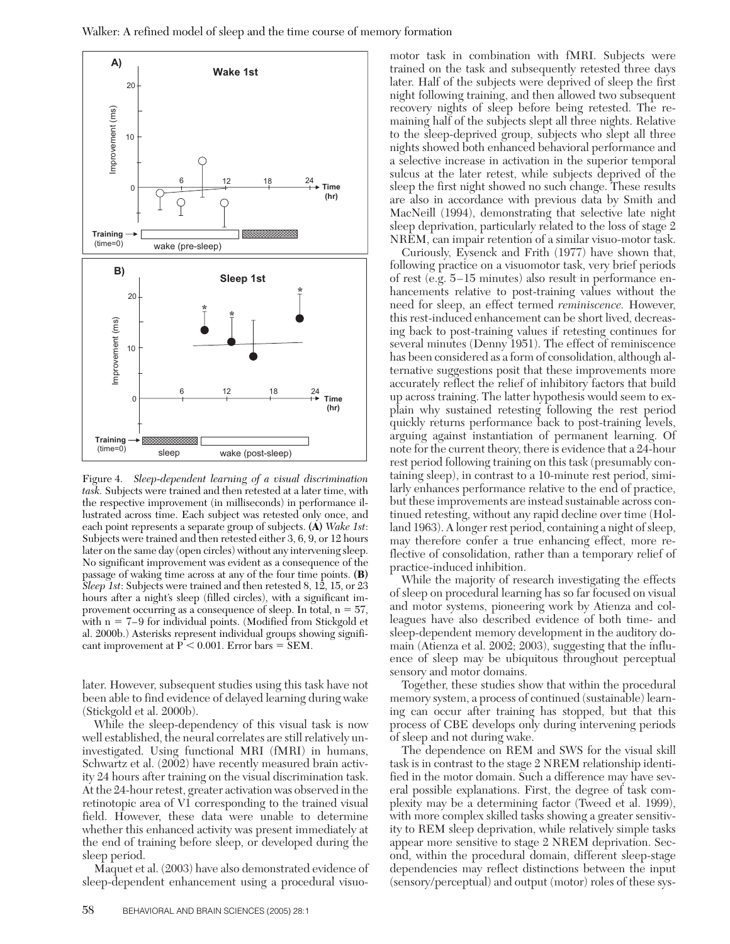

Figure 4. *Sleep-dependent learning of a visual discrimination task.* Subjects were trained and then retested at a later time, with the respective improvement (in milliseconds) in performance illustrated across time. Each subject was retested only once, and each point represents a separate group of subjects. **(A)** *Wake 1st*: Subjects were trained and then retested either 3, 6, 9, or 12 hours later on the same day (open circles) without any intervening sleep. No significant improvement was evident as a consequence of the passage of waking time across at any of the four time points. **(B)** *Sleep 1st*: Subjects were trained and then retested 8, 12, 15, or 23 hours after a night's sleep (filled circles), with a significant improvement occurring as a consequence of sleep. In total,  $n = 57$ , with  $n = 7-9$  for individual points. (Modified from Stickgold et al. 2000b.) Asterisks represent individual groups showing significant improvement at  $P < 0.001$ . Error bars = SEM.

later. However, subsequent studies using this task have not been able to find evidence of delayed learning during wake (Stickgold et al. 2000b).

While the sleep-dependency of this visual task is now well established, the neural correlates are still relatively uninvestigated. Using functional MRI (fMRI) in humans, Schwartz et al. (2002) have recently measured brain activity 24 hours after training on the visual discrimination task. At the 24-hour retest, greater activation was observed in the retinotopic area of V1 corresponding to the trained visual field. However, these data were unable to determine whether this enhanced activity was present immediately at the end of training before sleep, or developed during the sleep period.

Maquet et al. (2003) have also demonstrated evidence of sleep-dependent enhancement using a procedural visuomotor task in combination with fMRI. Subjects were trained on the task and subsequently retested three days later. Half of the subjects were deprived of sleep the first night following training, and then allowed two subsequent recovery nights of sleep before being retested. The remaining half of the subjects slept all three nights. Relative to the sleep-deprived group, subjects who slept all three nights showed both enhanced behavioral performance and a selective increase in activation in the superior temporal sulcus at the later retest, while subjects deprived of the sleep the first night showed no such change. These results are also in accordance with previous data by Smith and MacNeill (1994), demonstrating that selective late night sleep deprivation, particularly related to the loss of stage 2 NREM, can impair retention of a similar visuo-motor task.

Curiously, Eysenck and Frith (1977) have shown that, following practice on a visuomotor task, very brief periods of rest (e.g. 5–15 minutes) also result in performance enhancements relative to post-training values without the need for sleep, an effect termed *reminiscence.* However, this rest-induced enhancement can be short lived, decreasing back to post-training values if retesting continues for several minutes (Denny 1951). The effect of reminiscence has been considered as a form of consolidation, although alternative suggestions posit that these improvements more accurately reflect the relief of inhibitory factors that build up across training. The latter hypothesis would seem to explain why sustained retesting following the rest period quickly returns performance back to post-training levels, arguing against instantiation of permanent learning. Of note for the current theory, there is evidence that a 24-hour rest period following training on this task (presumably containing sleep), in contrast to a 10-minute rest period, similarly enhances performance relative to the end of practice, but these improvements are instead sustainable across continued retesting, without any rapid decline over time (Holland 1963). A longer rest period, containing a night of sleep, may therefore confer a true enhancing effect, more reflective of consolidation, rather than a temporary relief of practice-induced inhibition.

While the majority of research investigating the effects of sleep on procedural learning has so far focused on visual and motor systems, pioneering work by Atienza and colleagues have also described evidence of both time- and sleep-dependent memory development in the auditory domain (Atienza et al. 2002; 2003), suggesting that the influence of sleep may be ubiquitous throughout perceptual sensory and motor domains.

Together, these studies show that within the procedural memory system, a process of continued (sustainable) learning can occur after training has stopped, but that this process of CBE develops only during intervening periods of sleep and not during wake.

The dependence on REM and SWS for the visual skill task is in contrast to the stage 2 NREM relationship identified in the motor domain. Such a difference may have several possible explanations. First, the degree of task complexity may be a determining factor (Tweed et al. 1999), with more complex skilled tasks showing a greater sensitivity to REM sleep deprivation, while relatively simple tasks appear more sensitive to stage 2 NREM deprivation. Second, within the procedural domain, different sleep-stage dependencies may reflect distinctions between the input (sensory/perceptual) and output (motor) roles of these sys-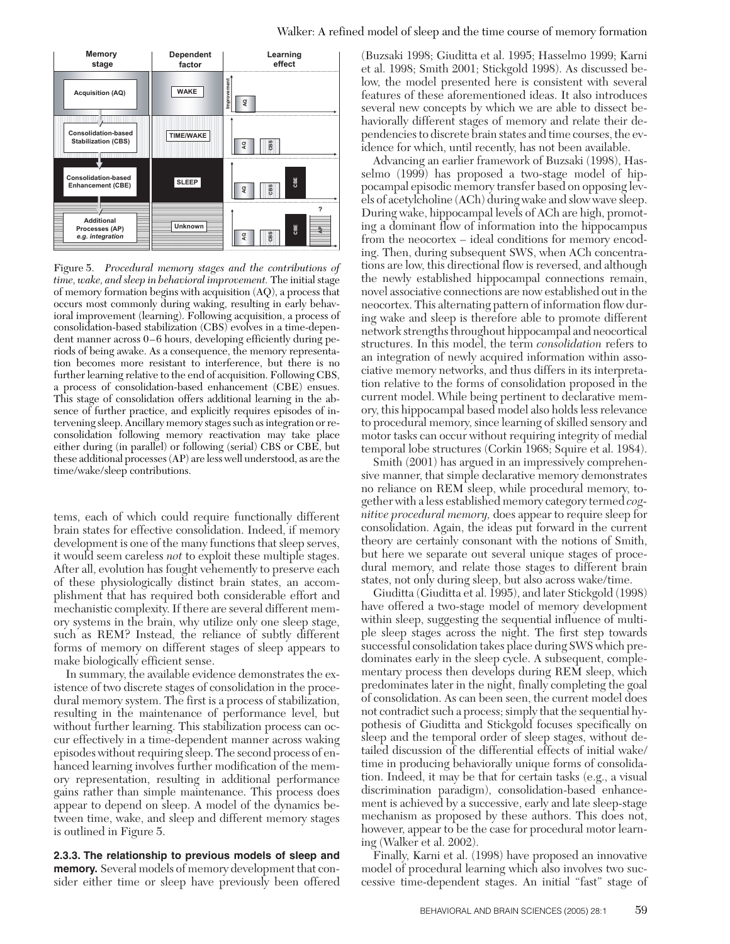

Figure 5. *Procedural memory stages and the contributions of time, wake, and sleep in behavioral improvement.* The initial stage of memory formation begins with acquisition (AQ), a process that occurs most commonly during waking, resulting in early behavioral improvement (learning). Following acquisition, a process of consolidation-based stabilization (CBS) evolves in a time-dependent manner across 0–6 hours, developing efficiently during periods of being awake. As a consequence, the memory representation becomes more resistant to interference, but there is no further learning relative to the end of acquisition. Following CBS, a process of consolidation-based enhancement (CBE) ensues. This stage of consolidation offers additional learning in the absence of further practice, and explicitly requires episodes of intervening sleep. Ancillary memory stages such as integration or reconsolidation following memory reactivation may take place either during (in parallel) or following (serial) CBS or CBE, but these additional processes (AP) are less well understood, as are the time/wake/sleep contributions.

tems, each of which could require functionally different brain states for effective consolidation. Indeed, if memory development is one of the many functions that sleep serves, it would seem careless *not* to exploit these multiple stages. After all, evolution has fought vehemently to preserve each of these physiologically distinct brain states, an accomplishment that has required both considerable effort and mechanistic complexity. If there are several different memory systems in the brain, why utilize only one sleep stage, such as REM? Instead, the reliance of subtly different forms of memory on different stages of sleep appears to make biologically efficient sense.

In summary, the available evidence demonstrates the existence of two discrete stages of consolidation in the procedural memory system. The first is a process of stabilization, resulting in the maintenance of performance level, but without further learning. This stabilization process can occur effectively in a time-dependent manner across waking episodes without requiring sleep. The second process of enhanced learning involves further modification of the memory representation, resulting in additional performance gains rather than simple maintenance. This process does appear to depend on sleep. A model of the dynamics between time, wake, and sleep and different memory stages is outlined in Figure 5.

**2.3.3. The relationship to previous models of sleep and memory.** Several models of memory development that consider either time or sleep have previously been offered

(Buzsaki 1998; Giuditta et al. 1995; Hasselmo 1999; Karni et al. 1998; Smith 2001; Stickgold 1998). As discussed below, the model presented here is consistent with several features of these aforementioned ideas. It also introduces several new concepts by which we are able to dissect behaviorally different stages of memory and relate their dependencies to discrete brain states and time courses, the evidence for which, until recently, has not been available.

Advancing an earlier framework of Buzsaki (1998), Hasselmo (1999) has proposed a two-stage model of hippocampal episodic memory transfer based on opposing levels of acetylcholine (ACh) during wake and slow wave sleep. During wake, hippocampal levels of ACh are high, promoting a dominant flow of information into the hippocampus from the neocortex – ideal conditions for memory encoding. Then, during subsequent SWS, when ACh concentrations are low, this directional flow is reversed, and although the newly established hippocampal connections remain, novel associative connections are now established out in the neocortex. This alternating pattern of information flow during wake and sleep is therefore able to promote different network strengths throughout hippocampal and neocortical structures. In this model, the term *consolidation* refers to an integration of newly acquired information within associative memory networks, and thus differs in its interpretation relative to the forms of consolidation proposed in the current model. While being pertinent to declarative memory, this hippocampal based model also holds less relevance to procedural memory, since learning of skilled sensory and motor tasks can occur without requiring integrity of medial temporal lobe structures (Corkin 1968; Squire et al. 1984).

Smith (2001) has argued in an impressively comprehensive manner, that simple declarative memory demonstrates no reliance on REM sleep, while procedural memory, together with a less established memory category termed *cognitive procedural memory,* does appear to require sleep for consolidation. Again, the ideas put forward in the current theory are certainly consonant with the notions of Smith, but here we separate out several unique stages of procedural memory, and relate those stages to different brain states, not only during sleep, but also across wake/time.

Giuditta (Giuditta et al. 1995), and later Stickgold (1998) have offered a two-stage model of memory development within sleep, suggesting the sequential influence of multiple sleep stages across the night. The first step towards successful consolidation takes place during SWS which predominates early in the sleep cycle. A subsequent, complementary process then develops during REM sleep, which predominates later in the night, finally completing the goal of consolidation. As can been seen, the current model does not contradict such a process; simply that the sequential hypothesis of Giuditta and Stickgold focuses specifically on sleep and the temporal order of sleep stages, without detailed discussion of the differential effects of initial wake/ time in producing behaviorally unique forms of consolidation. Indeed, it may be that for certain tasks (e.g., a visual discrimination paradigm), consolidation-based enhancement is achieved by a successive, early and late sleep-stage mechanism as proposed by these authors. This does not, however, appear to be the case for procedural motor learning (Walker et al. 2002).

Finally, Karni et al. (1998) have proposed an innovative model of procedural learning which also involves two successive time-dependent stages. An initial "fast" stage of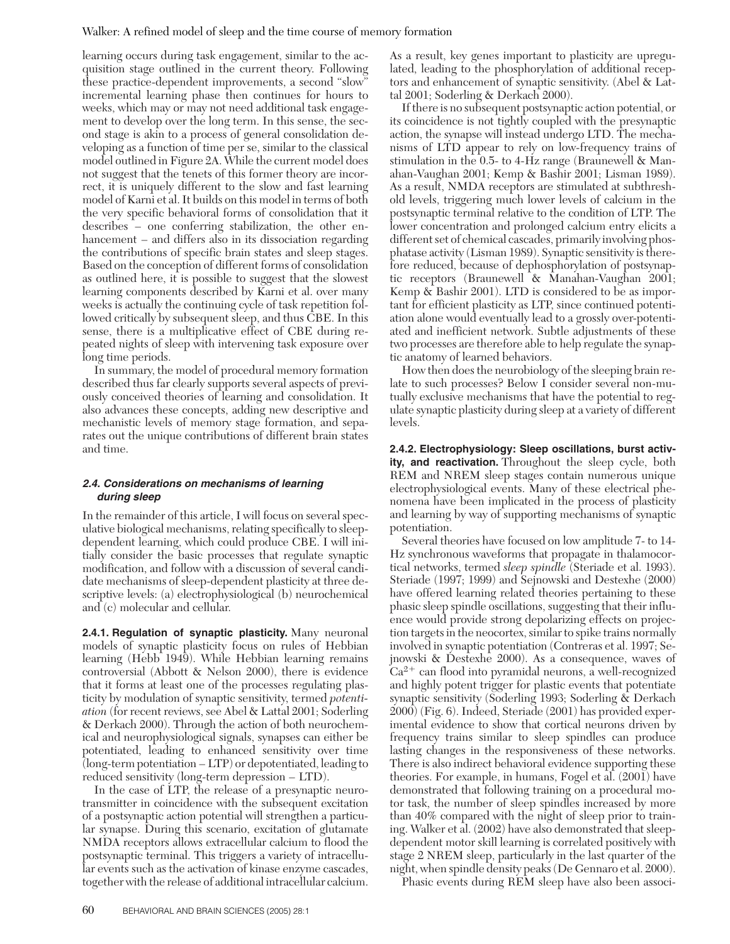learning occurs during task engagement, similar to the acquisition stage outlined in the current theory. Following these practice-dependent improvements, a second "slow" incremental learning phase then continues for hours to weeks, which may or may not need additional task engagement to develop over the long term. In this sense, the second stage is akin to a process of general consolidation developing as a function of time per se, similar to the classical model outlined in Figure 2A. While the current model does not suggest that the tenets of this former theory are incorrect, it is uniquely different to the slow and fast learning model of Karni et al. It builds on this model in terms of both the very specific behavioral forms of consolidation that it describes – one conferring stabilization, the other enhancement – and differs also in its dissociation regarding the contributions of specific brain states and sleep stages. Based on the conception of different forms of consolidation as outlined here, it is possible to suggest that the slowest learning components described by Karni et al. over many weeks is actually the continuing cycle of task repetition followed critically by subsequent sleep, and thus CBE. In this sense, there is a multiplicative effect of CBE during repeated nights of sleep with intervening task exposure over long time periods.

In summary, the model of procedural memory formation described thus far clearly supports several aspects of previously conceived theories of learning and consolidation. It also advances these concepts, adding new descriptive and mechanistic levels of memory stage formation, and separates out the unique contributions of different brain states and time.

## *2.4. Considerations on mechanisms of learning during sleep*

In the remainder of this article, I will focus on several speculative biological mechanisms, relating specifically to sleepdependent learning, which could produce CBE. I will initially consider the basic processes that regulate synaptic modification, and follow with a discussion of several candidate mechanisms of sleep-dependent plasticity at three descriptive levels: (a) electrophysiological (b) neurochemical and (c) molecular and cellular.

**2.4.1. Regulation of synaptic plasticity.** Many neuronal models of synaptic plasticity focus on rules of Hebbian learning (Hebb 1949). While Hebbian learning remains controversial (Abbott & Nelson 2000), there is evidence that it forms at least one of the processes regulating plasticity by modulation of synaptic sensitivity, termed *potentiation* (for recent reviews, see Abel & Lattal 2001; Soderling & Derkach 2000). Through the action of both neurochemical and neurophysiological signals, synapses can either be potentiated, leading to enhanced sensitivity over time (long-term potentiation – LTP) or depotentiated, leading to reduced sensitivity (long-term depression – LTD).

In the case of LTP, the release of a presynaptic neurotransmitter in coincidence with the subsequent excitation of a postsynaptic action potential will strengthen a particular synapse. During this scenario, excitation of glutamate NMDA receptors allows extracellular calcium to flood the postsynaptic terminal. This triggers a variety of intracellular events such as the activation of kinase enzyme cascades, together with the release of additional intracellular calcium.

As a result, key genes important to plasticity are upregulated, leading to the phosphorylation of additional receptors and enhancement of synaptic sensitivity. (Abel & Lattal 2001; Soderling & Derkach 2000).

If there is no subsequent postsynaptic action potential, or its coincidence is not tightly coupled with the presynaptic action, the synapse will instead undergo LTD. The mechanisms of LTD appear to rely on low-frequency trains of stimulation in the 0.5- to 4-Hz range (Braunewell & Manahan-Vaughan 2001; Kemp & Bashir 2001; Lisman 1989). As a result, NMDA receptors are stimulated at subthreshold levels, triggering much lower levels of calcium in the postsynaptic terminal relative to the condition of LTP. The lower concentration and prolonged calcium entry elicits a different set of chemical cascades, primarily involving phosphatase activity (Lisman 1989). Synaptic sensitivity is therefore reduced, because of dephosphorylation of postsynaptic receptors (Braunewell & Manahan-Vaughan 2001; Kemp & Bashir 2001). LTD is considered to be as important for efficient plasticity as LTP, since continued potentiation alone would eventually lead to a grossly over-potentiated and inefficient network. Subtle adjustments of these two processes are therefore able to help regulate the synaptic anatomy of learned behaviors.

How then does the neurobiology of the sleeping brain relate to such processes? Below I consider several non-mutually exclusive mechanisms that have the potential to regulate synaptic plasticity during sleep at a variety of different levels.

**2.4.2. Electrophysiology: Sleep oscillations, burst activity, and reactivation.** Throughout the sleep cycle, both REM and NREM sleep stages contain numerous unique electrophysiological events. Many of these electrical phenomena have been implicated in the process of plasticity and learning by way of supporting mechanisms of synaptic potentiation.

Several theories have focused on low amplitude 7- to 14- Hz synchronous waveforms that propagate in thalamocortical networks, termed *sleep spindle* (Steriade et al. 1993). Steriade (1997; 1999) and Sejnowski and Destexhe (2000) have offered learning related theories pertaining to these phasic sleep spindle oscillations, suggesting that their influence would provide strong depolarizing effects on projection targets in the neocortex, similar to spike trains normally involved in synaptic potentiation (Contreras et al. 1997; Sejnowski & Destexhe 2000). As a consequence, waves of  $Ca<sup>2+</sup>$  can flood into pyramidal neurons, a well-recognized and highly potent trigger for plastic events that potentiate synaptic sensitivity (Soderling 1993; Soderling & Derkach 2000) (Fig. 6). Indeed, Steriade (2001) has provided experimental evidence to show that cortical neurons driven by frequency trains similar to sleep spindles can produce lasting changes in the responsiveness of these networks. There is also indirect behavioral evidence supporting these theories. For example, in humans, Fogel et al. (2001) have demonstrated that following training on a procedural motor task, the number of sleep spindles increased by more than 40% compared with the night of sleep prior to training. Walker et al. (2002) have also demonstrated that sleepdependent motor skill learning is correlated positively with stage 2 NREM sleep, particularly in the last quarter of the night, when spindle density peaks (De Gennaro et al. 2000).

Phasic events during REM sleep have also been associ-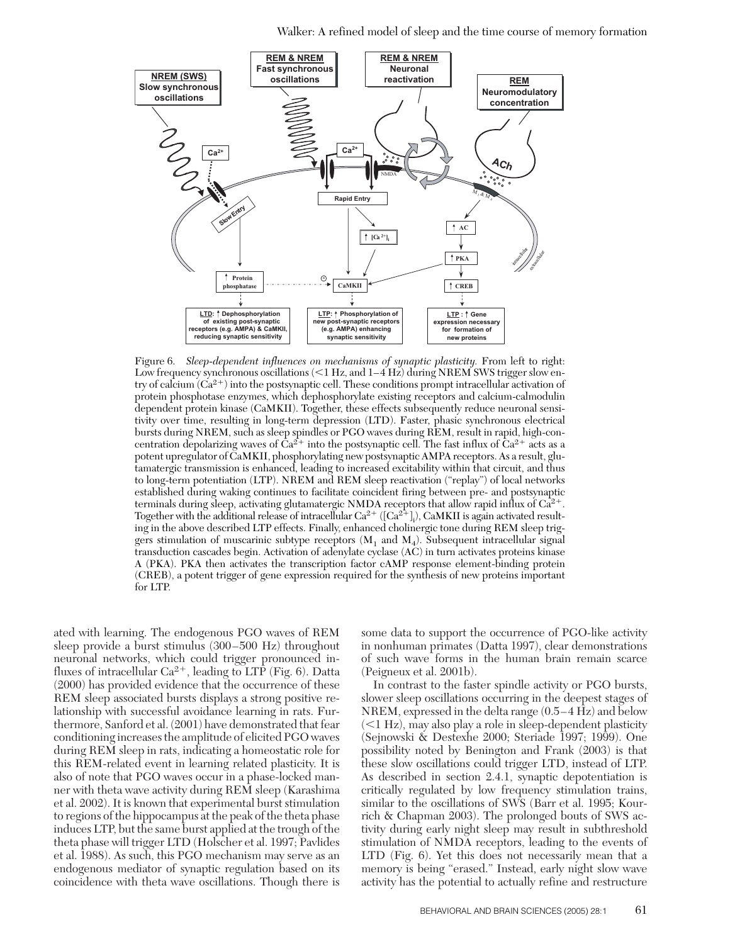

Figure 6. *Sleep-dependent influences on mechanisms of synaptic plasticity.* From left to right: Low frequency synchronous oscillations (<1 Hz, and 1–4 Hz) during NREM SWS trigger slow entry of calcium  $(Ca^{2+})$  into the postsynaptic cell. These conditions prompt intracellular activation of protein phosphotase enzymes, which dephosphorylate existing receptors and calcium-calmodulin dependent protein kinase (CaMKII). Together, these effects subsequently reduce neuronal sensitivity over time, resulting in long-term depression (LTD). Faster, phasic synchronous electrical bursts during NREM, such as sleep spindles or PGO waves during REM, result in rapid, high-concentration depolarizing waves of  $\hat{C}a^{2+}$  into the postsynaptic cell. The fast influx of  $\hat{C}a^{2+}$  acts as a potent upregulator of CaMKII, phosphorylating new postsynaptic AMPA receptors. As a result, glutamatergic transmission is enhanced, leading to increased excitability within that circuit, and thus to long-term potentiation (LTP). NREM and REM sleep reactivation ("replay") of local networks established during waking continues to facilitate coincident firing between pre- and postsynaptic terminals during sleep, activating glutamatergic NMDA receptors that allow rapid influx of  $Ca^{2+}$ . Together with the additional release of intracellular  $Ca^{2+}$  ( $[Ca^{2+}]_i$ ), CaMKII is again activated resulting in the above described LTP effects. Finally, enhanced cholinergic tone during REM sleep triggers stimulation of muscarinic subtype receptors  $(M_1 \text{ and } M_4)$ . Subsequent intracellular signal transduction cascades begin. Activation of adenylate cyclase (AC) in turn activates proteins kinase A (PKA). PKA then activates the transcription factor cAMP response element-binding protein (CREB), a potent trigger of gene expression required for the synthesis of new proteins important for LTP.

ated with learning. The endogenous PGO waves of REM sleep provide a burst stimulus (300–500 Hz) throughout neuronal networks, which could trigger pronounced influxes of intracellular  $Ca^{2+}$ , leading to LTP (Fig. 6). Datta (2000) has provided evidence that the occurrence of these REM sleep associated bursts displays a strong positive relationship with successful avoidance learning in rats. Furthermore, Sanford et al. (2001) have demonstrated that fear conditioning increases the amplitude of elicited PGO waves during REM sleep in rats, indicating a homeostatic role for this REM-related event in learning related plasticity. It is also of note that PGO waves occur in a phase-locked manner with theta wave activity during REM sleep (Karashima et al. 2002). It is known that experimental burst stimulation to regions of the hippocampus at the peak of the theta phase induces LTP, but the same burst applied at the trough of the theta phase will trigger LTD (Holscher et al. 1997; Pavlides et al. 1988). As such, this PGO mechanism may serve as an endogenous mediator of synaptic regulation based on its coincidence with theta wave oscillations. Though there is

some data to support the occurrence of PGO-like activity in nonhuman primates (Datta 1997), clear demonstrations of such wave forms in the human brain remain scarce (Peigneux et al. 2001b).

In contrast to the faster spindle activity or PGO bursts, slower sleep oscillations occurring in the deepest stages of NREM, expressed in the delta range (0.5–4 Hz) and below (-1 Hz), may also play a role in sleep-dependent plasticity (Sejnowski & Destexhe 2000; Steriade 1997; 1999). One possibility noted by Benington and Frank (2003) is that these slow oscillations could trigger LTD, instead of LTP. As described in section 2.4.1, synaptic depotentiation is critically regulated by low frequency stimulation trains, similar to the oscillations of SWS (Barr et al. 1995; Kourrich & Chapman 2003). The prolonged bouts of SWS activity during early night sleep may result in subthreshold stimulation of NMDA receptors, leading to the events of LTD (Fig. 6). Yet this does not necessarily mean that a memory is being "erased." Instead, early night slow wave activity has the potential to actually refine and restructure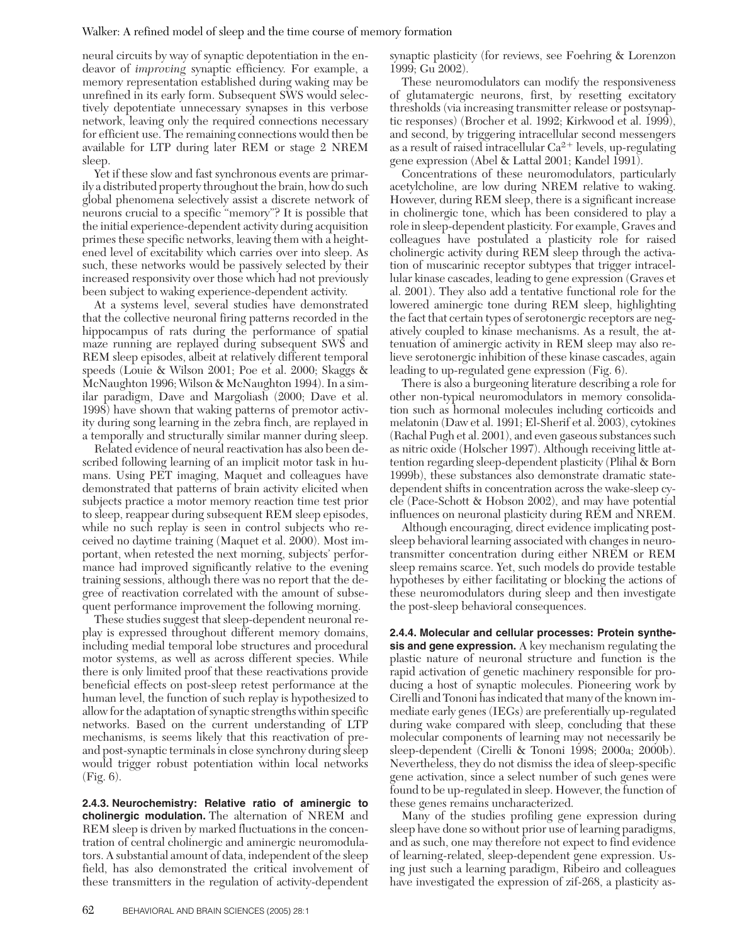neural circuits by way of synaptic depotentiation in the endeavor of *improving* synaptic efficiency. For example, a memory representation established during waking may be unrefined in its early form. Subsequent SWS would selectively depotentiate unnecessary synapses in this verbose network, leaving only the required connections necessary for efficient use. The remaining connections would then be available for LTP during later REM or stage 2 NREM sleep.

Yet if these slow and fast synchronous events are primarily a distributed property throughout the brain, how do such global phenomena selectively assist a discrete network of neurons crucial to a specific "memory"? It is possible that the initial experience-dependent activity during acquisition primes these specific networks, leaving them with a heightened level of excitability which carries over into sleep. As such, these networks would be passively selected by their increased responsivity over those which had not previously been subject to waking experience-dependent activity.

At a systems level, several studies have demonstrated that the collective neuronal firing patterns recorded in the hippocampus of rats during the performance of spatial maze running are replayed during subsequent SWS and REM sleep episodes, albeit at relatively different temporal speeds (Louie & Wilson 2001; Poe et al. 2000; Skaggs & McNaughton 1996; Wilson & McNaughton 1994). In a similar paradigm, Dave and Margoliash (2000; Dave et al. 1998) have shown that waking patterns of premotor activity during song learning in the zebra finch, are replayed in a temporally and structurally similar manner during sleep.

Related evidence of neural reactivation has also been described following learning of an implicit motor task in humans. Using PET imaging, Maquet and colleagues have demonstrated that patterns of brain activity elicited when subjects practice a motor memory reaction time test prior to sleep, reappear during subsequent REM sleep episodes, while no such replay is seen in control subjects who received no daytime training (Maquet et al. 2000). Most important, when retested the next morning, subjects' performance had improved significantly relative to the evening training sessions, although there was no report that the degree of reactivation correlated with the amount of subsequent performance improvement the following morning.

These studies suggest that sleep-dependent neuronal replay is expressed throughout different memory domains, including medial temporal lobe structures and procedural motor systems, as well as across different species. While there is only limited proof that these reactivations provide beneficial effects on post-sleep retest performance at the human level, the function of such replay is hypothesized to allow for the adaptation of synaptic strengths within specific networks. Based on the current understanding of LTP mechanisms, is seems likely that this reactivation of preand post-synaptic terminals in close synchrony during sleep would trigger robust potentiation within local networks (Fig. 6).

**2.4.3. Neurochemistry: Relative ratio of aminergic to cholinergic modulation.** The alternation of NREM and REM sleep is driven by marked fluctuations in the concentration of central cholinergic and aminergic neuromodulators. A substantial amount of data, independent of the sleep field, has also demonstrated the critical involvement of these transmitters in the regulation of activity-dependent

synaptic plasticity (for reviews, see Foehring & Lorenzon 1999; Gu 2002).

These neuromodulators can modify the responsiveness of glutamatergic neurons, first, by resetting excitatory thresholds (via increasing transmitter release or postsynaptic responses) (Brocher et al. 1992; Kirkwood et al. 1999), and second, by triggering intracellular second messengers as a result of raised intracellular  $Ca^{2+}$  levels, up-regulating gene expression (Abel & Lattal 2001; Kandel 1991).

Concentrations of these neuromodulators, particularly acetylcholine, are low during NREM relative to waking. However, during REM sleep, there is a significant increase in cholinergic tone, which has been considered to play a role in sleep-dependent plasticity. For example, Graves and colleagues have postulated a plasticity role for raised cholinergic activity during REM sleep through the activation of muscarinic receptor subtypes that trigger intracellular kinase cascades, leading to gene expression (Graves et al. 2001). They also add a tentative functional role for the lowered aminergic tone during REM sleep, highlighting the fact that certain types of serotonergic receptors are negatively coupled to kinase mechanisms. As a result, the attenuation of aminergic activity in REM sleep may also relieve serotonergic inhibition of these kinase cascades, again leading to up-regulated gene expression (Fig. 6).

There is also a burgeoning literature describing a role for other non-typical neuromodulators in memory consolidation such as hormonal molecules including corticoids and melatonin (Daw et al. 1991; El-Sherif et al. 2003), cytokines (Rachal Pugh et al. 2001), and even gaseous substances such as nitric oxide (Holscher 1997). Although receiving little attention regarding sleep-dependent plasticity (Plihal & Born 1999b), these substances also demonstrate dramatic statedependent shifts in concentration across the wake-sleep cycle (Pace-Schott & Hobson 2002), and may have potential influences on neuronal plasticity during REM and NREM.

Although encouraging, direct evidence implicating postsleep behavioral learning associated with changes in neurotransmitter concentration during either NREM or REM sleep remains scarce. Yet, such models do provide testable hypotheses by either facilitating or blocking the actions of these neuromodulators during sleep and then investigate the post-sleep behavioral consequences.

**2.4.4. Molecular and cellular processes: Protein synthesis and gene expression.** A key mechanism regulating the plastic nature of neuronal structure and function is the rapid activation of genetic machinery responsible for producing a host of synaptic molecules. Pioneering work by Cirelli and Tononi has indicated that many of the known immediate early genes (IEGs) are preferentially up-regulated during wake compared with sleep, concluding that these molecular components of learning may not necessarily be sleep-dependent (Cirelli & Tononi 1998; 2000a; 2000b). Nevertheless, they do not dismiss the idea of sleep-specific gene activation, since a select number of such genes were found to be up-regulated in sleep. However, the function of these genes remains uncharacterized.

Many of the studies profiling gene expression during sleep have done so without prior use of learning paradigms, and as such, one may therefore not expect to find evidence of learning-related, sleep-dependent gene expression. Using just such a learning paradigm, Ribeiro and colleagues have investigated the expression of zif-268, a plasticity as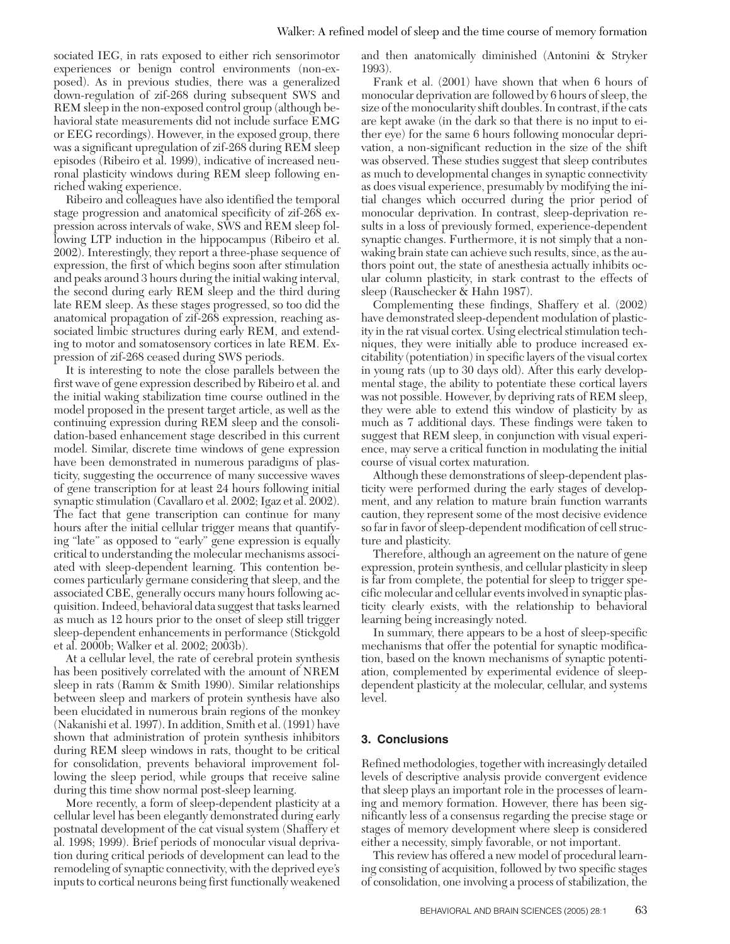sociated IEG, in rats exposed to either rich sensorimotor experiences or benign control environments (non-exposed). As in previous studies, there was a generalized down-regulation of zif-268 during subsequent SWS and REM sleep in the non-exposed control group (although behavioral state measurements did not include surface EMG or EEG recordings). However, in the exposed group, there was a significant upregulation of zif-268 during REM sleep episodes (Ribeiro et al. 1999), indicative of increased neuronal plasticity windows during REM sleep following enriched waking experience.

Ribeiro and colleagues have also identified the temporal stage progression and anatomical specificity of zif-268 expression across intervals of wake, SWS and REM sleep following LTP induction in the hippocampus (Ribeiro et al. 2002). Interestingly, they report a three-phase sequence of expression, the first of which begins soon after stimulation and peaks around 3 hours during the initial waking interval, the second during early REM sleep and the third during late REM sleep. As these stages progressed, so too did the anatomical propagation of zif-268 expression, reaching associated limbic structures during early REM, and extending to motor and somatosensory cortices in late REM. Expression of zif-268 ceased during SWS periods.

It is interesting to note the close parallels between the first wave of gene expression described by Ribeiro et al. and the initial waking stabilization time course outlined in the model proposed in the present target article, as well as the continuing expression during REM sleep and the consolidation-based enhancement stage described in this current model. Similar, discrete time windows of gene expression have been demonstrated in numerous paradigms of plasticity, suggesting the occurrence of many successive waves of gene transcription for at least 24 hours following initial synaptic stimulation (Cavallaro et al. 2002; Igaz et al. 2002). The fact that gene transcription can continue for many hours after the initial cellular trigger means that quantifying "late" as opposed to "early" gene expression is equally critical to understanding the molecular mechanisms associated with sleep-dependent learning. This contention becomes particularly germane considering that sleep, and the associated CBE, generally occurs many hours following acquisition. Indeed, behavioral data suggest that tasks learned as much as 12 hours prior to the onset of sleep still trigger sleep-dependent enhancements in performance (Stickgold et al. 2000b; Walker et al. 2002; 2003b).

At a cellular level, the rate of cerebral protein synthesis has been positively correlated with the amount of NREM sleep in rats (Ramm & Smith 1990). Similar relationships between sleep and markers of protein synthesis have also been elucidated in numerous brain regions of the monkey (Nakanishi et al. 1997). In addition, Smith et al. (1991) have shown that administration of protein synthesis inhibitors during REM sleep windows in rats, thought to be critical for consolidation, prevents behavioral improvement following the sleep period, while groups that receive saline during this time show normal post-sleep learning.

More recently, a form of sleep-dependent plasticity at a cellular level has been elegantly demonstrated during early postnatal development of the cat visual system (Shaffery et al. 1998; 1999). Brief periods of monocular visual deprivation during critical periods of development can lead to the remodeling of synaptic connectivity, with the deprived eye's inputs to cortical neurons being first functionally weakened

and then anatomically diminished (Antonini & Stryker 1993).

Frank et al. (2001) have shown that when 6 hours of monocular deprivation are followed by 6 hours of sleep, the size of the monocularity shift doubles. In contrast, if the cats are kept awake (in the dark so that there is no input to either eye) for the same 6 hours following monocular deprivation, a non-significant reduction in the size of the shift was observed. These studies suggest that sleep contributes as much to developmental changes in synaptic connectivity as does visual experience, presumably by modifying the initial changes which occurred during the prior period of monocular deprivation. In contrast, sleep-deprivation results in a loss of previously formed, experience-dependent synaptic changes. Furthermore, it is not simply that a nonwaking brain state can achieve such results, since, as the authors point out, the state of anesthesia actually inhibits ocular column plasticity, in stark contrast to the effects of sleep (Rauschecker & Hahn 1987).

Complementing these findings, Shaffery et al. (2002) have demonstrated sleep-dependent modulation of plasticity in the rat visual cortex. Using electrical stimulation techniques, they were initially able to produce increased excitability (potentiation) in specific layers of the visual cortex in young rats (up to 30 days old). After this early developmental stage, the ability to potentiate these cortical layers was not possible. However, by depriving rats of REM sleep, they were able to extend this window of plasticity by as much as 7 additional days. These findings were taken to suggest that REM sleep, in conjunction with visual experience, may serve a critical function in modulating the initial course of visual cortex maturation.

Although these demonstrations of sleep-dependent plasticity were performed during the early stages of development, and any relation to mature brain function warrants caution, they represent some of the most decisive evidence so far in favor of sleep-dependent modification of cell structure and plasticity.

Therefore, although an agreement on the nature of gene expression, protein synthesis, and cellular plasticity in sleep is far from complete, the potential for sleep to trigger specific molecular and cellular events involved in synaptic plasticity clearly exists, with the relationship to behavioral learning being increasingly noted.

In summary, there appears to be a host of sleep-specific mechanisms that offer the potential for synaptic modification, based on the known mechanisms of synaptic potentiation, complemented by experimental evidence of sleepdependent plasticity at the molecular, cellular, and systems level.

## **3. Conclusions**

Refined methodologies, together with increasingly detailed levels of descriptive analysis provide convergent evidence that sleep plays an important role in the processes of learning and memory formation. However, there has been significantly less of a consensus regarding the precise stage or stages of memory development where sleep is considered either a necessity, simply favorable, or not important.

This review has offered a new model of procedural learning consisting of acquisition, followed by two specific stages of consolidation, one involving a process of stabilization, the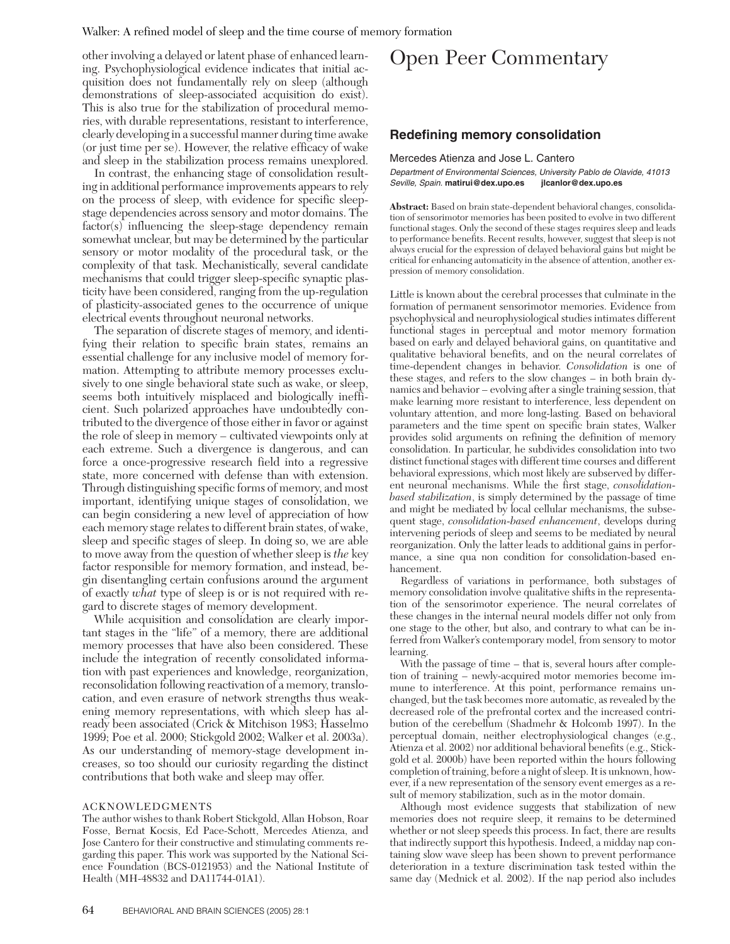other involving a delayed or latent phase of enhanced learning. Psychophysiological evidence indicates that initial acquisition does not fundamentally rely on sleep (although demonstrations of sleep-associated acquisition do exist). This is also true for the stabilization of procedural memories, with durable representations, resistant to interference, clearly developing in a successful manner during time awake (or just time per se). However, the relative efficacy of wake and sleep in the stabilization process remains unexplored.

In contrast, the enhancing stage of consolidation resulting in additional performance improvements appears to rely on the process of sleep, with evidence for specific sleepstage dependencies across sensory and motor domains. The factor(s) influencing the sleep-stage dependency remain somewhat unclear, but may be determined by the particular sensory or motor modality of the procedural task, or the complexity of that task. Mechanistically, several candidate mechanisms that could trigger sleep-specific synaptic plasticity have been considered, ranging from the up-regulation of plasticity-associated genes to the occurrence of unique electrical events throughout neuronal networks.

The separation of discrete stages of memory, and identifying their relation to specific brain states, remains an essential challenge for any inclusive model of memory formation. Attempting to attribute memory processes exclusively to one single behavioral state such as wake, or sleep, seems both intuitively misplaced and biologically inefficient. Such polarized approaches have undoubtedly contributed to the divergence of those either in favor or against the role of sleep in memory – cultivated viewpoints only at each extreme. Such a divergence is dangerous, and can force a once-progressive research field into a regressive state, more concerned with defense than with extension. Through distinguishing specific forms of memory, and most important, identifying unique stages of consolidation, we can begin considering a new level of appreciation of how each memory stage relates to different brain states, of wake, sleep and specific stages of sleep. In doing so, we are able to move away from the question of whether sleep is *the* key factor responsible for memory formation, and instead, begin disentangling certain confusions around the argument of exactly *what* type of sleep is or is not required with regard to discrete stages of memory development.

While acquisition and consolidation are clearly important stages in the "life" of a memory, there are additional memory processes that have also been considered. These include the integration of recently consolidated information with past experiences and knowledge, reorganization, reconsolidation following reactivation of a memory, translocation, and even erasure of network strengths thus weakening memory representations, with which sleep has already been associated (Crick & Mitchison 1983; Hasselmo 1999; Poe et al. 2000; Stickgold 2002; Walker et al. 2003a). As our understanding of memory-stage development increases, so too should our curiosity regarding the distinct contributions that both wake and sleep may offer.

#### ACKNOWLEDGMENTS

The author wishes to thank Robert Stickgold, Allan Hobson, Roar Fosse, Bernat Kocsis, Ed Pace-Schott, Mercedes Atienza, and Jose Cantero for their constructive and stimulating comments regarding this paper. This work was supported by the National Science Foundation (BCS-0121953) and the National Institute of Health (MH-48832 and DA11744-01A1).

## Open Peer Commentary

## **Redefining memory consolidation**

Mercedes Atienza and Jose L. Cantero

*Department of Environmental Sciences, University Pablo de Olavide, 41013 Seville, Spain.* **matirui@dex.upo.es jlcanlor@dex.upo.es**

**Abstract:** Based on brain state-dependent behavioral changes, consolidation of sensorimotor memories has been posited to evolve in two different functional stages. Only the second of these stages requires sleep and leads to performance benefits. Recent results, however, suggest that sleep is not always crucial for the expression of delayed behavioral gains but might be critical for enhancing automaticity in the absence of attention, another expression of memory consolidation.

Little is known about the cerebral processes that culminate in the formation of permanent sensorimotor memories. Evidence from psychophysical and neurophysiological studies intimates different functional stages in perceptual and motor memory formation based on early and delayed behavioral gains, on quantitative and qualitative behavioral benefits, and on the neural correlates of time-dependent changes in behavior. *Consolidation* is one of these stages, and refers to the slow changes – in both brain dynamics and behavior – evolving after a single training session, that make learning more resistant to interference, less dependent on voluntary attention, and more long-lasting. Based on behavioral parameters and the time spent on specific brain states, Walker provides solid arguments on refining the definition of memory consolidation. In particular, he subdivides consolidation into two distinct functional stages with different time courses and different behavioral expressions, which most likely are subserved by different neuronal mechanisms. While the first stage, *consolidationbased stabilization*, is simply determined by the passage of time and might be mediated by local cellular mechanisms, the subsequent stage, *consolidation-based enhancement*, develops during intervening periods of sleep and seems to be mediated by neural reorganization. Only the latter leads to additional gains in performance, a sine qua non condition for consolidation-based enhancement.

Regardless of variations in performance, both substages of memory consolidation involve qualitative shifts in the representation of the sensorimotor experience. The neural correlates of these changes in the internal neural models differ not only from one stage to the other, but also, and contrary to what can be inferred from Walker's contemporary model, from sensory to motor learning.

With the passage of time – that is, several hours after completion of training – newly-acquired motor memories become immune to interference. At this point, performance remains unchanged, but the task becomes more automatic, as revealed by the decreased role of the prefrontal cortex and the increased contribution of the cerebellum (Shadmehr & Holcomb 1997). In the perceptual domain, neither electrophysiological changes (e.g., Atienza et al. 2002) nor additional behavioral benefits (e.g., Stickgold et al. 2000b) have been reported within the hours following completion of training, before a night of sleep. It is unknown, however, if a new representation of the sensory event emerges as a result of memory stabilization, such as in the motor domain.

Although most evidence suggests that stabilization of new memories does not require sleep, it remains to be determined whether or not sleep speeds this process. In fact, there are results that indirectly support this hypothesis. Indeed, a midday nap containing slow wave sleep has been shown to prevent performance deterioration in a texture discrimination task tested within the same day (Mednick et al. 2002). If the nap period also includes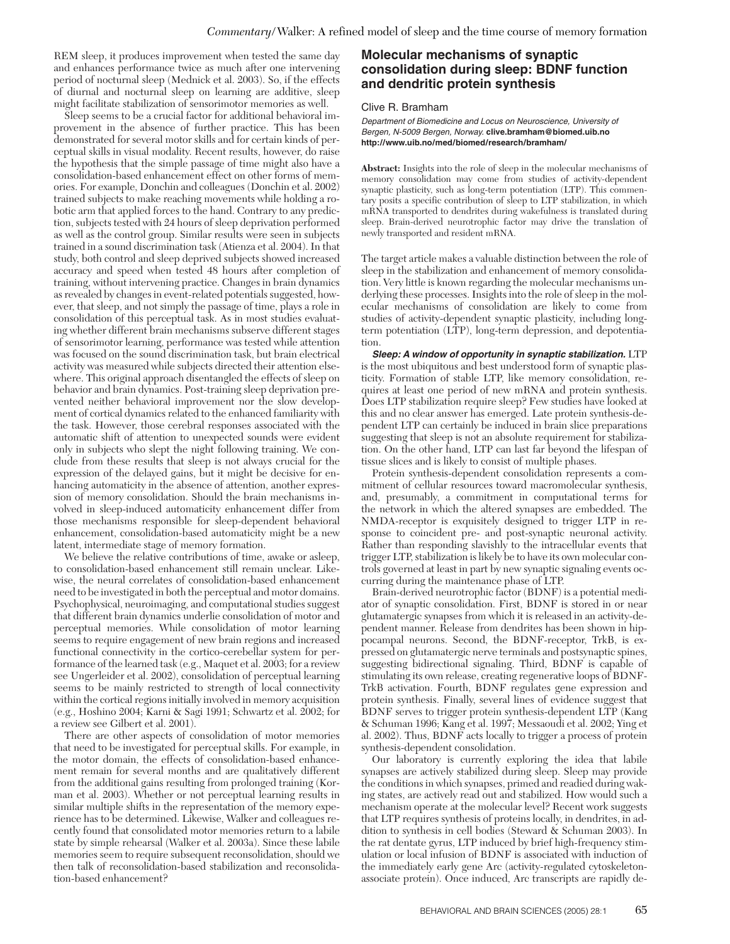REM sleep, it produces improvement when tested the same day and enhances performance twice as much after one intervening period of nocturnal sleep (Mednick et al. 2003). So, if the effects of diurnal and nocturnal sleep on learning are additive, sleep might facilitate stabilization of sensorimotor memories as well.

Sleep seems to be a crucial factor for additional behavioral improvement in the absence of further practice. This has been demonstrated for several motor skills and for certain kinds of perceptual skills in visual modality. Recent results, however, do raise the hypothesis that the simple passage of time might also have a consolidation-based enhancement effect on other forms of memories. For example, Donchin and colleagues (Donchin et al. 2002) trained subjects to make reaching movements while holding a robotic arm that applied forces to the hand. Contrary to any prediction, subjects tested with 24 hours of sleep deprivation performed as well as the control group. Similar results were seen in subjects trained in a sound discrimination task (Atienza et al. 2004). In that study, both control and sleep deprived subjects showed increased accuracy and speed when tested 48 hours after completion of training, without intervening practice. Changes in brain dynamics as revealed by changes in event-related potentials suggested, however, that sleep, and not simply the passage of time, plays a role in consolidation of this perceptual task. As in most studies evaluating whether different brain mechanisms subserve different stages of sensorimotor learning, performance was tested while attention was focused on the sound discrimination task, but brain electrical activity was measured while subjects directed their attention elsewhere. This original approach disentangled the effects of sleep on behavior and brain dynamics. Post-training sleep deprivation prevented neither behavioral improvement nor the slow development of cortical dynamics related to the enhanced familiarity with the task. However, those cerebral responses associated with the automatic shift of attention to unexpected sounds were evident only in subjects who slept the night following training. We conclude from these results that sleep is not always crucial for the expression of the delayed gains, but it might be decisive for enhancing automaticity in the absence of attention, another expression of memory consolidation. Should the brain mechanisms involved in sleep-induced automaticity enhancement differ from those mechanisms responsible for sleep-dependent behavioral enhancement, consolidation-based automaticity might be a new latent, intermediate stage of memory formation.

We believe the relative contributions of time, awake or asleep, to consolidation-based enhancement still remain unclear. Likewise, the neural correlates of consolidation-based enhancement need to be investigated in both the perceptual and motor domains. Psychophysical, neuroimaging, and computational studies suggest that different brain dynamics underlie consolidation of motor and perceptual memories. While consolidation of motor learning seems to require engagement of new brain regions and increased functional connectivity in the cortico-cerebellar system for performance of the learned task (e.g., Maquet et al. 2003; for a review see Ungerleider et al. 2002), consolidation of perceptual learning seems to be mainly restricted to strength of local connectivity within the cortical regions initially involved in memory acquisition (e.g., Hoshino 2004; Karni & Sagi 1991; Schwartz et al. 2002; for a review see Gilbert et al. 2001).

There are other aspects of consolidation of motor memories that need to be investigated for perceptual skills. For example, in the motor domain, the effects of consolidation-based enhancement remain for several months and are qualitatively different from the additional gains resulting from prolonged training (Korman et al. 2003). Whether or not perceptual learning results in similar multiple shifts in the representation of the memory experience has to be determined. Likewise, Walker and colleagues recently found that consolidated motor memories return to a labile state by simple rehearsal (Walker et al. 2003a). Since these labile memories seem to require subsequent reconsolidation, should we then talk of reconsolidation-based stabilization and reconsolidation-based enhancement?

## **Molecular mechanisms of synaptic consolidation during sleep: BDNF function and dendritic protein synthesis**

Clive R. Bramham

*Department of Biomedicine and Locus on Neuroscience, University of Bergen, N-5009 Bergen, Norway.* **clive.bramham@biomed.uib.no http://www.uib.no/med/biomed/research/bramham/**

**Abstract:** Insights into the role of sleep in the molecular mechanisms of memory consolidation may come from studies of activity-dependent synaptic plasticity, such as long-term potentiation (LTP). This commentary posits a specific contribution of sleep to LTP stabilization, in which mRNA transported to dendrites during wakefulness is translated during sleep. Brain-derived neurotrophic factor may drive the translation of newly transported and resident mRNA.

The target article makes a valuable distinction between the role of sleep in the stabilization and enhancement of memory consolidation. Very little is known regarding the molecular mechanisms underlying these processes. Insights into the role of sleep in the molecular mechanisms of consolidation are likely to come from studies of activity-dependent synaptic plasticity, including longterm potentiation (LTP), long-term depression, and depotentiation.

*Sleep: A window of opportunity in synaptic stabilization.* LTP is the most ubiquitous and best understood form of synaptic plasticity. Formation of stable LTP, like memory consolidation, requires at least one period of new mRNA and protein synthesis. Does LTP stabilization require sleep? Few studies have looked at this and no clear answer has emerged. Late protein synthesis-dependent LTP can certainly be induced in brain slice preparations suggesting that sleep is not an absolute requirement for stabilization. On the other hand, LTP can last far beyond the lifespan of tissue slices and is likely to consist of multiple phases.

Protein synthesis-dependent consolidation represents a commitment of cellular resources toward macromolecular synthesis, and, presumably, a commitment in computational terms for the network in which the altered synapses are embedded. The NMDA-receptor is exquisitely designed to trigger LTP in response to coincident pre- and post-synaptic neuronal activity. Rather than responding slavishly to the intracellular events that trigger LTP, stabilization is likely be to have its own molecular controls governed at least in part by new synaptic signaling events occurring during the maintenance phase of LTP.

Brain-derived neurotrophic factor (BDNF) is a potential mediator of synaptic consolidation. First, BDNF is stored in or near glutamatergic synapses from which it is released in an activity-dependent manner. Release from dendrites has been shown in hippocampal neurons. Second, the BDNF-receptor, TrkB, is expressed on glutamatergic nerve terminals and postsynaptic spines, suggesting bidirectional signaling. Third, BDNF is capable of stimulating its own release, creating regenerative loops of BDNF-TrkB activation. Fourth, BDNF regulates gene expression and protein synthesis. Finally, several lines of evidence suggest that BDNF serves to trigger protein synthesis-dependent LTP (Kang & Schuman 1996; Kang et al. 1997; Messaoudi et al. 2002; Ying et al. 2002). Thus, BDNF acts locally to trigger a process of protein synthesis-dependent consolidation.

Our laboratory is currently exploring the idea that labile synapses are actively stabilized during sleep. Sleep may provide the conditions in which synapses, primed and readied during waking states, are actively read out and stabilized. How would such a mechanism operate at the molecular level? Recent work suggests that LTP requires synthesis of proteins locally, in dendrites, in addition to synthesis in cell bodies (Steward & Schuman 2003). In the rat dentate gyrus, LTP induced by brief high-frequency stimulation or local infusion of BDNF is associated with induction of the immediately early gene Arc (activity-regulated cytoskeletonassociate protein). Once induced, Arc transcripts are rapidly de-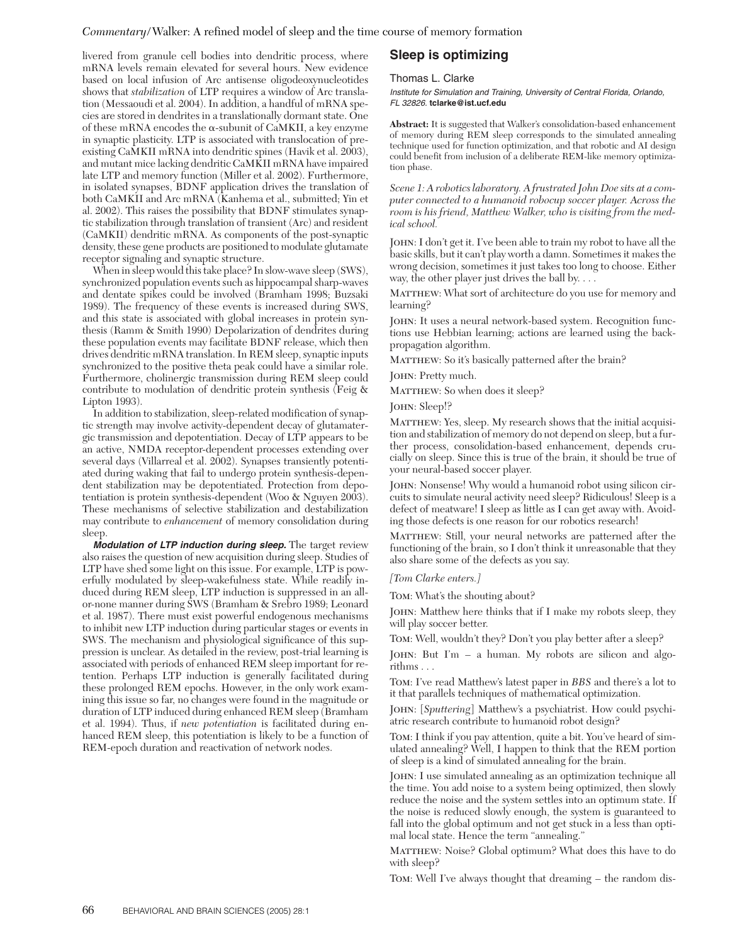livered from granule cell bodies into dendritic process, where mRNA levels remain elevated for several hours. New evidence based on local infusion of Arc antisense oligodeoxynucleotides shows that *stabilization* of LTP requires a window of Arc translation (Messaoudi et al. 2004). In addition, a handful of mRNA species are stored in dendrites in a translationally dormant state. One of these mRNA encodes the  $\alpha$ -subunit of CaMKII, a key enzyme in synaptic plasticity. LTP is associated with translocation of preexisting CaMKII mRNA into dendritic spines (Havik et al. 2003), and mutant mice lacking dendritic CaMKII mRNA have impaired late LTP and memory function (Miller et al. 2002). Furthermore, in isolated synapses, BDNF application drives the translation of both CaMKII and Arc mRNA (Kanhema et al., submitted; Yin et al. 2002). This raises the possibility that BDNF stimulates synaptic stabilization through translation of transient (Arc) and resident (CaMKII) dendritic mRNA. As components of the post-synaptic density, these gene products are positioned to modulate glutamate receptor signaling and synaptic structure.

When in sleep would this take place? In slow-wave sleep (SWS), synchronized population events such as hippocampal sharp-waves and dentate spikes could be involved (Bramham 1998; Buzsaki 1989). The frequency of these events is increased during SWS, and this state is associated with global increases in protein synthesis (Ramm & Smith 1990) Depolarization of dendrites during these population events may facilitate BDNF release, which then drives dendritic mRNA translation. In REM sleep, synaptic inputs synchronized to the positive theta peak could have a similar role. Furthermore, cholinergic transmission during REM sleep could contribute to modulation of dendritic protein synthesis (Feig & Lipton 1993).

In addition to stabilization, sleep-related modification of synaptic strength may involve activity-dependent decay of glutamatergic transmission and depotentiation. Decay of LTP appears to be an active, NMDA receptor-dependent processes extending over several days (Villarreal et al. 2002). Synapses transiently potentiated during waking that fail to undergo protein synthesis-dependent stabilization may be depotentiated. Protection from depotentiation is protein synthesis-dependent (Woo & Nguyen 2003). These mechanisms of selective stabilization and destabilization may contribute to *enhancement* of memory consolidation during sleep.

*Modulation of LTP induction during sleep.* The target review also raises the question of new acquisition during sleep. Studies of LTP have shed some light on this issue. For example, LTP is powerfully modulated by sleep-wakefulness state. While readily induced during REM sleep, LTP induction is suppressed in an allor-none manner during SWS (Bramham & Srebro 1989; Leonard et al. 1987). There must exist powerful endogenous mechanisms to inhibit new LTP induction during particular stages or events in SWS. The mechanism and physiological significance of this suppression is unclear. As detailed in the review, post-trial learning is associated with periods of enhanced REM sleep important for retention. Perhaps LTP induction is generally facilitated during these prolonged REM epochs. However, in the only work examining this issue so far, no changes were found in the magnitude or duration of LTP induced during enhanced REM sleep (Bramham et al. 1994). Thus, if *new potentiation* is facilitated during enhanced REM sleep, this potentiation is likely to be a function of REM-epoch duration and reactivation of network nodes.

## **Sleep is optimizing**

#### Thomas L. Clarke

*Institute for Simulation and Training, University of Central Florida, Orlando, FL 32826.* **tclarke@ist.ucf.edu**

**Abstract:** It is suggested that Walker's consolidation-based enhancement of memory during REM sleep corresponds to the simulated annealing technique used for function optimization, and that robotic and AI design could benefit from inclusion of a deliberate REM-like memory optimization phase.

*Scene 1: A robotics laboratory. A frustrated John Doe sits at a computer connected to a humanoid robocup soccer player. Across the room is his friend, Matthew Walker, who is visiting from the medical school.*

John: I don't get it. I've been able to train my robot to have all the basic skills, but it can't play worth a damn. Sometimes it makes the wrong decision, sometimes it just takes too long to choose. Either way, the other player just drives the ball by....

MATTHEW: What sort of architecture do you use for memory and learning?

John: It uses a neural network-based system. Recognition functions use Hebbian learning; actions are learned using the backpropagation algorithm.

MATTHEW: So it's basically patterned after the brain?

John: Pretty much.

MATTHEW: So when does it sleep?

John: Sleep!?

MATTHEW: Yes, sleep. My research shows that the initial acquisition and stabilization of memory do not depend on sleep, but a further process, consolidation-based enhancement, depends crucially on sleep. Since this is true of the brain, it should be true of your neural-based soccer player.

John: Nonsense! Why would a humanoid robot using silicon circuits to simulate neural activity need sleep? Ridiculous! Sleep is a defect of meatware! I sleep as little as I can get away with. Avoiding those defects is one reason for our robotics research!

MATTHEW: Still, your neural networks are patterned after the functioning of the brain, so I don't think it unreasonable that they also share some of the defects as you say.

#### *[Tom Clarke enters.]*

Tom: What's the shouting about?

JOHN: Matthew here thinks that if I make my robots sleep, they will play soccer better.

Tom: Well, wouldn't they? Don't you play better after a sleep?

JOHN: But I'm - a human. My robots are silicon and algorithms...

Tom: I've read Matthew's latest paper in *BBS* and there's a lot to it that parallels techniques of mathematical optimization.

John: [*Sputtering*] Matthew's a psychiatrist. How could psychiatric research contribute to humanoid robot design?

Tom: I think if you pay attention, quite a bit. You've heard of simulated annealing? Well, I happen to think that the REM portion of sleep is a kind of simulated annealing for the brain.

John: I use simulated annealing as an optimization technique all the time. You add noise to a system being optimized, then slowly reduce the noise and the system settles into an optimum state. If the noise is reduced slowly enough, the system is guaranteed to fall into the global optimum and not get stuck in a less than optimal local state. Hence the term "annealing."

MATTHEW: Noise? Global optimum? What does this have to do with sleep?

Tom: Well I've always thought that dreaming – the random dis-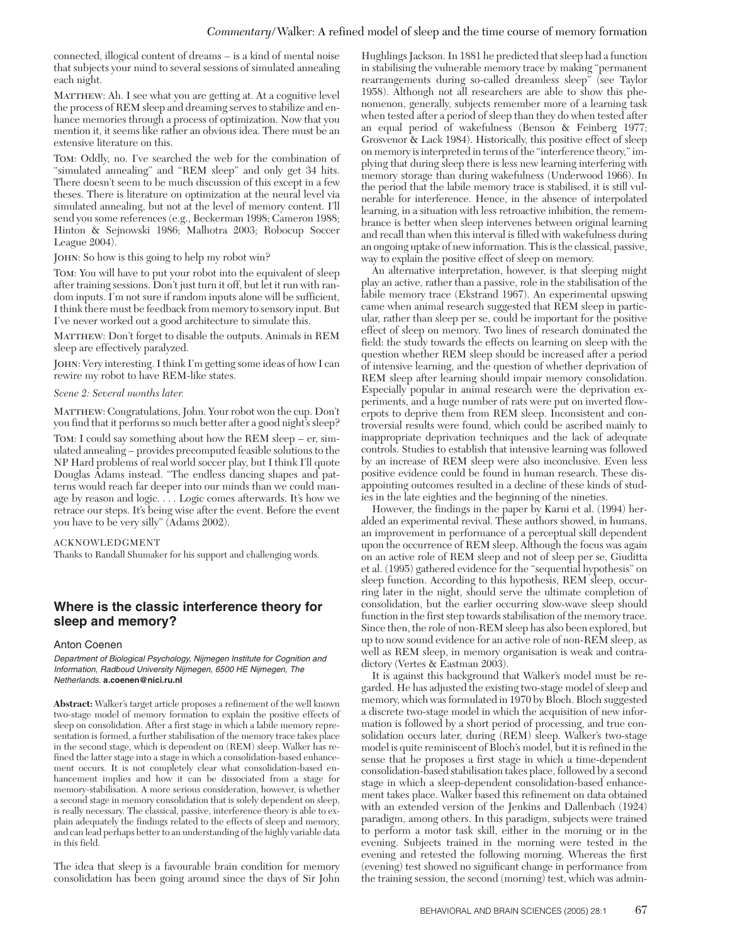connected, illogical content of dreams – is a kind of mental noise that subjects your mind to several sessions of simulated annealing each night.

MATTHEW: Ah. I see what you are getting at. At a cognitive level the process of REM sleep and dreaming serves to stabilize and enhance memories through a process of optimization. Now that you mention it, it seems like rather an obvious idea. There must be an extensive literature on this.

Tom: Oddly, no. I've searched the web for the combination of "simulated annealing" and "REM sleep" and only get 34 hits. There doesn't seem to be much discussion of this except in a few theses. There is literature on optimization at the neural level via simulated annealing, but not at the level of memory content. I'll send you some references (e.g., Beckerman 1998; Cameron 1988; Hinton & Sejnowski 1986; Malhotra 2003; Robocup Soccer League 2004).

#### JOHN: So how is this going to help my robot win?

Tom: You will have to put your robot into the equivalent of sleep after training sessions. Don't just turn it off, but let it run with random inputs. I'm not sure if random inputs alone will be sufficient, I think there must be feedback from memory to sensory input. But I've never worked out a good architecture to simulate this.

MATTHEW: Don't forget to disable the outputs. Animals in REM sleep are effectively paralyzed.

John: Very interesting. I think I'm getting some ideas of how I can rewire my robot to have REM-like states.

#### *Scene 2: Several months later.*

MATTHEW: Congratulations, John. Your robot won the cup. Don't you find that it performs so much better after a good night's sleep?

Tom: I could say something about how the REM sleep – er, simulated annealing – provides precomputed feasible solutions to the NP Hard problems of real world soccer play, but I think I'll quote Douglas Adams instead. "The endless dancing shapes and patterns would reach far deeper into our minds than we could manage by reason and logic. . . . Logic comes afterwards. It's how we retrace our steps. It's being wise after the event. Before the event you have to be very silly" (Adams 2002).

#### ACKNOWLEDGMENT

Thanks to Randall Shumaker for his support and challenging words.

## **Where is the classic interference theory for sleep and memory?**

#### Anton Coenen

*Department of Biological Psychology, Nijmegen Institute for Cognition and Information, Radboud University Nijmegen, 6500 HE Nijmegen, The Netherlands.* **a.coenen@nici.ru.nl**

**Abstract:** Walker's target article proposes a refinement of the well known two-stage model of memory formation to explain the positive effects of sleep on consolidation. After a first stage in which a labile memory representation is formed, a further stabilisation of the memory trace takes place in the second stage, which is dependent on (REM) sleep. Walker has refined the latter stage into a stage in which a consolidation-based enhancement occurs. It is not completely clear what consolidation-based enhancement implies and how it can be dissociated from a stage for memory-stabilisation. A more serious consideration, however, is whether a second stage in memory consolidation that is solely dependent on sleep, is really necessary. The classical, passive, interference theory is able to explain adequately the findings related to the effects of sleep and memory, and can lead perhaps better to an understanding of the highly variable data in this field.

The idea that sleep is a favourable brain condition for memory consolidation has been going around since the days of Sir John

Hughlings Jackson. In 1881 he predicted that sleep had a function in stabilising the vulnerable memory trace by making "permanent rearrangements during so-called dreamless sleep" (see Taylor 1958). Although not all researchers are able to show this phenomenon, generally, subjects remember more of a learning task when tested after a period of sleep than they do when tested after an equal period of wakefulness (Benson & Feinberg 1977; Grosvenor & Lack 1984). Historically, this positive effect of sleep on memory is interpreted in terms of the "interference theory," implying that during sleep there is less new learning interfering with memory storage than during wakefulness (Underwood 1966). In the period that the labile memory trace is stabilised, it is still vulnerable for interference. Hence, in the absence of interpolated learning, in a situation with less retroactive inhibition, the remembrance is better when sleep intervenes between original learning and recall than when this interval is filled with wakefulness during an ongoing uptake of new information. This is the classical, passive, way to explain the positive effect of sleep on memory.

An alternative interpretation, however, is that sleeping might play an active, rather than a passive, role in the stabilisation of the labile memory trace (Ekstrand 1967). An experimental upswing came when animal research suggested that REM sleep in particular, rather than sleep per se, could be important for the positive effect of sleep on memory. Two lines of research dominated the field: the study towards the effects on learning on sleep with the question whether REM sleep should be increased after a period of intensive learning, and the question of whether deprivation of REM sleep after learning should impair memory consolidation. Especially popular in animal research were the deprivation experiments, and a huge number of rats were put on inverted flowerpots to deprive them from REM sleep. Inconsistent and controversial results were found, which could be ascribed mainly to inappropriate deprivation techniques and the lack of adequate controls. Studies to establish that intensive learning was followed by an increase of REM sleep were also inconclusive. Even less positive evidence could be found in human research. These disappointing outcomes resulted in a decline of these kinds of studies in the late eighties and the beginning of the nineties.

However, the findings in the paper by Karni et al. (1994) heralded an experimental revival. These authors showed, in humans, an improvement in performance of a perceptual skill dependent upon the occurrence of REM sleep. Although the focus was again on an active role of REM sleep and not of sleep per se, Giuditta et al. (1995) gathered evidence for the "sequential hypothesis" on sleep function. According to this hypothesis, REM sleep, occurring later in the night, should serve the ultimate completion of consolidation, but the earlier occurring slow-wave sleep should function in the first step towards stabilisation of the memory trace. Since then, the role of non-REM sleep has also been explored, but up to now sound evidence for an active role of non-REM sleep, as well as REM sleep, in memory organisation is weak and contradictory (Vertes & Eastman 2003).

It is against this background that Walker's model must be regarded. He has adjusted the existing two-stage model of sleep and memory, which was formulated in 1970 by Bloch. Bloch suggested a discrete two-stage model in which the acquisition of new information is followed by a short period of processing, and true consolidation occurs later, during (REM) sleep. Walker's two-stage model is quite reminiscent of Bloch's model, but it is refined in the sense that he proposes a first stage in which a time-dependent consolidation-based stabilisation takes place, followed by a second stage in which a sleep-dependent consolidation-based enhancement takes place. Walker based this refinement on data obtained with an extended version of the Jenkins and Dallenbach (1924) paradigm, among others. In this paradigm, subjects were trained to perform a motor task skill, either in the morning or in the evening. Subjects trained in the morning were tested in the evening and retested the following morning. Whereas the first (evening) test showed no significant change in performance from the training session, the second (morning) test, which was admin-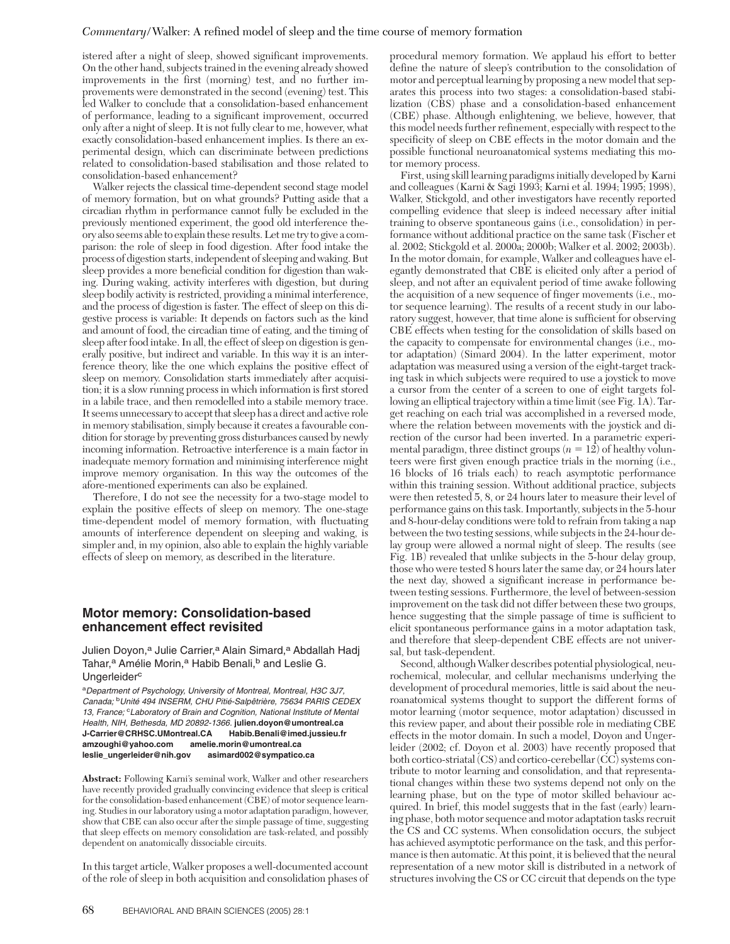istered after a night of sleep, showed significant improvements. On the other hand, subjects trained in the evening already showed improvements in the first (morning) test, and no further improvements were demonstrated in the second (evening) test. This led Walker to conclude that a consolidation-based enhancement of performance, leading to a significant improvement, occurred only after a night of sleep. It is not fully clear to me, however, what exactly consolidation-based enhancement implies. Is there an experimental design, which can discriminate between predictions related to consolidation-based stabilisation and those related to consolidation-based enhancement?

Walker rejects the classical time-dependent second stage model of memory formation, but on what grounds? Putting aside that a circadian rhythm in performance cannot fully be excluded in the previously mentioned experiment, the good old interference theory also seems able to explain these results. Let me try to give a comparison: the role of sleep in food digestion. After food intake the process of digestion starts, independent of sleeping and waking. But sleep provides a more beneficial condition for digestion than waking. During waking, activity interferes with digestion, but during sleep bodily activity is restricted, providing a minimal interference, and the process of digestion is faster. The effect of sleep on this digestive process is variable: It depends on factors such as the kind and amount of food, the circadian time of eating, and the timing of sleep after food intake. In all, the effect of sleep on digestion is generally positive, but indirect and variable. In this way it is an interference theory, like the one which explains the positive effect of sleep on memory. Consolidation starts immediately after acquisition; it is a slow running process in which information is first stored in a labile trace, and then remodelled into a stabile memory trace. It seems unnecessary to accept that sleep has a direct and active role in memory stabilisation, simply because it creates a favourable condition for storage by preventing gross disturbances caused by newly incoming information. Retroactive interference is a main factor in inadequate memory formation and minimising interference might improve memory organisation. In this way the outcomes of the afore-mentioned experiments can also be explained.

Therefore, I do not see the necessity for a two-stage model to explain the positive effects of sleep on memory. The one-stage time-dependent model of memory formation, with fluctuating amounts of interference dependent on sleeping and waking, is simpler and, in my opinion, also able to explain the highly variable effects of sleep on memory, as described in the literature.

## **Motor memory: Consolidation-based enhancement effect revisited**

Julien Doyon,<sup>a</sup> Julie Carrier,<sup>a</sup> Alain Simard,<sup>a</sup> Abdallah Hadj Tahar,<sup>a</sup> Amélie Morin,<sup>a</sup> Habib Benali,<sup>b</sup> and Leslie G. Ungerleider<sup>c</sup>

<sup>a</sup>*Department of Psychology, University of Montreal, Montreal, H3C 3J7, Canada;* b*Unité 494 INSERM, CHU Pitié-Salpêtrière, 75634 PARIS CEDEX 13, France;* c*Laboratory of Brain and Cognition, National Institute of Mental Health, NIH, Bethesda, MD 20892-1366.* **julien.doyon@umontreal.ca J-Carrier@CRHSC.UMontreal.CA Habib.Benali@imed.jussieu.fr amzoughi@yahoo.com amelie.morin@umontreal.ca leslie\_ungerleider@nih.gov asimard002@sympatico.ca**

**Abstract:** Following Karni's seminal work, Walker and other researchers have recently provided gradually convincing evidence that sleep is critical for the consolidation-based enhancement (CBE) of motor sequence learning. Studies in our laboratory using a motor adaptation paradigm, however, show that CBE can also occur after the simple passage of time, suggesting that sleep effects on memory consolidation are task-related, and possibly dependent on anatomically dissociable circuits.

In this target article, Walker proposes a well-documented account of the role of sleep in both acquisition and consolidation phases of

procedural memory formation. We applaud his effort to better define the nature of sleep's contribution to the consolidation of motor and perceptual learning by proposing a new model that separates this process into two stages: a consolidation-based stabilization (CBS) phase and a consolidation-based enhancement (CBE) phase. Although enlightening, we believe, however, that this model needs further refinement, especially with respect to the specificity of sleep on CBE effects in the motor domain and the possible functional neuroanatomical systems mediating this motor memory process.

First, using skill learning paradigms initially developed by Karni and colleagues (Karni & Sagi 1993; Karni et al. 1994; 1995; 1998), Walker, Stickgold, and other investigators have recently reported compelling evidence that sleep is indeed necessary after initial training to observe spontaneous gains (i.e., consolidation) in performance without additional practice on the same task (Fischer et al. 2002; Stickgold et al. 2000a; 2000b; Walker et al. 2002; 2003b). In the motor domain, for example, Walker and colleagues have elegantly demonstrated that CBE is elicited only after a period of sleep, and not after an equivalent period of time awake following the acquisition of a new sequence of finger movements (i.e., motor sequence learning). The results of a recent study in our laboratory suggest, however, that time alone is sufficient for observing CBE effects when testing for the consolidation of skills based on the capacity to compensate for environmental changes (i.e., motor adaptation) (Simard 2004). In the latter experiment, motor adaptation was measured using a version of the eight-target tracking task in which subjects were required to use a joystick to move a cursor from the center of a screen to one of eight targets following an elliptical trajectory within a time limit (see Fig. 1A). Target reaching on each trial was accomplished in a reversed mode, where the relation between movements with the joystick and direction of the cursor had been inverted. In a parametric experimental paradigm, three distinct groups  $(n = 12)$  of healthy volunteers were first given enough practice trials in the morning (i.e., 16 blocks of 16 trials each) to reach asymptotic performance within this training session. Without additional practice, subjects were then retested 5, 8, or 24 hours later to measure their level of performance gains on this task. Importantly, subjects in the 5-hour and 8-hour-delay conditions were told to refrain from taking a nap between the two testing sessions, while subjects in the 24-hour delay group were allowed a normal night of sleep. The results (see Fig. 1B) revealed that unlike subjects in the 5-hour delay group, those who were tested 8 hours later the same day, or 24 hours later the next day, showed a significant increase in performance between testing sessions. Furthermore, the level of between-session improvement on the task did not differ between these two groups, hence suggesting that the simple passage of time is sufficient to elicit spontaneous performance gains in a motor adaptation task, and therefore that sleep-dependent CBE effects are not universal, but task-dependent.

Second, although Walker describes potential physiological, neurochemical, molecular, and cellular mechanisms underlying the development of procedural memories, little is said about the neuroanatomical systems thought to support the different forms of motor learning (motor sequence, motor adaptation) discussed in this review paper, and about their possible role in mediating CBE effects in the motor domain. In such a model, Doyon and Ungerleider (2002; cf. Doyon et al. 2003) have recently proposed that both cortico-striatal (CS) and cortico-cerebellar (CC) systems contribute to motor learning and consolidation, and that representational changes within these two systems depend not only on the learning phase, but on the type of motor skilled behaviour acquired. In brief, this model suggests that in the fast (early) learning phase, both motor sequence and motor adaptation tasks recruit the CS and CC systems. When consolidation occurs, the subject has achieved asymptotic performance on the task, and this performance is then automatic. At this point, it is believed that the neural representation of a new motor skill is distributed in a network of structures involving the CS or CC circuit that depends on the type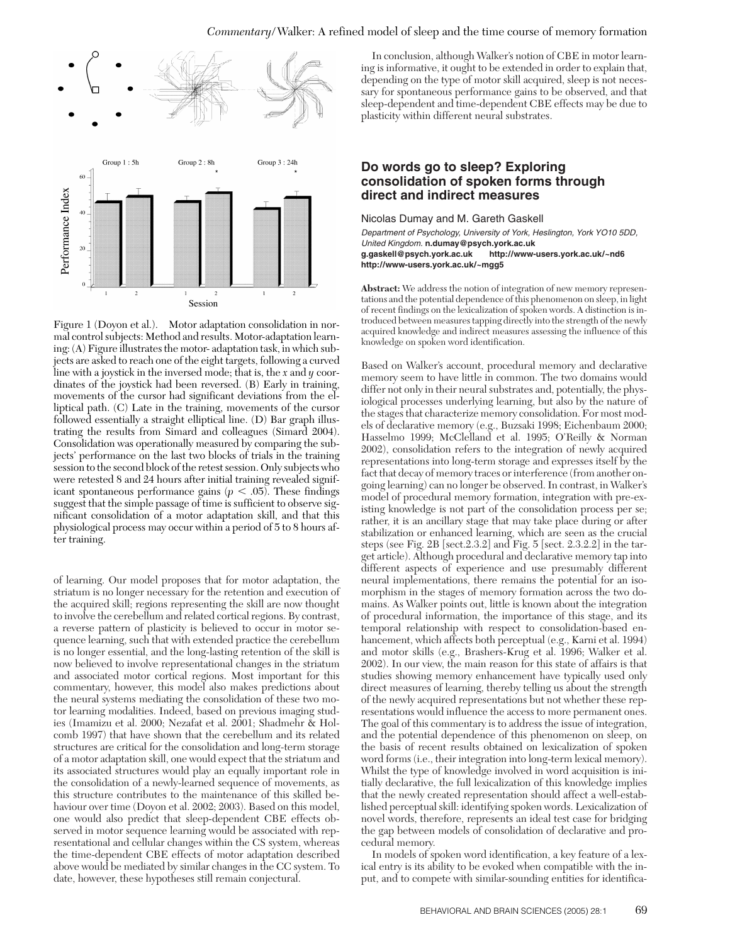

Figure 1 (Doyon et al.). Motor adaptation consolidation in normal control subjects: Method and results. Motor-adaptation learning: (A) Figure illustrates the motor- adaptation task, in which subjects are asked to reach one of the eight targets, following a curved line with a joystick in the inversed mode; that is, the *x* and *y* coordinates of the joystick had been reversed. (B) Early in training, movements of the cursor had significant deviations from the elliptical path. (C) Late in the training, movements of the cursor followed essentially a straight elliptical line. (D) Bar graph illustrating the results from Simard and colleagues (Simard 2004). Consolidation was operationally measured by comparing the subjects' performance on the last two blocks of trials in the training session to the second block of the retest session. Only subjects who were retested 8 and 24 hours after initial training revealed significant spontaneous performance gains  $(p < .05)$ . These findings suggest that the simple passage of time is sufficient to observe significant consolidation of a motor adaptation skill, and that this physiological process may occur within a period of 5 to 8 hours after training.

of learning. Our model proposes that for motor adaptation, the striatum is no longer necessary for the retention and execution of the acquired skill; regions representing the skill are now thought to involve the cerebellum and related cortical regions. By contrast, a reverse pattern of plasticity is believed to occur in motor sequence learning, such that with extended practice the cerebellum is no longer essential, and the long-lasting retention of the skill is now believed to involve representational changes in the striatum and associated motor cortical regions. Most important for this commentary, however, this model also makes predictions about the neural systems mediating the consolidation of these two motor learning modalities. Indeed, based on previous imaging studies (Imamizu et al. 2000; Nezafat et al. 2001; Shadmehr & Holcomb 1997) that have shown that the cerebellum and its related structures are critical for the consolidation and long-term storage of a motor adaptation skill, one would expect that the striatum and its associated structures would play an equally important role in the consolidation of a newly-learned sequence of movements, as this structure contributes to the maintenance of this skilled behaviour over time (Doyon et al. 2002; 2003). Based on this model, one would also predict that sleep-dependent CBE effects observed in motor sequence learning would be associated with representational and cellular changes within the CS system, whereas the time-dependent CBE effects of motor adaptation described above would be mediated by similar changes in the CC system. To date, however, these hypotheses still remain conjectural.

In conclusion, although Walker's notion of CBE in motor learning is informative, it ought to be extended in order to explain that, depending on the type of motor skill acquired, sleep is not necessary for spontaneous performance gains to be observed, and that sleep-dependent and time-dependent CBE effects may be due to plasticity within different neural substrates.

## **Do words go to sleep? Exploring consolidation of spoken forms through direct and indirect measures**

Nicolas Dumay and M. Gareth Gaskell

*Department of Psychology, University of York, Heslington, York YO10 5DD, United Kingdom.* **n.dumay@psych.york.ac.uk g.gaskell@psych.york.ac.uk http://www-users.york.ac.uk/~nd6 http://www-users.york.ac.uk/~mgg5**

**Abstract:** We address the notion of integration of new memory representations and the potential dependence of this phenomenon on sleep, in light of recent findings on the lexicalization of spoken words. A distinction is introduced between measures tapping directly into the strength of the newly acquired knowledge and indirect measures assessing the influence of this knowledge on spoken word identification.

Based on Walker's account, procedural memory and declarative memory seem to have little in common. The two domains would differ not only in their neural substrates and, potentially, the physiological processes underlying learning, but also by the nature of the stages that characterize memory consolidation. For most models of declarative memory (e.g., Buzsaki 1998; Eichenbaum 2000; Hasselmo 1999; McClelland et al. 1995; O'Reilly & Norman 2002), consolidation refers to the integration of newly acquired representations into long-term storage and expresses itself by the fact that decay of memory traces or interference (from another ongoing learning) can no longer be observed. In contrast, in Walker's model of procedural memory formation, integration with pre-existing knowledge is not part of the consolidation process per se; rather, it is an ancillary stage that may take place during or after stabilization or enhanced learning, which are seen as the crucial steps (see Fig. 2B [sect.2.3.2] and Fig. 5 [sect. 2.3.2.2] in the target article). Although procedural and declarative memory tap into different aspects of experience and use presumably different neural implementations, there remains the potential for an isomorphism in the stages of memory formation across the two domains. As Walker points out, little is known about the integration of procedural information, the importance of this stage, and its temporal relationship with respect to consolidation-based enhancement, which affects both perceptual (e.g., Karni et al. 1994) and motor skills (e.g., Brashers-Krug et al. 1996; Walker et al. 2002). In our view, the main reason for this state of affairs is that studies showing memory enhancement have typically used only direct measures of learning, thereby telling us about the strength of the newly acquired representations but not whether these representations would influence the access to more permanent ones. The goal of this commentary is to address the issue of integration, and the potential dependence of this phenomenon on sleep, on the basis of recent results obtained on lexicalization of spoken word forms (i.e., their integration into long-term lexical memory). Whilst the type of knowledge involved in word acquisition is initially declarative, the full lexicalization of this knowledge implies that the newly created representation should affect a well-established perceptual skill: identifying spoken words. Lexicalization of novel words, therefore, represents an ideal test case for bridging the gap between models of consolidation of declarative and procedural memory.

In models of spoken word identification, a key feature of a lexical entry is its ability to be evoked when compatible with the input, and to compete with similar-sounding entities for identifica-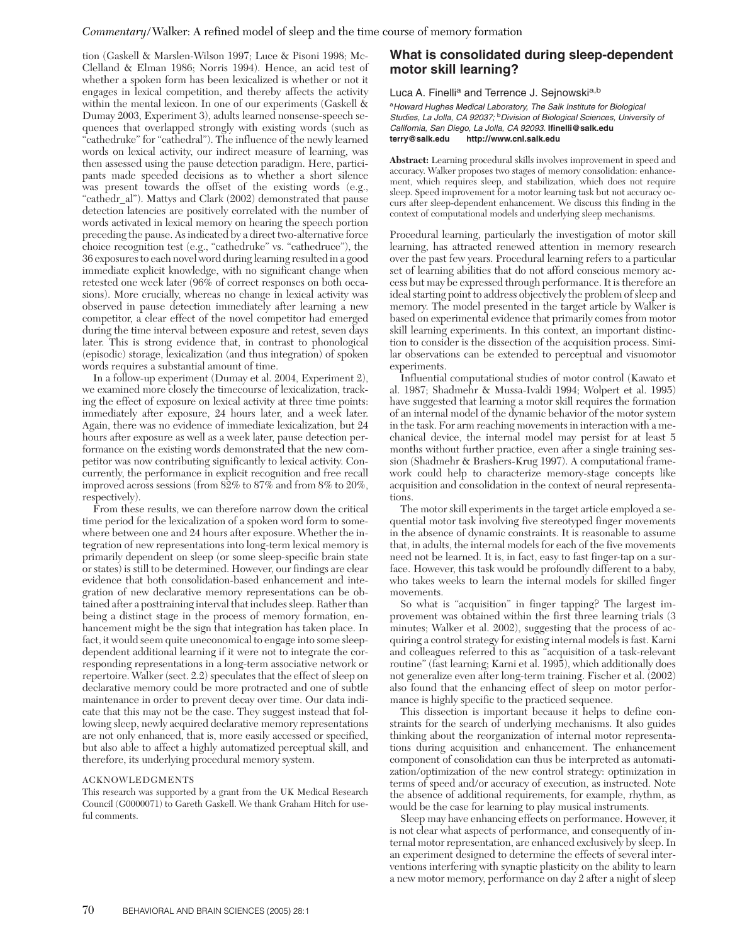tion (Gaskell & Marslen-Wilson 1997; Luce & Pisoni 1998; Mc-Clelland & Elman 1986; Norris 1994). Hence, an acid test of whether a spoken form has been lexicalized is whether or not it engages in lexical competition, and thereby affects the activity within the mental lexicon. In one of our experiments (Gaskell & Dumay 2003, Experiment 3), adults learned nonsense-speech sequences that overlapped strongly with existing words (such as "cathedruke" for "cathedral"). The influence of the newly learned words on lexical activity, our indirect measure of learning, was then assessed using the pause detection paradigm. Here, participants made speeded decisions as to whether a short silence was present towards the offset of the existing words (e.g., "cathedr\_al"). Mattys and Clark (2002) demonstrated that pause detection latencies are positively correlated with the number of words activated in lexical memory on hearing the speech portion preceding the pause. As indicated by a direct two-alternative force choice recognition test (e.g., "cathedruke" vs. "cathedruce"), the 36 exposures to each novel word during learning resulted in a good immediate explicit knowledge, with no significant change when retested one week later (96% of correct responses on both occasions). More crucially, whereas no change in lexical activity was observed in pause detection immediately after learning a new competitor, a clear effect of the novel competitor had emerged during the time interval between exposure and retest, seven days later. This is strong evidence that, in contrast to phonological (episodic) storage, lexicalization (and thus integration) of spoken words requires a substantial amount of time.

In a follow-up experiment (Dumay et al. 2004, Experiment 2), we examined more closely the timecourse of lexicalization, tracking the effect of exposure on lexical activity at three time points: immediately after exposure, 24 hours later, and a week later. Again, there was no evidence of immediate lexicalization, but 24 hours after exposure as well as a week later, pause detection performance on the existing words demonstrated that the new competitor was now contributing significantly to lexical activity. Concurrently, the performance in explicit recognition and free recall improved across sessions (from 82% to 87% and from 8% to 20%, respectively).

From these results, we can therefore narrow down the critical time period for the lexicalization of a spoken word form to somewhere between one and 24 hours after exposure. Whether the integration of new representations into long-term lexical memory is primarily dependent on sleep (or some sleep-specific brain state or states) is still to be determined. However, our findings are clear evidence that both consolidation-based enhancement and integration of new declarative memory representations can be obtained after a posttraining interval that includes sleep. Rather than being a distinct stage in the process of memory formation, enhancement might be the sign that integration has taken place. In fact, it would seem quite uneconomical to engage into some sleepdependent additional learning if it were not to integrate the corresponding representations in a long-term associative network or repertoire. Walker (sect. 2.2) speculates that the effect of sleep on declarative memory could be more protracted and one of subtle maintenance in order to prevent decay over time. Our data indicate that this may not be the case. They suggest instead that following sleep, newly acquired declarative memory representations are not only enhanced, that is, more easily accessed or specified, but also able to affect a highly automatized perceptual skill, and therefore, its underlying procedural memory system.

#### ACKNOWLEDGMENTS

This research was supported by a grant from the UK Medical Research Council (G0000071) to Gareth Gaskell. We thank Graham Hitch for useful comments.

## **What is consolidated during sleep-dependent motor skill learning?**

Luca A. Finelli<sup>a</sup> and Terrence J. Sejnowski<sup>a,b</sup>

<sup>a</sup>*Howard Hughes Medical Laboratory, The Salk Institute for Biological Studies, La Jolla, CA 92037;* b*Division of Biological Sciences, University of California, San Diego, La Jolla, CA 92093.* **lfinelli@salk.edu terry@salk.edu http://www.cnl.salk.edu**

**Abstract:** Learning procedural skills involves improvement in speed and accuracy. Walker proposes two stages of memory consolidation: enhancement, which requires sleep, and stabilization, which does not require sleep. Speed improvement for a motor learning task but not accuracy occurs after sleep-dependent enhancement. We discuss this finding in the context of computational models and underlying sleep mechanisms.

Procedural learning, particularly the investigation of motor skill learning, has attracted renewed attention in memory research over the past few years. Procedural learning refers to a particular set of learning abilities that do not afford conscious memory access but may be expressed through performance. It is therefore an ideal starting point to address objectively the problem of sleep and memory. The model presented in the target article by Walker is based on experimental evidence that primarily comes from motor skill learning experiments. In this context, an important distinction to consider is the dissection of the acquisition process. Similar observations can be extended to perceptual and visuomotor experiments.

Influential computational studies of motor control (Kawato et al. 1987; Shadmehr & Mussa-Ivaldi 1994; Wolpert et al. 1995) have suggested that learning a motor skill requires the formation of an internal model of the dynamic behavior of the motor system in the task. For arm reaching movements in interaction with a mechanical device, the internal model may persist for at least 5 months without further practice, even after a single training session (Shadmehr & Brashers-Krug 1997). A computational framework could help to characterize memory-stage concepts like acquisition and consolidation in the context of neural representations.

The motor skill experiments in the target article employed a sequential motor task involving five stereotyped finger movements in the absence of dynamic constraints. It is reasonable to assume that, in adults, the internal models for each of the five movements need not be learned. It is, in fact, easy to fast finger-tap on a surface. However, this task would be profoundly different to a baby, who takes weeks to learn the internal models for skilled finger movements.

So what is "acquisition" in finger tapping? The largest improvement was obtained within the first three learning trials (3 minutes; Walker et al. 2002), suggesting that the process of acquiring a control strategy for existing internal models is fast. Karni and colleagues referred to this as "acquisition of a task-relevant routine" (fast learning; Karni et al. 1995), which additionally does not generalize even after long-term training. Fischer et al. (2002) also found that the enhancing effect of sleep on motor performance is highly specific to the practiced sequence.

This dissection is important because it helps to define constraints for the search of underlying mechanisms. It also guides thinking about the reorganization of internal motor representations during acquisition and enhancement. The enhancement component of consolidation can thus be interpreted as automatization/optimization of the new control strategy: optimization in terms of speed and/or accuracy of execution, as instructed. Note the absence of additional requirements, for example, rhythm, as would be the case for learning to play musical instruments.

Sleep may have enhancing effects on performance. However, it is not clear what aspects of performance, and consequently of internal motor representation, are enhanced exclusively by sleep. In an experiment designed to determine the effects of several interventions interfering with synaptic plasticity on the ability to learn a new motor memory, performance on day 2 after a night of sleep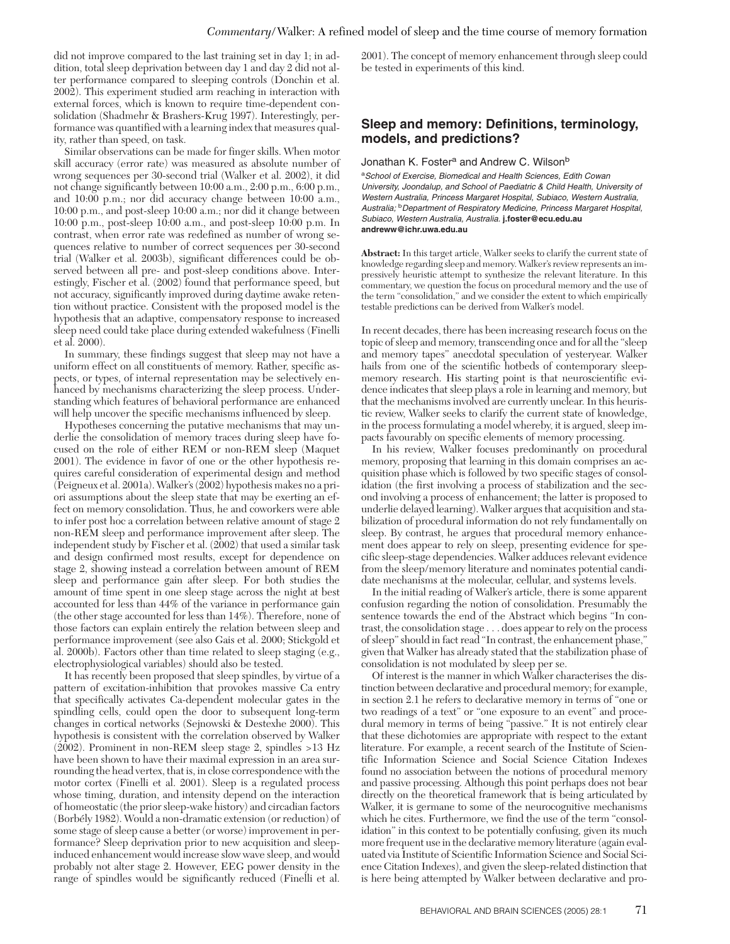did not improve compared to the last training set in day 1; in addition, total sleep deprivation between day 1 and day 2 did not alter performance compared to sleeping controls (Donchin et al. 2002). This experiment studied arm reaching in interaction with external forces, which is known to require time-dependent consolidation (Shadmehr & Brashers-Krug 1997). Interestingly, performance was quantified with a learning index that measures quality, rather than speed, on task.

Similar observations can be made for finger skills. When motor skill accuracy (error rate) was measured as absolute number of wrong sequences per 30-second trial (Walker et al. 2002), it did not change significantly between 10:00 a.m., 2:00 p.m., 6:00 p.m., and 10:00 p.m.; nor did accuracy change between 10:00 a.m., 10:00 p.m., and post-sleep 10:00 a.m.; nor did it change between 10:00 p.m., post-sleep 10:00 a.m., and post-sleep 10:00 p.m. In contrast, when error rate was redefined as number of wrong sequences relative to number of correct sequences per 30-second trial (Walker et al. 2003b), significant differences could be observed between all pre- and post-sleep conditions above. Interestingly, Fischer et al. (2002) found that performance speed, but not accuracy, significantly improved during daytime awake retention without practice. Consistent with the proposed model is the hypothesis that an adaptive, compensatory response to increased sleep need could take place during extended wakefulness (Finelli et al. 2000).

In summary, these findings suggest that sleep may not have a uniform effect on all constituents of memory. Rather, specific aspects, or types, of internal representation may be selectively enhanced by mechanisms characterizing the sleep process. Understanding which features of behavioral performance are enhanced will help uncover the specific mechanisms influenced by sleep.

Hypotheses concerning the putative mechanisms that may underlie the consolidation of memory traces during sleep have focused on the role of either REM or non-REM sleep (Maquet 2001). The evidence in favor of one or the other hypothesis requires careful consideration of experimental design and method (Peigneux et al. 2001a). Walker's (2002) hypothesis makes no a priori assumptions about the sleep state that may be exerting an effect on memory consolidation. Thus, he and coworkers were able to infer post hoc a correlation between relative amount of stage 2 non-REM sleep and performance improvement after sleep. The independent study by Fischer et al. (2002) that used a similar task and design confirmed most results, except for dependence on stage 2, showing instead a correlation between amount of REM sleep and performance gain after sleep. For both studies the amount of time spent in one sleep stage across the night at best accounted for less than 44% of the variance in performance gain (the other stage accounted for less than 14%). Therefore, none of those factors can explain entirely the relation between sleep and performance improvement (see also Gais et al. 2000; Stickgold et al. 2000b). Factors other than time related to sleep staging (e.g., electrophysiological variables) should also be tested.

It has recently been proposed that sleep spindles, by virtue of a pattern of excitation-inhibition that provokes massive Ca entry that specifically activates Ca-dependent molecular gates in the spindling cells, could open the door to subsequent long-term changes in cortical networks (Sejnowski & Destexhe 2000). This hypothesis is consistent with the correlation observed by Walker (2002). Prominent in non-REM sleep stage 2, spindles >13 Hz have been shown to have their maximal expression in an area surrounding the head vertex, that is, in close correspondence with the motor cortex (Finelli et al. 2001). Sleep is a regulated process whose timing, duration, and intensity depend on the interaction of homeostatic (the prior sleep-wake history) and circadian factors (Borbély 1982). Would a non-dramatic extension (or reduction) of some stage of sleep cause a better (or worse) improvement in performance? Sleep deprivation prior to new acquisition and sleepinduced enhancement would increase slow wave sleep, and would probably not alter stage 2. However, EEG power density in the range of spindles would be significantly reduced (Finelli et al.

2001). The concept of memory enhancement through sleep could be tested in experiments of this kind.

## **Sleep and memory: Definitions, terminology, models, and predictions?**

#### Jonathan K. Foster<sup>a</sup> and Andrew C. Wilson<sup>b</sup>

<sup>a</sup>*School of Exercise, Biomedical and Health Sciences, Edith Cowan University, Joondalup, and School of Paediatric & Child Health, University of Western Australia, Princess Margaret Hospital, Subiaco, Western Australia, Australia;* b*Department of Respiratory Medicine, Princess Margaret Hospital, Subiaco, Western Australia, Australia.* **j.foster@ecu.edu.au andreww@ichr.uwa.edu.au**

**Abstract:** In this target article, Walker seeks to clarify the current state of knowledge regarding sleep and memory. Walker's review represents an impressively heuristic attempt to synthesize the relevant literature. In this commentary, we question the focus on procedural memory and the use of the term "consolidation," and we consider the extent to which empirically testable predictions can be derived from Walker's model.

In recent decades, there has been increasing research focus on the topic of sleep and memory, transcending once and for all the "sleep and memory tapes" anecdotal speculation of yesteryear. Walker hails from one of the scientific hotbeds of contemporary sleepmemory research. His starting point is that neuroscientific evidence indicates that sleep plays a role in learning and memory, but that the mechanisms involved are currently unclear. In this heuristic review, Walker seeks to clarify the current state of knowledge, in the process formulating a model whereby, it is argued, sleep impacts favourably on specific elements of memory processing.

In his review, Walker focuses predominantly on procedural memory, proposing that learning in this domain comprises an acquisition phase which is followed by two specific stages of consolidation (the first involving a process of stabilization and the second involving a process of enhancement; the latter is proposed to underlie delayed learning). Walker argues that acquisition and stabilization of procedural information do not rely fundamentally on sleep. By contrast, he argues that procedural memory enhancement does appear to rely on sleep, presenting evidence for specific sleep-stage dependencies. Walker adduces relevant evidence from the sleep/memory literature and nominates potential candidate mechanisms at the molecular, cellular, and systems levels.

In the initial reading of Walker's article, there is some apparent confusion regarding the notion of consolidation. Presumably the sentence towards the end of the Abstract which begins "In contrast, the consolidation stage . . . does appear to rely on the process of sleep" should in fact read "In contrast, the enhancement phase," given that Walker has already stated that the stabilization phase of consolidation is not modulated by sleep per se.

Of interest is the manner in which Walker characterises the distinction between declarative and procedural memory; for example, in section 2.1 he refers to declarative memory in terms of "one or two readings of a text" or "one exposure to an event" and procedural memory in terms of being "passive." It is not entirely clear that these dichotomies are appropriate with respect to the extant literature. For example, a recent search of the Institute of Scientific Information Science and Social Science Citation Indexes found no association between the notions of procedural memory and passive processing. Although this point perhaps does not bear directly on the theoretical framework that is being articulated by Walker, it is germane to some of the neurocognitive mechanisms which he cites. Furthermore, we find the use of the term "consolidation" in this context to be potentially confusing, given its much more frequent use in the declarative memory literature (again evaluated via Institute of Scientific Information Science and Social Science Citation Indexes), and given the sleep-related distinction that is here being attempted by Walker between declarative and pro-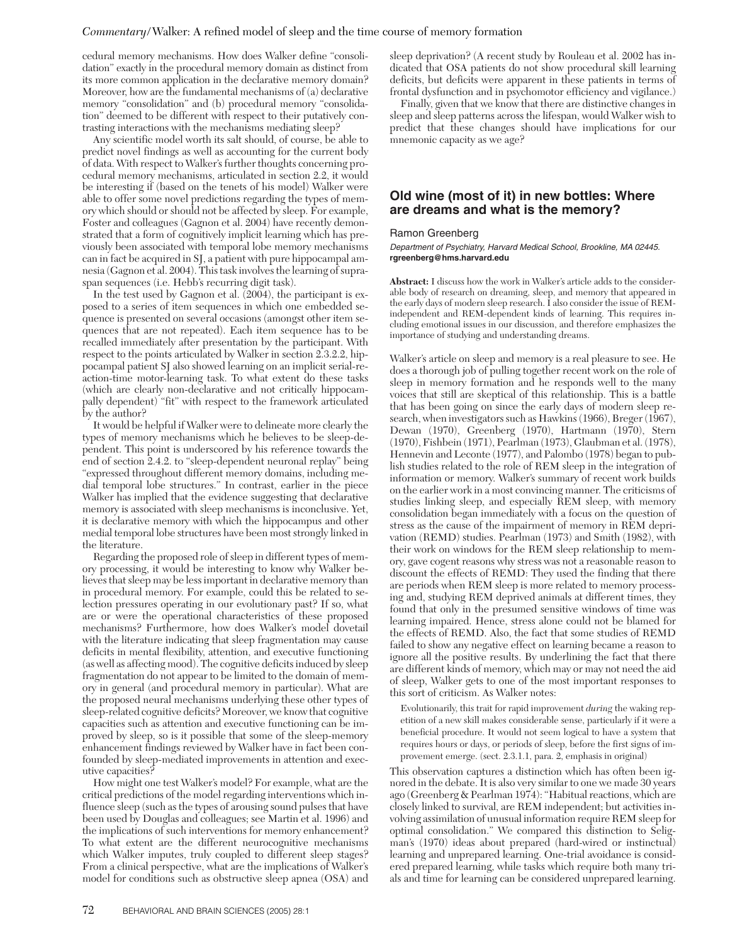cedural memory mechanisms. How does Walker define "consolidation" exactly in the procedural memory domain as distinct from its more common application in the declarative memory domain? Moreover, how are the fundamental mechanisms of (a) declarative memory "consolidation" and (b) procedural memory "consolidation" deemed to be different with respect to their putatively contrasting interactions with the mechanisms mediating sleep?

Any scientific model worth its salt should, of course, be able to predict novel findings as well as accounting for the current body of data. With respect to Walker's further thoughts concerning procedural memory mechanisms, articulated in section 2.2, it would be interesting if (based on the tenets of his model) Walker were able to offer some novel predictions regarding the types of memory which should or should not be affected by sleep. For example, Foster and colleagues (Gagnon et al. 2004) have recently demonstrated that a form of cognitively implicit learning which has previously been associated with temporal lobe memory mechanisms can in fact be acquired in SJ, a patient with pure hippocampal amnesia (Gagnon et al. 2004). This task involves the learning of supraspan sequences (i.e. Hebb's recurring digit task).

In the test used by Gagnon et al.  $(2004)$ , the participant is exposed to a series of item sequences in which one embedded sequence is presented on several occasions (amongst other item sequences that are not repeated). Each item sequence has to be recalled immediately after presentation by the participant. With respect to the points articulated by Walker in section 2.3.2.2, hippocampal patient SJ also showed learning on an implicit serial-reaction-time motor-learning task. To what extent do these tasks (which are clearly non-declarative and not critically hippocampally dependent) "fit" with respect to the framework articulated by the author?

It would be helpful if Walker were to delineate more clearly the types of memory mechanisms which he believes to be sleep-dependent. This point is underscored by his reference towards the end of section 2.4.2. to "sleep-dependent neuronal replay" being "expressed throughout different memory domains, including medial temporal lobe structures." In contrast, earlier in the piece Walker has implied that the evidence suggesting that declarative memory is associated with sleep mechanisms is inconclusive. Yet, it is declarative memory with which the hippocampus and other medial temporal lobe structures have been most strongly linked in the literature.

Regarding the proposed role of sleep in different types of memory processing, it would be interesting to know why Walker believes that sleep may be less important in declarative memory than in procedural memory. For example, could this be related to selection pressures operating in our evolutionary past? If so, what are or were the operational characteristics of these proposed mechanisms? Furthermore, how does Walker's model dovetail with the literature indicating that sleep fragmentation may cause deficits in mental flexibility, attention, and executive functioning (as well as affecting mood). The cognitive deficits induced by sleep fragmentation do not appear to be limited to the domain of memory in general (and procedural memory in particular). What are the proposed neural mechanisms underlying these other types of sleep-related cognitive deficits? Moreover, we know that cognitive capacities such as attention and executive functioning can be improved by sleep, so is it possible that some of the sleep-memory enhancement findings reviewed by Walker have in fact been confounded by sleep-mediated improvements in attention and executive capacities?

How might one test Walker's model? For example, what are the critical predictions of the model regarding interventions which influence sleep (such as the types of arousing sound pulses that have been used by Douglas and colleagues; see Martin et al. 1996) and the implications of such interventions for memory enhancement? To what extent are the different neurocognitive mechanisms which Walker imputes, truly coupled to different sleep stages? From a clinical perspective, what are the implications of Walker's model for conditions such as obstructive sleep apnea (OSA) and sleep deprivation? (A recent study by Rouleau et al. 2002 has indicated that OSA patients do not show procedural skill learning deficits, but deficits were apparent in these patients in terms of frontal dysfunction and in psychomotor efficiency and vigilance.)

Finally, given that we know that there are distinctive changes in sleep and sleep patterns across the lifespan, would Walker wish to predict that these changes should have implications for our mnemonic capacity as we age?

## **Old wine (most of it) in new bottles: Where are dreams and what is the memory?**

#### Ramon Greenberg

*Department of Psychiatry, Harvard Medical School, Brookline, MA 02445.* **rgreenberg@hms.harvard.edu**

**Abstract:** I discuss how the work in Walker's article adds to the considerable body of research on dreaming, sleep, and memory that appeared in the early days of modern sleep research. I also consider the issue of REMindependent and REM-dependent kinds of learning. This requires including emotional issues in our discussion, and therefore emphasizes the importance of studying and understanding dreams.

Walker's article on sleep and memory is a real pleasure to see. He does a thorough job of pulling together recent work on the role of sleep in memory formation and he responds well to the many voices that still are skeptical of this relationship. This is a battle that has been going on since the early days of modern sleep research, when investigators such as Hawkins (1966), Breger (1967), Dewan (1970), Greenberg (1970), Hartmann (1970), Stern (1970), Fishbein (1971), Pearlman (1973), Glaubman et al. (1978), Hennevin and Leconte (1977), and Palombo (1978) began to publish studies related to the role of REM sleep in the integration of information or memory. Walker's summary of recent work builds on the earlier work in a most convincing manner. The criticisms of studies linking sleep, and especially REM sleep, with memory consolidation began immediately with a focus on the question of stress as the cause of the impairment of memory in REM deprivation (REMD) studies. Pearlman (1973) and Smith (1982), with their work on windows for the REM sleep relationship to memory, gave cogent reasons why stress was not a reasonable reason to discount the effects of REMD: They used the finding that there are periods when REM sleep is more related to memory processing and, studying REM deprived animals at different times, they found that only in the presumed sensitive windows of time was learning impaired. Hence, stress alone could not be blamed for the effects of REMD. Also, the fact that some studies of REMD failed to show any negative effect on learning became a reason to ignore all the positive results. By underlining the fact that there are different kinds of memory, which may or may not need the aid of sleep, Walker gets to one of the most important responses to this sort of criticism. As Walker notes:

Evolutionarily, this trait for rapid improvement *during* the waking repetition of a new skill makes considerable sense, particularly if it were a beneficial procedure. It would not seem logical to have a system that requires hours or days, or periods of sleep, before the first signs of improvement emerge. (sect. 2.3.1.1, para. 2, emphasis in original)

This observation captures a distinction which has often been ignored in the debate. It is also very similar to one we made 30 years ago (Greenberg & Pearlman 1974): "Habitual reactions, which are closely linked to survival, are REM independent; but activities involving assimilation of unusual information require REM sleep for optimal consolidation." We compared this distinction to Seligman's (1970) ideas about prepared (hard-wired or instinctual) learning and unprepared learning. One-trial avoidance is considered prepared learning, while tasks which require both many trials and time for learning can be considered unprepared learning.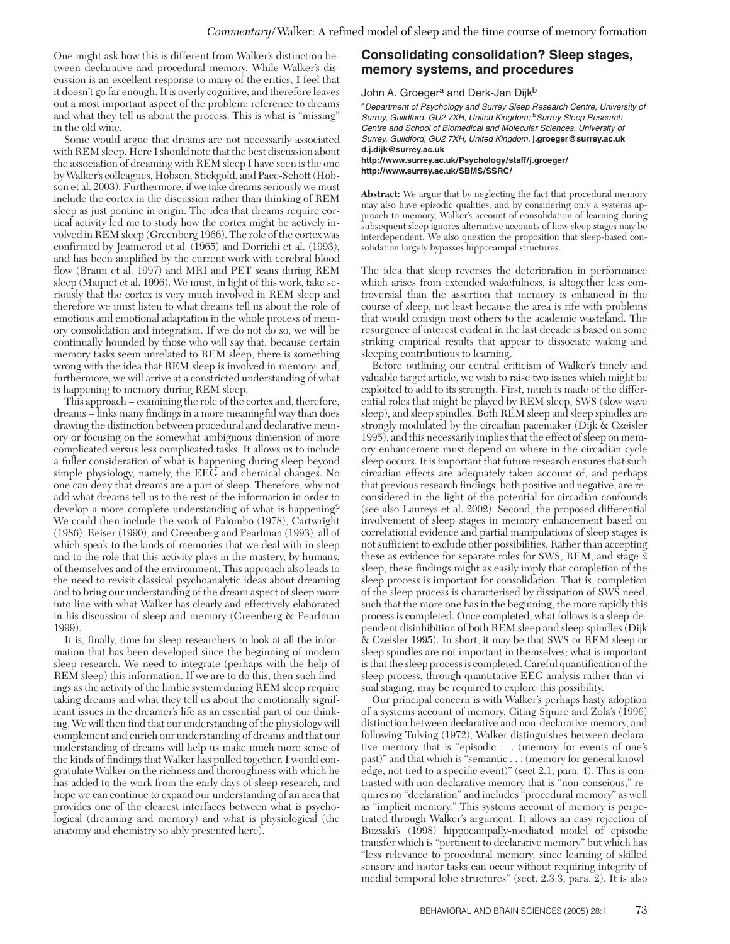One might ask how this is different from Walker's distinction between declarative and procedural memory. While Walker's discussion is an excellent response to many of the critics, I feel that it doesn't go far enough. It is overly cognitive, and therefore leaves out a most important aspect of the problem: reference to dreams and what they tell us about the process. This is what is "missing" in the old wine.

Some would argue that dreams are not necessarily associated with REM sleep. Here I should note that the best discussion about the association of dreaming with REM sleep I have seen is the one by Walker's colleagues, Hobson, Stickgold, and Pace-Schott (Hobson et al. 2003). Furthermore, if we take dreams seriously we must include the cortex in the discussion rather than thinking of REM sleep as just pontine in origin. The idea that dreams require cortical activity led me to study how the cortex might be actively involved in REM sleep (Greenberg 1966). The role of the cortex was confirmed by Jeannerod et al. (1965) and Dorrichi et al. (1993), and has been amplified by the current work with cerebral blood flow (Braun et al. 1997) and MRI and PET scans during REM sleep (Maquet et al. 1996). We must, in light of this work, take seriously that the cortex is very much involved in REM sleep and therefore we must listen to what dreams tell us about the role of emotions and emotional adaptation in the whole process of memory consolidation and integration. If we do not do so, we will be continually hounded by those who will say that, because certain memory tasks seem unrelated to REM sleep, there is something wrong with the idea that REM sleep is involved in memory; and, furthermore, we will arrive at a constricted understanding of what is happening to memory during REM sleep.

This approach – examining the role of the cortex and, therefore, dreams – links many findings in a more meaningful way than does drawing the distinction between procedural and declarative memory or focusing on the somewhat ambiguous dimension of more complicated versus less complicated tasks. It allows us to include a fuller consideration of what is happening during sleep beyond simple physiology, namely, the EEG and chemical changes. No one can deny that dreams are a part of sleep. Therefore, why not add what dreams tell us to the rest of the information in order to develop a more complete understanding of what is happening? We could then include the work of Palombo (1978), Cartwright (1986), Reiser (1990), and Greenberg and Pearlman (1993), all of which speak to the kinds of memories that we deal with in sleep and to the role that this activity plays in the mastery, by humans, of themselves and of the environment. This approach also leads to the need to revisit classical psychoanalytic ideas about dreaming and to bring our understanding of the dream aspect of sleep more into line with what Walker has clearly and effectively elaborated in his discussion of sleep and memory (Greenberg & Pearlman 1999).

It is, finally, time for sleep researchers to look at all the information that has been developed since the beginning of modern sleep research. We need to integrate (perhaps with the help of REM sleep) this information. If we are to do this, then such findings as the activity of the limbic system during REM sleep require taking dreams and what they tell us about the emotionally significant issues in the dreamer's life as an essential part of our thinking. We will then find that our understanding of the physiology will complement and enrich our understanding of dreams and that our understanding of dreams will help us make much more sense of the kinds of findings that Walker has pulled together. I would congratulate Walker on the richness and thoroughness with which he has added to the work from the early days of sleep research, and hope we can continue to expand our understanding of an area that provides one of the clearest interfaces between what is psychological (dreaming and memory) and what is physiological (the anatomy and chemistry so ably presented here).

## **Consolidating consolidation? Sleep stages, memory systems, and procedures**

#### John A. Groeger<sup>a</sup> and Derk-Jan Dijk<sup>b</sup>

<sup>a</sup>*Department of Psychology and Surrey Sleep Research Centre, University of Surrey, Guildford, GU2 7XH, United Kingdom;* b*Surrey Sleep Research Centre and School of Biomedical and Molecular Sciences, University of Surrey, Guildford, GU2 7XH, United Kingdom.* **j.groeger@surrey.ac.uk d.j.dijk@surrey.ac.uk http://www.surrey.ac.uk/Psychology/staff/j.groeger/**

**http://www.surrey.ac.uk/SBMS/SSRC/**

**Abstract:** We argue that by neglecting the fact that procedural memory may also have episodic qualities, and by considering only a systems approach to memory, Walker's account of consolidation of learning during subsequent sleep ignores alternative accounts of how sleep stages may be interdependent. We also question the proposition that sleep-based consolidation largely bypasses hippocampal structures.

The idea that sleep reverses the deterioration in performance which arises from extended wakefulness, is altogether less controversial than the assertion that memory is enhanced in the course of sleep, not least because the area is rife with problems that would consign most others to the academic wasteland. The resurgence of interest evident in the last decade is based on some striking empirical results that appear to dissociate waking and sleeping contributions to learning.

Before outlining our central criticism of Walker's timely and valuable target article, we wish to raise two issues which might be exploited to add to its strength. First, much is made of the differential roles that might be played by REM sleep, SWS (slow wave sleep), and sleep spindles. Both REM sleep and sleep spindles are strongly modulated by the circadian pacemaker (Dijk & Czeisler 1995), and this necessarily implies that the effect of sleep on memory enhancement must depend on where in the circadian cycle sleep occurs. It is important that future research ensures that such circadian effects are adequately taken account of, and perhaps that previous research findings, both positive and negative, are reconsidered in the light of the potential for circadian confounds (see also Laureys et al. 2002). Second, the proposed differential involvement of sleep stages in memory enhancement based on correlational evidence and partial manipulations of sleep stages is not sufficient to exclude other possibilities. Rather than accepting these as evidence for separate roles for SWS, REM, and stage 2 sleep, these findings might as easily imply that completion of the sleep process is important for consolidation. That is, completion of the sleep process is characterised by dissipation of SWS need, such that the more one has in the beginning, the more rapidly this process is completed. Once completed, what follows is a sleep-dependent disinhibition of both REM sleep and sleep spindles (Dijk & Czeisler 1995). In short, it may be that SWS or REM sleep or sleep spindles are not important in themselves; what is important is that the sleep process is completed. Careful quantification of the sleep process, through quantitative EEG analysis rather than visual staging, may be required to explore this possibility.

Our principal concern is with Walker's perhaps hasty adoption of a systems account of memory. Citing Squire and Zola's (1996) distinction between declarative and non-declarative memory, and following Tulving (1972), Walker distinguishes between declarative memory that is "episodic . . . (memory for events of one's past)" and that which is "semantic . . . (memory for general knowledge, not tied to a specific event)" (sect  $2.1$ , para.  $4$ ). This is contrasted with non-declarative memory that is "non-conscious," requires no "declaration" and includes "procedural memory" as well as "implicit memory." This systems account of memory is perpetrated through Walker's argument. It allows an easy rejection of Buzsaki's (1998) hippocampally-mediated model of episodic transfer which is "pertinent to declarative memory" but which has "less relevance to procedural memory, since learning of skilled sensory and motor tasks can occur without requiring integrity of medial temporal lobe structures" (sect. 2.3.3, para. 2). It is also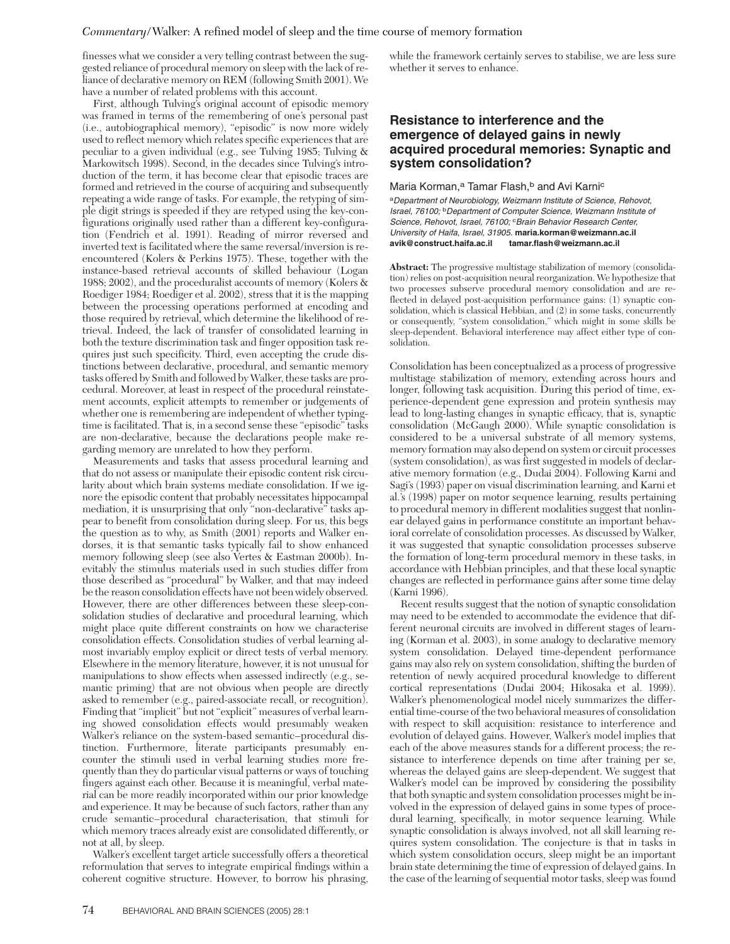finesses what we consider a very telling contrast between the suggested reliance of procedural memory on sleep with the lack of reliance of declarative memory on REM (following Smith 2001). We have a number of related problems with this account.

First, although Tulving's original account of episodic memory was framed in terms of the remembering of one's personal past (i.e., autobiographical memory), "episodic" is now more widely used to reflect memory which relates specific experiences that are peculiar to a given individual (e.g., see Tulving 1985; Tulving & Markowitsch 1998). Second, in the decades since Tulving's introduction of the term, it has become clear that episodic traces are formed and retrieved in the course of acquiring and subsequently repeating a wide range of tasks. For example, the retyping of simple digit strings is speeded if they are retyped using the key-configurations originally used rather than a different key-configuration (Fendrich et al. 1991). Reading of mirror reversed and inverted text is facilitated where the same reversal/inversion is reencountered (Kolers & Perkins 1975). These, together with the instance-based retrieval accounts of skilled behaviour (Logan 1988; 2002), and the proceduralist accounts of memory (Kolers & Roediger 1984; Roediger et al. 2002), stress that it is the mapping between the processing operations performed at encoding and those required by retrieval, which determine the likelihood of retrieval. Indeed, the lack of transfer of consolidated learning in both the texture discrimination task and finger opposition task requires just such specificity. Third, even accepting the crude distinctions between declarative, procedural, and semantic memory tasks offered by Smith and followed by Walker, these tasks are procedural. Moreover, at least in respect of the procedural reinstatement accounts, explicit attempts to remember or judgements of whether one is remembering are independent of whether typingtime is facilitated. That is, in a second sense these "episodic" tasks are non-declarative, because the declarations people make regarding memory are unrelated to how they perform.

Measurements and tasks that assess procedural learning and that do not assess or manipulate their episodic content risk circularity about which brain systems mediate consolidation. If we ignore the episodic content that probably necessitates hippocampal mediation, it is unsurprising that only "non-declarative" tasks appear to benefit from consolidation during sleep. For us, this begs the question as to why, as Smith (2001) reports and Walker endorses, it is that semantic tasks typically fail to show enhanced memory following sleep (see also Vertes & Eastman 2000b). Inevitably the stimulus materials used in such studies differ from those described as "procedural" by Walker, and that may indeed be the reason consolidation effects have not been widely observed. However, there are other differences between these sleep-consolidation studies of declarative and procedural learning, which might place quite different constraints on how we characterise consolidation effects. Consolidation studies of verbal learning almost invariably employ explicit or direct tests of verbal memory. Elsewhere in the memory literature, however, it is not unusual for manipulations to show effects when assessed indirectly (e.g., semantic priming) that are not obvious when people are directly asked to remember (e.g., paired-associate recall, or recognition). Finding that "implicit" but not "explicit" measures of verbal learning showed consolidation effects would presumably weaken Walker's reliance on the system-based semantic–procedural distinction. Furthermore, literate participants presumably encounter the stimuli used in verbal learning studies more frequently than they do particular visual patterns or ways of touching fingers against each other. Because it is meaningful, verbal material can be more readily incorporated within our prior knowledge and experience. It may be because of such factors, rather than any crude semantic–procedural characterisation, that stimuli for which memory traces already exist are consolidated differently, or not at all, by sleep.

Walker's excellent target article successfully offers a theoretical reformulation that serves to integrate empirical findings within a coherent cognitive structure. However, to borrow his phrasing,

while the framework certainly serves to stabilise, we are less sure whether it serves to enhance.

## **Resistance to interference and the emergence of delayed gains in newly acquired procedural memories: Synaptic and system consolidation?**

#### Maria Korman,<sup>a</sup> Tamar Flash,<sup>b</sup> and Avi Karni<sup>c</sup>

<sup>a</sup>*Department of Neurobiology, Weizmann Institute of Science, Rehovot, Israel, 76100;* b*Department of Computer Science, Weizmann Institute of Science, Rehovot, Israel, 76100;* c*Brain Behavior Research Center, University of Haifa, Israel, 31905.* **maria.korman@weizmann.ac.il avik@construct.haifa.ac.il tamar.flash@weizmann.ac.il**

**Abstract:** The progressive multistage stabilization of memory (consolidation) relies on post-acquisition neural reorganization. We hypothesize that two processes subserve procedural memory consolidation and are reflected in delayed post-acquisition performance gains: (1) synaptic consolidation, which is classical Hebbian, and (2) in some tasks, concurrently or consequently, "system consolidation," which might in some skills be sleep-dependent. Behavioral interference may affect either type of consolidation.

Consolidation has been conceptualized as a process of progressive multistage stabilization of memory, extending across hours and longer, following task acquisition. During this period of time, experience-dependent gene expression and protein synthesis may lead to long-lasting changes in synaptic efficacy, that is, synaptic consolidation (McGaugh 2000). While synaptic consolidation is considered to be a universal substrate of all memory systems, memory formation may also depend on system or circuit processes (system consolidation), as was first suggested in models of declarative memory formation (e.g., Dudai 2004). Following Karni and Sagi's (1993) paper on visual discrimination learning, and Karni et al.'s (1998) paper on motor sequence learning, results pertaining to procedural memory in different modalities suggest that nonlinear delayed gains in performance constitute an important behavioral correlate of consolidation processes. As discussed by Walker, it was suggested that synaptic consolidation processes subserve the formation of long-term procedural memory in these tasks, in accordance with Hebbian principles, and that these local synaptic changes are reflected in performance gains after some time delay (Karni 1996).

Recent results suggest that the notion of synaptic consolidation may need to be extended to accommodate the evidence that different neuronal circuits are involved in different stages of learning (Korman et al. 2003), in some analogy to declarative memory system consolidation. Delayed time-dependent performance gains may also rely on system consolidation, shifting the burden of retention of newly acquired procedural knowledge to different cortical representations (Dudai 2004; Hikosaka et al. 1999). Walker's phenomenological model nicely summarizes the differential time-course of the two behavioral measures of consolidation with respect to skill acquisition: resistance to interference and evolution of delayed gains. However, Walker's model implies that each of the above measures stands for a different process; the resistance to interference depends on time after training per se, whereas the delayed gains are sleep-dependent. We suggest that Walker's model can be improved by considering the possibility that both synaptic and system consolidation processes might be involved in the expression of delayed gains in some types of procedural learning, specifically, in motor sequence learning. While synaptic consolidation is always involved, not all skill learning requires system consolidation. The conjecture is that in tasks in which system consolidation occurs, sleep might be an important brain state determining the time of expression of delayed gains. In the case of the learning of sequential motor tasks, sleep was found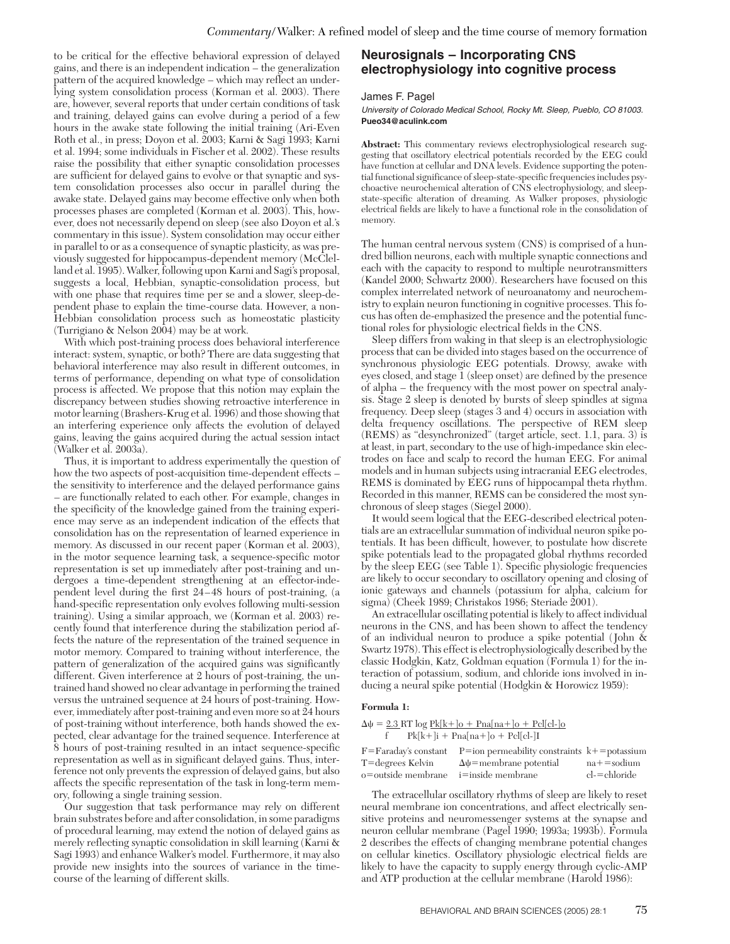to be critical for the effective behavioral expression of delayed gains, and there is an independent indication – the generalization pattern of the acquired knowledge – which may reflect an underlying system consolidation process (Korman et al. 2003). There are, however, several reports that under certain conditions of task and training, delayed gains can evolve during a period of a few hours in the awake state following the initial training (Ari-Even Roth et al., in press; Doyon et al. 2003; Karni & Sagi 1993; Karni et al. 1994; some individuals in Fischer et al. 2002). These results raise the possibility that either synaptic consolidation processes are sufficient for delayed gains to evolve or that synaptic and system consolidation processes also occur in parallel during the awake state. Delayed gains may become effective only when both processes phases are completed (Korman et al. 2003). This, however, does not necessarily depend on sleep (see also Doyon et al.'s commentary in this issue). System consolidation may occur either in parallel to or as a consequence of synaptic plasticity, as was previously suggested for hippocampus-dependent memory (McClelland et al. 1995). Walker, following upon Karni and Sagi's proposal, suggests a local, Hebbian, synaptic-consolidation process, but with one phase that requires time per se and a slower, sleep-dependent phase to explain the time-course data. However, a non-Hebbian consolidation process such as homeostatic plasticity (Turrigiano & Nelson 2004) may be at work.

With which post-training process does behavioral interference interact: system, synaptic, or both? There are data suggesting that behavioral interference may also result in different outcomes, in terms of performance, depending on what type of consolidation process is affected. We propose that this notion may explain the discrepancy between studies showing retroactive interference in motor learning (Brashers-Krug et al. 1996) and those showing that an interfering experience only affects the evolution of delayed gains, leaving the gains acquired during the actual session intact (Walker et al. 2003a).

Thus, it is important to address experimentally the question of how the two aspects of post-acquisition time-dependent effects – the sensitivity to interference and the delayed performance gains – are functionally related to each other. For example, changes in the specificity of the knowledge gained from the training experience may serve as an independent indication of the effects that consolidation has on the representation of learned experience in memory. As discussed in our recent paper (Korman et al. 2003), in the motor sequence learning task, a sequence-specific motor representation is set up immediately after post-training and undergoes a time-dependent strengthening at an effector-independent level during the first 24–48 hours of post-training, (a hand-specific representation only evolves following multi-session training). Using a similar approach, we (Korman et al. 2003) recently found that interference during the stabilization period affects the nature of the representation of the trained sequence in motor memory. Compared to training without interference, the pattern of generalization of the acquired gains was significantly different. Given interference at 2 hours of post-training, the untrained hand showed no clear advantage in performing the trained versus the untrained sequence at 24 hours of post-training. However, immediately after post-training and even more so at 24 hours of post-training without interference, both hands showed the expected, clear advantage for the trained sequence. Interference at 8 hours of post-training resulted in an intact sequence-specific representation as well as in significant delayed gains. Thus, interference not only prevents the expression of delayed gains, but also affects the specific representation of the task in long-term memory, following a single training session.

Our suggestion that task performance may rely on different brain substrates before and after consolidation, in some paradigms of procedural learning, may extend the notion of delayed gains as merely reflecting synaptic consolidation in skill learning (Karni & Sagi 1993) and enhance Walker's model. Furthermore, it may also provide new insights into the sources of variance in the timecourse of the learning of different skills.

## **Neurosignals – Incorporating CNS electrophysiology into cognitive process**

#### James F. Pagel

*University of Colorado Medical School, Rocky Mt. Sleep, Pueblo, CO 81003.* **Pueo34@aculink.com**

**Abstract:** This commentary reviews electrophysiological research suggesting that oscillatory electrical potentials recorded by the EEG could have function at cellular and DNA levels. Evidence supporting the potential functional significance of sleep-state-specific frequencies includes psychoactive neurochemical alteration of CNS electrophysiology, and sleepstate-specific alteration of dreaming. As Walker proposes, physiologic electrical fields are likely to have a functional role in the consolidation of memory.

The human central nervous system (CNS) is comprised of a hundred billion neurons, each with multiple synaptic connections and each with the capacity to respond to multiple neurotransmitters (Kandel 2000; Schwartz 2000). Researchers have focused on this complex interrelated network of neuroanatomy and neurochemistry to explain neuron functioning in cognitive processes. This focus has often de-emphasized the presence and the potential functional roles for physiologic electrical fields in the CNS.

Sleep differs from waking in that sleep is an electrophysiologic process that can be divided into stages based on the occurrence of synchronous physiologic EEG potentials. Drowsy, awake with eyes closed, and stage 1 (sleep onset) are defined by the presence of alpha – the frequency with the most power on spectral analysis. Stage 2 sleep is denoted by bursts of sleep spindles at sigma frequency. Deep sleep (stages 3 and 4) occurs in association with delta frequency oscillations. The perspective of REM sleep (REMS) as "desynchronized" (target article, sect. 1.1, para. 3) is at least, in part, secondary to the use of high-impedance skin electrodes on face and scalp to record the human EEG. For animal models and in human subjects using intracranial EEG electrodes, REMS is dominated by EEG runs of hippocampal theta rhythm. Recorded in this manner, REMS can be considered the most synchronous of sleep stages (Siegel 2000).

It would seem logical that the EEG-described electrical potentials are an extracellular summation of individual neuron spike potentials. It has been difficult, however, to postulate how discrete spike potentials lead to the propagated global rhythms recorded by the sleep EEG (see Table 1). Specific physiologic frequencies are likely to occur secondary to oscillatory opening and closing of ionic gateways and channels (potassium for alpha, calcium for sigma) (Cheek 1989; Christakos 1986; Steriade 2001).

An extracellular oscillating potential is likely to affect individual neurons in the CNS, and has been shown to affect the tendency of an individual neuron to produce a spike potential (John & Swartz 1978). This effect is electrophysiologically described by the classic Hodgkin, Katz, Goldman equation (Formula 1) for the interaction of potassium, sodium, and chloride ions involved in inducing a neural spike potential (Hodgkin & Horowicz 1959):

#### **Formula 1:**

| $\Delta \psi = 2.3 \text{ RT} \log \frac{Pk[k+]_0 + \text{Pna}[na+]_0 + \text{Pcl}[cl-]_0}{\text{P}k[k+]_0 + \text{Pna}[na+]_0 + \text{Pcl}[cl-]_0}$ |  |
|------------------------------------------------------------------------------------------------------------------------------------------------------|--|
| $Pk[k+]i + Pna[na+]o + Pel[cl-]I$                                                                                                                    |  |

| $F = F \text{araday's constant}$ | $P=$ ion permeability constraints $k+$ = potassium |                 |
|----------------------------------|----------------------------------------------------|-----------------|
| $T =$ degrees Kelvin             | $\Delta \psi$ =membrane potential                  | $na+=sodium$    |
| o=outside membrane               | i=inside membrane                                  | $cl =$ chloride |

The extracellular oscillatory rhythms of sleep are likely to reset neural membrane ion concentrations, and affect electrically sensitive proteins and neuromessenger systems at the synapse and neuron cellular membrane (Pagel 1990; 1993a; 1993b). Formula 2 describes the effects of changing membrane potential changes on cellular kinetics. Oscillatory physiologic electrical fields are likely to have the capacity to supply energy through cyclic-AMP and ATP production at the cellular membrane (Harold 1986):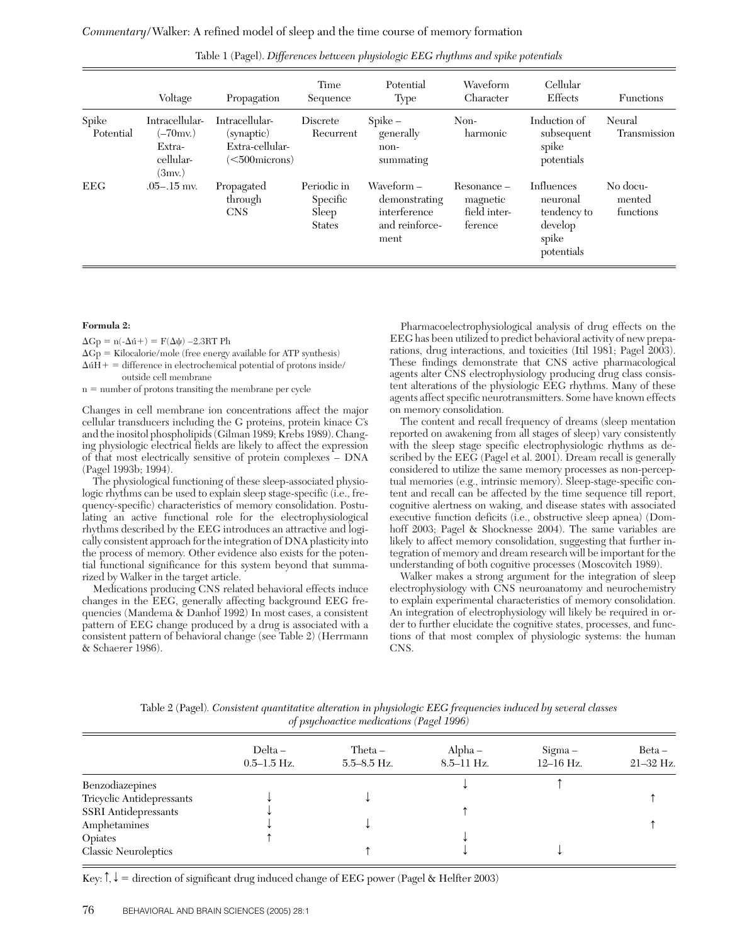|                    | Voltage                                                                | Propagation                                                                                   | Time<br>Sequence                                  | Potential<br>Type                                                     | Waveform<br>Character                              | Cellular<br>Effects                                                     | <b>Functions</b>                |
|--------------------|------------------------------------------------------------------------|-----------------------------------------------------------------------------------------------|---------------------------------------------------|-----------------------------------------------------------------------|----------------------------------------------------|-------------------------------------------------------------------------|---------------------------------|
| Spike<br>Potential | Intracellular-<br>$(-70$ mv.)<br>Extra-<br>cellular-<br>$(3{\rm mv.})$ | Intracellular-<br>(synaptic)<br>Extra-cellular-<br>$\left(<\frac{500}{\text{microns}}\right)$ | Discrete<br>Recurrent                             | $Spike-$<br>generally<br>non-<br>summating                            | Non-<br>harmonic                                   | Induction of<br>subsequent<br>spike<br>potentials                       | Neural<br>Transmission          |
| <b>EEG</b>         | $.05 - .15$ mv.                                                        | Propagated<br>through<br><b>CNS</b>                                                           | Periodic in<br>Specific<br>Sleep<br><b>States</b> | Waveform –<br>demonstrating<br>interference<br>and reinforce-<br>ment | Resonance –<br>magnetic<br>field inter-<br>ference | Influences<br>neuronal<br>tendency to<br>develop<br>spike<br>potentials | No docu-<br>mented<br>functions |

Table 1 (Pagel). *Differences between physiologic EEG rhythms and spike potentials*

#### **Formula 2:**

 $\Delta Gp = n(-\Delta \acute{u}+) = F(\Delta \psi) - 2.3RT Ph$ 

 $\Delta Gp$  = Kilocalorie/mole (free energy available for ATP synthesis)

 $\Delta$ úH + = difference in electrochemical potential of protons inside/ outside cell membrane

 $n =$  number of protons transiting the membrane per cycle

Changes in cell membrane ion concentrations affect the major cellular transducers including the G proteins, protein kinace C's and the inositol phospholipids (Gilman 1989; Krebs 1989). Changing physiologic electrical fields are likely to affect the expression of that most electrically sensitive of protein complexes – DNA (Pagel 1993b; 1994).

The physiological functioning of these sleep-associated physiologic rhythms can be used to explain sleep stage-specific (i.e., frequency-specific) characteristics of memory consolidation. Postulating an active functional role for the electrophysiological rhythms described by the EEG introduces an attractive and logically consistent approach for the integration of DNA plasticity into the process of memory. Other evidence also exists for the potential functional significance for this system beyond that summarized by Walker in the target article.

Medications producing CNS related behavioral effects induce changes in the EEG, generally affecting background EEG frequencies (Mandema & Danhof 1992) In most cases, a consistent pattern of EEG change produced by a drug is associated with a consistent pattern of behavioral change (see Table 2) (Herrmann & Schaerer 1986).

Pharmacoelectrophysiological analysis of drug effects on the EEG has been utilized to predict behavioral activity of new preparations, drug interactions, and toxicities (Itil 1981; Pagel 2003). These findings demonstrate that CNS active pharmacological agents alter CNS electrophysiology producing drug class consistent alterations of the physiologic EEG rhythms. Many of these agents affect specific neurotransmitters. Some have known effects on memory consolidation.

The content and recall frequency of dreams (sleep mentation reported on awakening from all stages of sleep) vary consistently with the sleep stage specific electrophysiologic rhythms as described by the EEG (Pagel et al. 2001). Dream recall is generally considered to utilize the same memory processes as non-perceptual memories (e.g., intrinsic memory). Sleep-stage-specific content and recall can be affected by the time sequence till report, cognitive alertness on waking, and disease states with associated executive function deficits (i.e., obstructive sleep apnea) (Domhoff 2003; Pagel & Shocknesse 2004). The same variables are likely to affect memory consolidation, suggesting that further integration of memory and dream research will be important for the understanding of both cognitive processes (Moscovitch 1989).

Walker makes a strong argument for the integration of sleep electrophysiology with CNS neuroanatomy and neurochemistry to explain experimental characteristics of memory consolidation. An integration of electrophysiology will likely be required in order to further elucidate the cognitive states, processes, and functions of that most complex of physiologic systems: the human CNS.

Table 2 (Pagel)*. Consistent quantitative alteration in physiologic EEG frequencies induced by several classes of psychoactive medications (Pagel 1996)*

|                             | Delta –<br>$0.5 - 1.5$ Hz. | $Theta -$<br>$5.5 - 8.5$ Hz. | $Alpha-$<br>$8.5 - 11$ Hz. | $Sigma -$<br>$12-16$ Hz. | Beta –<br>$21 - 32$ Hz. |
|-----------------------------|----------------------------|------------------------------|----------------------------|--------------------------|-------------------------|
| Benzodiazepines             |                            |                              |                            |                          |                         |
| Tricyclic Antidepressants   |                            |                              |                            |                          |                         |
| SSRI Antidepressants        |                            |                              |                            |                          |                         |
| Amphetamines                |                            |                              |                            |                          |                         |
| Opiates                     |                            |                              |                            |                          |                         |
| <b>Classic Neuroleptics</b> |                            |                              |                            |                          |                         |

Key:  $\hat{I}, \hat{I}$  = direction of significant drug induced change of EEG power (Pagel & Helfter 2003)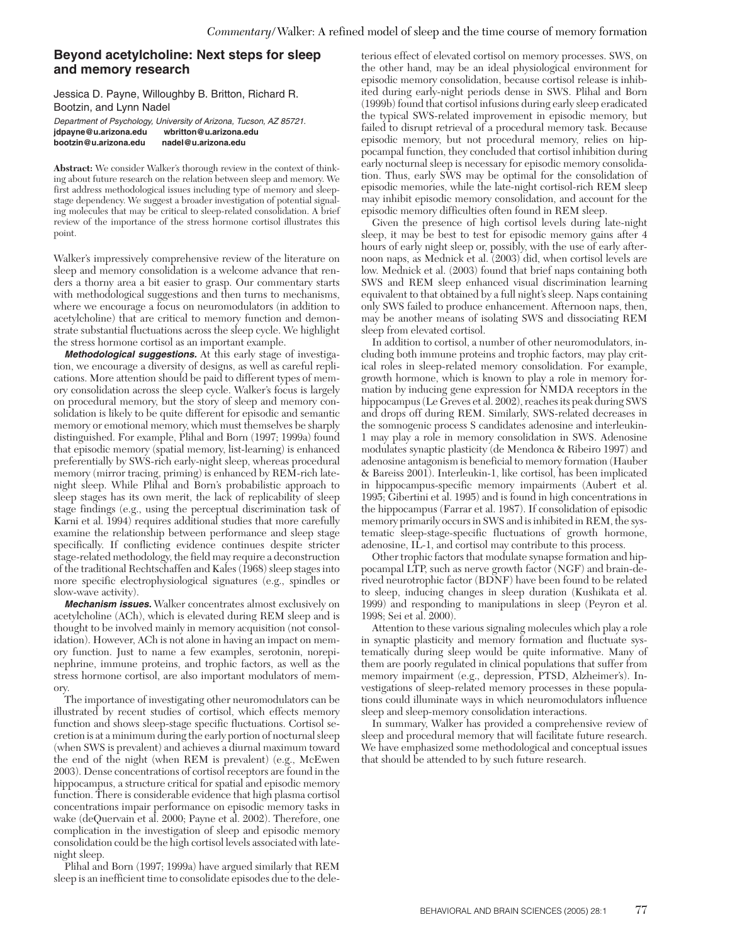## **Beyond acetylcholine: Next steps for sleep and memory research**

Jessica D. Payne, Willoughby B. Britton, Richard R. Bootzin, and Lynn Nadel

*Department of Psychology, University of Arizona, Tucson, AZ 85721.* **jdpayne@u.arizona.edu wbritton@u.arizona.edu bootzin@u.arizona.edu nadel@u.arizona.edu**

**Abstract:** We consider Walker's thorough review in the context of thinking about future research on the relation between sleep and memory. We first address methodological issues including type of memory and sleepstage dependency. We suggest a broader investigation of potential signaling molecules that may be critical to sleep-related consolidation. A brief review of the importance of the stress hormone cortisol illustrates this point.

Walker's impressively comprehensive review of the literature on sleep and memory consolidation is a welcome advance that renders a thorny area a bit easier to grasp. Our commentary starts with methodological suggestions and then turns to mechanisms, where we encourage a focus on neuromodulators (in addition to acetylcholine) that are critical to memory function and demonstrate substantial fluctuations across the sleep cycle. We highlight the stress hormone cortisol as an important example.

*Methodological suggestions.* At this early stage of investigation, we encourage a diversity of designs, as well as careful replications. More attention should be paid to different types of memory consolidation across the sleep cycle. Walker's focus is largely on procedural memory, but the story of sleep and memory consolidation is likely to be quite different for episodic and semantic memory or emotional memory, which must themselves be sharply distinguished. For example, Plihal and Born (1997; 1999a) found that episodic memory (spatial memory, list-learning) is enhanced preferentially by SWS-rich early-night sleep, whereas procedural memory (mirror tracing, priming) is enhanced by REM-rich latenight sleep. While Plihal and Born's probabilistic approach to sleep stages has its own merit, the lack of replicability of sleep stage findings (e.g., using the perceptual discrimination task of Karni et al. 1994) requires additional studies that more carefully examine the relationship between performance and sleep stage specifically. If conflicting evidence continues despite stricter stage-related methodology, the field may require a deconstruction of the traditional Rechtschaffen and Kales (1968) sleep stages into more specific electrophysiological signatures (e.g., spindles or slow-wave activity).

*Mechanism issues.* Walker concentrates almost exclusively on acetylcholine (ACh), which is elevated during REM sleep and is thought to be involved mainly in memory acquisition (not consolidation). However, ACh is not alone in having an impact on memory function. Just to name a few examples, serotonin, norepinephrine, immune proteins, and trophic factors, as well as the stress hormone cortisol, are also important modulators of memory.

The importance of investigating other neuromodulators can be illustrated by recent studies of cortisol, which effects memory function and shows sleep-stage specific fluctuations. Cortisol secretion is at a minimum during the early portion of nocturnal sleep (when SWS is prevalent) and achieves a diurnal maximum toward the end of the night (when REM is prevalent) (e.g., McEwen 2003). Dense concentrations of cortisol receptors are found in the hippocampus, a structure critical for spatial and episodic memory function. There is considerable evidence that high plasma cortisol concentrations impair performance on episodic memory tasks in wake (deQuervain et al. 2000; Payne et al. 2002). Therefore, one complication in the investigation of sleep and episodic memory consolidation could be the high cortisol levels associated with latenight sleep.

Plihal and Born (1997; 1999a) have argued similarly that REM sleep is an inefficient time to consolidate episodes due to the dele-

terious effect of elevated cortisol on memory processes. SWS, on the other hand, may be an ideal physiological environment for episodic memory consolidation, because cortisol release is inhibited during early-night periods dense in SWS. Plihal and Born (1999b) found that cortisol infusions during early sleep eradicated the typical SWS-related improvement in episodic memory, but failed to disrupt retrieval of a procedural memory task. Because episodic memory, but not procedural memory, relies on hippocampal function, they concluded that cortisol inhibition during early nocturnal sleep is necessary for episodic memory consolidation. Thus, early SWS may be optimal for the consolidation of episodic memories, while the late-night cortisol-rich REM sleep may inhibit episodic memory consolidation, and account for the episodic memory difficulties often found in REM sleep.

Given the presence of high cortisol levels during late-night sleep, it may be best to test for episodic memory gains after 4 hours of early night sleep or, possibly, with the use of early afternoon naps, as Mednick et al. (2003) did, when cortisol levels are low. Mednick et al. (2003) found that brief naps containing both SWS and REM sleep enhanced visual discrimination learning equivalent to that obtained by a full night's sleep. Naps containing only SWS failed to produce enhancement. Afternoon naps, then, may be another means of isolating SWS and dissociating REM sleep from elevated cortisol.

In addition to cortisol, a number of other neuromodulators, including both immune proteins and trophic factors, may play critical roles in sleep-related memory consolidation. For example, growth hormone, which is known to play a role in memory formation by inducing gene expression for NMDA receptors in the hippocampus (Le Greves et al. 2002), reaches its peak during SWS and drops off during REM. Similarly, SWS-related decreases in the somnogenic process S candidates adenosine and interleukin-1 may play a role in memory consolidation in SWS. Adenosine modulates synaptic plasticity (de Mendonca & Ribeiro 1997) and adenosine antagonism is beneficial to memory formation (Hauber & Bareiss 2001). Interleukin-1, like cortisol, has been implicated in hippocampus-specific memory impairments (Aubert et al. 1995; Gibertini et al. 1995) and is found in high concentrations in the hippocampus (Farrar et al. 1987). If consolidation of episodic memory primarily occurs in SWS and is inhibited in REM, the systematic sleep-stage-specific fluctuations of growth hormone, adenosine, IL-1, and cortisol may contribute to this process.

Other trophic factors that modulate synapse formation and hippocampal LTP, such as nerve growth factor (NGF) and brain-derived neurotrophic factor (BDNF) have been found to be related to sleep, inducing changes in sleep duration (Kushikata et al. 1999) and responding to manipulations in sleep (Peyron et al. 1998; Sei et al. 2000).

Attention to these various signaling molecules which play a role in synaptic plasticity and memory formation and fluctuate systematically during sleep would be quite informative. Many of them are poorly regulated in clinical populations that suffer from memory impairment (e.g., depression, PTSD, Alzheimer's). Investigations of sleep-related memory processes in these populations could illuminate ways in which neuromodulators influence sleep and sleep-memory consolidation interactions.

In summary, Walker has provided a comprehensive review of sleep and procedural memory that will facilitate future research. We have emphasized some methodological and conceptual issues that should be attended to by such future research.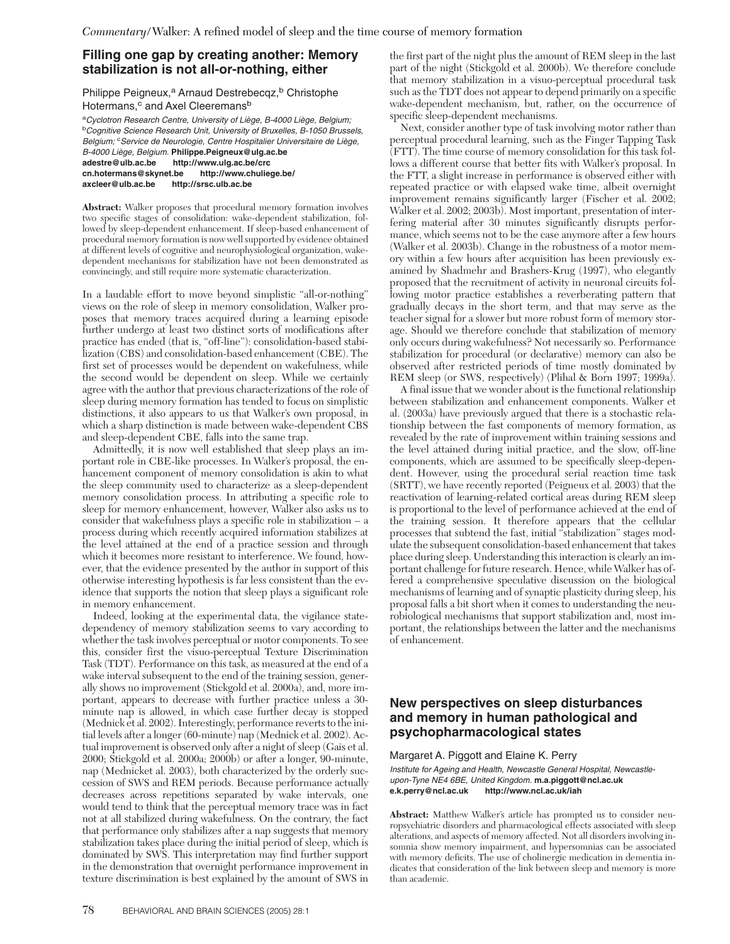## **Filling one gap by creating another: Memory stabilization is not all-or-nothing, either**

Philippe Peigneux,<sup>a</sup> Arnaud Destrebecqz,<sup>b</sup> Christophe Hotermans,<sup>c</sup> and Axel Cleeremans<sup>b</sup>

<sup>a</sup>*Cyclotron Research Centre, University of Liège, B-4000 Liège, Belgium;* <sup>b</sup>*Cognitive Science Research Unit, University of Bruxelles, B-1050 Brussels, Belgium;* c*Service de Neurologie, Centre Hospitalier Universitaire de Liège, B-4000 Liège, Belgium.* **Philippe.Peigneux@ulg.ac.be adestre@ulb.ac.be http://www.ulg.ac.be/crc cn.hotermans@skynet.be http://www.chuliege.be/ axcleer@ulb.ac.be http://srsc.ulb.ac.be**

**Abstract:** Walker proposes that procedural memory formation involves two specific stages of consolidation: wake-dependent stabilization, followed by sleep-dependent enhancement. If sleep-based enhancement of procedural memory formation is now well supported by evidence obtained at different levels of cognitive and neurophysiological organization, wakedependent mechanisms for stabilization have not been demonstrated as convincingly, and still require more systematic characterization.

In a laudable effort to move beyond simplistic "all-or-nothing" views on the role of sleep in memory consolidation, Walker proposes that memory traces acquired during a learning episode further undergo at least two distinct sorts of modifications after practice has ended (that is, "off-line"): consolidation-based stabilization (CBS) and consolidation-based enhancement (CBE). The first set of processes would be dependent on wakefulness, while the second would be dependent on sleep. While we certainly agree with the author that previous characterizations of the role of sleep during memory formation has tended to focus on simplistic distinctions, it also appears to us that Walker's own proposal, in which a sharp distinction is made between wake-dependent CBS and sleep-dependent CBE, falls into the same trap.

Admittedly, it is now well established that sleep plays an important role in CBE-like processes. In Walker's proposal, the enhancement component of memory consolidation is akin to what the sleep community used to characterize as a sleep-dependent memory consolidation process. In attributing a specific role to sleep for memory enhancement, however, Walker also asks us to consider that wakefulness plays a specific role in stabilization – a process during which recently acquired information stabilizes at the level attained at the end of a practice session and through which it becomes more resistant to interference. We found, however, that the evidence presented by the author in support of this otherwise interesting hypothesis is far less consistent than the evidence that supports the notion that sleep plays a significant role in memory enhancement.

Indeed, looking at the experimental data, the vigilance statedependency of memory stabilization seems to vary according to whether the task involves perceptual or motor components. To see this, consider first the visuo-perceptual Texture Discrimination Task (TDT). Performance on this task, as measured at the end of a wake interval subsequent to the end of the training session, generally shows no improvement (Stickgold et al. 2000a), and, more important, appears to decrease with further practice unless a 30 minute nap is allowed, in which case further decay is stopped (Mednick et al. 2002). Interestingly, performance reverts to the initial levels after a longer (60-minute) nap (Mednick et al. 2002). Actual improvement is observed only after a night of sleep (Gais et al. 2000; Stickgold et al. 2000a; 2000b) or after a longer, 90-minute, nap (Mednicket al. 2003), both characterized by the orderly succession of SWS and REM periods. Because performance actually decreases across repetitions separated by wake intervals, one would tend to think that the perceptual memory trace was in fact not at all stabilized during wakefulness. On the contrary, the fact that performance only stabilizes after a nap suggests that memory stabilization takes place during the initial period of sleep, which is dominated by SWS. This interpretation may find further support in the demonstration that overnight performance improvement in texture discrimination is best explained by the amount of SWS in the first part of the night plus the amount of REM sleep in the last part of the night (Stickgold et al. 2000b). We therefore conclude that memory stabilization in a visuo-perceptual procedural task such as the TDT does not appear to depend primarily on a specific wake-dependent mechanism, but, rather, on the occurrence of specific sleep-dependent mechanisms.

Next, consider another type of task involving motor rather than perceptual procedural learning, such as the Finger Tapping Task (FTT). The time course of memory consolidation for this task follows a different course that better fits with Walker's proposal. In the FTT, a slight increase in performance is observed either with repeated practice or with elapsed wake time, albeit overnight improvement remains significantly larger (Fischer et al. 2002; Walker et al. 2002; 2003b). Most important, presentation of interfering material after 30 minutes significantly disrupts performance, which seems not to be the case anymore after a few hours (Walker et al. 2003b). Change in the robustness of a motor memory within a few hours after acquisition has been previously examined by Shadmehr and Brashers-Krug (1997), who elegantly proposed that the recruitment of activity in neuronal circuits following motor practice establishes a reverberating pattern that gradually decays in the short term, and that may serve as the teacher signal for a slower but more robust form of memory storage. Should we therefore conclude that stabilization of memory only occurs during wakefulness? Not necessarily so. Performance stabilization for procedural (or declarative) memory can also be observed after restricted periods of time mostly dominated by REM sleep (or SWS, respectively) (Plihal & Born 1997; 1999a).

A final issue that we wonder about is the functional relationship between stabilization and enhancement components. Walker et al. (2003a) have previously argued that there is a stochastic relationship between the fast components of memory formation, as revealed by the rate of improvement within training sessions and the level attained during initial practice, and the slow, off-line components, which are assumed to be specifically sleep-dependent. However, using the procedural serial reaction time task (SRTT), we have recently reported (Peigneux et al. 2003) that the reactivation of learning-related cortical areas during REM sleep is proportional to the level of performance achieved at the end of the training session. It therefore appears that the cellular processes that subtend the fast, initial "stabilization" stages modulate the subsequent consolidation-based enhancement that takes place during sleep. Understanding this interaction is clearly an important challenge for future research. Hence, while Walker has offered a comprehensive speculative discussion on the biological mechanisms of learning and of synaptic plasticity during sleep, his proposal falls a bit short when it comes to understanding the neurobiological mechanisms that support stabilization and, most important, the relationships between the latter and the mechanisms of enhancement.

## **New perspectives on sleep disturbances and memory in human pathological and psychopharmacological states**

Margaret A. Piggott and Elaine K. Perry

*Institute for Ageing and Health, Newcastle General Hospital, Newcastleupon-Tyne NE4 6BE, United Kingdom.* **m.a.piggott@ncl.ac.uk e.k.perry@ncl.ac.uk http://www.ncl.ac.uk/iah**

**Abstract:** Matthew Walker's article has prompted us to consider neuropsychiatric disorders and pharmacological effects associated with sleep alterations, and aspects of memory affected. Not all disorders involving insomnia show memory impairment, and hypersomnias can be associated with memory deficits. The use of cholinergic medication in dementia indicates that consideration of the link between sleep and memory is more than academic.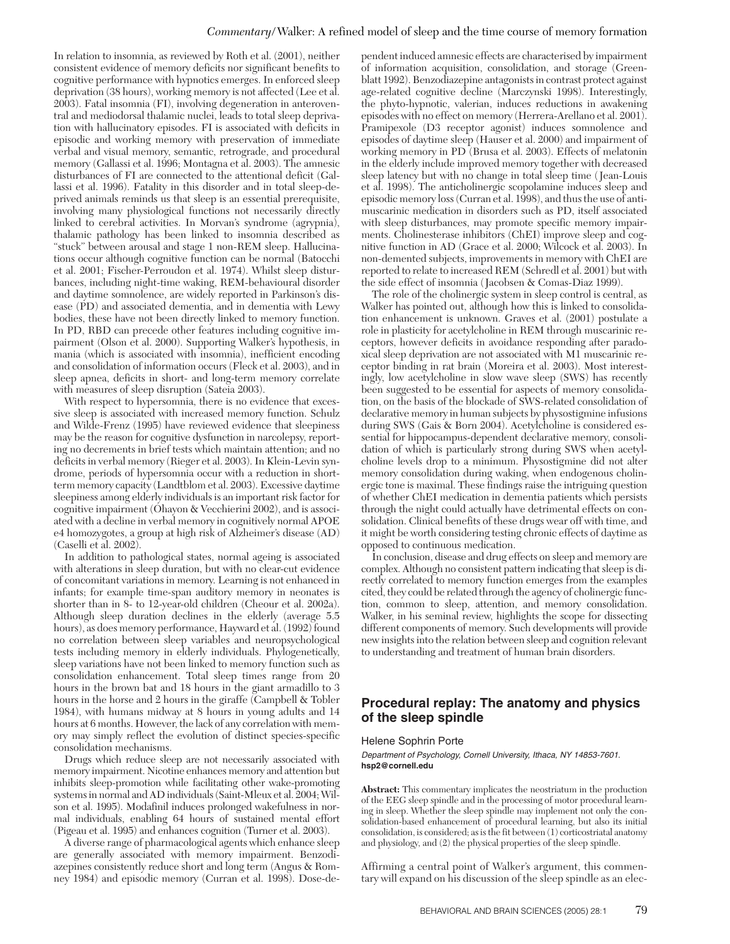In relation to insomnia, as reviewed by Roth et al. (2001), neither consistent evidence of memory deficits nor significant benefits to cognitive performance with hypnotics emerges. In enforced sleep deprivation (38 hours), working memory is not affected (Lee et al. 2003). Fatal insomnia (FI), involving degeneration in anteroventral and mediodorsal thalamic nuclei, leads to total sleep deprivation with hallucinatory episodes. FI is associated with deficits in episodic and working memory with preservation of immediate verbal and visual memory, semantic, retrograde, and procedural memory (Gallassi et al. 1996; Montagna et al. 2003). The amnesic disturbances of FI are connected to the attentional deficit (Gallassi et al. 1996). Fatality in this disorder and in total sleep-deprived animals reminds us that sleep is an essential prerequisite, involving many physiological functions not necessarily directly linked to cerebral activities. In Morvan's syndrome (agrypnia), thalamic pathology has been linked to insomnia described as "stuck" between arousal and stage 1 non-REM sleep. Hallucinations occur although cognitive function can be normal (Batocchi et al. 2001; Fischer-Perroudon et al. 1974). Whilst sleep disturbances, including night-time waking, REM-behavioural disorder and daytime somnolence, are widely reported in Parkinson's disease (PD) and associated dementia, and in dementia with Lewy bodies, these have not been directly linked to memory function. In PD, RBD can precede other features including cognitive impairment (Olson et al. 2000). Supporting Walker's hypothesis, in mania (which is associated with insomnia), inefficient encoding and consolidation of information occurs (Fleck et al. 2003), and in sleep apnea, deficits in short- and long-term memory correlate with measures of sleep disruption (Sateia 2003).

With respect to hypersomnia, there is no evidence that excessive sleep is associated with increased memory function. Schulz and Wilde-Frenz (1995) have reviewed evidence that sleepiness may be the reason for cognitive dysfunction in narcolepsy, reporting no decrements in brief tests which maintain attention; and no deficits in verbal memory (Rieger et al. 2003). In Klein-Levin syndrome, periods of hypersomnia occur with a reduction in shortterm memory capacity (Landtblom et al. 2003). Excessive daytime sleepiness among elderly individuals is an important risk factor for cognitive impairment (Ohayon & Vecchierini 2002), and is associated with a decline in verbal memory in cognitively normal APOE e4 homozygotes, a group at high risk of Alzheimer's disease (AD) (Caselli et al. 2002).

In addition to pathological states, normal ageing is associated with alterations in sleep duration, but with no clear-cut evidence of concomitant variations in memory. Learning is not enhanced in infants; for example time-span auditory memory in neonates is shorter than in 8- to 12-year-old children (Cheour et al. 2002a). Although sleep duration declines in the elderly (average 5.5 hours), as does memory performance, Hayward et al. (1992) found no correlation between sleep variables and neuropsychological tests including memory in elderly individuals. Phylogenetically, sleep variations have not been linked to memory function such as consolidation enhancement. Total sleep times range from 20 hours in the brown bat and 18 hours in the giant armadillo to 3 hours in the horse and 2 hours in the giraffe (Campbell & Tobler 1984), with humans midway at 8 hours in young adults and 14 hours at 6 months. However, the lack of any correlation with memory may simply reflect the evolution of distinct species-specific consolidation mechanisms.

Drugs which reduce sleep are not necessarily associated with memory impairment. Nicotine enhances memory and attention but inhibits sleep-promotion while facilitating other wake-promoting systems in normal and AD individuals (Saint-Mleux et al. 2004; Wilson et al. 1995). Modafinil induces prolonged wakefulness in normal individuals, enabling 64 hours of sustained mental effort (Pigeau et al. 1995) and enhances cognition (Turner et al. 2003).

A diverse range of pharmacological agents which enhance sleep are generally associated with memory impairment. Benzodiazepines consistently reduce short and long term (Angus & Romney 1984) and episodic memory (Curran et al. 1998). Dose-de-

pendent induced amnesic effects are characterised by impairment of information acquisition, consolidation, and storage (Greenblatt 1992). Benzodiazepine antagonists in contrast protect against age-related cognitive decline (Marczynski 1998). Interestingly, the phyto-hypnotic, valerian, induces reductions in awakening episodes with no effect on memory (Herrera-Arellano et al. 2001). Pramipexole (D3 receptor agonist) induces somnolence and episodes of daytime sleep (Hauser et al. 2000) and impairment of working memory in PD (Brusa et al. 2003). Effects of melatonin in the elderly include improved memory together with decreased sleep latency but with no change in total sleep time (Jean-Louis et al. 1998). The anticholinergic scopolamine induces sleep and episodic memory loss (Curran et al. 1998), and thus the use of antimuscarinic medication in disorders such as PD, itself associated with sleep disturbances, may promote specific memory impairments. Cholinesterase inhibitors (ChEI) improve sleep and cognitive function in AD (Grace et al. 2000; Wilcock et al. 2003). In non-demented subjects, improvements in memory with ChEI are reported to relate to increased REM (Schredl et al. 2001) but with the side effect of insomnia (Jacobsen & Comas-Diaz 1999).

The role of the cholinergic system in sleep control is central, as Walker has pointed out, although how this is linked to consolidation enhancement is unknown. Graves et al. (2001) postulate a role in plasticity for acetylcholine in REM through muscarinic receptors, however deficits in avoidance responding after paradoxical sleep deprivation are not associated with M1 muscarinic receptor binding in rat brain (Moreira et al. 2003). Most interestingly, low acetylcholine in slow wave sleep (SWS) has recently been suggested to be essential for aspects of memory consolidation, on the basis of the blockade of SWS-related consolidation of declarative memory in human subjects by physostigmine infusions during SWS (Gais & Born 2004). Acetylcholine is considered essential for hippocampus-dependent declarative memory, consolidation of which is particularly strong during SWS when acetylcholine levels drop to a minimum. Physostigmine did not alter memory consolidation during waking, when endogenous cholinergic tone is maximal. These findings raise the intriguing question of whether ChEI medication in dementia patients which persists through the night could actually have detrimental effects on consolidation. Clinical benefits of these drugs wear off with time, and it might be worth considering testing chronic effects of daytime as opposed to continuous medication.

In conclusion, disease and drug effects on sleep and memory are complex. Although no consistent pattern indicating that sleep is directly correlated to memory function emerges from the examples cited, they could be related through the agency of cholinergic function, common to sleep, attention, and memory consolidation. Walker, in his seminal review, highlights the scope for dissecting different components of memory. Such developments will provide new insights into the relation between sleep and cognition relevant to understanding and treatment of human brain disorders.

## **Procedural replay: The anatomy and physics of the sleep spindle**

#### Helene Sophrin Porte

*Department of Psychology, Cornell University, Ithaca, NY 14853-7601.* **hsp2@cornell.edu**

**Abstract:** This commentary implicates the neostriatum in the production of the EEG sleep spindle and in the processing of motor procedural learning in sleep. Whether the sleep spindle may implement not only the consolidation-based enhancement of procedural learning, but also its initial consolidation, is considered; as is the fit between (1) corticostriatal anatomy and physiology, and (2) the physical properties of the sleep spindle.

Affirming a central point of Walker's argument, this commentary will expand on his discussion of the sleep spindle as an elec-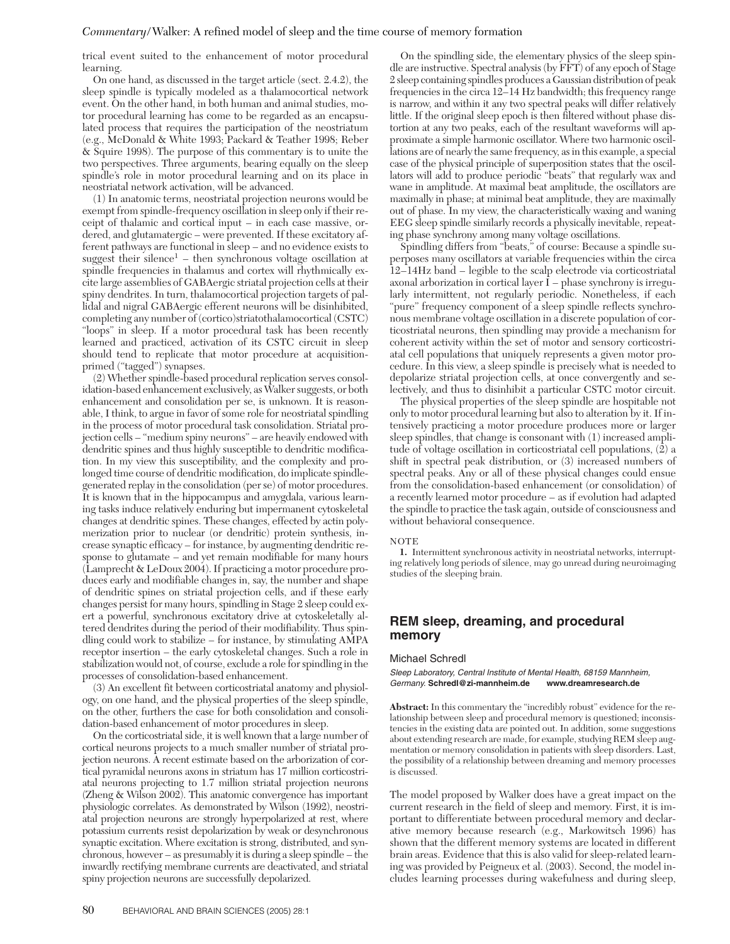trical event suited to the enhancement of motor procedural learning.

On one hand, as discussed in the target article (sect. 2.4.2), the sleep spindle is typically modeled as a thalamocortical network event. On the other hand, in both human and animal studies, motor procedural learning has come to be regarded as an encapsulated process that requires the participation of the neostriatum (e.g., McDonald & White 1993; Packard & Teather 1998; Reber & Squire 1998). The purpose of this commentary is to unite the two perspectives. Three arguments, bearing equally on the sleep spindle's role in motor procedural learning and on its place in neostriatal network activation, will be advanced.

(1) In anatomic terms, neostriatal projection neurons would be exempt from spindle-frequency oscillation in sleep only if their receipt of thalamic and cortical input – in each case massive, ordered, and glutamatergic – were prevented. If these excitatory afferent pathways are functional in sleep – and no evidence exists to suggest their silence<sup>1</sup> – then synchronous voltage oscillation at spindle frequencies in thalamus and cortex will rhythmically excite large assemblies of GABAergic striatal projection cells at their spiny dendrites. In turn, thalamocortical projection targets of pallidal and nigral GABAergic efferent neurons will be disinhibited, completing any number of (cortico)striatothalamocortical (CSTC) "loops" in sleep. If a motor procedural task has been recently learned and practiced, activation of its CSTC circuit in sleep should tend to replicate that motor procedure at acquisitionprimed ("tagged") synapses.

(2) Whether spindle-based procedural replication serves consolidation-based enhancement exclusively, as Walker suggests, or both enhancement and consolidation per se, is unknown. It is reasonable, I think, to argue in favor of some role for neostriatal spindling in the process of motor procedural task consolidation. Striatal projection cells – "medium spiny neurons" – are heavily endowed with dendritic spines and thus highly susceptible to dendritic modification. In my view this susceptibility, and the complexity and prolonged time course of dendritic modification, do implicate spindlegenerated replay in the consolidation (per se) of motor procedures. It is known that in the hippocampus and amygdala, various learning tasks induce relatively enduring but impermanent cytoskeletal changes at dendritic spines. These changes, effected by actin polymerization prior to nuclear (or dendritic) protein synthesis, increase synaptic efficacy – for instance, by augmenting dendritic response to glutamate – and yet remain modifiable for many hours (Lamprecht & LeDoux 2004). If practicing a motor procedure produces early and modifiable changes in, say, the number and shape of dendritic spines on striatal projection cells, and if these early changes persist for many hours, spindling in Stage 2 sleep could exert a powerful, synchronous excitatory drive at cytoskeletally altered dendrites during the period of their modifiability. Thus spindling could work to stabilize – for instance, by stimulating AMPA receptor insertion – the early cytoskeletal changes. Such a role in stabilization would not, of course, exclude a role for spindling in the processes of consolidation-based enhancement.

(3) An excellent fit between corticostriatal anatomy and physiology, on one hand, and the physical properties of the sleep spindle, on the other, furthers the case for both consolidation and consolidation-based enhancement of motor procedures in sleep.

On the corticostriatal side, it is well known that a large number of cortical neurons projects to a much smaller number of striatal projection neurons. A recent estimate based on the arborization of cortical pyramidal neurons axons in striatum has 17 million corticostriatal neurons projecting to 1.7 million striatal projection neurons (Zheng & Wilson 2002). This anatomic convergence has important physiologic correlates. As demonstrated by Wilson (1992), neostriatal projection neurons are strongly hyperpolarized at rest, where potassium currents resist depolarization by weak or desynchronous synaptic excitation. Where excitation is strong, distributed, and synchronous, however – as presumably it is during a sleep spindle – the inwardly rectifying membrane currents are deactivated, and striatal spiny projection neurons are successfully depolarized.

On the spindling side, the elementary physics of the sleep spindle are instructive. Spectral analysis (by FFT) of any epoch of Stage 2 sleep containing spindles produces a Gaussian distribution of peak frequencies in the circa 12–14 Hz bandwidth; this frequency range is narrow, and within it any two spectral peaks will differ relatively little. If the original sleep epoch is then filtered without phase distortion at any two peaks, each of the resultant waveforms will approximate a simple harmonic oscillator. Where two harmonic oscillations are of nearly the same frequency, as in this example, a special case of the physical principle of superposition states that the oscillators will add to produce periodic "beats" that regularly wax and wane in amplitude. At maximal beat amplitude, the oscillators are maximally in phase; at minimal beat amplitude, they are maximally out of phase. In my view, the characteristically waxing and waning EEG sleep spindle similarly records a physically inevitable, repeating phase synchrony among many voltage oscillations.

Spindling differs from "beats," of course: Because a spindle superposes many oscillators at variable frequencies within the circa 12–14Hz band – legible to the scalp electrode via corticostriatal axonal arborization in cortical layer I – phase synchrony is irregularly intermittent, not regularly periodic. Nonetheless, if each "pure" frequency component of a sleep spindle reflects synchronous membrane voltage oscillation in a discrete population of corticostriatal neurons, then spindling may provide a mechanism for coherent activity within the set of motor and sensory corticostriatal cell populations that uniquely represents a given motor procedure. In this view, a sleep spindle is precisely what is needed to depolarize striatal projection cells, at once convergently and selectively, and thus to disinhibit a particular CSTC motor circuit.

The physical properties of the sleep spindle are hospitable not only to motor procedural learning but also to alteration by it. If intensively practicing a motor procedure produces more or larger sleep spindles, that change is consonant with (1) increased amplitude of voltage oscillation in corticostriatal cell populations, (2) a shift in spectral peak distribution, or (3) increased numbers of spectral peaks. Any or all of these physical changes could ensue from the consolidation-based enhancement (or consolidation) of a recently learned motor procedure – as if evolution had adapted the spindle to practice the task again, outside of consciousness and without behavioral consequence.

#### **NOTE**

**1.** Intermittent synchronous activity in neostriatal networks, interrupting relatively long periods of silence, may go unread during neuroimaging studies of the sleeping brain.

## **REM sleep, dreaming, and procedural memory**

#### Michael Schredl

*Sleep Laboratory, Central Institute of Mental Health, 68159 Mannheim, Germany.* **Schredl@zi-mannheim.de www.dreamresearch.de**

**Abstract:** In this commentary the "incredibly robust" evidence for the relationship between sleep and procedural memory is questioned; inconsistencies in the existing data are pointed out. In addition, some suggestions about extending research are made, for example, studying REM sleep augmentation or memory consolidation in patients with sleep disorders. Last, the possibility of a relationship between dreaming and memory processes is discussed.

The model proposed by Walker does have a great impact on the current research in the field of sleep and memory. First, it is important to differentiate between procedural memory and declarative memory because research (e.g., Markowitsch 1996) has shown that the different memory systems are located in different brain areas. Evidence that this is also valid for sleep-related learning was provided by Peigneux et al. (2003). Second, the model includes learning processes during wakefulness and during sleep,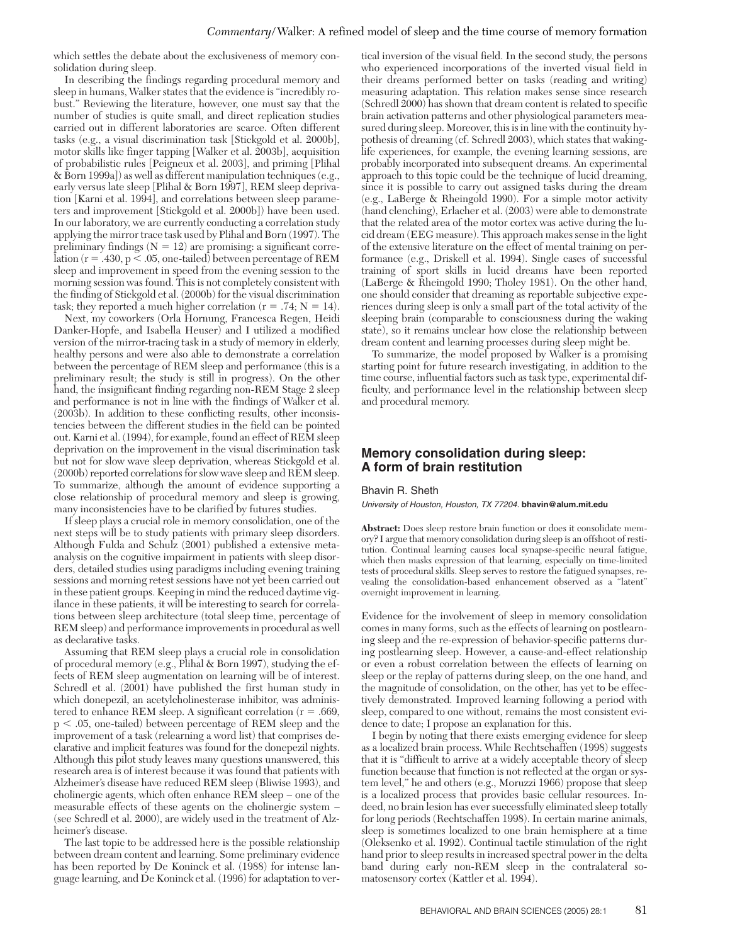which settles the debate about the exclusiveness of memory consolidation during sleep.

In describing the findings regarding procedural memory and sleep in humans, Walker states that the evidence is "incredibly robust." Reviewing the literature, however, one must say that the number of studies is quite small, and direct replication studies carried out in different laboratories are scarce. Often different tasks (e.g., a visual discrimination task [Stickgold et al. 2000b], motor skills like finger tapping [Walker et al. 2003b], acquisition of probabilistic rules [Peigneux et al. 2003], and priming [Plihal & Born 1999a]) as well as different manipulation techniques (e.g., early versus late sleep [Plihal & Born 1997], REM sleep deprivation [Karni et al. 1994], and correlations between sleep parameters and improvement [Stickgold et al. 2000b]) have been used. In our laboratory, we are currently conducting a correlation study applying the mirror trace task used by Plihal and Born (1997). The preliminary findings  $(N = 12)$  are promising: a significant correlation ( $r = .430$ ,  $p < .05$ , one-tailed) between percentage of REM sleep and improvement in speed from the evening session to the morning session was found. This is not completely consistent with the finding of Stickgold et al. (2000b) for the visual discrimination task; they reported a much higher correlation ( $r = .74$ ;  $N = 14$ ).

Next, my coworkers (Orla Hornung, Francesca Regen, Heidi Danker-Hopfe, and Isabella Heuser) and I utilized a modified version of the mirror-tracing task in a study of memory in elderly, healthy persons and were also able to demonstrate a correlation between the percentage of REM sleep and performance (this is a preliminary result; the study is still in progress). On the other hand, the insignificant finding regarding non-REM Stage 2 sleep and performance is not in line with the findings of Walker et al. (2003b). In addition to these conflicting results, other inconsistencies between the different studies in the field can be pointed out. Karni et al. (1994), for example, found an effect of REM sleep deprivation on the improvement in the visual discrimination task but not for slow wave sleep deprivation, whereas Stickgold et al. (2000b) reported correlations for slow wave sleep and REM sleep. To summarize, although the amount of evidence supporting a close relationship of procedural memory and sleep is growing, many inconsistencies have to be clarified by futures studies.

If sleep plays a crucial role in memory consolidation, one of the next steps will be to study patients with primary sleep disorders. Although Fulda and Schulz (2001) published a extensive metaanalysis on the cognitive impairment in patients with sleep disorders, detailed studies using paradigms including evening training sessions and morning retest sessions have not yet been carried out in these patient groups. Keeping in mind the reduced daytime vigilance in these patients, it will be interesting to search for correlations between sleep architecture (total sleep time, percentage of REM sleep) and performance improvements in procedural as well as declarative tasks.

Assuming that REM sleep plays a crucial role in consolidation of procedural memory (e.g., Plihal & Born 1997), studying the effects of REM sleep augmentation on learning will be of interest. Schredl et al. (2001) have published the first human study in which donepezil, an acetylcholinesterase inhibitor, was administered to enhance REM sleep. A significant correlation  $(r = .669, )$ p < .05, one-tailed) between percentage of REM sleep and the improvement of a task (relearning a word list) that comprises declarative and implicit features was found for the donepezil nights. Although this pilot study leaves many questions unanswered, this research area is of interest because it was found that patients with Alzheimer's disease have reduced REM sleep (Bliwise 1993), and cholinergic agents, which often enhance REM sleep – one of the measurable effects of these agents on the cholinergic system – (see Schredl et al. 2000), are widely used in the treatment of Alzheimer's disease.

The last topic to be addressed here is the possible relationship between dream content and learning. Some preliminary evidence has been reported by De Koninck et al. (1988) for intense language learning, and De Koninck et al. (1996) for adaptation to ver-

tical inversion of the visual field. In the second study, the persons who experienced incorporations of the inverted visual field in their dreams performed better on tasks (reading and writing) measuring adaptation. This relation makes sense since research (Schredl 2000) has shown that dream content is related to specific brain activation patterns and other physiological parameters measured during sleep. Moreover, this is in line with the continuity hypothesis of dreaming (cf. Schredl 2003), which states that wakinglife experiences, for example, the evening learning sessions, are probably incorporated into subsequent dreams. An experimental approach to this topic could be the technique of lucid dreaming, since it is possible to carry out assigned tasks during the dream (e.g., LaBerge & Rheingold 1990). For a simple motor activity (hand clenching), Erlacher et al. (2003) were able to demonstrate that the related area of the motor cortex was active during the lucid dream (EEG measure). This approach makes sense in the light of the extensive literature on the effect of mental training on performance (e.g., Driskell et al. 1994). Single cases of successful training of sport skills in lucid dreams have been reported (LaBerge & Rheingold 1990; Tholey 1981). On the other hand, one should consider that dreaming as reportable subjective experiences during sleep is only a small part of the total activity of the sleeping brain (comparable to consciousness during the waking state), so it remains unclear how close the relationship between dream content and learning processes during sleep might be.

To summarize, the model proposed by Walker is a promising starting point for future research investigating, in addition to the time course, influential factors such as task type, experimental difficulty, and performance level in the relationship between sleep and procedural memory.

## **Memory consolidation during sleep: A form of brain restitution**

#### Bhavin R. Sheth

*University of Houston, Houston, TX 77204.* **bhavin@alum.mit.edu**

**Abstract:** Does sleep restore brain function or does it consolidate memory? I argue that memory consolidation during sleep is an offshoot of restitution. Continual learning causes local synapse-specific neural fatigue, which then masks expression of that learning, especially on time-limited tests of procedural skills. Sleep serves to restore the fatigued synapses, revealing the consolidation-based enhancement observed as a "latent" overnight improvement in learning.

Evidence for the involvement of sleep in memory consolidation comes in many forms, such as the effects of learning on postlearning sleep and the re-expression of behavior-specific patterns during postlearning sleep. However, a cause-and-effect relationship or even a robust correlation between the effects of learning on sleep or the replay of patterns during sleep, on the one hand, and the magnitude of consolidation, on the other, has yet to be effectively demonstrated. Improved learning following a period with sleep, compared to one without, remains the most consistent evidence to date; I propose an explanation for this.

I begin by noting that there exists emerging evidence for sleep as a localized brain process. While Rechtschaffen (1998) suggests that it is "difficult to arrive at a widely acceptable theory of sleep function because that function is not reflected at the organ or system level," he and others (e.g., Moruzzi 1966) propose that sleep is a localized process that provides basic cellular resources. Indeed, no brain lesion has ever successfully eliminated sleep totally for long periods (Rechtschaffen 1998). In certain marine animals, sleep is sometimes localized to one brain hemisphere at a time (Oleksenko et al. 1992). Continual tactile stimulation of the right hand prior to sleep results in increased spectral power in the delta band during early non-REM sleep in the contralateral somatosensory cortex (Kattler et al. 1994).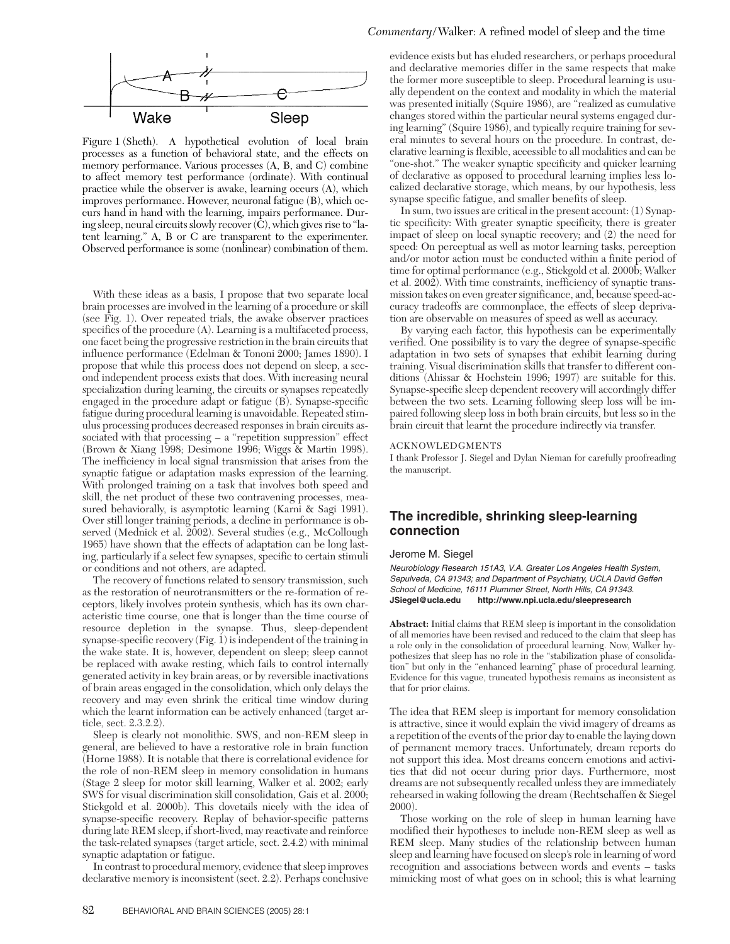

Figure 1 (Sheth). A hypothetical evolution of local brain processes as a function of behavioral state, and the effects on memory performance. Various processes (A, B, and C) combine to affect memory test performance (ordinate). With continual practice while the observer is awake, learning occurs (A), which improves performance. However, neuronal fatigue (B), which occurs hand in hand with the learning, impairs performance. During sleep, neural circuits slowly recover (C), which gives rise to "latent learning." A, B or C are transparent to the experimenter. Observed performance is some (nonlinear) combination of them.

With these ideas as a basis, I propose that two separate local brain processes are involved in the learning of a procedure or skill (see Fig. 1). Over repeated trials, the awake observer practices specifics of the procedure (A). Learning is a multifaceted process, one facet being the progressive restriction in the brain circuits that influence performance (Edelman & Tononi 2000; James 1890). I propose that while this process does not depend on sleep, a second independent process exists that does. With increasing neural specialization during learning, the circuits or synapses repeatedly engaged in the procedure adapt or fatigue (B). Synapse-specific fatigue during procedural learning is unavoidable. Repeated stimulus processing produces decreased responses in brain circuits associated with that processing – a "repetition suppression" effect (Brown & Xiang 1998; Desimone 1996; Wiggs & Martin 1998). The inefficiency in local signal transmission that arises from the synaptic fatigue or adaptation masks expression of the learning. With prolonged training on a task that involves both speed and skill, the net product of these two contravening processes, measured behaviorally, is asymptotic learning (Karni & Sagi 1991). Over still longer training periods, a decline in performance is observed (Mednick et al. 2002). Several studies (e.g., McCollough 1965) have shown that the effects of adaptation can be long lasting, particularly if a select few synapses, specific to certain stimuli or conditions and not others, are adapted.

The recovery of functions related to sensory transmission, such as the restoration of neurotransmitters or the re-formation of receptors, likely involves protein synthesis, which has its own characteristic time course, one that is longer than the time course of resource depletion in the synapse. Thus, sleep-dependent synapse-specific recovery (Fig. 1) is independent of the training in the wake state. It is, however, dependent on sleep; sleep cannot be replaced with awake resting, which fails to control internally generated activity in key brain areas, or by reversible inactivations of brain areas engaged in the consolidation, which only delays the recovery and may even shrink the critical time window during which the learnt information can be actively enhanced (target article, sect. 2.3.2.2).

Sleep is clearly not monolithic. SWS, and non-REM sleep in general, are believed to have a restorative role in brain function (Horne 1988). It is notable that there is correlational evidence for the role of non-REM sleep in memory consolidation in humans (Stage 2 sleep for motor skill learning, Walker et al. 2002; early SWS for visual discrimination skill consolidation, Gais et al. 2000; Stickgold et al. 2000b). This dovetails nicely with the idea of synapse-specific recovery. Replay of behavior-specific patterns during late REM sleep, if short-lived, may reactivate and reinforce the task-related synapses (target article, sect. 2.4.2) with minimal synaptic adaptation or fatigue.

In contrast to procedural memory, evidence that sleep improves declarative memory is inconsistent (sect. 2.2). Perhaps conclusive

## *Commentary*/ Walker: A refined model of sleep and the time

evidence exists but has eluded researchers, or perhaps procedural and declarative memories differ in the same respects that make the former more susceptible to sleep. Procedural learning is usually dependent on the context and modality in which the material was presented initially (Squire 1986), are "realized as cumulative changes stored within the particular neural systems engaged during learning" (Squire 1986), and typically require training for several minutes to several hours on the procedure. In contrast, declarative learning is flexible, accessible to all modalities and can be "one-shot." The weaker synaptic specificity and quicker learning of declarative as opposed to procedural learning implies less localized declarative storage, which means, by our hypothesis, less synapse specific fatigue, and smaller benefits of sleep.

In sum, two issues are critical in the present account: (1) Synaptic specificity: With greater synaptic specificity, there is greater impact of sleep on local synaptic recovery; and (2) the need for speed: On perceptual as well as motor learning tasks, perception and/or motor action must be conducted within a finite period of time for optimal performance (e.g., Stickgold et al. 2000b; Walker et al. 2002). With time constraints, inefficiency of synaptic transmission takes on even greater significance, and, because speed-accuracy tradeoffs are commonplace, the effects of sleep deprivation are observable on measures of speed as well as accuracy.

By varying each factor, this hypothesis can be experimentally verified. One possibility is to vary the degree of synapse-specific adaptation in two sets of synapses that exhibit learning during training. Visual discrimination skills that transfer to different conditions (Ahissar & Hochstein 1996; 1997) are suitable for this. Synapse-specific sleep dependent recovery will accordingly differ between the two sets. Learning following sleep loss will be impaired following sleep loss in both brain circuits, but less so in the brain circuit that learnt the procedure indirectly via transfer.

#### ACKNOWLEDGMENTS

I thank Professor J. Siegel and Dylan Nieman for carefully proofreading the manuscript.

## **The incredible, shrinking sleep-learning connection**

#### Jerome M. Siegel

*Neurobiology Research 151A3, V.A. Greater Los Angeles Health System, Sepulveda, CA 91343; and Department of Psychiatry, UCLA David Geffen School of Medicine, 16111 Plummer Street, North Hills, CA 91343.* **JSiegel@ucla.edu http://www.npi.ucla.edu/sleepresearch**

**Abstract:** Initial claims that REM sleep is important in the consolidation of all memories have been revised and reduced to the claim that sleep has a role only in the consolidation of procedural learning. Now, Walker hypothesizes that sleep has no role in the "stabilization phase of consolidation" but only in the "enhanced learning" phase of procedural learning. Evidence for this vague, truncated hypothesis remains as inconsistent as that for prior claims.

The idea that REM sleep is important for memory consolidation is attractive, since it would explain the vivid imagery of dreams as a repetition of the events of the prior day to enable the laying down of permanent memory traces. Unfortunately, dream reports do not support this idea. Most dreams concern emotions and activities that did not occur during prior days. Furthermore, most dreams are not subsequently recalled unless they are immediately rehearsed in waking following the dream (Rechtschaffen & Siegel 2000).

Those working on the role of sleep in human learning have modified their hypotheses to include non-REM sleep as well as REM sleep. Many studies of the relationship between human sleep and learning have focused on sleep's role in learning of word recognition and associations between words and events – tasks mimicking most of what goes on in school; this is what learning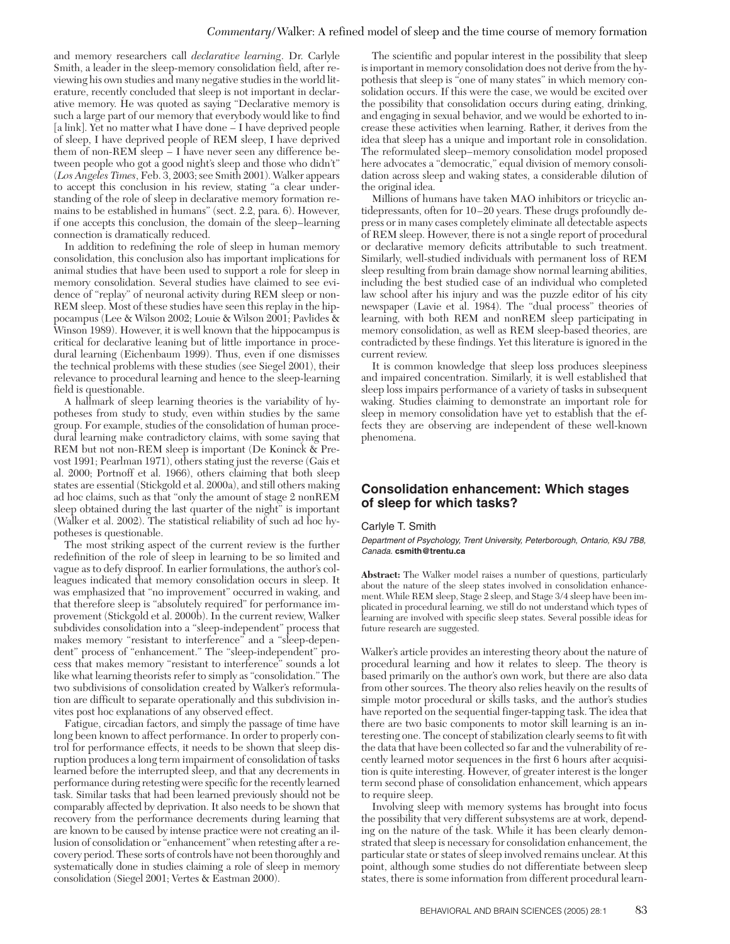and memory researchers call *declarative learning*. Dr. Carlyle Smith, a leader in the sleep-memory consolidation field, after reviewing his own studies and many negative studies in the world literature, recently concluded that sleep is not important in declarative memory. He was quoted as saying "Declarative memory is such a large part of our memory that everybody would like to find [a link]. Yet no matter what I have done – I have deprived people of sleep, I have deprived people of REM sleep, I have deprived them of non-REM sleep – I have never seen any difference between people who got a good night's sleep and those who didn't" (*Los Angeles Times*, Feb. 3, 2003; see Smith 2001). Walker appears to accept this conclusion in his review, stating "a clear understanding of the role of sleep in declarative memory formation remains to be established in humans" (sect. 2.2, para. 6). However, if one accepts this conclusion, the domain of the sleep–learning connection is dramatically reduced.

In addition to redefining the role of sleep in human memory consolidation, this conclusion also has important implications for animal studies that have been used to support a role for sleep in memory consolidation. Several studies have claimed to see evidence of "replay" of neuronal activity during REM sleep or non-REM sleep. Most of these studies have seen this replay in the hippocampus (Lee & Wilson 2002; Louie & Wilson 2001; Pavlides & Winson 1989). However, it is well known that the hippocampus is critical for declarative leaning but of little importance in procedural learning (Eichenbaum 1999). Thus, even if one dismisses the technical problems with these studies (see Siegel 2001), their relevance to procedural learning and hence to the sleep-learning field is questionable.

A hallmark of sleep learning theories is the variability of hypotheses from study to study, even within studies by the same group. For example, studies of the consolidation of human procedural learning make contradictory claims, with some saying that REM but not non-REM sleep is important (De Koninck & Prevost 1991; Pearlman 1971), others stating just the reverse (Gais et al. 2000; Portnoff et al. 1966), others claiming that both sleep states are essential (Stickgold et al. 2000a), and still others making ad hoc claims, such as that "only the amount of stage 2 nonREM sleep obtained during the last quarter of the night" is important (Walker et al. 2002). The statistical reliability of such ad hoc hypotheses is questionable.

The most striking aspect of the current review is the further redefinition of the role of sleep in learning to be so limited and vague as to defy disproof. In earlier formulations, the author's colleagues indicated that memory consolidation occurs in sleep. It was emphasized that "no improvement" occurred in waking, and that therefore sleep is "absolutely required" for performance improvement (Stickgold et al. 2000b). In the current review, Walker subdivides consolidation into a "sleep-independent" process that makes memory "resistant to interference" and a "sleep-dependent" process of "enhancement." The "sleep-independent" process that makes memory "resistant to interference" sounds a lot like what learning theorists refer to simply as "consolidation." The two subdivisions of consolidation created by Walker's reformulation are difficult to separate operationally and this subdivision invites post hoc explanations of any observed effect.

Fatigue, circadian factors, and simply the passage of time have long been known to affect performance. In order to properly control for performance effects, it needs to be shown that sleep disruption produces a long term impairment of consolidation of tasks learned before the interrupted sleep, and that any decrements in performance during retesting were specific for the recently learned task. Similar tasks that had been learned previously should not be comparably affected by deprivation. It also needs to be shown that recovery from the performance decrements during learning that are known to be caused by intense practice were not creating an illusion of consolidation or "enhancement" when retesting after a recovery period. These sorts of controls have not been thoroughly and systematically done in studies claiming a role of sleep in memory consolidation (Siegel 2001; Vertes & Eastman 2000).

The scientific and popular interest in the possibility that sleep is important in memory consolidation does not derive from the hypothesis that sleep is "one of many states" in which memory consolidation occurs. If this were the case, we would be excited over the possibility that consolidation occurs during eating, drinking, and engaging in sexual behavior, and we would be exhorted to increase these activities when learning. Rather, it derives from the idea that sleep has a unique and important role in consolidation. The reformulated sleep–memory consolidation model proposed here advocates a "democratic," equal division of memory consolidation across sleep and waking states, a considerable dilution of the original idea.

Millions of humans have taken MAO inhibitors or tricyclic antidepressants, often for 10–20 years. These drugs profoundly depress or in many cases completely eliminate all detectable aspects of REM sleep. However, there is not a single report of procedural or declarative memory deficits attributable to such treatment. Similarly, well-studied individuals with permanent loss of REM sleep resulting from brain damage show normal learning abilities, including the best studied case of an individual who completed law school after his injury and was the puzzle editor of his city newspaper (Lavie et al. 1984). The "dual process" theories of learning, with both REM and nonREM sleep participating in memory consolidation, as well as REM sleep-based theories, are contradicted by these findings. Yet this literature is ignored in the current review.

It is common knowledge that sleep loss produces sleepiness and impaired concentration. Similarly, it is well established that sleep loss impairs performance of a variety of tasks in subsequent waking. Studies claiming to demonstrate an important role for sleep in memory consolidation have yet to establish that the effects they are observing are independent of these well-known phenomena.

## **Consolidation enhancement: Which stages of sleep for which tasks?**

#### Carlyle T. Smith

*Department of Psychology, Trent University, Peterborough, Ontario, K9J 7B8, Canada.* **csmith@trentu.ca**

**Abstract:** The Walker model raises a number of questions, particularly about the nature of the sleep states involved in consolidation enhancement. While REM sleep, Stage 2 sleep, and Stage 3/4 sleep have been implicated in procedural learning, we still do not understand which types of learning are involved with specific sleep states. Several possible ideas for future research are suggested.

Walker's article provides an interesting theory about the nature of procedural learning and how it relates to sleep. The theory is based primarily on the author's own work, but there are also data from other sources. The theory also relies heavily on the results of simple motor procedural or skills tasks, and the author's studies have reported on the sequential finger-tapping task. The idea that there are two basic components to motor skill learning is an interesting one. The concept of stabilization clearly seems to fit with the data that have been collected so far and the vulnerability of recently learned motor sequences in the first 6 hours after acquisition is quite interesting. However, of greater interest is the longer term second phase of consolidation enhancement, which appears to require sleep.

Involving sleep with memory systems has brought into focus the possibility that very different subsystems are at work, depending on the nature of the task. While it has been clearly demonstrated that sleep is necessary for consolidation enhancement, the particular state or states of sleep involved remains unclear. At this point, although some studies do not differentiate between sleep states, there is some information from different procedural learn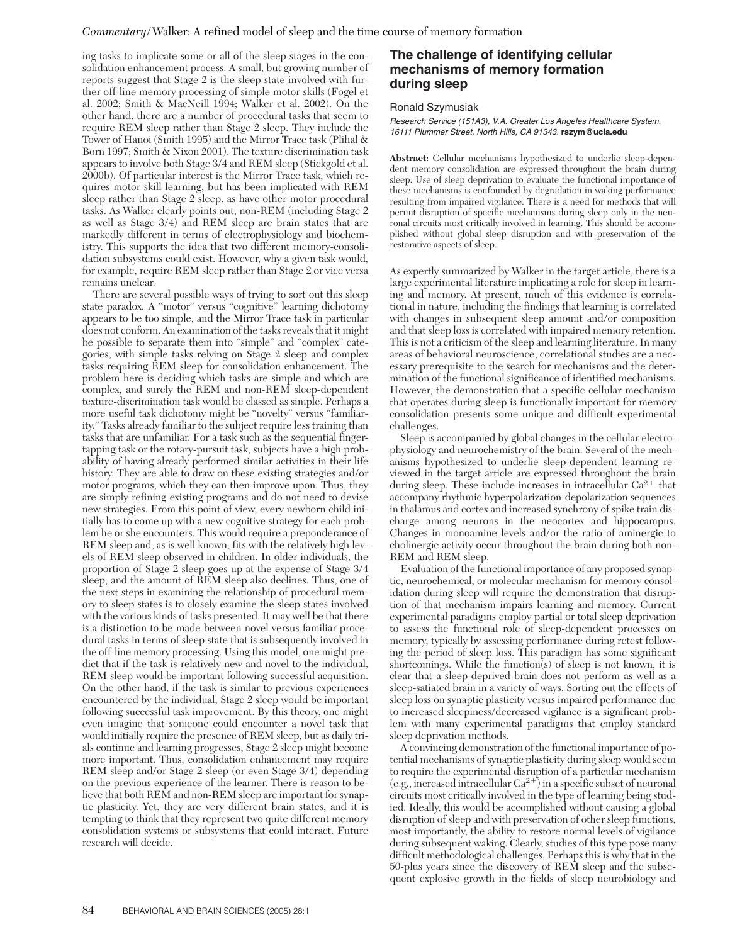ing tasks to implicate some or all of the sleep stages in the consolidation enhancement process. A small, but growing number of reports suggest that Stage 2 is the sleep state involved with further off-line memory processing of simple motor skills (Fogel et al. 2002; Smith & MacNeill 1994; Walker et al. 2002). On the other hand, there are a number of procedural tasks that seem to require REM sleep rather than Stage 2 sleep. They include the Tower of Hanoi (Smith 1995) and the Mirror Trace task (Plihal & Born 1997; Smith & Nixon 2001). The texture discrimination task appears to involve both Stage 3/4 and REM sleep (Stickgold et al. 2000b). Of particular interest is the Mirror Trace task, which requires motor skill learning, but has been implicated with REM sleep rather than Stage 2 sleep, as have other motor procedural tasks. As Walker clearly points out, non-REM (including Stage 2 as well as Stage 3/4) and REM sleep are brain states that are markedly different in terms of electrophysiology and biochemistry. This supports the idea that two different memory-consolidation subsystems could exist. However, why a given task would, for example, require REM sleep rather than Stage 2 or vice versa remains unclear.

There are several possible ways of trying to sort out this sleep state paradox. A "motor" versus "cognitive" learning dichotomy appears to be too simple, and the Mirror Trace task in particular does not conform. An examination of the tasks reveals that it might be possible to separate them into "simple" and "complex" categories, with simple tasks relying on Stage 2 sleep and complex tasks requiring REM sleep for consolidation enhancement. The problem here is deciding which tasks are simple and which are complex, and surely the REM and non-REM sleep-dependent texture-discrimination task would be classed as simple. Perhaps a more useful task dichotomy might be "novelty" versus "familiarity." Tasks already familiar to the subject require less training than tasks that are unfamiliar. For a task such as the sequential fingertapping task or the rotary-pursuit task, subjects have a high probability of having already performed similar activities in their life history. They are able to draw on these existing strategies and/or motor programs, which they can then improve upon. Thus, they are simply refining existing programs and do not need to devise new strategies. From this point of view, every newborn child initially has to come up with a new cognitive strategy for each problem he or she encounters. This would require a preponderance of REM sleep and, as is well known, fits with the relatively high levels of REM sleep observed in children. In older individuals, the proportion of Stage 2 sleep goes up at the expense of Stage 3/4 sleep, and the amount of REM sleep also declines. Thus, one of the next steps in examining the relationship of procedural memory to sleep states is to closely examine the sleep states involved with the various kinds of tasks presented. It may well be that there is a distinction to be made between novel versus familiar procedural tasks in terms of sleep state that is subsequently involved in the off-line memory processing. Using this model, one might predict that if the task is relatively new and novel to the individual, REM sleep would be important following successful acquisition. On the other hand, if the task is similar to previous experiences encountered by the individual, Stage 2 sleep would be important following successful task improvement. By this theory, one might even imagine that someone could encounter a novel task that would initially require the presence of REM sleep, but as daily trials continue and learning progresses, Stage 2 sleep might become more important. Thus, consolidation enhancement may require REM sleep and/or Stage 2 sleep (or even Stage 3/4) depending on the previous experience of the learner. There is reason to believe that both REM and non-REM sleep are important for synaptic plasticity. Yet, they are very different brain states, and it is tempting to think that they represent two quite different memory consolidation systems or subsystems that could interact. Future research will decide.

## **The challenge of identifying cellular mechanisms of memory formation during sleep**

#### Ronald Szymusiak

*Research Service (151A3), V.A. Greater Los Angeles Healthcare System, 16111 Plummer Street, North Hills, CA 91343.* **rszym@ucla.edu**

**Abstract:** Cellular mechanisms hypothesized to underlie sleep-dependent memory consolidation are expressed throughout the brain during sleep. Use of sleep deprivation to evaluate the functional importance of these mechanisms is confounded by degradation in waking performance resulting from impaired vigilance. There is a need for methods that will permit disruption of specific mechanisms during sleep only in the neuronal circuits most critically involved in learning. This should be accomplished without global sleep disruption and with preservation of the restorative aspects of sleep.

As expertly summarized by Walker in the target article, there is a large experimental literature implicating a role for sleep in learning and memory. At present, much of this evidence is correlational in nature, including the findings that learning is correlated with changes in subsequent sleep amount and/or composition and that sleep loss is correlated with impaired memory retention. This is not a criticism of the sleep and learning literature. In many areas of behavioral neuroscience, correlational studies are a necessary prerequisite to the search for mechanisms and the determination of the functional significance of identified mechanisms. However, the demonstration that a specific cellular mechanism that operates during sleep is functionally important for memory consolidation presents some unique and difficult experimental challenges.

Sleep is accompanied by global changes in the cellular electrophysiology and neurochemistry of the brain. Several of the mechanisms hypothesized to underlie sleep-dependent learning reviewed in the target article are expressed throughout the brain during sleep. These include increases in intracellular  $Ca^{2+}$  that accompany rhythmic hyperpolarization-depolarization sequences in thalamus and cortex and increased synchrony of spike train discharge among neurons in the neocortex and hippocampus. Changes in monoamine levels and/or the ratio of aminergic to cholinergic activity occur throughout the brain during both non-REM and REM sleep.

Evaluation of the functional importance of any proposed synaptic, neurochemical, or molecular mechanism for memory consolidation during sleep will require the demonstration that disruption of that mechanism impairs learning and memory. Current experimental paradigms employ partial or total sleep deprivation to assess the functional role of sleep-dependent processes on memory, typically by assessing performance during retest following the period of sleep loss. This paradigm has some significant shortcomings. While the function(s) of sleep is not known, it is clear that a sleep-deprived brain does not perform as well as a sleep-satiated brain in a variety of ways. Sorting out the effects of sleep loss on synaptic plasticity versus impaired performance due to increased sleepiness/decreased vigilance is a significant problem with many experimental paradigms that employ standard sleep deprivation methods.

A convincing demonstration of the functional importance of potential mechanisms of synaptic plasticity during sleep would seem to require the experimental disruption of a particular mechanism (e.g., increased intracellular  $Ca^{2+}$ ) in a specific subset of neuronal circuits most critically involved in the type of learning being studied. Ideally, this would be accomplished without causing a global disruption of sleep and with preservation of other sleep functions, most importantly, the ability to restore normal levels of vigilance during subsequent waking. Clearly, studies of this type pose many difficult methodological challenges. Perhaps this is why that in the 50-plus years since the discovery of REM sleep and the subsequent explosive growth in the fields of sleep neurobiology and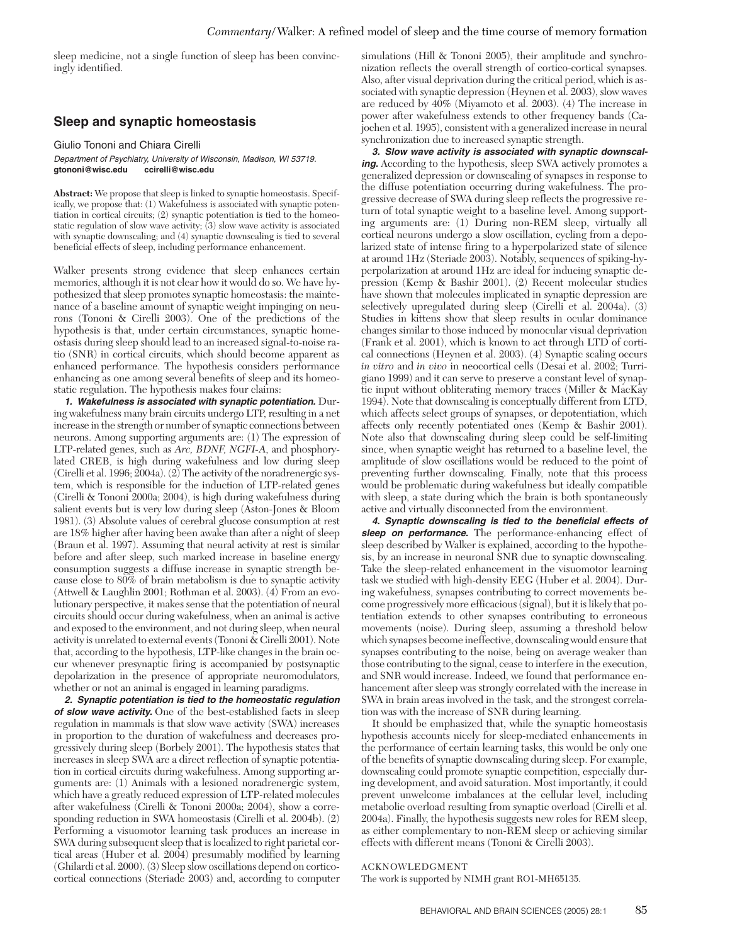sleep medicine, not a single function of sleep has been convincingly identified.

## **Sleep and synaptic homeostasis**

Giulio Tononi and Chiara Cirelli

*Department of Psychiatry, University of Wisconsin, Madison, WI 53719.* **gtononi@wisc.edu ccirelli@wisc.edu**

**Abstract:** We propose that sleep is linked to synaptic homeostasis. Specifically, we propose that: (1) Wakefulness is associated with synaptic potentiation in cortical circuits; (2) synaptic potentiation is tied to the homeostatic regulation of slow wave activity;  $(3)$  slow wave activity is associated with synaptic downscaling; and (4) synaptic downscaling is tied to several beneficial effects of sleep, including performance enhancement.

Walker presents strong evidence that sleep enhances certain memories, although it is not clear how it would do so. We have hypothesized that sleep promotes synaptic homeostasis: the maintenance of a baseline amount of synaptic weight impinging on neurons (Tononi & Cirelli 2003). One of the predictions of the hypothesis is that, under certain circumstances, synaptic homeostasis during sleep should lead to an increased signal-to-noise ratio (SNR) in cortical circuits, which should become apparent as enhanced performance. The hypothesis considers performance enhancing as one among several benefits of sleep and its homeostatic regulation. The hypothesis makes four claims:

*1. Wakefulness is associated with synaptic potentiation.* During wakefulness many brain circuits undergo LTP, resulting in a net increase in the strength or number of synaptic connections between neurons. Among supporting arguments are: (1) The expression of LTP-related genes, such as *Arc, BDNF, NGFI-A*, and phosphorylated CREB, is high during wakefulness and low during sleep (Cirelli et al. 1996; 2004a). (2) The activity of the noradrenergic system, which is responsible for the induction of LTP-related genes (Cirelli & Tononi 2000a; 2004), is high during wakefulness during salient events but is very low during sleep (Aston-Jones & Bloom 1981). (3) Absolute values of cerebral glucose consumption at rest are 18% higher after having been awake than after a night of sleep (Braun et al. 1997). Assuming that neural activity at rest is similar before and after sleep, such marked increase in baseline energy consumption suggests a diffuse increase in synaptic strength because close to 80% of brain metabolism is due to synaptic activity (Attwell & Laughlin 2001; Rothman et al. 2003). (4) From an evolutionary perspective, it makes sense that the potentiation of neural circuits should occur during wakefulness, when an animal is active and exposed to the environment, and not during sleep, when neural activity is unrelated to external events (Tononi & Cirelli 2001). Note that, according to the hypothesis, LTP-like changes in the brain occur whenever presynaptic firing is accompanied by postsynaptic depolarization in the presence of appropriate neuromodulators, whether or not an animal is engaged in learning paradigms.

*2. Synaptic potentiation is tied to the homeostatic regulation of slow wave activity.* One of the best-established facts in sleep regulation in mammals is that slow wave activity (SWA) increases in proportion to the duration of wakefulness and decreases progressively during sleep (Borbely 2001). The hypothesis states that increases in sleep SWA are a direct reflection of synaptic potentiation in cortical circuits during wakefulness. Among supporting arguments are: (1) Animals with a lesioned noradrenergic system, which have a greatly reduced expression of LTP-related molecules after wakefulness (Cirelli & Tononi 2000a; 2004), show a corresponding reduction in SWA homeostasis (Cirelli et al. 2004b). (2) Performing a visuomotor learning task produces an increase in SWA during subsequent sleep that is localized to right parietal cortical areas (Huber et al. 2004) presumably modified by learning (Ghilardi et al. 2000). (3) Sleep slow oscillations depend on corticocortical connections (Steriade 2003) and, according to computer

simulations (Hill & Tononi 2005), their amplitude and synchronization reflects the overall strength of cortico-cortical synapses. Also, after visual deprivation during the critical period, which is associated with synaptic depression (Heynen et al. 2003), slow waves are reduced by 40% (Miyamoto et al. 2003). (4) The increase in power after wakefulness extends to other frequency bands (Cajochen et al. 1995), consistent with a generalized increase in neural synchronization due to increased synaptic strength.

*3. Slow wave activity is associated with synaptic downscaling.* According to the hypothesis, sleep SWA actively promotes a generalized depression or downscaling of synapses in response to the diffuse potentiation occurring during wakefulness. The progressive decrease of SWA during sleep reflects the progressive return of total synaptic weight to a baseline level. Among supporting arguments are: (1) During non-REM sleep, virtually all cortical neurons undergo a slow oscillation, cycling from a depolarized state of intense firing to a hyperpolarized state of silence at around 1Hz (Steriade 2003). Notably, sequences of spiking-hyperpolarization at around 1Hz are ideal for inducing synaptic depression (Kemp & Bashir 2001). (2) Recent molecular studies have shown that molecules implicated in synaptic depression are selectively upregulated during sleep (Cirelli et al. 2004a). (3) Studies in kittens show that sleep results in ocular dominance changes similar to those induced by monocular visual deprivation (Frank et al. 2001), which is known to act through LTD of cortical connections (Heynen et al. 2003). (4) Synaptic scaling occurs *in vitro* and *in vivo* in neocortical cells (Desai et al. 2002; Turrigiano 1999) and it can serve to preserve a constant level of synaptic input without obliterating memory traces (Miller & MacKay 1994). Note that downscaling is conceptually different from LTD, which affects select groups of synapses, or depotentiation, which affects only recently potentiated ones (Kemp & Bashir 2001). Note also that downscaling during sleep could be self-limiting since, when synaptic weight has returned to a baseline level, the amplitude of slow oscillations would be reduced to the point of preventing further downscaling. Finally, note that this process would be problematic during wakefulness but ideally compatible with sleep, a state during which the brain is both spontaneously active and virtually disconnected from the environment.

*4. Synaptic downscaling is tied to the beneficial effects of* **sleep on performance.** The performance-enhancing effect of sleep described by Walker is explained, according to the hypothesis, by an increase in neuronal SNR due to synaptic downscaling. Take the sleep-related enhancement in the visuomotor learning task we studied with high-density EEG (Huber et al. 2004). During wakefulness, synapses contributing to correct movements become progressively more efficacious (signal), but it is likely that potentiation extends to other synapses contributing to erroneous movements (noise). During sleep, assuming a threshold below which synapses become ineffective, downscaling would ensure that synapses contributing to the noise, being on average weaker than those contributing to the signal, cease to interfere in the execution, and SNR would increase. Indeed, we found that performance enhancement after sleep was strongly correlated with the increase in SWA in brain areas involved in the task, and the strongest correlation was with the increase of SNR during learning.

It should be emphasized that, while the synaptic homeostasis hypothesis accounts nicely for sleep-mediated enhancements in the performance of certain learning tasks, this would be only one of the benefits of synaptic downscaling during sleep. For example, downscaling could promote synaptic competition, especially during development, and avoid saturation. Most importantly, it could prevent unwelcome imbalances at the cellular level, including metabolic overload resulting from synaptic overload (Cirelli et al. 2004a). Finally, the hypothesis suggests new roles for REM sleep, as either complementary to non-REM sleep or achieving similar effects with different means (Tononi & Cirelli 2003).

## ACKNOWLEDGMENT

The work is supported by NIMH grant RO1-MH65135.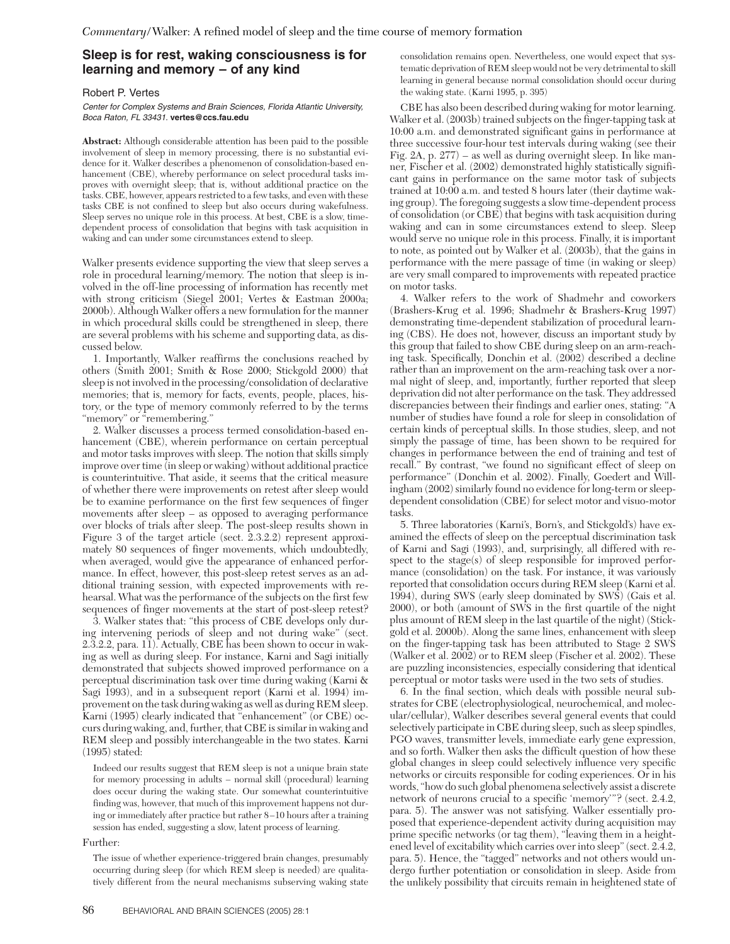## **Sleep is for rest, waking consciousness is for learning and memory – of any kind**

#### Robert P. Vertes

*Center for Complex Systems and Brain Sciences, Florida Atlantic University, Boca Raton, FL 33431.* **vertes@ccs.fau.edu**

**Abstract:** Although considerable attention has been paid to the possible involvement of sleep in memory processing, there is no substantial evidence for it. Walker describes a phenomenon of consolidation-based enhancement (CBE), whereby performance on select procedural tasks improves with overnight sleep; that is, without additional practice on the tasks. CBE, however, appears restricted to a few tasks, and even with these tasks CBE is not confined to sleep but also occurs during wakefulness. Sleep serves no unique role in this process. At best, CBE is a slow, timedependent process of consolidation that begins with task acquisition in waking and can under some circumstances extend to sleep.

Walker presents evidence supporting the view that sleep serves a role in procedural learning/memory. The notion that sleep is involved in the off-line processing of information has recently met with strong criticism (Siegel 2001; Vertes & Eastman 2000a; 2000b). Although Walker offers a new formulation for the manner in which procedural skills could be strengthened in sleep, there are several problems with his scheme and supporting data, as discussed below.

1. Importantly, Walker reaffirms the conclusions reached by others (Smith 2001; Smith & Rose 2000; Stickgold 2000) that sleep is not involved in the processing/consolidation of declarative memories; that is, memory for facts, events, people, places, history, or the type of memory commonly referred to by the terms "memory" or "remembering."

2. Walker discusses a process termed consolidation-based enhancement (CBE), wherein performance on certain perceptual and motor tasks improves with sleep. The notion that skills simply improve over time (in sleep or waking) without additional practice is counterintuitive. That aside, it seems that the critical measure of whether there were improvements on retest after sleep would be to examine performance on the first few sequences of finger movements after sleep – as opposed to averaging performance over blocks of trials after sleep. The post-sleep results shown in Figure 3 of the target article (sect. 2.3.2.2) represent approximately 80 sequences of finger movements, which undoubtedly, when averaged, would give the appearance of enhanced performance. In effect, however, this post-sleep retest serves as an additional training session, with expected improvements with rehearsal. What was the performance of the subjects on the first few sequences of finger movements at the start of post-sleep retest?

3. Walker states that: "this process of CBE develops only during intervening periods of sleep and not during wake" (sect. 2.3.2.2, para. 11). Actually, CBE has been shown to occur in waking as well as during sleep. For instance, Karni and Sagi initially demonstrated that subjects showed improved performance on a perceptual discrimination task over time during waking (Karni & Sagi 1993), and in a subsequent report (Karni et al. 1994) improvement on the task during waking as well as during REM sleep. Karni (1995) clearly indicated that "enhancement" (or CBE) occurs during waking, and, further, that CBE is similar in waking and REM sleep and possibly interchangeable in the two states. Karni (1995) stated:

Indeed our results suggest that REM sleep is not a unique brain state for memory processing in adults – normal skill (procedural) learning does occur during the waking state. Our somewhat counterintuitive finding was, however, that much of this improvement happens not during or immediately after practice but rather 8–10 hours after a training session has ended, suggesting a slow, latent process of learning.

#### Further:

The issue of whether experience-triggered brain changes, presumably occurring during sleep (for which REM sleep is needed) are qualitatively different from the neural mechanisms subserving waking state consolidation remains open. Nevertheless, one would expect that systematic deprivation of REM sleep would not be very detrimental to skill learning in general because normal consolidation should occur during the waking state. (Karni 1995, p. 395)

CBE has also been described during waking for motor learning. Walker et al. (2003b) trained subjects on the finger-tapping task at 10:00 a.m. and demonstrated significant gains in performance at three successive four-hour test intervals during waking (see their Fig. 2A, p. 277) – as well as during overnight sleep. In like manner, Fischer et al. (2002) demonstrated highly statistically significant gains in performance on the same motor task of subjects trained at 10:00 a.m. and tested 8 hours later (their daytime waking group). The foregoing suggests a slow time-dependent process of consolidation (or CBE) that begins with task acquisition during waking and can in some circumstances extend to sleep. Sleep would serve no unique role in this process. Finally, it is important to note, as pointed out by Walker et al. (2003b), that the gains in performance with the mere passage of time (in waking or sleep) are very small compared to improvements with repeated practice on motor tasks.

4. Walker refers to the work of Shadmehr and coworkers (Brashers-Krug et al. 1996; Shadmehr & Brashers-Krug 1997) demonstrating time-dependent stabilization of procedural learning (CBS). He does not, however, discuss an important study by this group that failed to show CBE during sleep on an arm-reaching task. Specifically, Donchin et al. (2002) described a decline rather than an improvement on the arm-reaching task over a normal night of sleep, and, importantly, further reported that sleep deprivation did not alter performance on the task. They addressed discrepancies between their findings and earlier ones, stating: "A number of studies have found a role for sleep in consolidation of certain kinds of perceptual skills. In those studies, sleep, and not simply the passage of time, has been shown to be required for changes in performance between the end of training and test of recall." By contrast, "we found no significant effect of sleep on performance" (Donchin et al. 2002). Finally, Goedert and Willingham (2002) similarly found no evidence for long-term or sleepdependent consolidation (CBE) for select motor and visuo-motor tasks.

5. Three laboratories (Karni's, Born's, and Stickgold's) have examined the effects of sleep on the perceptual discrimination task of Karni and Sagi (1993), and, surprisingly, all differed with respect to the stage(s) of sleep responsible for improved performance (consolidation) on the task. For instance, it was variously reported that consolidation occurs during REM sleep (Karni et al. 1994), during SWS (early sleep dominated by SWS) (Gais et al. 2000), or both (amount of SWS in the first quartile of the night plus amount of REM sleep in the last quartile of the night) (Stickgold et al. 2000b). Along the same lines, enhancement with sleep on the finger-tapping task has been attributed to Stage 2 SWS (Walker et al. 2002) or to REM sleep (Fischer et al. 2002). These are puzzling inconsistencies, especially considering that identical perceptual or motor tasks were used in the two sets of studies.

6. In the final section, which deals with possible neural substrates for CBE (electrophysiological, neurochemical, and molecular/cellular), Walker describes several general events that could selectively participate in CBE during sleep, such as sleep spindles, PGO waves, transmitter levels, immediate early gene expression, and so forth. Walker then asks the difficult question of how these global changes in sleep could selectively influence very specific networks or circuits responsible for coding experiences. Or in his words, "how do such global phenomena selectively assist a discrete network of neurons crucial to a specific 'memory'"? (sect. 2.4.2, para. 5). The answer was not satisfying. Walker essentially proposed that experience-dependent activity during acquisition may prime specific networks (or tag them), "leaving them in a heightened level of excitability which carries over into sleep" (sect. 2.4.2, para. 5). Hence, the "tagged" networks and not others would undergo further potentiation or consolidation in sleep. Aside from the unlikely possibility that circuits remain in heightened state of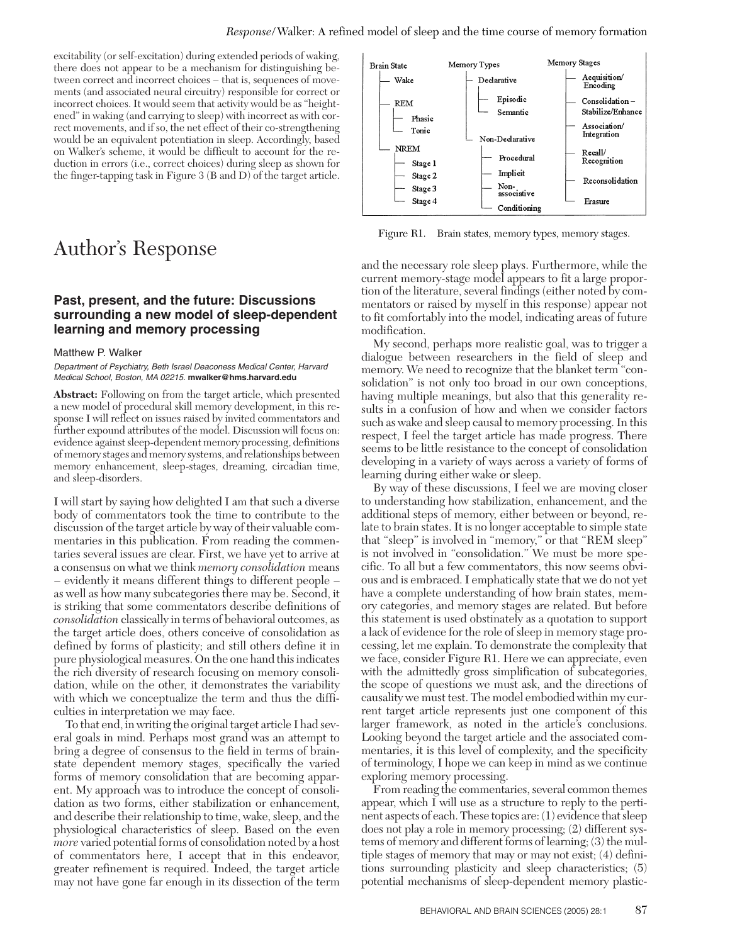excitability (or self-excitation) during extended periods of waking, there does not appear to be a mechanism for distinguishing between correct and incorrect choices – that is, sequences of movements (and associated neural circuitry) responsible for correct or incorrect choices. It would seem that activity would be as "heightened" in waking (and carrying to sleep) with incorrect as with correct movements, and if so, the net effect of their co-strengthening would be an equivalent potentiation in sleep. Accordingly, based on Walker's scheme, it would be difficult to account for the reduction in errors (i.e., correct choices) during sleep as shown for the finger-tapping task in Figure 3 (B and D) of the target article.

## Author's Response

## **Past, present, and the future: Discussions surrounding a new model of sleep-dependent learning and memory processing**

#### Matthew P. Walker

*Department of Psychiatry, Beth Israel Deaconess Medical Center, Harvard Medical School, Boston, MA 02215.* **mwalker@hms.harvard.edu**

**Abstract:** Following on from the target article, which presented a new model of procedural skill memory development, in this response I will reflect on issues raised by invited commentators and further expound attributes of the model. Discussion will focus on: evidence against sleep-dependent memory processing, definitions of memory stages and memory systems, and relationships between memory enhancement, sleep-stages, dreaming, circadian time, and sleep-disorders.

I will start by saying how delighted I am that such a diverse body of commentators took the time to contribute to the discussion of the target article by way of their valuable commentaries in this publication. From reading the commentaries several issues are clear. First, we have yet to arrive at a consensus on what we think *memory consolidation* means – evidently it means different things to different people – as well as how many subcategories there may be. Second, it is striking that some commentators describe definitions of *consolidation* classically in terms of behavioral outcomes, as the target article does, others conceive of consolidation as defined by forms of plasticity; and still others define it in pure physiological measures. On the one hand this indicates the rich diversity of research focusing on memory consolidation, while on the other, it demonstrates the variability with which we conceptualize the term and thus the difficulties in interpretation we may face.

To that end, in writing the original target article I had several goals in mind. Perhaps most grand was an attempt to bring a degree of consensus to the field in terms of brainstate dependent memory stages, specifically the varied forms of memory consolidation that are becoming apparent. My approach was to introduce the concept of consolidation as two forms, either stabilization or enhancement, and describe their relationship to time, wake, sleep, and the physiological characteristics of sleep. Based on the even *more* varied potential forms of consolidation noted by a host of commentators here, I accept that in this endeavor, greater refinement is required. Indeed, the target article may not have gone far enough in its dissection of the term



Figure R1. Brain states, memory types, memory stages.

and the necessary role sleep plays. Furthermore, while the current memory-stage model appears to fit a large proportion of the literature, several findings (either noted by commentators or raised by myself in this response) appear not to fit comfortably into the model, indicating areas of future modification.

My second, perhaps more realistic goal, was to trigger a dialogue between researchers in the field of sleep and memory. We need to recognize that the blanket term "consolidation" is not only too broad in our own conceptions, having multiple meanings, but also that this generality results in a confusion of how and when we consider factors such as wake and sleep causal to memory processing. In this respect, I feel the target article has made progress. There seems to be little resistance to the concept of consolidation developing in a variety of ways across a variety of forms of learning during either wake or sleep.

By way of these discussions, I feel we are moving closer to understanding how stabilization, enhancement, and the additional steps of memory, either between or beyond, relate to brain states. It is no longer acceptable to simple state that "sleep" is involved in "memory," or that "REM sleep" is not involved in "consolidation." We must be more specific. To all but a few commentators, this now seems obvious and is embraced. I emphatically state that we do not yet have a complete understanding of how brain states, memory categories, and memory stages are related. But before this statement is used obstinately as a quotation to support a lack of evidence for the role of sleep in memory stage processing, let me explain. To demonstrate the complexity that we face, consider Figure R1. Here we can appreciate, even with the admittedly gross simplification of subcategories, the scope of questions we must ask, and the directions of causality we must test. The model embodied within my current target article represents just one component of this larger framework, as noted in the article's conclusions. Looking beyond the target article and the associated commentaries, it is this level of complexity, and the specificity of terminology, I hope we can keep in mind as we continue exploring memory processing.

From reading the commentaries, several common themes appear, which I will use as a structure to reply to the pertinent aspects of each. These topics are: (1) evidence that sleep does not play a role in memory processing; (2) different systems of memory and different forms of learning; (3) the multiple stages of memory that may or may not exist; (4) definitions surrounding plasticity and sleep characteristics; (5) potential mechanisms of sleep-dependent memory plastic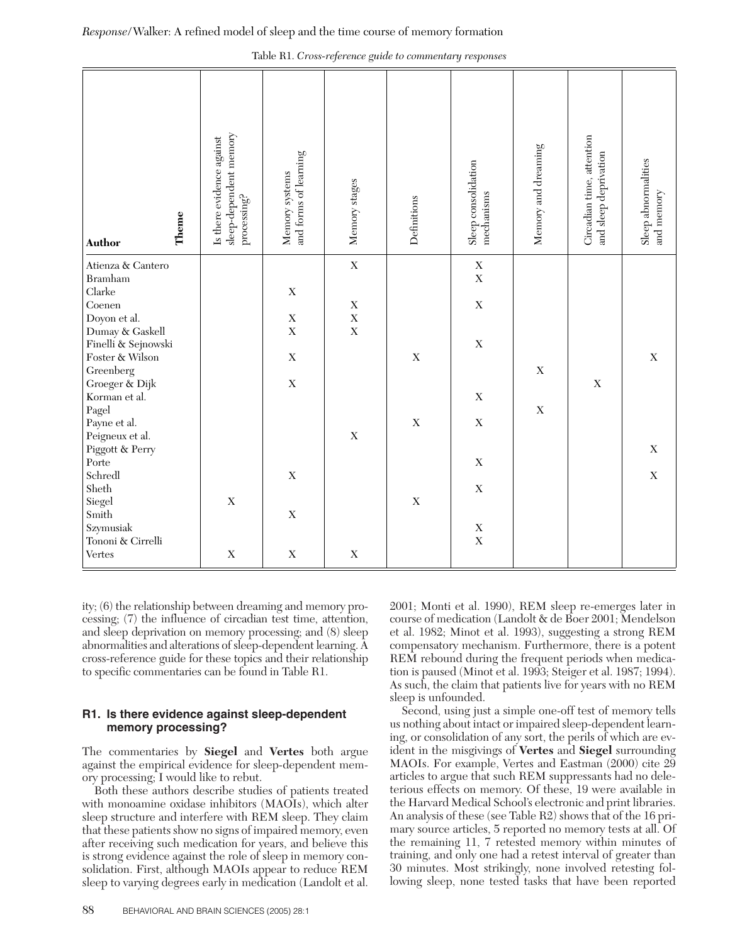Table R1. *Cross-reference guide to commentary responses*

| Theme<br>Author                                                                                                                                                                                                                                                                                                                                          | sleep-dependent memory<br>Is there evidence against<br>processing? | and forms of learning<br>Memory systems                                                                            | Memory stages                                                                    | Definitions                               | Sleep consolidation<br>mechanisms                                                                                                          | Memory and dreaming        | Circadian time, attention<br>and sleep deprivation | Sleep abnormalities<br>and memory         |
|----------------------------------------------------------------------------------------------------------------------------------------------------------------------------------------------------------------------------------------------------------------------------------------------------------------------------------------------------------|--------------------------------------------------------------------|--------------------------------------------------------------------------------------------------------------------|----------------------------------------------------------------------------------|-------------------------------------------|--------------------------------------------------------------------------------------------------------------------------------------------|----------------------------|----------------------------------------------------|-------------------------------------------|
| Atienza & Cantero<br><b>Bramham</b><br>Clarke<br>Coenen<br>Doyon et al.<br>Dumay & Gaskell<br>Finelli & Sejnowski<br>Foster & Wilson<br>$\mbox{Greenberg}$<br>Groeger & Dijk<br>Korman et al.<br>Pagel<br>Payne et al.<br>Peigneux et al.<br>Piggott & Perry<br>Porte<br>Schredl<br>Sheth<br>Siegel<br>Smith<br>Szymusiak<br>Tononi & Cirrelli<br>Vertes | $\mathbf X$<br>$\mathbf X$                                         | $\mathbf X$<br>$\mathbf X$<br>$\bar{X}$<br>$\mathbf X$<br>$\mathbf X$<br>$\mathbf X$<br>$\mathbf X$<br>$\mathbf X$ | $\mathbf X$<br>$\mathbf X$<br>$\bar{X}$<br>$\bar{X}$<br>$\bar{X}$<br>$\mathbf X$ | $\mathbf X$<br>$\mathbf X$<br>$\mathbf X$ | $\mathbf X$<br>$\mathbf X$<br>$\mathbf X$<br>$\mathbf X$<br>$\mathbf X$<br>$\mathbf X$<br>$\mathbf X$<br>$\mathbf X$<br>$_{\rm X}^{\rm X}$ | $\mathbf X$<br>$\mathbf X$ | $\mathbf X$                                        | $\mathbf X$<br>$\mathbf X$<br>$\mathbf X$ |

ity; (6) the relationship between dreaming and memory processing; (7) the influence of circadian test time, attention, and sleep deprivation on memory processing; and (8) sleep abnormalities and alterations of sleep-dependent learning. A cross-reference guide for these topics and their relationship to specific commentaries can be found in Table R1.

## **R1. Is there evidence against sleep-dependent memory processing?**

The commentaries by **Siegel** and **Vertes** both argue against the empirical evidence for sleep-dependent memory processing; I would like to rebut.

Both these authors describe studies of patients treated with monoamine oxidase inhibitors (MAOIs), which alter sleep structure and interfere with REM sleep. They claim that these patients show no signs of impaired memory, even after receiving such medication for years, and believe this is strong evidence against the role of sleep in memory consolidation. First, although MAOIs appear to reduce REM sleep to varying degrees early in medication (Landolt et al.

2001; Monti et al. 1990), REM sleep re-emerges later in course of medication (Landolt & de Boer 2001; Mendelson et al. 1982; Minot et al. 1993), suggesting a strong REM compensatory mechanism. Furthermore, there is a potent REM rebound during the frequent periods when medication is paused (Minot et al. 1993; Steiger et al. 1987; 1994). As such, the claim that patients live for years with no REM sleep is unfounded.

Second, using just a simple one-off test of memory tells us nothing about intact or impaired sleep-dependent learning, or consolidation of any sort, the perils of which are evident in the misgivings of **Vertes** and **Siegel** surrounding MAOIs. For example, Vertes and Eastman (2000) cite 29 articles to argue that such REM suppressants had no deleterious effects on memory. Of these, 19 were available in the Harvard Medical School's electronic and print libraries. An analysis of these (see Table R2) shows that of the 16 primary source articles, 5 reported no memory tests at all. Of the remaining 11, 7 retested memory within minutes of training, and only one had a retest interval of greater than 30 minutes. Most strikingly, none involved retesting following sleep, none tested tasks that have been reported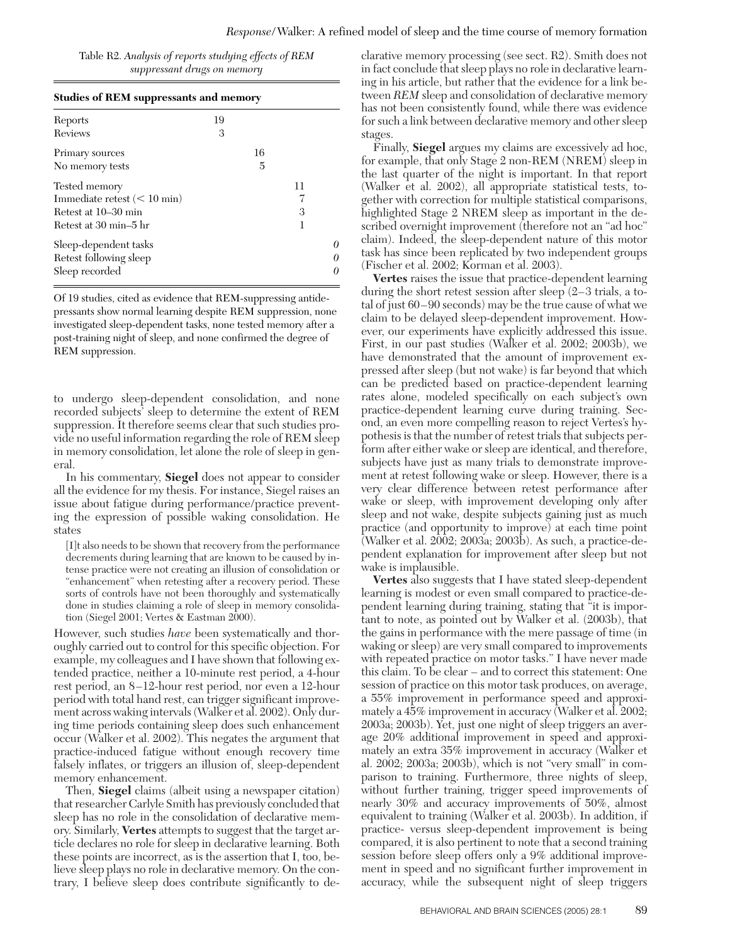| Table R2. Analysis of reports studying effects of REM |  |
|-------------------------------------------------------|--|
| suppressant drugs on memory                           |  |

| Studies of REM suppressants and memory |    |    |    |  |  |
|----------------------------------------|----|----|----|--|--|
| Reports                                | 19 |    |    |  |  |
| Reviews                                | 3  |    |    |  |  |
| Primary sources                        |    | 16 |    |  |  |
| No memory tests                        |    | 5  |    |  |  |
| Tested memory                          |    |    | 11 |  |  |
| Immediate retest $(< 10$ min)          |    |    |    |  |  |
| Retest at 10–30 min                    |    |    | 3  |  |  |
| Retest at 30 min–5 hr                  |    |    | 1  |  |  |
| Sleep-dependent tasks                  |    |    |    |  |  |
| Retest following sleep                 |    |    |    |  |  |
| Sleep recorded                         |    |    |    |  |  |

Of 19 studies, cited as evidence that REM-suppressing antidepressants show normal learning despite REM suppression, none investigated sleep-dependent tasks, none tested memory after a post-training night of sleep, and none confirmed the degree of REM suppression.

to undergo sleep-dependent consolidation, and none recorded subjects' sleep to determine the extent of REM suppression. It therefore seems clear that such studies provide no useful information regarding the role of REM sleep in memory consolidation, let alone the role of sleep in general.

In his commentary, **Siegel** does not appear to consider all the evidence for my thesis. For instance, Siegel raises an issue about fatigue during performance/practice preventing the expression of possible waking consolidation. He states

[I]t also needs to be shown that recovery from the performance decrements during learning that are known to be caused by intense practice were not creating an illusion of consolidation or "enhancement" when retesting after a recovery period. These sorts of controls have not been thoroughly and systematically done in studies claiming a role of sleep in memory consolidation (Siegel 2001; Vertes & Eastman 2000).

However, such studies *have* been systematically and thoroughly carried out to control for this specific objection. For example, my colleagues and I have shown that following extended practice, neither a 10-minute rest period, a 4-hour rest period, an 8–12-hour rest period, nor even a 12-hour period with total hand rest, can trigger significant improvement across waking intervals (Walker et al. 2002). Only during time periods containing sleep does such enhancement occur (Walker et al. 2002). This negates the argument that practice-induced fatigue without enough recovery time falsely inflates, or triggers an illusion of, sleep-dependent memory enhancement.

Then, **Siegel** claims (albeit using a newspaper citation) that researcher Carlyle Smith has previously concluded that sleep has no role in the consolidation of declarative memory. Similarly, **Vertes** attempts to suggest that the target article declares no role for sleep in declarative learning. Both these points are incorrect, as is the assertion that I, too, believe sleep plays no role in declarative memory. On the contrary, I believe sleep does contribute significantly to declarative memory processing (see sect. R2). Smith does not in fact conclude that sleep plays no role in declarative learning in his article, but rather that the evidence for a link between *REM* sleep and consolidation of declarative memory has not been consistently found, while there was evidence for such a link between declarative memory and other sleep stages.

Finally, **Siegel** argues my claims are excessively ad hoc, for example, that only Stage 2 non-REM (NREM) sleep in the last quarter of the night is important. In that report (Walker et al. 2002), all appropriate statistical tests, together with correction for multiple statistical comparisons, highlighted Stage 2 NREM sleep as important in the described overnight improvement (therefore not an "ad hoc" claim). Indeed, the sleep-dependent nature of this motor task has since been replicated by two independent groups (Fischer et al. 2002; Korman et al. 2003).

**Vertes** raises the issue that practice-dependent learning during the short retest session after sleep (2–3 trials, a total of just 60–90 seconds) may be the true cause of what we claim to be delayed sleep-dependent improvement. However, our experiments have explicitly addressed this issue. First, in our past studies (Walker et al. 2002; 2003b), we have demonstrated that the amount of improvement expressed after sleep (but not wake) is far beyond that which can be predicted based on practice-dependent learning rates alone, modeled specifically on each subject's own practice-dependent learning curve during training. Second, an even more compelling reason to reject Vertes's hypothesis is that the number of retest trials that subjects perform after either wake or sleep are identical, and therefore, subjects have just as many trials to demonstrate improvement at retest following wake or sleep. However, there is a very clear difference between retest performance after wake or sleep, with improvement developing only after sleep and not wake, despite subjects gaining just as much practice (and opportunity to improve) at each time point (Walker et al. 2002; 2003a; 2003b). As such, a practice-dependent explanation for improvement after sleep but not wake is implausible.

**Vertes** also suggests that I have stated sleep-dependent learning is modest or even small compared to practice-dependent learning during training, stating that "it is important to note, as pointed out by Walker et al. (2003b), that the gains in performance with the mere passage of time (in waking or sleep) are very small compared to improvements with repeated practice on motor tasks." I have never made this claim. To be clear – and to correct this statement: One session of practice on this motor task produces, on average, a 55% improvement in performance speed and approximately a 45% improvement in accuracy (Walker et al. 2002; 2003a; 2003b). Yet, just one night of sleep triggers an average 20% additional improvement in speed and approximately an extra 35% improvement in accuracy (Walker et al. 2002; 2003a; 2003b), which is not "very small" in comparison to training. Furthermore, three nights of sleep, without further training, trigger speed improvements of nearly 30% and accuracy improvements of 50%, almost equivalent to training (Walker et al. 2003b). In addition, if practice- versus sleep-dependent improvement is being compared, it is also pertinent to note that a second training session before sleep offers only a 9% additional improvement in speed and no significant further improvement in accuracy, while the subsequent night of sleep triggers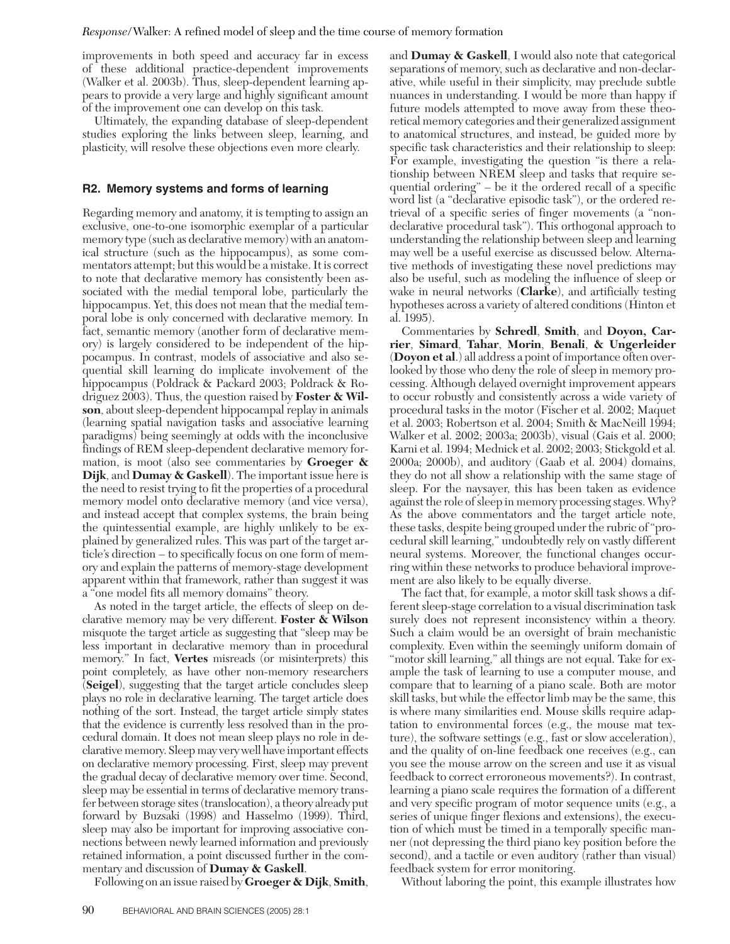improvements in both speed and accuracy far in excess of these additional practice-dependent improvements (Walker et al. 2003b). Thus, sleep-dependent learning appears to provide a very large and highly significant amount of the improvement one can develop on this task.

Ultimately, the expanding database of sleep-dependent studies exploring the links between sleep, learning, and plasticity, will resolve these objections even more clearly.

#### **R2. Memory systems and forms of learning**

Regarding memory and anatomy, it is tempting to assign an exclusive, one-to-one isomorphic exemplar of a particular memory type (such as declarative memory) with an anatomical structure (such as the hippocampus), as some commentators attempt; but this would be a mistake. It is correct to note that declarative memory has consistently been associated with the medial temporal lobe, particularly the hippocampus. Yet, this does not mean that the medial temporal lobe is only concerned with declarative memory. In fact, semantic memory (another form of declarative memory) is largely considered to be independent of the hippocampus. In contrast, models of associative and also sequential skill learning do implicate involvement of the hippocampus (Poldrack & Packard 2003; Poldrack & Rodriguez 2003). Thus, the question raised by **Foster & Wilson**, about sleep-dependent hippocampal replay in animals (learning spatial navigation tasks and associative learning paradigms) being seemingly at odds with the inconclusive findings of REM sleep-dependent declarative memory formation, is moot (also see commentaries by **Groeger & Dijk**, and **Dumay & Gaskell**). The important issue here is the need to resist trying to fit the properties of a procedural memory model onto declarative memory (and vice versa), and instead accept that complex systems, the brain being the quintessential example, are highly unlikely to be explained by generalized rules. This was part of the target article's direction – to specifically focus on one form of memory and explain the patterns of memory-stage development apparent within that framework, rather than suggest it was a "one model fits all memory domains" theory.

As noted in the target article, the effects of sleep on declarative memory may be very different. **Foster & Wilson** misquote the target article as suggesting that "sleep may be less important in declarative memory than in procedural memory." In fact, **Vertes** misreads (or misinterprets) this point completely, as have other non-memory researchers (**Seigel**), suggesting that the target article concludes sleep plays no role in declarative learning. The target article does nothing of the sort. Instead, the target article simply states that the evidence is currently less resolved than in the procedural domain. It does not mean sleep plays no role in declarative memory. Sleep may very well have important effects on declarative memory processing. First, sleep may prevent the gradual decay of declarative memory over time. Second, sleep may be essential in terms of declarative memory transfer between storage sites (translocation), a theory already put forward by Buzsaki (1998) and Hasselmo (1999). Third, sleep may also be important for improving associative connections between newly learned information and previously retained information, a point discussed further in the commentary and discussion of **Dumay & Gaskell**.

Following on an issue raised by **Groeger & Dijk**, **Smith**,

and **Dumay & Gaskell**, I would also note that categorical separations of memory, such as declarative and non-declarative, while useful in their simplicity, may preclude subtle nuances in understanding. I would be more than happy if future models attempted to move away from these theoretical memory categories and their generalized assignment to anatomical structures, and instead, be guided more by specific task characteristics and their relationship to sleep: For example, investigating the question "is there a relationship between NREM sleep and tasks that require sequential ordering" – be it the ordered recall of a specific word list (a "declarative episodic task"), or the ordered retrieval of a specific series of finger movements (a "nondeclarative procedural task"). This orthogonal approach to understanding the relationship between sleep and learning may well be a useful exercise as discussed below. Alternative methods of investigating these novel predictions may also be useful, such as modeling the influence of sleep or wake in neural networks (**Clarke**), and artificially testing hypotheses across a variety of altered conditions (Hinton et al. 1995).

Commentaries by **Schredl**, **Smith**, and **Doyon, Carrier**, **Simard**, **Tahar**, **Morin**, **Benali**, **& Ungerleider** (**Doyon et al**.) all address a point of importance often overlooked by those who deny the role of sleep in memory processing. Although delayed overnight improvement appears to occur robustly and consistently across a wide variety of procedural tasks in the motor (Fischer et al. 2002; Maquet et al. 2003; Robertson et al. 2004; Smith & MacNeill 1994; Walker et al. 2002; 2003a; 2003b), visual (Gais et al. 2000; Karni et al. 1994; Mednick et al. 2002; 2003; Stickgold et al. 2000a; 2000b), and auditory (Gaab et al. 2004) domains, they do not all show a relationship with the same stage of sleep. For the naysayer, this has been taken as evidence against the role of sleep in memory processing stages. Why? As the above commentators and the target article note, these tasks, despite being grouped under the rubric of "procedural skill learning," undoubtedly rely on vastly different neural systems. Moreover, the functional changes occurring within these networks to produce behavioral improvement are also likely to be equally diverse.

The fact that, for example, a motor skill task shows a different sleep-stage correlation to a visual discrimination task surely does not represent inconsistency within a theory. Such a claim would be an oversight of brain mechanistic complexity. Even within the seemingly uniform domain of "motor skill learning," all things are not equal. Take for example the task of learning to use a computer mouse, and compare that to learning of a piano scale. Both are motor skill tasks, but while the effector limb may be the same, this is where many similarities end. Mouse skills require adaptation to environmental forces (e.g., the mouse mat texture), the software settings (e.g., fast or slow acceleration), and the quality of on-line feedback one receives (e.g., can you see the mouse arrow on the screen and use it as visual feedback to correct erroroneous movements?). In contrast, learning a piano scale requires the formation of a different and very specific program of motor sequence units (e.g., a series of unique finger flexions and extensions), the execution of which must be timed in a temporally specific manner (not depressing the third piano key position before the second), and a tactile or even auditory (rather than visual) feedback system for error monitoring.

Without laboring the point, this example illustrates how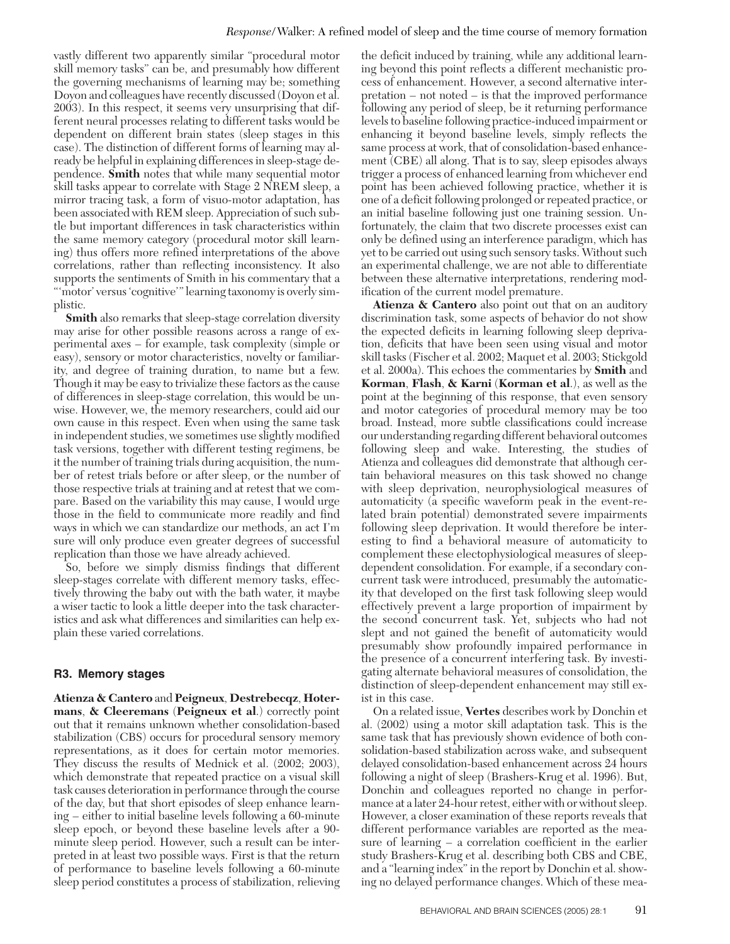vastly different two apparently similar "procedural motor skill memory tasks" can be, and presumably how different the governing mechanisms of learning may be; something Doyon and colleagues have recently discussed (Doyon et al. 2003). In this respect, it seems very unsurprising that different neural processes relating to different tasks would be dependent on different brain states (sleep stages in this case). The distinction of different forms of learning may already be helpful in explaining differences in sleep-stage dependence. **Smith** notes that while many sequential motor skill tasks appear to correlate with Stage 2 NREM sleep, a mirror tracing task, a form of visuo-motor adaptation, has been associated with REM sleep. Appreciation of such subtle but important differences in task characteristics within the same memory category (procedural motor skill learning) thus offers more refined interpretations of the above correlations, rather than reflecting inconsistency. It also supports the sentiments of Smith in his commentary that a "'motor' versus 'cognitive'" learning taxonomy is overly simplistic.

**Smith** also remarks that sleep-stage correlation diversity may arise for other possible reasons across a range of experimental axes – for example, task complexity (simple or easy), sensory or motor characteristics, novelty or familiarity, and degree of training duration, to name but a few. Though it may be easy to trivialize these factors as the cause of differences in sleep-stage correlation, this would be unwise. However, we, the memory researchers, could aid our own cause in this respect. Even when using the same task in independent studies, we sometimes use slightly modified task versions, together with different testing regimens, be it the number of training trials during acquisition, the number of retest trials before or after sleep, or the number of those respective trials at training and at retest that we compare. Based on the variability this may cause, I would urge those in the field to communicate more readily and find ways in which we can standardize our methods, an act I'm sure will only produce even greater degrees of successful replication than those we have already achieved.

So, before we simply dismiss findings that different sleep-stages correlate with different memory tasks, effectively throwing the baby out with the bath water, it maybe a wiser tactic to look a little deeper into the task characteristics and ask what differences and similarities can help explain these varied correlations.

## **R3. Memory stages**

**Atienza & Cantero** and **Peigneux**, **Destrebecqz**, **Hotermans**, **& Cleeremans** (**Peigneux et al**.) correctly point out that it remains unknown whether consolidation-based stabilization (CBS) occurs for procedural sensory memory representations, as it does for certain motor memories. They discuss the results of Mednick et al. (2002; 2003), which demonstrate that repeated practice on a visual skill task causes deterioration in performance through the course of the day, but that short episodes of sleep enhance learning – either to initial baseline levels following a 60-minute sleep epoch, or beyond these baseline levels after a 90 minute sleep period. However, such a result can be interpreted in at least two possible ways. First is that the return of performance to baseline levels following a 60-minute sleep period constitutes a process of stabilization, relieving

the deficit induced by training, while any additional learning beyond this point reflects a different mechanistic process of enhancement. However, a second alternative interpretation – not noted – is that the improved performance following any period of sleep, be it returning performance levels to baseline following practice-induced impairment or enhancing it beyond baseline levels, simply reflects the same process at work, that of consolidation-based enhancement (CBE) all along. That is to say, sleep episodes always trigger a process of enhanced learning from whichever end point has been achieved following practice, whether it is one of a deficit following prolonged or repeated practice, or an initial baseline following just one training session. Unfortunately, the claim that two discrete processes exist can only be defined using an interference paradigm, which has yet to be carried out using such sensory tasks. Without such an experimental challenge, we are not able to differentiate between these alternative interpretations, rendering modification of the current model premature.

**Atienza & Cantero** also point out that on an auditory discrimination task, some aspects of behavior do not show the expected deficits in learning following sleep deprivation, deficits that have been seen using visual and motor skill tasks (Fischer et al. 2002; Maquet et al. 2003; Stickgold et al. 2000a). This echoes the commentaries by **Smith** and **Korman**, **Flash**, **& Karni** (**Korman et al**.), as well as the point at the beginning of this response, that even sensory and motor categories of procedural memory may be too broad. Instead, more subtle classifications could increase our understanding regarding different behavioral outcomes following sleep and wake. Interesting, the studies of Atienza and colleagues did demonstrate that although certain behavioral measures on this task showed no change with sleep deprivation, neurophysiological measures of automaticity (a specific waveform peak in the event-related brain potential) demonstrated severe impairments following sleep deprivation. It would therefore be interesting to find a behavioral measure of automaticity to complement these electophysiological measures of sleepdependent consolidation. For example, if a secondary concurrent task were introduced, presumably the automaticity that developed on the first task following sleep would effectively prevent a large proportion of impairment by the second concurrent task. Yet, subjects who had not slept and not gained the benefit of automaticity would presumably show profoundly impaired performance in the presence of a concurrent interfering task. By investigating alternate behavioral measures of consolidation, the distinction of sleep-dependent enhancement may still exist in this case.

On a related issue, **Vertes** describes work by Donchin et al. (2002) using a motor skill adaptation task. This is the same task that has previously shown evidence of both consolidation-based stabilization across wake, and subsequent delayed consolidation-based enhancement across 24 hours following a night of sleep (Brashers-Krug et al. 1996). But, Donchin and colleagues reported no change in performance at a later 24-hour retest, either with or without sleep. However, a closer examination of these reports reveals that different performance variables are reported as the measure of learning – a correlation coefficient in the earlier study Brashers-Krug et al. describing both CBS and CBE, and a "learning index" in the report by Donchin et al. showing no delayed performance changes. Which of these mea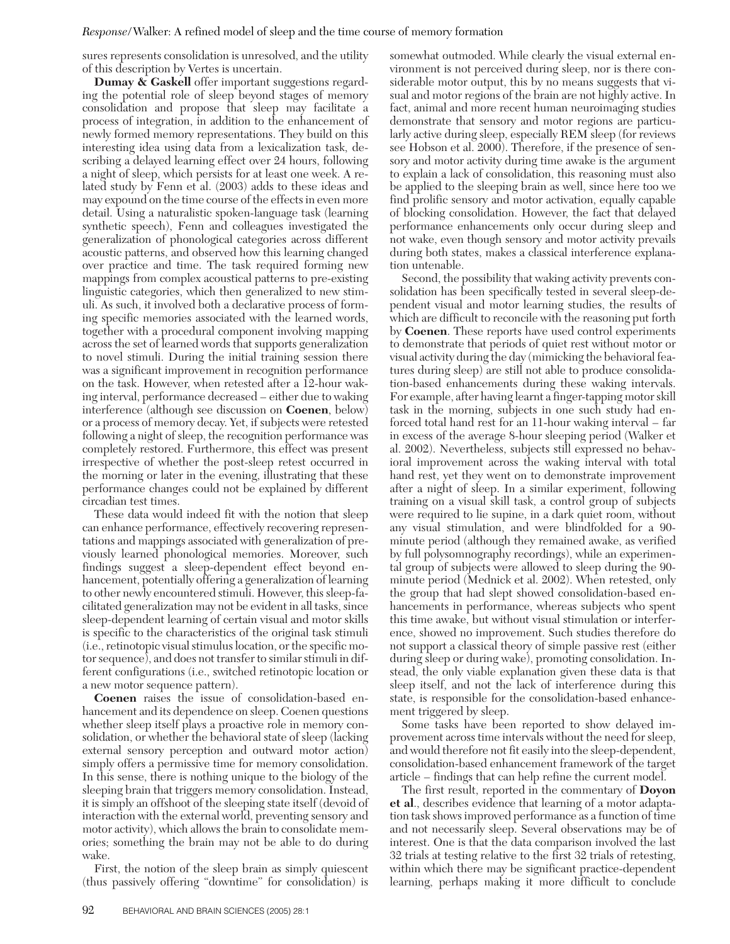sures represents consolidation is unresolved, and the utility of this description by Vertes is uncertain.

**Dumay & Gaskell** offer important suggestions regarding the potential role of sleep beyond stages of memory consolidation and propose that sleep may facilitate a process of integration, in addition to the enhancement of newly formed memory representations. They build on this interesting idea using data from a lexicalization task, describing a delayed learning effect over 24 hours, following a night of sleep, which persists for at least one week. A related study by Fenn et al. (2003) adds to these ideas and may expound on the time course of the effects in even more detail. Using a naturalistic spoken-language task (learning synthetic speech), Fenn and colleagues investigated the generalization of phonological categories across different acoustic patterns, and observed how this learning changed over practice and time. The task required forming new mappings from complex acoustical patterns to pre-existing linguistic categories, which then generalized to new stimuli. As such, it involved both a declarative process of forming specific memories associated with the learned words, together with a procedural component involving mapping across the set of learned words that supports generalization to novel stimuli. During the initial training session there was a significant improvement in recognition performance on the task. However, when retested after a 12-hour waking interval, performance decreased – either due to waking interference (although see discussion on **Coenen**, below) or a process of memory decay. Yet, if subjects were retested following a night of sleep, the recognition performance was completely restored. Furthermore, this effect was present irrespective of whether the post-sleep retest occurred in the morning or later in the evening, illustrating that these performance changes could not be explained by different circadian test times.

These data would indeed fit with the notion that sleep can enhance performance, effectively recovering representations and mappings associated with generalization of previously learned phonological memories. Moreover, such findings suggest a sleep-dependent effect beyond enhancement, potentially offering a generalization of learning to other newly encountered stimuli. However, this sleep-facilitated generalization may not be evident in all tasks, since sleep-dependent learning of certain visual and motor skills is specific to the characteristics of the original task stimuli (i.e., retinotopic visual stimulus location, or the specific motor sequence), and does not transfer to similar stimuli in different configurations (i.e., switched retinotopic location or a new motor sequence pattern).

**Coenen** raises the issue of consolidation-based enhancement and its dependence on sleep. Coenen questions whether sleep itself plays a proactive role in memory consolidation, or whether the behavioral state of sleep (lacking external sensory perception and outward motor action) simply offers a permissive time for memory consolidation. In this sense, there is nothing unique to the biology of the sleeping brain that triggers memory consolidation. Instead, it is simply an offshoot of the sleeping state itself (devoid of interaction with the external world, preventing sensory and motor activity), which allows the brain to consolidate memories; something the brain may not be able to do during wake.

First, the notion of the sleep brain as simply quiescent (thus passively offering "downtime" for consolidation) is somewhat outmoded. While clearly the visual external environment is not perceived during sleep, nor is there considerable motor output, this by no means suggests that visual and motor regions of the brain are not highly active. In fact, animal and more recent human neuroimaging studies demonstrate that sensory and motor regions are particularly active during sleep, especially REM sleep (for reviews see Hobson et al. 2000). Therefore, if the presence of sensory and motor activity during time awake is the argument to explain a lack of consolidation, this reasoning must also be applied to the sleeping brain as well, since here too we find prolific sensory and motor activation, equally capable of blocking consolidation. However, the fact that delayed performance enhancements only occur during sleep and not wake, even though sensory and motor activity prevails during both states, makes a classical interference explanation untenable.

Second, the possibility that waking activity prevents consolidation has been specifically tested in several sleep-dependent visual and motor learning studies, the results of which are difficult to reconcile with the reasoning put forth by **Coenen**. These reports have used control experiments to demonstrate that periods of quiet rest without motor or visual activity during the day (mimicking the behavioral features during sleep) are still not able to produce consolidation-based enhancements during these waking intervals. For example, after having learnt a finger-tapping motor skill task in the morning, subjects in one such study had enforced total hand rest for an 11-hour waking interval – far in excess of the average 8-hour sleeping period (Walker et al. 2002). Nevertheless, subjects still expressed no behavioral improvement across the waking interval with total hand rest, yet they went on to demonstrate improvement after a night of sleep. In a similar experiment, following training on a visual skill task, a control group of subjects were required to lie supine, in a dark quiet room, without any visual stimulation, and were blindfolded for a 90 minute period (although they remained awake, as verified by full polysomnography recordings), while an experimental group of subjects were allowed to sleep during the 90 minute period (Mednick et al. 2002). When retested, only the group that had slept showed consolidation-based enhancements in performance, whereas subjects who spent this time awake, but without visual stimulation or interference, showed no improvement. Such studies therefore do not support a classical theory of simple passive rest (either during sleep or during wake), promoting consolidation. Instead, the only viable explanation given these data is that sleep itself, and not the lack of interference during this state, is responsible for the consolidation-based enhancement triggered by sleep.

Some tasks have been reported to show delayed improvement across time intervals without the need for sleep, and would therefore not fit easily into the sleep-dependent, consolidation-based enhancement framework of the target article – findings that can help refine the current model.

The first result, reported in the commentary of **Doyon et al**., describes evidence that learning of a motor adaptation task shows improved performance as a function of time and not necessarily sleep. Several observations may be of interest. One is that the data comparison involved the last 32 trials at testing relative to the first 32 trials of retesting, within which there may be significant practice-dependent learning, perhaps making it more difficult to conclude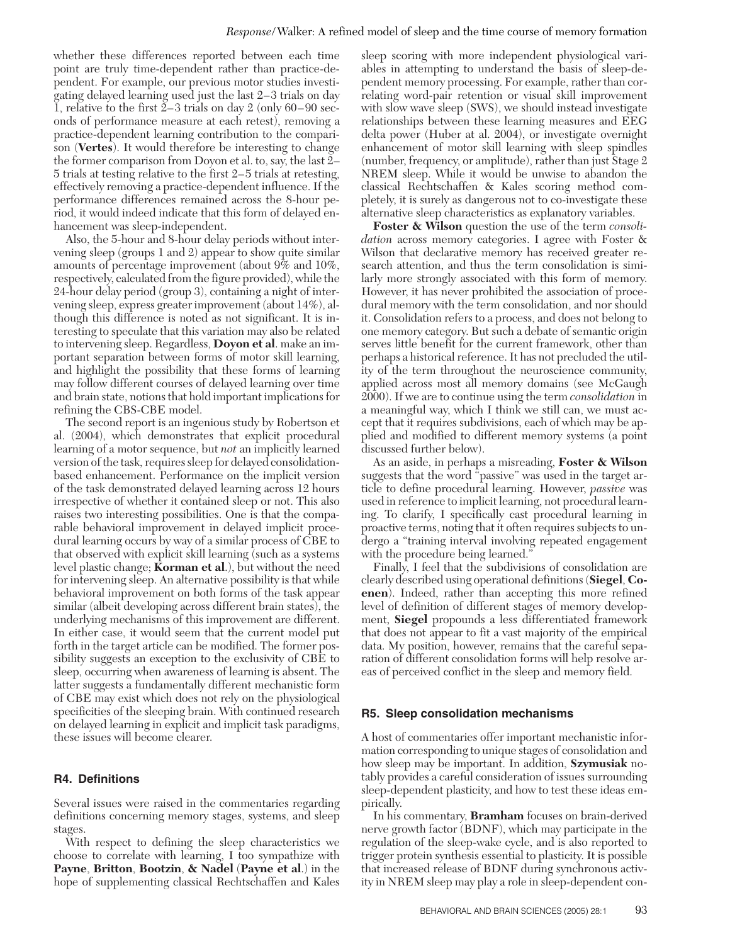whether these differences reported between each time point are truly time-dependent rather than practice-dependent. For example, our previous motor studies investigating delayed learning used just the last 2–3 trials on day 1, relative to the first 2–3 trials on day 2 (only 60–90 seconds of performance measure at each retest), removing a practice-dependent learning contribution to the comparison (**Vertes**). It would therefore be interesting to change the former comparison from Doyon et al. to, say, the last 2– 5 trials at testing relative to the first 2–5 trials at retesting, effectively removing a practice-dependent influence. If the performance differences remained across the 8-hour period, it would indeed indicate that this form of delayed enhancement was sleep-independent.

Also, the 5-hour and 8-hour delay periods without intervening sleep (groups 1 and 2) appear to show quite similar amounts of percentage improvement (about 9% and 10%, respectively, calculated from the figure provided), while the 24-hour delay period (group 3), containing a night of intervening sleep, express greater improvement (about 14%), although this difference is noted as not significant. It is interesting to speculate that this variation may also be related to intervening sleep. Regardless, **Doyon et al**. make an important separation between forms of motor skill learning, and highlight the possibility that these forms of learning may follow different courses of delayed learning over time and brain state, notions that hold important implications for refining the CBS-CBE model.

The second report is an ingenious study by Robertson et al. (2004), which demonstrates that explicit procedural learning of a motor sequence, but *not* an implicitly learned version of the task, requires sleep for delayed consolidationbased enhancement. Performance on the implicit version of the task demonstrated delayed learning across 12 hours irrespective of whether it contained sleep or not. This also raises two interesting possibilities. One is that the comparable behavioral improvement in delayed implicit procedural learning occurs by way of a similar process of CBE to that observed with explicit skill learning (such as a systems level plastic change; **Korman et al**.), but without the need for intervening sleep. An alternative possibility is that while behavioral improvement on both forms of the task appear similar (albeit developing across different brain states), the underlying mechanisms of this improvement are different. In either case, it would seem that the current model put forth in the target article can be modified. The former possibility suggests an exception to the exclusivity of CBE to sleep, occurring when awareness of learning is absent. The latter suggests a fundamentally different mechanistic form of CBE may exist which does not rely on the physiological specificities of the sleeping brain. With continued research on delayed learning in explicit and implicit task paradigms, these issues will become clearer.

## **R4. Definitions**

Several issues were raised in the commentaries regarding definitions concerning memory stages, systems, and sleep stages.

With respect to defining the sleep characteristics we choose to correlate with learning, I too sympathize with **Payne**, **Britton**, **Bootzin**, **& Nadel** (**Payne et al**.) in the hope of supplementing classical Rechtschaffen and Kales

sleep scoring with more independent physiological variables in attempting to understand the basis of sleep-dependent memory processing. For example, rather than correlating word-pair retention or visual skill improvement with slow wave sleep (SWS), we should instead investigate relationships between these learning measures and EEG delta power (Huber at al. 2004), or investigate overnight enhancement of motor skill learning with sleep spindles (number, frequency, or amplitude), rather than just Stage 2 NREM sleep. While it would be unwise to abandon the classical Rechtschaffen & Kales scoring method completely, it is surely as dangerous not to co-investigate these alternative sleep characteristics as explanatory variables.

**Foster & Wilson** question the use of the term *consolidation* across memory categories. I agree with Foster & Wilson that declarative memory has received greater research attention, and thus the term consolidation is similarly more strongly associated with this form of memory. However, it has never prohibited the association of procedural memory with the term consolidation, and nor should it. Consolidation refers to a process, and does not belong to one memory category. But such a debate of semantic origin serves little benefit for the current framework, other than perhaps a historical reference. It has not precluded the utility of the term throughout the neuroscience community, applied across most all memory domains (see McGaugh 2000). If we are to continue using the term *consolidation* in a meaningful way, which I think we still can, we must accept that it requires subdivisions, each of which may be applied and modified to different memory systems (a point discussed further below).

As an aside, in perhaps a misreading, **Foster & Wilson** suggests that the word "passive" was used in the target article to define procedural learning. However, *passive* was used in reference to implicit learning, not procedural learning. To clarify, I specifically cast procedural learning in proactive terms, noting that it often requires subjects to undergo a "training interval involving repeated engagement with the procedure being learned."

Finally, I feel that the subdivisions of consolidation are clearly described using operational definitions (**Siegel**, **Coenen**). Indeed, rather than accepting this more refined level of definition of different stages of memory development, **Siegel** propounds a less differentiated framework that does not appear to fit a vast majority of the empirical data. My position, however, remains that the careful separation of different consolidation forms will help resolve areas of perceived conflict in the sleep and memory field.

#### **R5. Sleep consolidation mechanisms**

A host of commentaries offer important mechanistic information corresponding to unique stages of consolidation and how sleep may be important. In addition, **Szymusiak** notably provides a careful consideration of issues surrounding sleep-dependent plasticity, and how to test these ideas empirically.

In his commentary, **Bramham** focuses on brain-derived nerve growth factor (BDNF), which may participate in the regulation of the sleep-wake cycle, and is also reported to trigger protein synthesis essential to plasticity. It is possible that increased release of BDNF during synchronous activity in NREM sleep may play a role in sleep-dependent con-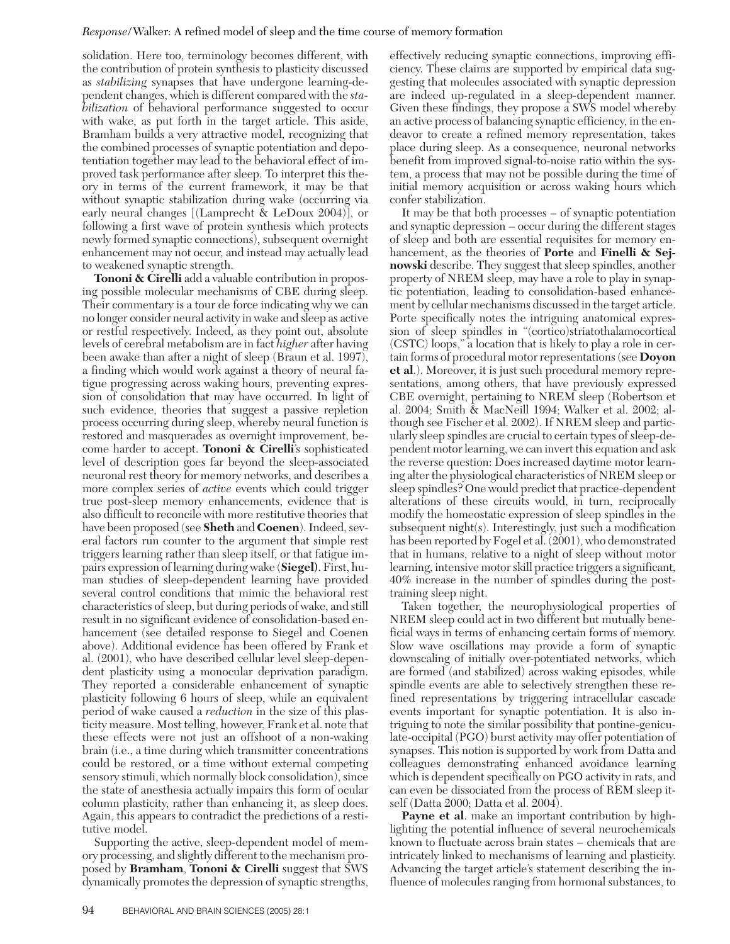solidation. Here too, terminology becomes different, with the contribution of protein synthesis to plasticity discussed as *stabilizing* synapses that have undergone learning-dependent changes, which is different compared with the *stabilization* of behavioral performance suggested to occur with wake, as put forth in the target article. This aside, Bramham builds a very attractive model, recognizing that the combined processes of synaptic potentiation and depotentiation together may lead to the behavioral effect of improved task performance after sleep. To interpret this theory in terms of the current framework, it may be that without synaptic stabilization during wake (occurring via early neural changes [(Lamprecht & LeDoux 2004)], or following a first wave of protein synthesis which protects newly formed synaptic connections), subsequent overnight enhancement may not occur, and instead may actually lead to weakened synaptic strength.

**Tononi & Cirelli** add a valuable contribution in proposing possible molecular mechanisms of CBE during sleep. Their commentary is a tour de force indicating why we can no longer consider neural activity in wake and sleep as active or restful respectively. Indeed, as they point out, absolute levels of cerebral metabolism are in fact *higher* after having been awake than after a night of sleep (Braun et al. 1997), a finding which would work against a theory of neural fatigue progressing across waking hours, preventing expression of consolidation that may have occurred. In light of such evidence, theories that suggest a passive repletion process occurring during sleep, whereby neural function is restored and masquerades as overnight improvement, become harder to accept. **Tononi & Cirelli**'s sophisticated level of description goes far beyond the sleep-associated neuronal rest theory for memory networks, and describes a more complex series of *active* events which could trigger true post-sleep memory enhancements, evidence that is also difficult to reconcile with more restitutive theories that have been proposed (see **Sheth** and **Coenen**). Indeed, several factors run counter to the argument that simple rest triggers learning rather than sleep itself, or that fatigue impairs expression of learning during wake (**Siegel)**. First, human studies of sleep-dependent learning have provided several control conditions that mimic the behavioral rest characteristics of sleep, but during periods of wake, and still result in no significant evidence of consolidation-based enhancement (see detailed response to Siegel and Coenen above). Additional evidence has been offered by Frank et al. (2001), who have described cellular level sleep-dependent plasticity using a monocular deprivation paradigm. They reported a considerable enhancement of synaptic plasticity following 6 hours of sleep, while an equivalent period of wake caused a *reduction* in the size of this plasticity measure. Most telling, however, Frank et al. note that these effects were not just an offshoot of a non-waking brain (i.e., a time during which transmitter concentrations could be restored, or a time without external competing sensory stimuli, which normally block consolidation), since the state of anesthesia actually impairs this form of ocular column plasticity, rather than enhancing it, as sleep does. Again, this appears to contradict the predictions of a restitutive model.

Supporting the active, sleep-dependent model of memory processing, and slightly different to the mechanism proposed by **Bramham**, **Tononi & Cirelli** suggest that SWS dynamically promotes the depression of synaptic strengths, effectively reducing synaptic connections, improving efficiency. These claims are supported by empirical data suggesting that molecules associated with synaptic depression are indeed up-regulated in a sleep-dependent manner. Given these findings, they propose a SWS model whereby an active process of balancing synaptic efficiency, in the endeavor to create a refined memory representation, takes place during sleep. As a consequence, neuronal networks benefit from improved signal-to-noise ratio within the system, a process that may not be possible during the time of initial memory acquisition or across waking hours which confer stabilization.

It may be that both processes – of synaptic potentiation and synaptic depression – occur during the different stages of sleep and both are essential requisites for memory enhancement, as the theories of **Porte** and **Finelli & Sejnowski** describe. They suggest that sleep spindles, another property of NREM sleep, may have a role to play in synaptic potentiation, leading to consolidation-based enhancement by cellular mechanisms discussed in the target article. Porte specifically notes the intriguing anatomical expression of sleep spindles in "(cortico)striatothalamocortical (CSTC) loops," a location that is likely to play a role in certain forms of procedural motor representations (see **Doyon et al**.). Moreover, it is just such procedural memory representations, among others, that have previously expressed CBE overnight, pertaining to NREM sleep (Robertson et al. 2004; Smith & MacNeill 1994; Walker et al. 2002; although see Fischer et al. 2002). If NREM sleep and particularly sleep spindles are crucial to certain types of sleep-dependent motor learning, we can invert this equation and ask the reverse question: Does increased daytime motor learning alter the physiological characteristics of NREM sleep or sleep spindles? One would predict that practice-dependent alterations of these circuits would, in turn, reciprocally modify the homeostatic expression of sleep spindles in the subsequent night(s). Interestingly, just such a modification has been reported by Fogel et al. (2001), who demonstrated that in humans, relative to a night of sleep without motor learning, intensive motor skill practice triggers a significant, 40% increase in the number of spindles during the posttraining sleep night.

Taken together, the neurophysiological properties of NREM sleep could act in two different but mutually beneficial ways in terms of enhancing certain forms of memory. Slow wave oscillations may provide a form of synaptic downscaling of initially over-potentiated networks, which are formed (and stabilized) across waking episodes, while spindle events are able to selectively strengthen these refined representations by triggering intracellular cascade events important for synaptic potentiation. It is also intriguing to note the similar possibility that pontine-geniculate-occipital (PGO) burst activity may offer potentiation of synapses. This notion is supported by work from Datta and colleagues demonstrating enhanced avoidance learning which is dependent specifically on PGO activity in rats, and can even be dissociated from the process of REM sleep itself (Datta 2000; Datta et al. 2004).

**Payne et al**. make an important contribution by highlighting the potential influence of several neurochemicals known to fluctuate across brain states – chemicals that are intricately linked to mechanisms of learning and plasticity. Advancing the target article's statement describing the influence of molecules ranging from hormonal substances, to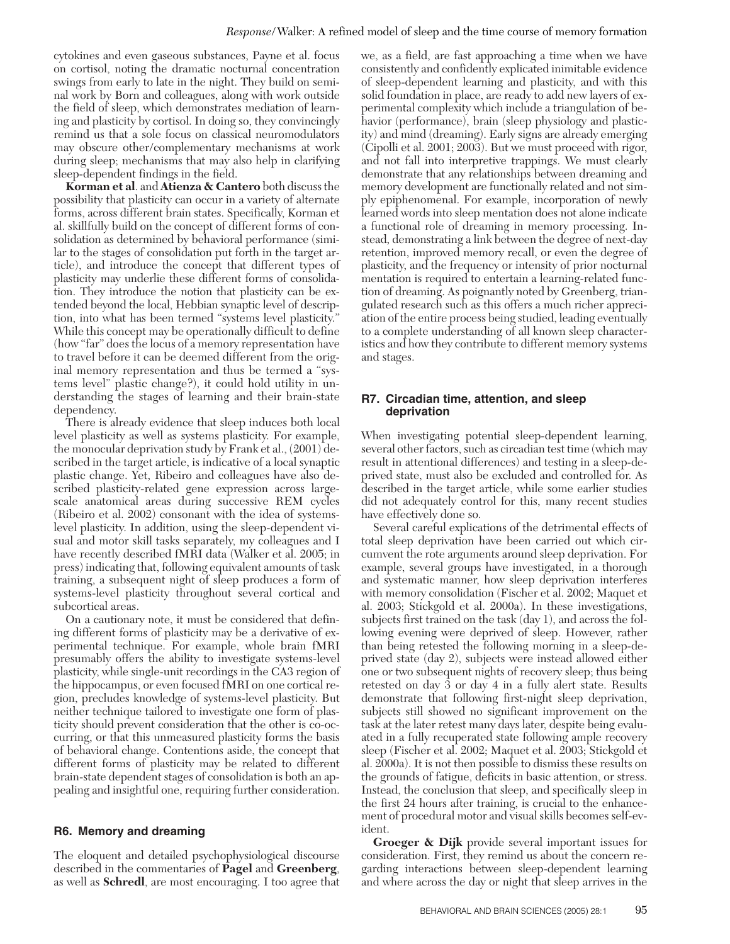cytokines and even gaseous substances, Payne et al. focus on cortisol, noting the dramatic nocturnal concentration swings from early to late in the night. They build on seminal work by Born and colleagues, along with work outside the field of sleep, which demonstrates mediation of learning and plasticity by cortisol. In doing so, they convincingly remind us that a sole focus on classical neuromodulators may obscure other/complementary mechanisms at work during sleep; mechanisms that may also help in clarifying sleep-dependent findings in the field.

**Korman et al**. and **Atienza & Cantero** both discuss the possibility that plasticity can occur in a variety of alternate forms, across different brain states. Specifically, Korman et al. skillfully build on the concept of different forms of consolidation as determined by behavioral performance (similar to the stages of consolidation put forth in the target article), and introduce the concept that different types of plasticity may underlie these different forms of consolidation. They introduce the notion that plasticity can be extended beyond the local, Hebbian synaptic level of description, into what has been termed "systems level plasticity." While this concept may be operationally difficult to define (how "far" does the locus of a memory representation have to travel before it can be deemed different from the original memory representation and thus be termed a "systems level" plastic change?), it could hold utility in understanding the stages of learning and their brain-state dependency.

There is already evidence that sleep induces both local level plasticity as well as systems plasticity. For example, the monocular deprivation study by Frank et al., (2001) described in the target article, is indicative of a local synaptic plastic change. Yet, Ribeiro and colleagues have also described plasticity-related gene expression across largescale anatomical areas during successive REM cycles (Ribeiro et al. 2002) consonant with the idea of systemslevel plasticity. In addition, using the sleep-dependent visual and motor skill tasks separately, my colleagues and I have recently described fMRI data (Walker et al. 2005; in press) indicating that, following equivalent amounts of task training, a subsequent night of sleep produces a form of systems-level plasticity throughout several cortical and subcortical areas.

On a cautionary note, it must be considered that defining different forms of plasticity may be a derivative of experimental technique. For example, whole brain fMRI presumably offers the ability to investigate systems-level plasticity, while single-unit recordings in the CA3 region of the hippocampus, or even focused fMRI on one cortical region, precludes knowledge of systems-level plasticity. But neither technique tailored to investigate one form of plasticity should prevent consideration that the other is co-occurring, or that this unmeasured plasticity forms the basis of behavioral change. Contentions aside, the concept that different forms of plasticity may be related to different brain-state dependent stages of consolidation is both an appealing and insightful one, requiring further consideration.

## **R6. Memory and dreaming**

The eloquent and detailed psychophysiological discourse described in the commentaries of **Pagel** and **Greenberg**, as well as **Schredl**, are most encouraging. I too agree that

we, as a field, are fast approaching a time when we have consistently and confidently explicated inimitable evidence of sleep-dependent learning and plasticity, and with this solid foundation in place, are ready to add new layers of experimental complexity which include a triangulation of behavior (performance), brain (sleep physiology and plasticity) and mind (dreaming). Early signs are already emerging (Cipolli et al. 2001; 2003). But we must proceed with rigor, and not fall into interpretive trappings. We must clearly demonstrate that any relationships between dreaming and memory development are functionally related and not simply epiphenomenal. For example, incorporation of newly learned words into sleep mentation does not alone indicate a functional role of dreaming in memory processing. Instead, demonstrating a link between the degree of next-day retention, improved memory recall, or even the degree of plasticity, and the frequency or intensity of prior nocturnal mentation is required to entertain a learning-related function of dreaming. As poignantly noted by Greenberg, triangulated research such as this offers a much richer appreciation of the entire process being studied, leading eventually to a complete understanding of all known sleep characteristics and how they contribute to different memory systems and stages.

## **R7. Circadian time, attention, and sleep deprivation**

When investigating potential sleep-dependent learning, several other factors, such as circadian test time (which may result in attentional differences) and testing in a sleep-deprived state, must also be excluded and controlled for. As described in the target article, while some earlier studies did not adequately control for this, many recent studies have effectively done so.

Several careful explications of the detrimental effects of total sleep deprivation have been carried out which circumvent the rote arguments around sleep deprivation. For example, several groups have investigated, in a thorough and systematic manner, how sleep deprivation interferes with memory consolidation (Fischer et al. 2002; Maquet et al. 2003; Stickgold et al. 2000a). In these investigations, subjects first trained on the task (day 1), and across the following evening were deprived of sleep. However, rather than being retested the following morning in a sleep-deprived state (day 2), subjects were instead allowed either one or two subsequent nights of recovery sleep; thus being retested on day 3 or day 4 in a fully alert state. Results demonstrate that following first-night sleep deprivation, subjects still showed no significant improvement on the task at the later retest many days later, despite being evaluated in a fully recuperated state following ample recovery sleep (Fischer et al. 2002; Maquet et al. 2003; Stickgold et al. 2000a). It is not then possible to dismiss these results on the grounds of fatigue, deficits in basic attention, or stress. Instead, the conclusion that sleep, and specifically sleep in the first 24 hours after training, is crucial to the enhancement of procedural motor and visual skills becomes self-evident.

**Groeger & Dijk** provide several important issues for consideration. First, they remind us about the concern regarding interactions between sleep-dependent learning and where across the day or night that sleep arrives in the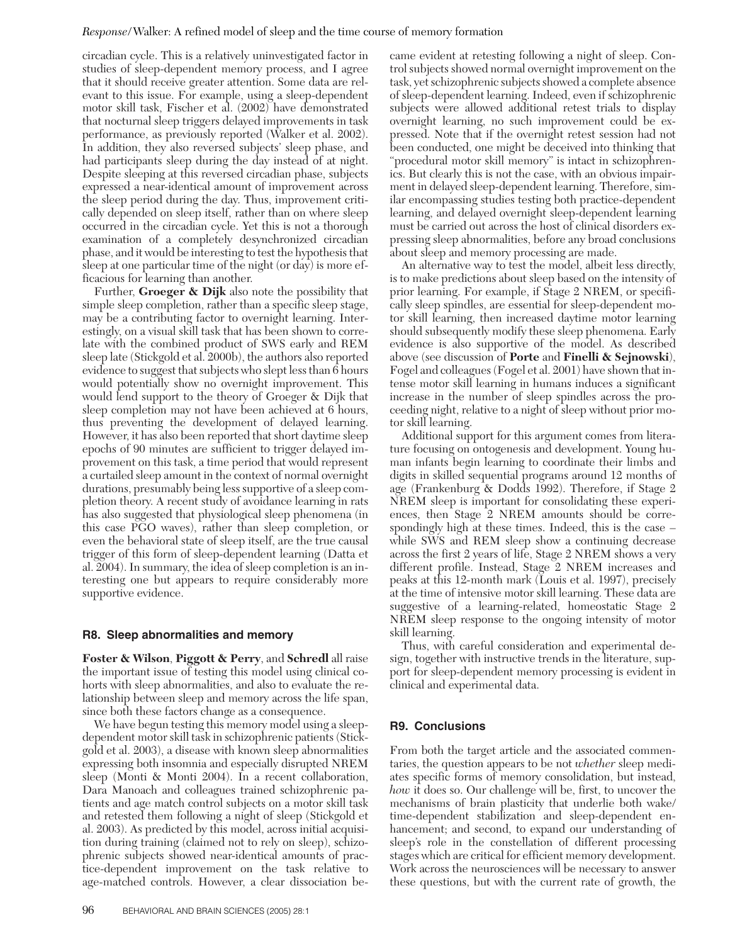circadian cycle. This is a relatively uninvestigated factor in studies of sleep-dependent memory process, and I agree that it should receive greater attention. Some data are relevant to this issue. For example, using a sleep-dependent motor skill task, Fischer et al. (2002) have demonstrated that nocturnal sleep triggers delayed improvements in task performance, as previously reported (Walker et al. 2002). In addition, they also reversed subjects' sleep phase, and had participants sleep during the day instead of at night. Despite sleeping at this reversed circadian phase, subjects expressed a near-identical amount of improvement across the sleep period during the day. Thus, improvement critically depended on sleep itself, rather than on where sleep occurred in the circadian cycle. Yet this is not a thorough examination of a completely desynchronized circadian phase, and it would be interesting to test the hypothesis that sleep at one particular time of the night (or day) is more efficacious for learning than another.

Further, **Groeger & Dijk** also note the possibility that simple sleep completion, rather than a specific sleep stage, may be a contributing factor to overnight learning. Interestingly, on a visual skill task that has been shown to correlate with the combined product of SWS early and REM sleep late (Stickgold et al. 2000b), the authors also reported evidence to suggest that subjects who slept less than 6 hours would potentially show no overnight improvement. This would lend support to the theory of Groeger & Dijk that sleep completion may not have been achieved at 6 hours, thus preventing the development of delayed learning. However, it has also been reported that short daytime sleep epochs of 90 minutes are sufficient to trigger delayed improvement on this task, a time period that would represent a curtailed sleep amount in the context of normal overnight durations, presumably being less supportive of a sleep completion theory. A recent study of avoidance learning in rats has also suggested that physiological sleep phenomena (in this case PGO waves), rather than sleep completion, or even the behavioral state of sleep itself, are the true causal trigger of this form of sleep-dependent learning (Datta et al. 2004). In summary, the idea of sleep completion is an interesting one but appears to require considerably more supportive evidence.

## **R8. Sleep abnormalities and memory**

**Foster & Wilson**, **Piggott & Perry**, and **Schredl** all raise the important issue of testing this model using clinical cohorts with sleep abnormalities, and also to evaluate the relationship between sleep and memory across the life span, since both these factors change as a consequence.

We have begun testing this memory model using a sleepdependent motor skill task in schizophrenic patients (Stickgold et al. 2003), a disease with known sleep abnormalities expressing both insomnia and especially disrupted NREM sleep (Monti & Monti 2004). In a recent collaboration, Dara Manoach and colleagues trained schizophrenic patients and age match control subjects on a motor skill task and retested them following a night of sleep (Stickgold et al. 2003). As predicted by this model, across initial acquisition during training (claimed not to rely on sleep), schizophrenic subjects showed near-identical amounts of practice-dependent improvement on the task relative to age-matched controls. However, a clear dissociation became evident at retesting following a night of sleep. Control subjects showed normal overnight improvement on the task, yet schizophrenic subjects showed a complete absence of sleep-dependent learning. Indeed, even if schizophrenic subjects were allowed additional retest trials to display overnight learning, no such improvement could be expressed. Note that if the overnight retest session had not been conducted, one might be deceived into thinking that "procedural motor skill memory" is intact in schizophrenics. But clearly this is not the case, with an obvious impairment in delayed sleep-dependent learning. Therefore, similar encompassing studies testing both practice-dependent learning, and delayed overnight sleep-dependent learning must be carried out across the host of clinical disorders expressing sleep abnormalities, before any broad conclusions about sleep and memory processing are made.

An alternative way to test the model, albeit less directly, is to make predictions about sleep based on the intensity of prior learning. For example, if Stage 2 NREM, or specifically sleep spindles, are essential for sleep-dependent motor skill learning, then increased daytime motor learning should subsequently modify these sleep phenomena. Early evidence is also supportive of the model. As described above (see discussion of **Porte** and **Finelli & Sejnowski**), Fogel and colleagues (Fogel et al. 2001) have shown that intense motor skill learning in humans induces a significant increase in the number of sleep spindles across the proceeding night, relative to a night of sleep without prior motor skill learning.

Additional support for this argument comes from literature focusing on ontogenesis and development. Young human infants begin learning to coordinate their limbs and digits in skilled sequential programs around 12 months of age (Frankenburg & Dodds 1992). Therefore, if Stage 2 NREM sleep is important for consolidating these experiences, then Stage 2 NREM amounts should be correspondingly high at these times. Indeed, this is the case – while SWS and REM sleep show a continuing decrease across the first 2 years of life, Stage 2 NREM shows a very different profile. Instead, Stage 2 NREM increases and peaks at this 12-month mark (Louis et al. 1997), precisely at the time of intensive motor skill learning. These data are suggestive of a learning-related, homeostatic Stage 2 NREM sleep response to the ongoing intensity of motor skill learning.

Thus, with careful consideration and experimental design, together with instructive trends in the literature, support for sleep-dependent memory processing is evident in clinical and experimental data.

## **R9. Conclusions**

From both the target article and the associated commentaries, the question appears to be not *whether* sleep mediates specific forms of memory consolidation, but instead, *how* it does so. Our challenge will be, first, to uncover the mechanisms of brain plasticity that underlie both wake/ time-dependent stabilization and sleep-dependent enhancement; and second, to expand our understanding of sleep's role in the constellation of different processing stages which are critical for efficient memory development. Work across the neurosciences will be necessary to answer these questions, but with the current rate of growth, the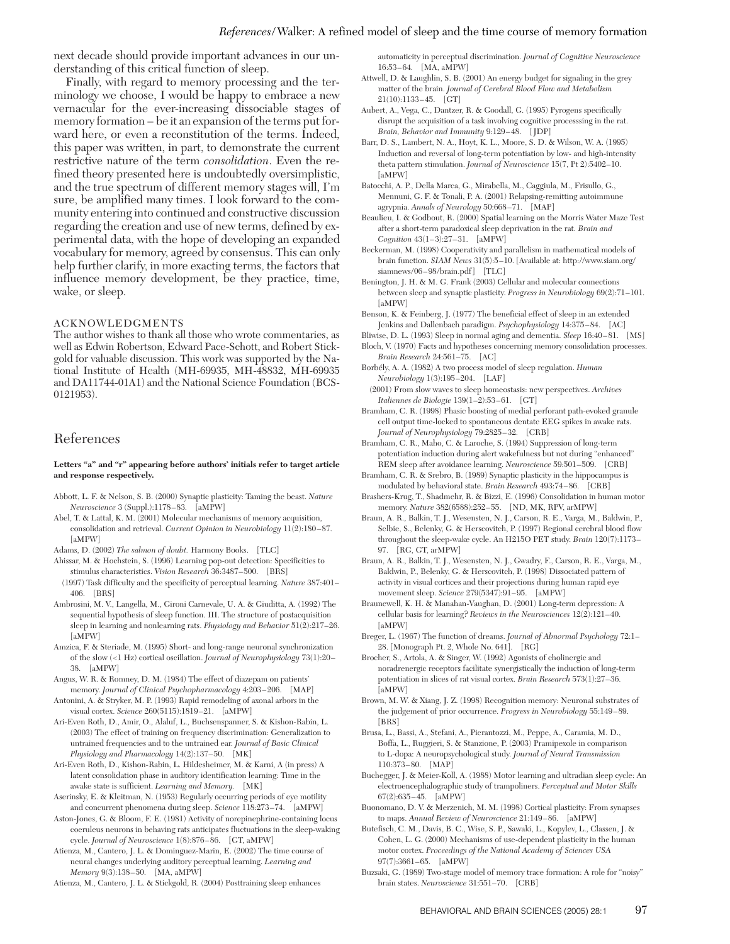next decade should provide important advances in our understanding of this critical function of sleep.

Finally, with regard to memory processing and the terminology we choose, I would be happy to embrace a new vernacular for the ever-increasing dissociable stages of memory formation – be it an expansion of the terms put forward here, or even a reconstitution of the terms. Indeed, this paper was written, in part, to demonstrate the current restrictive nature of the term *consolidation*. Even the refined theory presented here is undoubtedly oversimplistic, and the true spectrum of different memory stages will, I'm sure, be amplified many times. I look forward to the community entering into continued and constructive discussion regarding the creation and use of new terms, defined by experimental data, with the hope of developing an expanded vocabulary for memory, agreed by consensus. This can only help further clarify, in more exacting terms, the factors that influence memory development, be they practice, time, wake, or sleep.

#### ACKNOWLEDGMENTS

The author wishes to thank all those who wrote commentaries, as well as Edwin Robertson, Edward Pace-Schott, and Robert Stickgold for valuable discussion. This work was supported by the National Institute of Health (MH-69935, MH-48832, MH-69935 and DA11744-01A1) and the National Science Foundation (BCS-0121953).

## References

#### **Letters "a" and "r" appearing before authors' initials refer to target article and response respectively.**

- Abbott, L. F. & Nelson, S. B. (2000) Synaptic plasticity: Taming the beast. *Nature Neuroscience* 3 (Suppl.):1178–83. [aMPW]
- Abel, T. & Lattal, K. M. (2001) Molecular mechanisms of memory acquisition, consolidation and retrieval. *Current Opinion in Neurobiology* 11(2):180–87. [aMPW]
- Adams, D. (2002) *The salmon of doubt.* Harmony Books. [TLC]
- Ahissar, M. & Hochstein, S. (1996) Learning pop-out detection: Specificities to stimulus characteristics. *Vision Research* 36:3487–500. [BRS] (1997) Task difficulty and the specificity of perceptual learning. *Nature* 387:401–
- 406. [BRS]
- Ambrosini, M. V., Langella, M., Gironi Carnevale, U. A. & Giuditta, A. (1992) The sequential hypothesis of sleep function. III. The structure of postacquisition sleep in learning and nonlearning rats. *Physiology and Behavior* 51(2):217–26. [aMPW]
- Amzica, F. & Steriade, M. (1995) Short- and long-range neuronal synchronization of the slow (-1 Hz) cortical oscillation. *Journal of Neurophysiology* 73(1):20– 38. [aMPW]
- Angus, W. R. & Romney, D. M. (1984) The effect of diazepam on patients' memory. *Journal of Clinical Psychopharmacology* 4:203–206. [MAP]
- Antonini, A. & Stryker, M. P. (1993) Rapid remodeling of axonal arbors in the visual cortex. *Science* 260(5115):1819–21. [aMPW]
- Ari-Even Roth, D., Amir, O., Alaluf, L., Buchsenspanner, S. & Kishon-Rabin, L. (2003) The effect of training on frequency discrimination: Generalization to untrained frequencies and to the untrained ear. *Journal of Basic Clinical Physiology and Pharmacology* 14(2):137–50. [MK]
- Ari-Even Roth, D., Kishon-Rabin, L. Hildesheimer, M. & Karni, A (in press) A latent consolidation phase in auditory identification learning: Time in the awake state is sufficient. *Learning and Memory.* [MK]
- Aserinsky, E. & Kleitman, N. (1953) Regularly occurring periods of eye motility and concurrent phenomena during sleep. *Science* 118:273–74. [aMPW]
- Aston-Jones, G. & Bloom, F. E. (1981) Activity of norepinephrine-containing locus coeruleus neurons in behaving rats anticipates fluctuations in the sleep-waking cycle. *Journal of Neuroscience* 1(8):876–86. [GT, aMPW]
- Atienza, M., Cantero, J. L. & Dominguez-Marin, E. (2002) The time course of neural changes underlying auditory perceptual learning. *Learning and Memory* 9(3):138–50. [MA, aMPW]
- Atienza, M., Cantero, J. L. & Stickgold, R. (2004) Posttraining sleep enhances

automaticity in perceptual discrimination. *Journal of Cognitive Neuroscience* 16:53–64. [MA, aMPW]

- Attwell, D. & Laughlin, S. B. (2001) An energy budget for signaling in the grey matter of the brain. *Journal of Cerebral Blood Flow and Metabolism* 21(10):1133–45. [GT]
- Aubert, A., Vega, C., Dantzer, R. & Goodall, G. (1995) Pyrogens specifically disrupt the acquisition of a task involving cognitive processsing in the rat. *Brain, Behavior and Immunity* 9:129–48. [JDP]
- Barr, D. S., Lambert, N. A., Hoyt, K. L., Moore, S. D. & Wilson, W. A. (1995) Induction and reversal of long-term potentiation by low- and high-intensity theta pattern stimulation. *Journal of Neuroscience* 15(7, Pt 2):5402–10. [aMPW]
- Batocchi, A. P., Della Marca, G., Mirabella, M., Caggiula, M., Frisullo, G., Mennuni, G. F. & Tonali, P. A. (2001) Relapsing-remitting autoimmune agrypnia. *Annals of Neurology* 50:668–71. [MAP]
- Beaulieu, I. & Godbout, R. (2000) Spatial learning on the Morris Water Maze Test after a short-term paradoxical sleep deprivation in the rat. *Brain and Cognition* 43(1–3):27–31. [aMPW]
- Beckerman, M. (1998) Cooperativity and parallelism in mathematical models of brain function. *SIAM News* 31(5):5–10. [Available at: http://www.siam.org/ siamnews/06–98/brain.pdf] [TLC]
- Benington, J. H. & M. G. Frank (2003) Cellular and molecular connections between sleep and synaptic plasticity. *Progress in Neurobiology* 69(2):71–101. [aMPW]
- Benson, K. & Feinberg, J. (1977) The beneficial effect of sleep in an extended Jenkins and Dallenbach paradigm. *Psychophysiology* 14:375–84. [AC]
- Bliwise, D. L. (1993) Sleep in normal aging and dementia. *Sleep* 16:40–81. [MS]
- Bloch, V. (1970) Facts and hypotheses concerning memory consolidation processes. *Brain Research* 24:561–75. [AC]
- Borbély, A. A. (1982) A two process model of sleep regulation. *Human Neurobiology* 1(3):195–204. [LAF]
- (2001) From slow waves to sleep homeostasis: new perspectives. *Archives Italiennes de Biologie* 139(1–2):53–61. [GT]
- Bramham, C. R. (1998) Phasic boosting of medial perforant path-evoked granule cell output time-locked to spontaneous dentate EEG spikes in awake rats. *Journal of Neurophysiology* 79:2825–32. [CRB]
- Bramham, C. R., Maho, C. & Laroche, S. (1994) Suppression of long-term potentiation induction during alert wakefulness but not during "enhanced" REM sleep after avoidance learning. *Neuroscience* 59:501–509. [CRB]
- Bramham, C. R. & Srebro, B. (1989) Synaptic plasticity in the hippocampus is modulated by behavioral state. *Brain Research* 493:74–86. [CRB]
- Brashers-Krug, T., Shadmehr, R. & Bizzi, E. (1996) Consolidation in human motor memory. *Nature* 382(6588):252–55. [ND, MK, RPV, arMPW]
- Braun, A. R., Balkin, T. J., Wesensten, N. J., Carson, R. E., Varga, M., Baldwin, P., Selbie, S., Belenky, G. & Herscovitch, P. (1997) Regional cerebral blood flow throughout the sleep-wake cycle. An H215O PET study. *Brain* 120(7):1173– 97. [RG, GT, arMPW]
- Braun, A. R., Balkin, T. J., Wesensten, N. J., Gwadry, F., Carson, R. E., Varga, M., Baldwin, P., Belenky, G. & Herscovitch, P. (1998) Dissociated pattern of activity in visual cortices and their projections during human rapid eye movement sleep. *Science* 279(5347):91–95. [aMPW]
- Braunewell, K. H. & Manahan-Vaughan, D. (2001) Long-term depression: A cellular basis for learning? *Reviews in the Neurosciences* 12(2):121–40. [aMPW]
- Breger, L. (1967) The function of dreams. *Journal of Abnormal Psychology* 72:1– 28. [Monograph Pt. 2, Whole No. 641]. [RG]
- Brocher, S., Artola, A. & Singer, W. (1992) Agonists of cholinergic and noradrenergic receptors facilitate synergistically the induction of long-term potentiation in slices of rat visual cortex. *Brain Research* 573(1):27–36. [aMPW]
- Brown, M. W. & Xiang, J. Z. (1998) Recognition memory: Neuronal substrates of the judgement of prior occurrence. *Progress in Neurobiology* 55:149–89. [BRS]
- Brusa, L., Bassi, A., Stefani, A., Pierantozzi, M., Peppe, A., Caramia, M. D., Boffa, L., Ruggieri, S. & Stanzione, P. (2003) Pramipexole in comparison to L-dopa: A neuropsychological study. *Journal of Neural Transmission* 110:373–80. [MAP]
- Buchegger, J. & Meier-Koll, A. (1988) Motor learning and ultradian sleep cycle: An electroencephalographic study of trampoliners. *Perceptual and Motor Skills* 67(2):635–45. [aMPW]
- Buonomano, D. V. & Merzenich, M. M. (1998) Cortical plasticity: From synapses to maps. *Annual Review of Neuroscience* 21:149–86. [aMPW]
- Butefisch, C. M., Davis, B. C., Wise, S. P., Sawaki, L., Kopylev, L., Classen, J. & Cohen, L. G. (2000) Mechanisms of use-dependent plasticity in the human motor cortex. *Proceedings of the National Academy of Sciences USA* 97(7):3661–65. [aMPW]
- Buzsaki, G. (1989) Two-stage model of memory trace formation: A role for "noisy" brain states. *Neuroscience* 31:551–70. [CRB]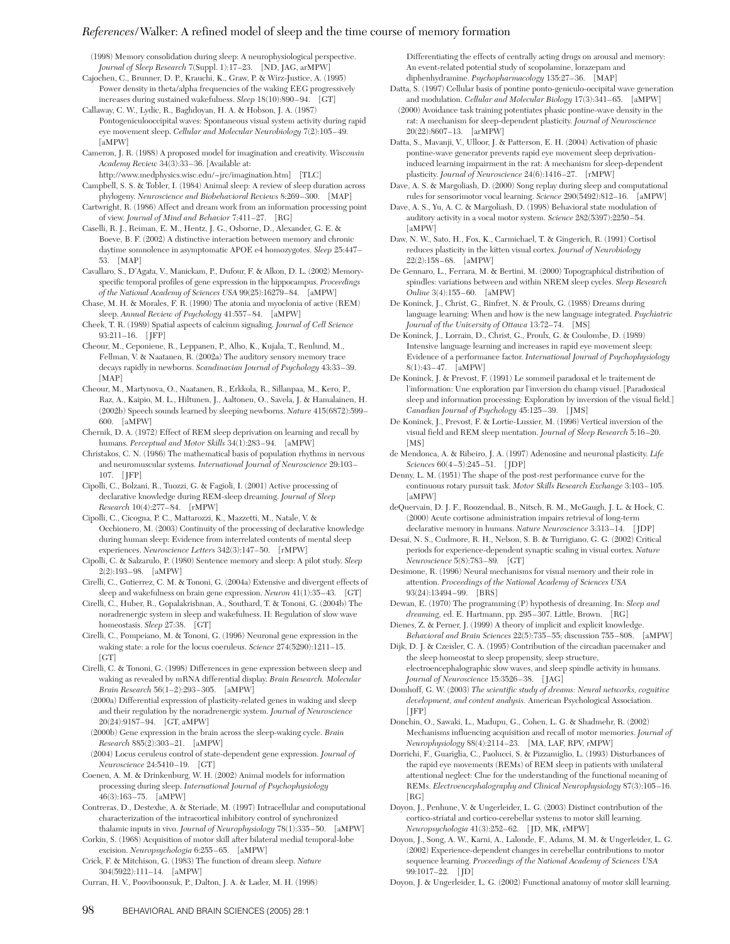(1998) Memory consolidation during sleep: A neurophysiological perspective. *Journal of Sleep Research* 7(Suppl. 1):17–23. [ND, JAG, arMPW]

Cajochen, C., Brunner, D. P., Krauchi, K., Graw, P. & Wirz-Justice, A. (1995) Power density in theta/alpha frequencies of the waking EEG progressively increases during sustained wakefulness. *Sleep* 18(10):890–94. [GT]

Callaway, C. W., Lydic, R., Baghdoyan, H. A. & Hobson, J. A. (1987) Pontogeniculooccipital waves: Spontaneous visual system activity during rapid eye movement sleep. *Cellular and Molecular Neurobiology* 7(2):105–49. [aMPW]

Cameron, J. R. (1988) A proposed model for imagination and creativity. *Wisconsin Academy Review* 34(3):33–36. [Available at:

http://www.medphysics.wisc.edu/~jrc/imagination.htm] [TLC] Campbell, S. S. & Tobler, I. (1984) Animal sleep: A review of sleep duration across

phylogeny. *Neuroscience and Biobehavioral Reviews* 8:269–300. [MAP] Cartwright, R. (1986) Affect and dream work from an information processing point of view. *Journal of Mind and Behavior* 7:411–27. [RG]

Caselli, R. J., Reiman, E. M., Hentz, J. G., Osborne, D., Alexander, G. E. & Boeve, B. F. (2002) A distinctive interaction between memory and chronic daytime somnolence in asymptomatic APOE e4 homozygotes. *Sleep* 25:447– 53. [MAP]

Cavallaro, S., D'Agata, V., Manickam, P., Dufour, F. & Alkon, D. L. (2002) Memoryspecific temporal profiles of gene expression in the hippocampus. *Proceedings of the National Academy of Sciences USA* 99(25):16279–84. [aMPW]

Chase, M. H. & Morales, F. R. (1990) The atonia and myoclonia of active (REM) sleep. *Annual Review of Psychology* 41:557–84. [aMPW]

Cheek, T. R. (1989) Spatial aspects of calcium signaling. *Journal of Cell Science* 93:211–16. [JFP]

Cheour, M., Ceponiene, R., Leppanen, P., Alho, K., Kujala, T., Renlund, M., Fellman, V. & Naatanen, R. (2002a) The auditory sensory memory trace decays rapidly in newborns. *Scandinavian Journal of Psychology* 43:33–39. [MAP]

Cheour, M., Martynova, O., Naatanen, R., Erkkola, R., Sillanpaa, M., Kero, P., Raz, A., Kaipio, M. L., Hiltunen, J., Aaltonen, O., Savela, J. & Hamalainen, H. (2002b) Speech sounds learned by sleeping newborns. *Nature* 415(6872):599– 600. [aMPW]

Chernik, D. A. (1972) Effect of REM sleep deprivation on learning and recall by humans. *Perceptual and Motor Skills* 34(1):283–94. [aMPW]

Christakos, C. N. (1986) The mathematical basis of population rhythms in nervous and neuromuscular systems. *International Journal of Neuroscience* 29:103– 107. [JFP]

Cipolli, C., Bolzani, R., Tuozzi, G. & Fagioli, I. (2001) Active processing of declarative knowledge during REM-sleep dreaming. *Journal of Sleep Research* 10(4):277–84. [rMPW]

Cipolli, C., Cicogna, P. C., Mattarozzi, K., Mazzetti, M., Natale, V. & Occhionero, M. (2003) Continuity of the processing of declarative knowledge during human sleep: Evidence from interrelated contents of mental sleep experiences. *Neuroscience Letters* 342(3):147–50. [rMPW]

Cipolli, C. & Salzarulo, P. (1980) Sentence memory and sleep: A pilot study. *Sleep* 2(2):193–98. [aMPW]

Cirelli, C., Gutierrez, C. M. & Tononi, G. (2004a) Extensive and divergent effects of sleep and wakefulness on brain gene expression. *Neuron* 41(1):35–43. [GT]

Cirelli, C., Huber, R., Gopalakrishnan, A., Southard, T. & Tononi, G. (2004b) The noradrenergic system in sleep and wakefulness. II: Regulation of slow wave homeostasis. *Sleep* 27:38. [GT]

Cirelli, C., Pompeiano, M. & Tononi, G. (1996) Neuronal gene expression in the waking state: a role for the locus coeruleus. *Science* 274(5290):1211–15.  $\lceil GT \rceil$ 

Cirelli, C. & Tononi, G. (1998) Differences in gene expression between sleep and waking as revealed by mRNA differential display. *Brain Research. Molecular Brain Research* 56(1–2):293–305. [aMPW]

(2000a) Differential expression of plasticity-related genes in waking and sleep and their regulation by the noradrenergic system. *Journal of Neuroscience* 20(24):9187–94. [GT, aMPW]

(2000b) Gene expression in the brain across the sleep-waking cycle. *Brain Research* 885(2):303–21. [aMPW]

(2004) Locus ceruleus control of state-dependent gene expression. *Journal of Neuroscience* 24:5410–19. [GT]

Coenen, A. M. & Drinkenburg, W. H. (2002) Animal models for information processing during sleep. *International Journal of Psychophysiology* 46(3):163–75. [aMPW]

Contreras, D., Destexhe, A. & Steriade, M. (1997) Intracellular and computational characterization of the intracortical inhibitory control of synchronized

thalamic inputs in vivo. *Journal of Neurophysiology* 78(1):335–50. [aMPW] Corkin, S. (1968) Acquisition of motor skill after bilateral medial temporal-lobe excision. *Neuropsychologia* 6:255–65. [aMPW]

Crick, F. & Mitchison, G. (1983) The function of dream sleep. *Nature* 304(5922):111–14. [aMPW]

Curran, H. V., Pooviboonsuk, P., Dalton, J. A. & Lader, M. H. (1998)

Differentiating the effects of centrally acting drugs on arousal and memory: An event-related potential study of scopolamine, lorazepam and diphenhydramine. *Psychopharmacology* 135:27–36. [MAP]

Datta, S. (1997) Cellular basis of pontine ponto-geniculo-occipital wave generation and modulation. *Cellular and Molecular Biology* 17(3):341–65. [aMPW] (2000) Avoidance task training potentiates phasic pontine-wave density in the rat: A mechanism for sleep-dependent plasticity. *Journal of Neuroscience*

20(22):8607–13. [arMPW] Datta, S., Mavanji, V., Ulloor, J. & Patterson, E. H. (2004) Activation of phasic pontine-wave generator prevents rapid eye movement sleep deprivationinduced learning impairment in the rat: A mechanism for sleep-dependent plasticity. *Journal of Neuroscience* 24(6):1416–27. [rMPW]

Dave, A. S. & Margoliash, D. (2000) Song replay during sleep and computational rules for sensorimotor vocal learning. *Science* 290(5492):812–16. [aMPW]

Dave, A. S., Yu, A. C. & Margoliash, D. (1998) Behavioral state modulation of auditory activity in a vocal motor system. *Science* 282(5397):2250–54. [aMPW]

Daw, N. W., Sato, H., Fox, K., Carmichael, T. & Gingerich, R. (1991) Cortisol reduces plasticity in the kitten visual cortex. *Journal of Neurobiology* 22(2):158–68. [aMPW]

De Gennaro, L., Ferrara, M. & Bertini, M. (2000) Topographical distribution of spindles: variations between and within NREM sleep cycles. *Sleep Research Online* 3(4):155–60. [aMPW]

De Koninck, J., Christ, G., Rinfret, N. & Proulx, G. (1988) Dreams during language learning: When and how is the new language integrated. *Psychiatric Journal of the University of Ottawa* 13:72–74. [MS]

De Koninck, J., Lorrain, D., Christ, G., Proulx, G. & Coulombe, D. (1989) Intensive language learning and increases in rapid eye movement sleep: Evidence of a performance factor. *International Journal of Psychophysiology* 8(1):43–47. [aMPW]

De Koninck, J. & Prevost, F. (1991) Le sommeil paradoxal et le traitement de l'information: Une exploration par l'inversion du champ visuel. [Paradoxical sleep and information processing: Exploration by inversion of the visual field.] *Canadian Journal of Psychology* 45:125–39. [JMS]

De Koninck, J., Prevost, F. & Lortie-Lussier, M. (1996) Vertical inversion of the visual field and REM sleep mentation. *Journal of Sleep Research* 5:16–20. [MS]

de Mendonca, A. & Ribeiro, J. A. (1997) Adenosine and neuronal plasticity. *Life Sciences* 60(4–5):245–51. [JDP]

Denny, L. M. (1951) The shape of the post-rest performance curve for the continuous rotary pursuit task. *Motor Skills Research Exchange* 3:103–105. [aMPW]

deQuervain, D. J. F., Roozendaal, B., Nitsch, R. M., McGaugh, J. L. & Hock, C. (2000) Acute cortisone administration impairs retrieval of long-term declarative memory in humans. *Nature Neuroscience* 3:313–14. [JDP]

Desai, N. S., Cudmore, R. H., Nelson, S. B. & Turrigiano, G. G. (2002) Critical periods for experience-dependent synaptic scaling in visual cortex. *Nature Neuroscience* 5(8):783–89. [GT]

Desimone, R. (1996) Neural mechanisms for visual memory and their role in attention. *Proceedings of the National Academy of Sciences USA* 93(24):13494–99. [BRS]

Dewan, E. (1970) The programming (P) hypothesis of dreaming. In: *Sleep and dreaming,* ed. E. Hartmann, pp. 295–307. Little, Brown. [RG]

Dienes, Z. & Perner, J. (1999) A theory of implicit and explicit knowledge. *Behavioral and Brain Sciences* 22(5):735–55; discussion 755–808. [aMPW]

Dijk, D. J. & Czeisler, C. A. (1995) Contribution of the circadian pacemaker and the sleep homeostat to sleep propensity, sleep structure,

electroencephalographic slow waves, and sleep spindle activity in humans. *Journal of Neuroscience* 15:3526–38. [JAG]

Domhoff, G. W. (2003) *The scientific study of dreams: Neural networks, cognitive development, and content analysis.* American Psychological Association. [JFP]

Donchin, O., Sawaki, L., Madupu, G., Cohen, L. G. & Shadmehr, R. (2002) Mechanisms influencing acquisition and recall of motor memories. *Journal of Neurophysiology* 88(4):2114–23. [MA, LAF, RPV, rMPW]

Dorrichi, F., Guariglia, C., Paolucci, S. & Pizzamiglio, L. (1993) Disturbances of the rapid eye movements (REMs) of REM sleep in patients with unilateral attentional neglect: Clue for the understanding of the functional meaning of REMs. *Electroencephalography and Clinical Neurophysiology* 87(3):105–16. [RG]

Doyon, J., Penhune, V. & Ungerleider, L. G. (2003) Distinct contribution of the cortico-striatal and cortico-cerebellar systems to motor skill learning. *Neuropsychologia* 41(3):252–62. [JD, MK, rMPW]

Doyon, J., Song, A. W., Karni, A., Lalonde, F., Adams, M. M. & Ungerleider, L. G. (2002) Experience-dependent changes in cerebellar contributions to motor sequence learning. *Proceedings of the National Academy of Sciences USA* 99:1017–22. [JD]

Doyon, J. & Ungerleider, L. G. (2002) Functional anatomy of motor skill learning.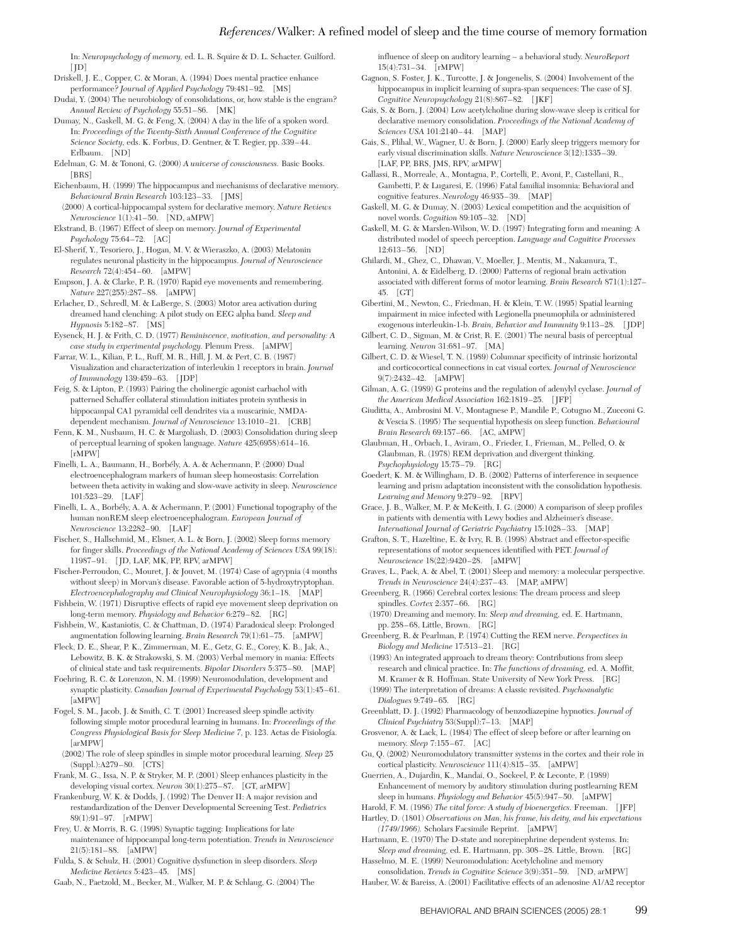In: *Neuropsychology of memory,* ed. L. R. Squire & D. L. Schacter. Guilford.  $[$   $]$ D $]$ 

- Driskell, J. E., Copper, C. & Moran, A. (1994) Does mental practice enhance performance? *Journal of Applied Psychology* 79:481–92. [MS]
- Dudai, Y. (2004) The neurobiology of consolidations, or, how stable is the engram? *Annual Review of Psychology* 55:51–86. [MK]
- Dumay, N., Gaskell, M. G. & Feng, X. (2004) A day in the life of a spoken word. In: *Proceedings of the Twenty-Sixth Annual Conference of the Cognitive Science Society,* eds. K. Forbus, D. Gentner, & T. Regier, pp. 339–44. Erlbaum. [ND]
- Edelman, G. M. & Tononi, G. (2000) *A universe of consciousness.* Basic Books. [BRS]
- Eichenbaum, H. (1999) The hippocampus and mechanisms of declarative memory. *Behavioural Brain Research* 103:123–33. [JMS]
- (2000) A cortical-hippocampal system for declarative memory. *Nature Reviews Neuroscience* 1(1):41–50. [ND, aMPW]
- Ekstrand, B. (1967) Effect of sleep on memory. *Journal of Experimental Psychology* 75:64–72. [AC]
- El-Sherif, Y., Tesoriero, J., Hogan, M. V. & Wieraszko, A. (2003) Melatonin regulates neuronal plasticity in the hippocampus. *Journal of Neuroscience Research* 72(4):454–60. [aMPW]
- Empson, J. A. & Clarke, P. R. (1970) Rapid eye movements and remembering. *Nature* 227(255):287–88. [aMPW]
- Erlacher, D., Schredl, M. & LaBerge, S. (2003) Motor area activation during dreamed hand clenching: A pilot study on EEG alpha band. *Sleep and Hypnosis* 5:182–87. [MS]
- Eysenck, H. J. & Frith, C. D. (1977) *Reminiscence, motivation, and personality: A case study in experimental psychology.* Plenum Press. [aMPW]
- Farrar, W. L., Kilian, P. L., Ruff, M. R., Hill, J. M. & Pert, C. B. (1987) Visualization and characterization of interleukin 1 receptors in brain. *Journal of Immunology* 139:459–63. [JDP]
- Feig, S. & Lipton, P. (1993) Pairing the cholinergic agonist carbachol with patterned Schaffer collateral stimulation initiates protein synthesis in hippocampal CA1 pyramidal cell dendrites via a muscarinic, NMDAdependent mechanism. *Journal of Neuroscience* 13:1010–21. [CRB]
- Fenn, K. M., Nusbaum, H. C. & Margoliash, D. (2003) Consolidation during sleep of perceptual learning of spoken language. *Nature* 425(6958):614–16. [rMPW]
- Finelli, L. A., Baumann, H., Borbély, A. A. & Achermann, P. (2000) Dual electroencephalogram markers of human sleep homeostasis: Correlation between theta activity in waking and slow-wave activity in sleep. *Neuroscience* 101:523–29. [LAF]
- Finelli, L. A., Borbély, A. A. & Achermann, P. (2001) Functional topography of the human nonREM sleep electroencephalogram. *European Journal of Neuroscience* 13:2282–90. [LAF]
- Fischer, S., Hallschmid, M., Elsner, A. L. & Born, J. (2002) Sleep forms memory for finger skills. *Proceedings of the National Academy of Sciences USA* 99(18): 11987–91. [JD, LAF, MK, PP, RPV, arMPW]
- Fischer-Perroudon, C., Mouret, J. & Jouvet, M. (1974) Case of agrypnia (4 months without sleep) in Morvan's disease. Favorable action of 5-hydroxytryptophan. *Electroencephalography and Clinical Neurophysiology* 36:1–18. [MAP]
- Fishbein, W. (1971) Disruptive effects of rapid eye movement sleep deprivation on long-term memory. *Physiology and Behavior* 6:279–82. [RG]
- Fishbein, W., Kastaniotis, C. & Chattman, D. (1974) Paradoxical sleep: Prolonged augmentation following learning. *Brain Research* 79(1):61–75. [aMPW]
- Fleck, D. E., Shear, P. K., Zimmerman, M. E., Getz, G. E., Corey, K. B., Jak, A., Lebowitz, B. K. & Strakowski, S. M. (2003) Verbal memory in mania: Effects of clinical state and task requirements. *Bipolar Disorders* 5:375–80. [MAP]
- Foehring, R. C. & Lorenzon, N. M. (1999) Neuromodulation, development and synaptic plasticity. *Canadian Journal of Experimental Psychology* 53(1):45–61. [aMPW]
- Fogel, S. M., Jacob, J. & Smith, C. T. (2001) Increased sleep spindle activity following simple motor procedural learning in humans. In: *Proceedings of the Congress Physiological Basis for Sleep Medicine 7,* p. 123. Actas de Fisiología. [arMPW]
- (2002) The role of sleep spindles in simple motor procedural learning. *Sleep* 25 (Suppl.):A279–80. [CTS]
- Frank, M. G., Issa, N. P. & Stryker, M. P. (2001) Sleep enhances plasticity in the developing visual cortex. *Neuron* 30(1):275–87. [GT, arMPW]
- Frankenburg, W. K. & Dodds, J. (1992) The Denver II: A major revision and restandardization of the Denver Developmental Screening Test. *Pediatrics* 89(1):91–97. [rMPW]
- Frey, U. & Morris, R. G. (1998) Synaptic tagging: Implications for late maintenance of hippocampal long-term potentiation. *Trends in Neuroscience* 21(5):181–88. [aMPW]
- Fulda, S. & Schulz, H. (2001) Cognitive dysfunction in sleep disorders. *Sleep Medicine Reviews* 5:423–45. [MS]
- Gaab, N., Paetzold, M., Becker, M., Walker, M. P. & Schlaug, G. (2004) The

influence of sleep on auditory learning – a behavioral study. *NeuroReport* 15(4):731–34. [rMPW]

- Gagnon, S. Foster, J. K., Turcotte, J. & Jongenelis, S. (2004) Involvement of the hippocampus in implicit learning of supra-span sequences: The case of SJ. *Cognitive Neuropsychology* 21(8):867–82. [JKF]
- Gais, S. & Born, J. (2004) Low acetylcholine during slow-wave sleep is critical for declarative memory consolidation. *Proceedings of the National Academy of Sciences USA* 101:2140–44. [MAP]
- Gais, S., Plihal, W., Wagner, U. & Born, J. (2000) Early sleep triggers memory for early visual discrimination skills. *Nature Neuroscience* 3(12):1335–39. [LAF, PP, BRS, JMS, RPV, arMPW]
- Gallassi, R., Morreale, A., Montagna, P., Cortelli, P., Avoni, P., Castellani, R., Gambetti, P. & Lugaresi, E. (1996) Fatal familial insomnia: Behavioral and cognitive features. *Neurology* 46:935–39. [MAP]
- Gaskell, M. G. & Dumay, N. (2003) Lexical competition and the acquisition of novel words. *Cognition* 89:105–32. [ND]
- Gaskell, M. G. & Marslen-Wilson, W. D. (1997) Integrating form and meaning: A distributed model of speech perception. *Language and Cognitive Processes* 12:613–56. [ND]
- Ghilardi, M., Ghez, C., Dhawan, V., Moeller, J., Mentis, M., Nakamura, T., Antonini, A. & Eidelberg, D. (2000) Patterns of regional brain activation associated with different forms of motor learning. *Brain Research* 871(1):127– 45. [GT]
- Gibertini, M., Newton, C., Friedman, H. & Klein, T. W. (1995) Spatial learning impairment in mice infected with Legionella pneumophila or administered exogenous interleukin-1-b. *Brain, Behavior and Immunity* 9:113–28. [JDP]
- Gilbert, C. D., Sigman, M. & Crist, R. E. (2001) The neural basis of perceptual learning. *Neuron* 31:681–97. [MA]
- Gilbert, C. D. & Wiesel, T. N. (1989) Columnar specificity of intrinsic horizontal and corticocortical connections in cat visual cortex. *Journal of Neuroscience* 9(7):2432–42. [aMPW]
- Gilman, A. G. (1989) G proteins and the regulation of adenylyl cyclase. *Journal of the American Medical Association* 162:1819–25. [JFP]
- Giuditta, A., Ambrosini M. V., Montagnese P., Mandile P., Cotugno M., Zucconi G. & Vescia S. (1995) The sequential hypothesis on sleep function. *Behavioural Brain Research* 69:157–66. [AC, aMPW]
- Glaubman, H., Orbach, I., Aviram, O., Frieder, I., Frieman, M., Pelled, O. & Glaubman, R. (1978) REM deprivation and divergent thinking. *Psychophysiology* 15:75–79. [RG]
- Goedert, K. M. & Willingham, D. B. (2002) Patterns of interference in sequence learning and prism adaptation inconsistent with the consolidation hypothesis. *Learning and Memory* 9:279–92. [RPV]
- Grace, J. B., Walker, M. P. & McKeith, I. G. (2000) A comparison of sleep profiles in patients with dementia with Lewy bodies and Alzheimer's disease. *International Journal of Geriatric Psychiatry* 15:1028–33. [MAP]
- Grafton, S. T., Hazeltine, E. & Ivry, R. B. (1998) Abstract and effector-specific representations of motor sequences identified with PET. *Journal of Neuroscience* 18(22):9420–28. [aMPW]
- Graves, L., Pack, A. & Abel, T. (2001) Sleep and memory: a molecular perspective. *Trends in Neuroscience* 24(4):237–43. [MAP, aMPW]
- Greenberg, R. (1966) Cerebral cortex lesions: The dream process and sleep spindles. *Cortex* 2:357–66. [RG]
	- (1970) Dreaming and memory. In: *Sleep and dreaming,* ed. E. Hartmann, pp. 258–68. Little, Brown. [RG]
- Greenberg, R. & Pearlman, P. (1974) Cutting the REM nerve. *Perspectives in Biology and Medicine* 17:513–21. [RG]
- (1993) An integrated approach to dream theory: Contributions from sleep research and clinical practice. In: *The functions of dreaming,* ed. A. Moffit, M. Kramer & R. Hoffman. State University of New York Press. [RG] (1999) The interpretation of dreams: A classic revisited. *Psychoanalytic*
- *Dialogues* 9:749–65. [RG] Greenblatt, D. J. (1992) Pharmacology of benzodiazepine hypnotics. *Journal of Clinical Psychiatry* 53(Suppl):7–13. [MAP]
- Grosvenor, A. & Lack, L. (1984) The effect of sleep before or after learning on memory. *Sleep* 7:155–67. [AC]
- Gu, Q. (2002) Neuromodulatory transmitter systems in the cortex and their role in cortical plasticity. *Neuroscience* 111(4):815–35. [aMPW]
- Guerrien, A., Dujardin, K., Mandai, O., Sockeel, P. & Leconte, P. (1989) Enhancement of memory by auditory stimulation during postlearning REM sleep in humans. *Physiology and Behavior* 45(5):947–50. [aMPW]
- Harold, F. M. (1986) *The vital force: A study of bioenergetics.* Freeman. [JFP] Hartley, D. (1801) *Observations on Man, his frame, his deity, and his expectations*
- *(1749/1966).* Scholars Facsimile Reprint. [aMPW] Hartmann, E. (1970) The D-state and norepinephrine dependent systems. In:
- *Sleep and dreaming,* ed. E. Hartmann, pp. 308–28. Little, Brown. [RG] Hasselmo, M. E. (1999) Neuromodulation: Acetylcholine and memory
- consolidation. *Trends in Cognitive Science* 3(9):351–59. [ND, arMPW] Hauber, W. & Bareiss, A. (2001) Facilitative effects of an adenosine A1/A2 receptor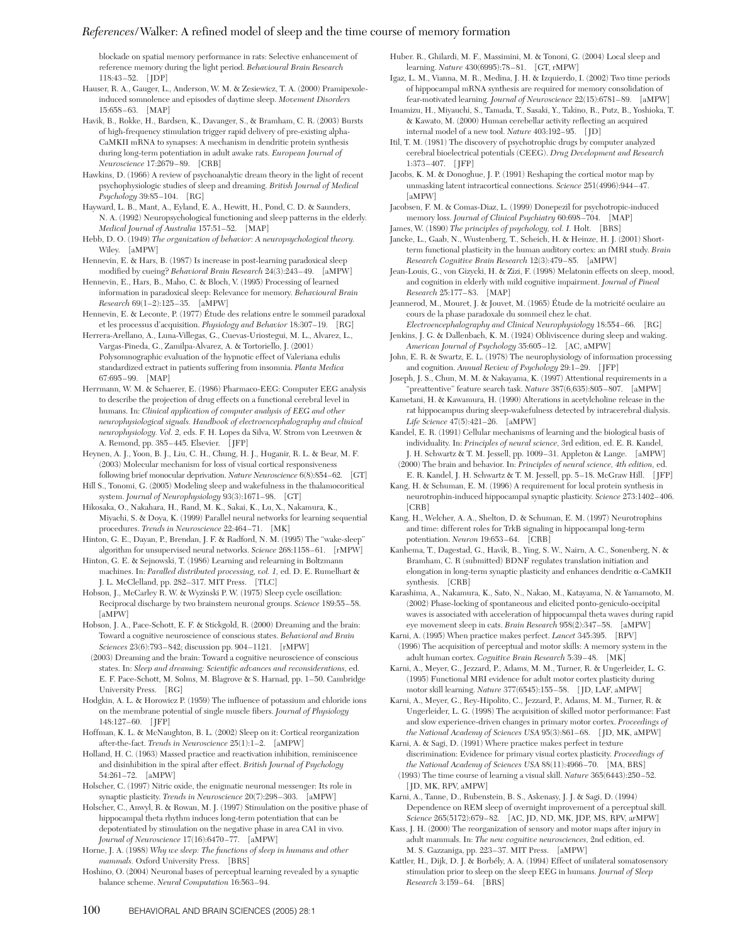blockade on spatial memory performance in rats: Selective enhancement of reference memory during the light period. *Behavioural Brain Research* 118:43–52. [JDP]

Hauser, R. A., Gauger, L., Anderson, W. M. & Zesiewicz, T. A. (2000) Pramipexoleinduced somnolence and episodes of daytime sleep. *Movement Disorders* 15:658–63. [MAP]

Havik, B., Rokke, H., Bardsen, K., Davanger, S., & Bramham, C. R. (2003) Bursts of high-frequency stimulation trigger rapid delivery of pre-existing alpha-CaMKII mRNA to synapses: A mechanism in dendritic protein synthesis during long-term potentiation in adult awake rats. *European Journal of Neuroscience* 17:2679–89. [CRB]

Hawkins, D. (1966) A review of psychoanalytic dream theory in the light of recent psychophysiologic studies of sleep and dreaming. *British Journal of Medical Psychology* 39:85–104. [RG]

Hayward, L. B., Mant, A., Eyland, E. A., Hewitt, H., Pond, C. D. & Saunders, N. A. (1992) Neuropsychological functioning and sleep patterns in the elderly. *Medical Journal of Australia* 157:51–52. [MAP]

Hebb, D. O. (1949) *The organization of behavior: A neuropsychological theory.* Wiley. [aMPW]

Hennevin, E. & Hars, B. (1987) Is increase in post-learning paradoxical sleep modified by cueing? *Behavioral Brain Research* 24(3):243–49. [aMPW]

Hennevin, E., Hars, B., Maho, C. & Bloch, V. (1995) Processing of learned information in paradoxical sleep: Relevance for memory. *Behavioural Brain Research* 69(1–2):125–35. [aMPW]

Hennevin, E. & Leconte, P. (1977) Étude des relations entre le sommeil paradoxal et les processus d'acquisition. *Physiology and Behavior* 18:307–19. [RG]

Herrera-Arellano, A., Luna-Villegas, G., Cuevas-Uriostegui, M. L., Alvarez, L., Vargas-Pineda, G., Zamilpa-Alvarez, A. & Tortoriello, J. (2001) Polysomnographic evaluation of the hypnotic effect of Valeriana edulis standardized extract in patients suffering from insomnia. *Planta Medica* 67:695–99. [MAP]

Herrmann, W. M. & Schaerer, E. (1986) Pharmaco-EEG: Computer EEG analysis to describe the projection of drug effects on a functional cerebral level in humans. In: *Clinical application of computer analysis of EEG and other neurophysiological signals. Handbook of electroencephalography and clinical neurophysiology. Vol. 2,* eds. F. H. Lopes da Silva, W. Strom von Leeuwen & A. Remond, pp. 385–445. Elsevier. [JFP]

Heynen, A. J., Yoon, B. J., Liu, C. H., Chung, H. J., Huganir, R. L. & Bear, M. F. (2003) Molecular mechanism for loss of visual cortical responsiveness following brief monocular deprivation. *Nature Neuroscience* 6(8):854–62. [GT]

Hill S., Tonomi, G. (2005) Modeling sleep and wakefulness in the thalamocoritical system. *Journal of Neurophysiology* 93(3):1671–98. [GT]

Hikosaka, O., Nakahara, H., Rand, M. K., Sakai, K., Lu, X., Nakamura, K., Miyachi, S. & Doya, K. (1999) Parallel neural networks for learning sequential procedures. *Trends in Neuroscience* 22:464–71. [MK]

Hinton, G. E., Dayan, P., Brendan, J. F. & Radford, N. M. (1995) The "wake-sleep" algorithm for unsupervised neural networks. *Science* 268:1158–61. [rMPW]

Hinton, G. E. & Sejnowski, T. (1986) Learning and relearning in Boltzmann machines. In: *Paralled distributed processing, vol. 1,* ed. D. E. Rumelhart & J. L. McClelland, pp. 282–317. MIT Press. [TLC]

Hobson, J., McCarley R. W. & Wyzinski P. W. (1975) Sleep cycle oscillation: Reciprocal discharge by two brainstem neuronal groups. *Science* 189:55–58. [aMPW]

Hobson, J. A., Pace-Schott, E. F. & Stickgold, R. (2000) Dreaming and the brain: Toward a cognitive neuroscience of conscious states. *Behavioral and Brain Sciences* 23(6):793–842; discussion pp. 904–1121. [rMPW]

(2003) Dreaming and the brain: Toward a cognitive neuroscience of conscious states. In: *Sleep and dreaming: Scientific advances and reconsiderations,* ed. E. F. Pace-Schott, M. Solms, M. Blagrove & S. Harnad, pp. 1–50. Cambridge University Press. [RG]

Hodgkin, A. L. & Horowicz P. (1959) The influence of potassium and chloride ions on the membrane potential of single muscle fibers. *Journal of Physiology* 148:127–60. [JFP]

Hoffman, K. L. & McNaughton, B. L. (2002) Sleep on it: Cortical reorganization after-the-fact. *Trends in Neuroscience* 25(1):1–2. [aMPW]

Holland, H. C. (1963) Massed practice and reactivation inhibition, reminiscence and disinhibition in the spiral after effect. *British Journal of Psychology* 54:261–72. [aMPW]

Holscher, C. (1997) Nitric oxide, the enigmatic neuronal messenger: Its role in synaptic plasticity. *Trends in Neuroscience* 20(7):298–303. [aMPW]

Holscher, C., Anwyl, R. & Rowan, M. J. (1997) Stimulation on the positive phase of hippocampal theta rhythm induces long-term potentiation that can be depotentiated by stimulation on the negative phase in area CA1 in vivo. *Journal of Neuroscience* 17(16):6470–77. [aMPW]

Horne, J. A. (1988) *Why we sleep: The functions of sleep in humans and other mammals.* Oxford University Press. [BRS]

Hoshino, O. (2004) Neuronal bases of perceptual learning revealed by a synaptic balance scheme. *Neural Computation* 16:563–94.

Huber. R., Ghilardi, M. F., Massimini, M. & Tononi, G. (2004) Local sleep and learning. *Nature* 430(6995):78–81. [GT, rMPW]

Igaz, L. M., Vianna, M. R., Medina, J. H. & Izquierdo, I. (2002) Two time periods of hippocampal mRNA synthesis are required for memory consolidation of fear-motivated learning. *Journal of Neuroscience* 22(15):6781–89. [aMPW]

Imamizu, H., Miyauchi, S., Tamada, T., Sasaki, Y., Takino, R., Putz, B., Yoshioka, T. & Kawato, M. (2000) Human cerebellar activity reflecting an acquired internal model of a new tool. *Nature* 403:192–95. [JD]

Itil, T. M. (1981) The discovery of psychotrophic drugs by computer analyzed cerebral bioelectrical potentials (CEEG). *Drug Development and Research* 1:373–407. [JFP]

Jacobs, K. M. & Donoghue, J. P. (1991) Reshaping the cortical motor map by unmasking latent intracortical connections. *Science* 251(4996):944–47. [aMPW]

Jacobsen, F. M. & Comas-Diaz, L. (1999) Donepezil for psychotropic-induced memory loss. *Journal of Clinical Psychiatry* 60:698–704. [MAP]

James, W. (1890) *The principles of psychology, vol. I.* Holt. [BRS]

Jancke, L., Gaab, N., Wustenberg, T., Scheich, H. & Heinze, H. J. (2001) Shortterm functional plasticity in the human auditory cortex: an fMRI study. *Brain Research Cognitive Brain Research* 12(3):479–85. [aMPW]

Jean-Louis, G., von Gizycki, H. & Zizi, F. (1998) Melatonin effects on sleep, mood, and cognition in elderly with mild cognitive impairment. *Journal of Pineal Research* 25:177–83. [MAP]

Jeannerod, M., Mouret, J. & Jouvet, M. (1965) Étude de la motricité oculaire au cours de la phase paradoxale du sommeil chez le chat.

*Electroencephalography and Clinical Neurophysiology* 18:554–66. [RG] Jenkins, J. G. & Dallenbach, K. M. (1924) Obliviscence during sleep and waking.

*American Journal of Psychology* 35:605–12. [AC, aMPW] John, E. R. & Swartz, E. L. (1978) The neurophysiology of information processing and cognition. *Annual Review of Psychology* 29:1–29. [JFP]

Joseph, J. S., Chun, M. M. & Nakayama, K. (1997) Attentional requirements in a "preattentive" feature search task. *Nature* 387(6,635):805–807. [aMPW]

Kametani, H. & Kawamura, H. (1990) Alterations in acetylcholine release in the rat hippocampus during sleep-wakefulness detected by intracerebral dialysis. *Life Science* 47(5):421–26. [aMPW]

Kandel, E. R. (1991) Cellular mechanisms of learning and the biological basis of individuality. In: *Principles of neural science,* 3rd edition, ed. E. R. Kandel, J. H. Schwartz & T. M. Jessell, pp. 1009–31. Appleton & Lange. [aMPW] (2000) The brain and behavior. In: *Principles of neural science, 4th edition,* ed.

E. R. Kandel, J. H. Schwartz & T. M. Jessell, pp. 5–18. McGraw Hill. [JFP]

Kang, H. & Schuman, E. M. (1996) A requirement for local protein synthesis in neurotrophin-induced hippocampal synaptic plasticity. *Science* 273:1402–406. [CRB]

Kang, H., Welcher, A. A., Shelton, D. & Schuman, E. M. (1997) Neurotrophins and time: different roles for TrkB signaling in hippocampal long-term potentiation. *Neuron* 19:653–64. [CRB]

Kanhema, T., Dagestad, G., Havik, B., Ying, S. W., Nairn, A. C., Sonenberg, N. & Bramham, C. R (submitted) BDNF regulates translation initiation and elongation in long-term synaptic plasticity and enhances dendritic  $\alpha$ -CaMKII synthesis. [CRB]

Karashima, A., Nakamura, K., Sato, N., Nakao, M., Katayama, N. & Yamamoto, M. (2002) Phase-locking of spontaneous and elicited ponto-geniculo-occipital waves is associated with acceleration of hippocampal theta waves during rapid eye movement sleep in cats. *Brain Research* 958(2):347–58. [aMPW]

Karni, A. (1995) When practice makes perfect. *Lancet* 345:395. [RPV] (1996) The acquisition of perceptual and motor skills: A memory system in the adult human cortex. *Cognitive Brain Research* 5:39–48. [MK]

Karni, A., Meyer, G., Jezzard, P., Adams, M. M., Turner, R. & Ungerleider, L. G. (1995) Functional MRI evidence for adult motor cortex plasticity during motor skill learning. *Nature* 377(6545):155–58. [JD, LAF, aMPW]

Karni, A., Meyer, G., Rey-Hipolito, C., Jezzard, P., Adams, M. M., Turner, R. & Ungerleider, L. G. (1998) The acquisition of skilled motor performance: Fast and slow experience-driven changes in primary motor cortex. *Proceedings of the National Academy of Sciences USA* 95(3):861–68. [JD, MK, aMPW]

Karni, A. & Sagi, D. (1991) Where practice makes perfect in texture discrimination: Evidence for primary visual cortex plasticity. *Proceedings of the National Academy of Sciences USA* 88(11):4966–70. [MA, BRS]

(1993) The time course of learning a visual skill. *Nature* 365(6443):250–52. [JD, MK, RPV, aMPW]

Karni, A., Tanne, D., Rubenstein, B. S., Askenasy, J. J. & Sagi, D. (1994) Dependence on REM sleep of overnight improvement of a perceptual skill. *Science* 265(5172):679–82. [AC, JD, ND, MK, JDP, MS, RPV, arMPW]

Kass, J. H. (2000) The reorganization of sensory and motor maps after injury in adult mammals. In: *The new cognitive neurosciences,* 2nd edition, ed. M. S. Gazzaniga, pp. 223–37. MIT Press. [aMPW]

Kattler, H., Dijk, D. J. & Borbély, A. A. (1994) Effect of unilateral somatosensory stimulation prior to sleep on the sleep EEG in humans. *Journal of Sleep Research* 3:159–64. [BRS]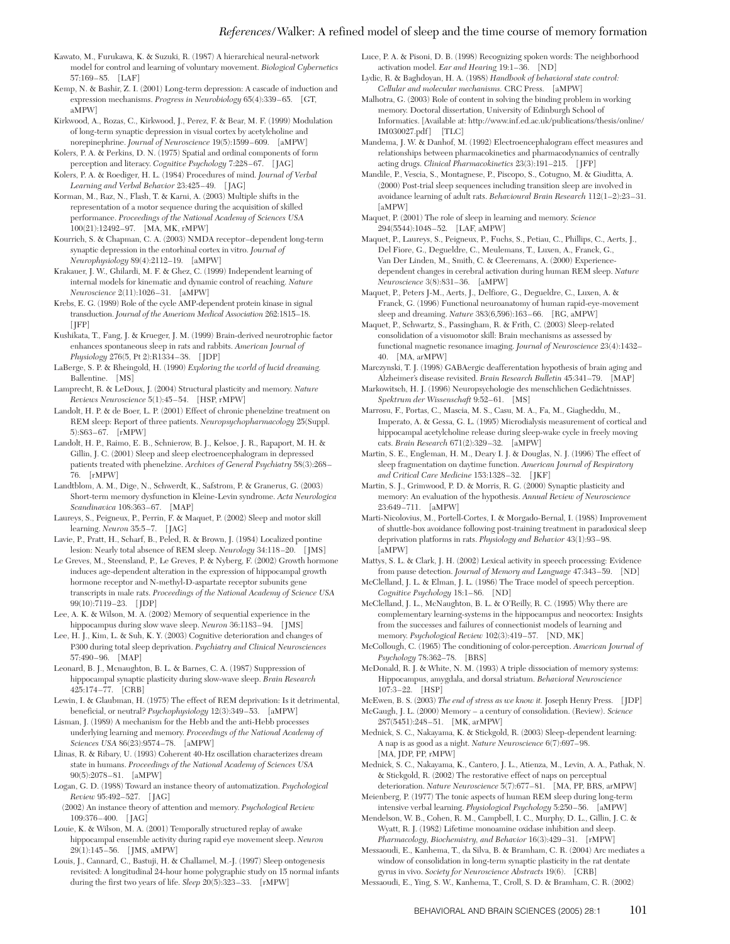Kawato, M., Furukawa, K. & Suzuki, R. (1987) A hierarchical neural-network model for control and learning of voluntary movement. *Biological Cybernetics* 57:169–85. [LAF]

Kemp, N. & Bashir, Z. I. (2001) Long-term depression: A cascade of induction and expression mechanisms. *Progress in Neurobiology* 65(4):339–65. [GT, aMPW]

Kirkwood, A., Rozas, C., Kirkwood, J., Perez, F. & Bear, M. F. (1999) Modulation of long-term synaptic depression in visual cortex by acetylcholine and norepinephrine. *Journal of Neuroscience* 19(5):1599–609. [aMPW]

Kolers, P. A. & Perkins, D. N. (1975) Spatial and ordinal components of form perception and literacy. *Cognitive Psychology* 7:228–67. [JAG]

Kolers, P. A. & Roediger, H. L. (1984) Procedures of mind. *Journal of Verbal Learning and Verbal Behavior* 23:425–49. [JAG]

Korman, M., Raz, N., Flash, T. & Karni, A. (2003) Multiple shifts in the representation of a motor sequence during the acquisition of skilled performance. *Proceedings of the National Academy of Sciences USA* 100(21):12492–97. [MA, MK, rMPW]

Kourrich, S. & Chapman, C. A. (2003) NMDA receptor–dependent long-term synaptic depression in the entorhinal cortex in vitro. *Journal of Neurophysiology* 89(4):2112–19. [aMPW]

Krakauer, J. W., Ghilardi, M. F. & Ghez, C. (1999) Independent learning of internal models for kinematic and dynamic control of reaching. *Nature Neuroscience* 2(11):1026–31. [aMPW]

Krebs, E. G. (1989) Role of the cycle AMP-dependent protein kinase in signal transduction. *Journal of the American Medical Association* 262:1815–18. [JFP]

Kushikata, T., Fang, J. & Krueger, J. M. (1999) Brain-derived neurotrophic factor enhances spontaneous sleep in rats and rabbits. *American Journal of Physiology* 276(5, Pt 2):R1334–38. [JDP]

LaBerge, S. P. & Rheingold, H. (1990) *Exploring the world of lucid dreaming.* Ballentine. [MS]

Lamprecht, R. & LeDoux, J. (2004) Structural plasticity and memory. *Nature Reviews Neuroscience* 5(1):45–54. [HSP, rMPW]

Landolt, H. P. & de Boer, L. P. (2001) Effect of chronic phenelzine treatment on REM sleep: Report of three patients. *Neuropsychopharmacology* 25(Suppl. 5):S63–67. [rMPW]

Landolt, H. P., Raimo, E. B., Schnierow, B. J., Kelsoe, J. R., Rapaport, M. H. & Gillin, J. C. (2001) Sleep and sleep electroencephalogram in depressed patients treated with phenelzine. *Archives of General Psychiatry* 58(3):268– 76. [rMPW]

Landtblom, A. M., Dige, N., Schwerdt, K., Safstrom, P. & Granerus, G. (2003) Short-term memory dysfunction in Kleine-Levin syndrome. *Acta Neurologica Scandinavica* 108:363–67. [MAP]

Laureys, S., Peigneux, P., Perrin, F. & Maquet, P. (2002) Sleep and motor skill learning. *Neuron* 35:5–7. [JAG]

Lavie, P., Pratt, H., Scharf, B., Peled, R. & Brown, J. (1984) Localized pontine lesion: Nearly total absence of REM sleep. *Neurology* 34:118–20. [JMS]

Le Greves, M., Steensland, P., Le Greves, P. & Nyberg, F. (2002) Growth hormone induces age-dependent alteration in the expression of hippocampal growth hormone receptor and N-methyl-D-aspartate receptor subunits gene transcripts in male rats. *Proceedings of the National Academy of Science USA* 99(10):7119–23. [JDP]

Lee, A. K. & Wilson, M. A. (2002) Memory of sequential experience in the hippocampus during slow wave sleep. *Neuron* 36:1183–94. [JMS]

Lee, H. J., Kim, L. & Suh, K. Y. (2003) Cognitive deterioration and changes of P300 during total sleep deprivation. *Psychiatry and Clinical Neurosciences* 57:490–96. [MAP]

Leonard, B. J., Mcnaughton, B. L. & Barnes, C. A. (1987) Suppression of hippocampal synaptic plasticity during slow-wave sleep. *Brain Research* 425:174–77. [CRB]

Lewin, I. & Glaubman, H. (1975) The effect of REM deprivation: Is it detrimental, beneficial, or neutral? *Psychophysiology* 12(3):349–53. [aMPW]

Lisman, J. (1989) A mechanism for the Hebb and the anti-Hebb processes underlying learning and memory. *Proceedings of the National Academy of Sciences USA* 86(23):9574–78. [aMPW]

Llinas, R. & Ribary, U. (1993) Coherent 40-Hz oscillation characterizes dream state in humans. *Proceedings of the National Academy of Sciences USA* 90(5):2078–81. [aMPW]

Logan, G. D. (1988) Toward an instance theory of automatization. *Psychological Review* 95:492–527. [JAG]

(2002) An instance theory of attention and memory. *Psychological Review* 109:376–400. [JAG]

Louie, K. & Wilson, M. A. (2001) Temporally structured replay of awake hippocampal ensemble activity during rapid eye movement sleep. *Neuron* 29(1):145–56. [JMS, aMPW]

Louis, J., Cannard, C., Bastuji, H. & Challamel, M.-J. (1997) Sleep ontogenesis revisited: A longitudinal 24-hour home polygraphic study on 15 normal infants during the first two years of life. *Sleep* 20(5):323–33. [rMPW]

Luce, P. A. & Pisoni, D. B. (1998) Recognizing spoken words: The neighborhood activation model. *Ear and Hearing* 19:1–36. [ND]

Lydic, R. & Baghdoyan, H. A. (1988) *Handbook of behavioral state control: Cellular and molecular mechanisms.* CRC Press. [aMPW]

Malhotra, G. (2003) Role of content in solving the binding problem in working memory. Doctoral dissertation, University of Edinburgh School of Informatics. [Available at: http://www.inf.ed.ac.uk/publications/thesis/online/ IM030027.pdf] [TLC]

Mandema, J. W. & Danhof, M. (1992) Electroencephalogram effect measures and relationships between pharmacokinetics and pharmacodynamics of centrally acting drugs. *Clinical Pharmacokinetics* 23(3):191–215. [JFP]

Mandile, P., Vescia, S., Montagnese, P., Piscopo, S., Cotugno, M. & Giuditta, A. (2000) Post-trial sleep sequences including transition sleep are involved in avoidance learning of adult rats. *Behavioural Brain Research* 112(1–2):23–31. [aMPW]

Maquet, P. (2001) The role of sleep in learning and memory. *Science* 294(5544):1048–52. [LAF, aMPW]

Maquet, P., Laureys, S., Peigneux, P., Fuchs, S., Petiau, C., Phillips, C., Aerts, J., Del Fiore, G., Degueldre, C., Meulemans, T., Luxen, A., Franck, G., Van Der Linden, M., Smith, C. & Cleeremans, A. (2000) Experiencedependent changes in cerebral activation during human REM sleep. *Nature Neuroscience* 3(8):831–36. [aMPW]

Maquet, P., Peters J-M., Aerts, J., Delfiore, G., Degueldre, C., Luxen, A. & Franck, G. (1996) Functional neuroanatomy of human rapid-eye-movement sleep and dreaming. *Nature* 383(6,596):163–66. [RG, aMPW]

Maquet, P., Schwartz, S., Passingham, R. & Frith, C. (2003) Sleep-related consolidation of a visuomotor skill: Brain mechanisms as assessed by functional magnetic resonance imaging. *Journal of Neuroscience* 23(4):1432– 40. [MA, arMPW]

Marczynski, T. J. (1998) GABAergic deafferentation hypothesis of brain aging and Alzheimer's disease revisited. *Brain Research Bulletin* 45:341–79. [MAP]

Markowitsch, H. J. (1996) Neuropsychologie des menschlichen Gedächtnisses. *Spektrum der Wissenschaft* 9:52–61. [MS]

Marrosu, F., Portas, C., Mascia, M. S., Casu, M. A., Fa, M., Giagheddu, M., Imperato, A. & Gessa, G. L. (1995) Microdialysis measurement of cortical and hippocampal acetylcholine release during sleep-wake cycle in freely moving cats. *Brain Research* 671(2):329–32. [aMPW]

Martin, S. E., Engleman, H. M., Deary I. J. & Douglas, N. J. (1996) The effect of sleep fragmentation on daytime function. *American Journal of Respiratory and Critical Care Medicine* 153:1328–32. [JKF]

Martin, S. J., Grimwood, P. D. & Morris, R. G. (2000) Synaptic plasticity and memory: An evaluation of the hypothesis. *Annual Review of Neuroscience* 23:649–711. [aMPW]

Marti-Nicolovius, M., Portell-Cortes, I. & Morgado-Bernal, I. (1988) Improvement of shuttle-box avoidance following post-training treatment in paradoxical sleep deprivation platforms in rats. *Physiology and Behavior* 43(1):93–98. [aMPW]

Mattys, S. L. & Clark, J. H. (2002) Lexical activity in speech processing: Evidence from pause detection. *Journal of Memory and Language* 47:343–59. [ND]

McClelland, J. L. & Elman, J. L. (1986) The Trace model of speech perception. *Cognitive Psychology* 18:1–86. [ND]

McClelland, J. L., McNaughton, B. L. & O'Reilly, R. C. (1995) Why there are complementary learning-systems in the hippocampus and neocortex: Insights from the successes and failures of connectionist models of learning and memory. *Psychological Review* 102(3):419–57. [ND, MK]

McCollough, C. (1965) The conditioning of color-perception. *American Journal of Psychology* 78:362–78. [BRS]

McDonald, R. J. & White, N. M. (1993) A triple dissociation of memory systems: Hippocampus, amygdala, and dorsal striatum. *Behavioral Neuroscience* 107:3–22. [HSP]

McEwen, B. S. (2003) *The end of stress as we know it.* Joseph Henry Press. [JDP]

McGaugh, J. L. (2000) Memory – a century of consolidation. (Review). *Science* 287(5451):248–51. [MK, arMPW]

Mednick, S. C., Nakayama, K. & Stickgold, R. (2003) Sleep-dependent learning: A nap is as good as a night. *Nature Neuroscience* 6(7):697–98. [MA, JDP, PP, rMPW]

Mednick, S. C., Nakayama, K., Cantero, J. L., Atienza, M., Levin, A. A., Pathak, N. & Stickgold, R. (2002) The restorative effect of naps on perceptual

deterioration. *Nature Neuroscience* 5(7):677–81. [MA, PP, BRS, arMPW] Meienberg, P. (1977) The tonic aspects of human REM sleep during long-term

intensive verbal learning. *Physiological Psychology* 5:250–56. [aMPW] Mendelson, W. B., Cohen, R. M., Campbell, I. C., Murphy, D. L., Gillin, J. C. & Wyatt, R. J. (1982) Lifetime monoamine oxidase inhibition and sleep.

*Pharmacology, Biochemistry, and Behavior* 16(3):429–31. [rMPW] Messaoudi, E., Kanhema, T., da Silva, B. & Bramham, C. R. (2004) Arc mediates a window of consolidation in long-term synaptic plasticity in the rat dentate gyrus in vivo. *Society for Neuroscience Abstracts* 19(6). [CRB]

Messaoudi, E., Ying, S. W., Kanhema, T., Croll, S. D. & Bramham, C. R. (2002)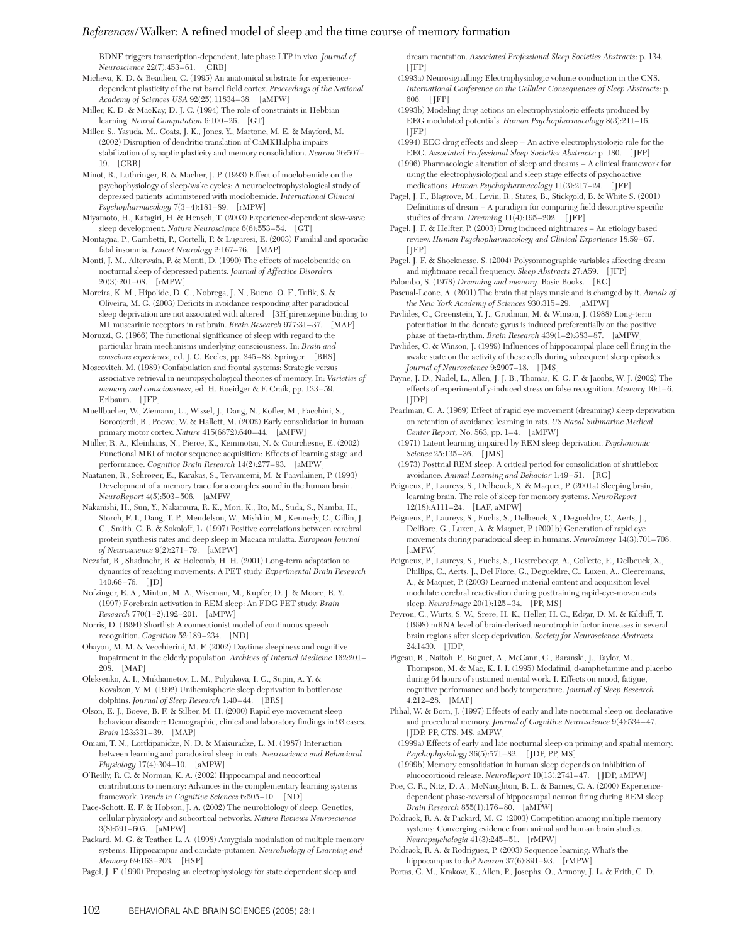BDNF triggers transcription-dependent, late phase LTP in vivo. *Journal of Neuroscience* 22(7):453–61. [CRB]

Micheva, K. D. & Beaulieu, C. (1995) An anatomical substrate for experiencedependent plasticity of the rat barrel field cortex. *Proceedings of the National Academy of Sciences USA* 92(25):11834–38. [aMPW]

Miller, K. D. & MacKay, D. J. C. (1994) The role of constraints in Hebbian learning. *Neural Computation* 6:100–26. [GT]

Miller, S., Yasuda, M., Coats, J. K., Jones, Y., Martone, M. E. & Mayford, M. (2002) Disruption of dendritic translation of CaMKIIalpha impairs stabilization of synaptic plasticity and memory consolidation. *Neuron* 36:507– 19. [CRB]

Minot, R., Luthringer, R. & Macher, J. P. (1993) Effect of moclobemide on the psychophysiology of sleep/wake cycles: A neuroelectrophysiological study of depressed patients administered with moclobemide. *International Clinical Psychopharmacology* 7(3–4):181–89. [rMPW]

Miyamoto, H., Katagiri, H. & Hensch, T. (2003) Experience-dependent slow-wave sleep development. *Nature Neuroscience* 6(6):553–54. [GT]

Montagna, P., Gambetti, P., Cortelli, P. & Lugaresi, E. (2003) Familial and sporadic fatal insomnia. *Lancet Neurology* 2:167–76. [MAP]

Monti, J. M., Alterwain, P. & Monti, D. (1990) The effects of moclobemide on nocturnal sleep of depressed patients. *Journal of Affective Disorders* 20(3):201–08. [rMPW]

Moreira, K. M., Hipolide, D. C., Nobrega, J. N., Bueno, O. F., Tufik, S. & Oliveira, M. G. (2003) Deficits in avoidance responding after paradoxical sleep deprivation are not associated with altered [3H]pirenzepine binding to M1 muscarinic receptors in rat brain. *Brain Research* 977:31–37. [MAP]

Moruzzi, G. (1966) The functional significance of sleep with regard to the particular brain mechanisms underlying consciousness. In: *Brain and conscious experience,* ed. J. C. Eccles, pp. 345–88. Springer. [BRS]

Moscovitch, M. (1989) Confabulation and frontal systems: Strategic versus associative retrieval in neuropsychological theories of memory. In: *Varieties of memory and consciousness,* ed. H. Roeidger & F. Craik, pp. 133–59. Erlbaum. [JFP]

Muellbacher, W., Ziemann, U., Wissel, J., Dang, N., Kofler, M., Facchini, S., Boroojerdi, B., Poewe, W. & Hallett, M. (2002) Early consolidation in human primary motor cortex. *Nature* 415(6872):640–44. [aMPW]

Müller, R. A., Kleinhans, N., Pierce, K., Kemmotsu, N. & Courchesne, E. (2002) Functional MRI of motor sequence acquisition: Effects of learning stage and performance. *Cognitive Brain Research* 14(2):277–93. [aMPW]

Naatanen, R., Schroger, E., Karakas, S., Tervaniemi, M. & Paavilainen, P. (1993) Development of a memory trace for a complex sound in the human brain. *NeuroReport* 4(5):503–506. [aMPW]

Nakanishi, H., Sun, Y., Nakamura, R. K., Mori, K., Ito, M., Suda, S., Namba, H., Storch, F. I., Dang, T. P., Mendelson, W., Mishkin, M., Kennedy, C., Gillin, J. C., Smith, C. B. & Sokoloff, L. (1997) Positive correlations between cerebral protein synthesis rates and deep sleep in Macaca mulatta. *European Journal of Neuroscience* 9(2):271–79. [aMPW]

Nezafat, R., Shadmehr, R. & Holcomb, H. H. (2001) Long-term adaptation to dynamics of reaching movements: A PET study. *Experimental Brain Research* 140:66–76. [JD]

Nofzinger, E. A., Mintun, M. A., Wiseman, M., Kupfer, D. J. & Moore, R. Y. (1997) Forebrain activation in REM sleep: An FDG PET study. *Brain Research* 770(1–2):192–201. [aMPW]

Norris, D. (1994) Shortlist: A connectionist model of continuous speech recognition. *Cognition* 52:189–234. [ND]

Ohayon, M. M. & Vecchierini, M. F. (2002) Daytime sleepiness and cognitive impairment in the elderly population. *Archives of Internal Medicine* 162:201– 208. [MAP]

Oleksenko, A. I., Mukhametov, L. M., Polyakova, I. G., Supin, A. Y. & Kovalzon, V. M. (1992) Unihemispheric sleep deprivation in bottlenose dolphins. *Journal of Sleep Research* 1:40–44. [BRS]

Olson, E. J., Boeve, B. F. & Silber, M. H. (2000) Rapid eye movement sleep behaviour disorder: Demographic, clinical and laboratory findings in 93 cases. *Brain* 123:331–39. [MAP]

Oniani, T. N., Lortkipanidze, N. D. & Maisuradze, L. M. (1987) Interaction between learning and paradoxical sleep in cats. *Neuroscience and Behavioral Physiology* 17(4):304–10. [aMPW]

O'Reilly, R. C. & Norman, K. A. (2002) Hippocampal and neocortical contributions to memory: Advances in the complementary learning systems framework. *Trends in Cognitive Sciences* 6:505–10. [ND]

Pace-Schott, E. F. & Hobson, J. A. (2002) The neurobiology of sleep: Genetics, cellular physiology and subcortical networks. *Nature Reviews Neuroscience* 3(8):591–605. [aMPW]

Packard, M. G. & Teather, L. A. (1998) Amygdala modulation of multiple memory systems: Hippocampus and caudate-putamen. *Neurobiology of Learning and Memory* 69:163–203. [HSP]

Pagel, J. F. (1990) Proposing an electrophysiology for state dependent sleep and

dream mentation. *Associated Professional Sleep Societies Abstracts*: p. 134. [JFP]

(1993a) Neurosignalling: Electrophysiologic volume conduction in the CNS. *International Conference on the Cellular Consequences of Sleep Abstracts*: p. 606. [JFP]

(1993b) Modeling drug actions on electrophysiologic effects produced by EEG modulated potentials. *Human Psychopharmacology* 8(3):211–16. [JFP]

(1994) EEG drug effects and sleep – An active electrophysiologic role for the EEG. *Associated Professional Sleep Societies Abstracts*: p. 180. [JFP]

(1996) Pharmacologic alteration of sleep and dreams – A clinical framework for using the electrophysiological and sleep stage effects of psychoactive medications. *Human Psychopharmacology* 11(3):217–24. [JFP]

Pagel, J. F., Blagrove, M., Levin, R., States, B., Stickgold, B. & White S. (2001) Definitions of dream – A paradigm for comparing field descriptive specific studies of dream. *Dreaming* 11(4):195–202. [JFP]

Pagel, J. F. & Helfter, P. (2003) Drug induced nightmares – An etiology based review. *Human Psychopharmacology and Clinical Experience* 18:59–67. [JFP]

Pagel, J. F. & Shocknesse, S. (2004) Polysomnographic variables affecting dream and nightmare recall frequency. *Sleep Abstracts* 27:A59. [JFP]

Palombo, S. (1978) *Dreaming and memory.* Basic Books. [RG]

Pascual-Leone, A. (2001) The brain that plays music and is changed by it. *Annals of the New York Academy of Sciences* 930:315–29. [aMPW]

Pavlides, C., Greenstein, Y. J., Grudman, M. & Winson, J. (1988) Long-term potentiation in the dentate gyrus is induced preferentially on the positive phase of theta-rhythm. *Brain Research* 439(1–2):383–87. [aMPW]

Pavlides, C. & Winson, J. (1989) Influences of hippocampal place cell firing in the awake state on the activity of these cells during subsequent sleep episodes. *Journal of Neuroscience* 9:2907–18. [JMS]

Payne, J. D., Nadel, L., Allen, J. J. B., Thomas, K. G. F. & Jacobs, W. J. (2002) The effects of experimentally-induced stress on false recognition. *Memory* 10:1–6.  $|IDP|$ 

Pearlman, C. A. (1969) Effect of rapid eye movement (dreaming) sleep deprivation on retention of avoidance learning in rats. *US Naval Submarine Medical Center Report,* No. 563, pp. 1–4. [aMPW]

(1971) Latent learning impaired by REM sleep deprivation. *Psychonomic Science* 25:135–36. [JMS]

(1973) Posttrial REM sleep: A critical period for consolidation of shuttlebox avoidance. *Animal Learning and Behavior* 1:49–51. [RG]

Peigneux, P., Laureys, S., Delbeuck, X. & Maquet, P. (2001a) Sleeping brain, learning brain. The role of sleep for memory systems. *NeuroReport* 12(18):A111–24. [LAF, aMPW]

Peigneux, P., Laureys, S., Fuchs, S., Delbeuck, X., Degueldre, C., Aerts, J., Delfiore, G., Luxen, A. & Maquet, P. (2001b) Generation of rapid eye movements during paradoxical sleep in humans. *NeuroImage* 14(3):701–708. [aMPW]

Peigneux, P., Laureys, S., Fuchs, S., Destrebecqz, A., Collette, F., Delbeuck, X., Phillips, C., Aerts, J., Del Fiore, G., Degueldre, C., Luxen, A., Cleeremans, A., & Maquet, P. (2003) Learned material content and acquisition level modulate cerebral reactivation during posttraining rapid-eye-movements sleep. *NeuroImage* 20(1):125–34. [PP, MS]

Peyron, C., Wurts, S. W., Srere, H. K., Heller, H. C., Edgar, D. M. & Kilduff, T. (1998) mRNA level of brain-derived neurotrophic factor increases in several brain regions after sleep deprivation. *Society for Neuroscience Abstracts* 24:1430. [JDP]

Pigeau, R., Naitoh, P., Buguet, A., McCann, C., Baranski, J., Taylor, M., Thompson, M. & Mac, K. I. I. (1995) Modafinil, d-amphetamine and placebo during 64 hours of sustained mental work. I. Effects on mood, fatigue, cognitive performance and body temperature. *Journal of Sleep Research* 4:212–28. [MAP]

Plihal, W. & Born, J. (1997) Effects of early and late nocturnal sleep on declarative and procedural memory. *Journal of Cognitive Neuroscience* 9(4):534–47. [JDP, PP, CTS, MS, aMPW]

(1999a) Effects of early and late nocturnal sleep on priming and spatial memory. *Psychophysiology* 36(5):571–82. [JDP, PP, MS]

(1999b) Memory consolidation in human sleep depends on inhibition of glucocorticoid release. *NeuroReport* 10(13):2741–47. [JDP, aMPW]

Poe, G. R., Nitz, D. A., McNaughton, B. L. & Barnes, C. A. (2000) Experiencedependent phase-reversal of hippocampal neuron firing during REM sleep. *Brain Research* 855(1):176–80. [aMPW]

Poldrack, R. A. & Packard, M. G. (2003) Competition among multiple memory systems: Converging evidence from animal and human brain studies. *Neuropsychologia* 41(3):245–51. [rMPW]

Poldrack, R. A. & Rodriguez, P. (2003) Sequence learning: What's the hippocampus to do? *Neuron* 37(6):891–93. [rMPW]

Portas, C. M., Krakow, K., Allen, P., Josephs, O., Armony, J. L. & Frith, C. D.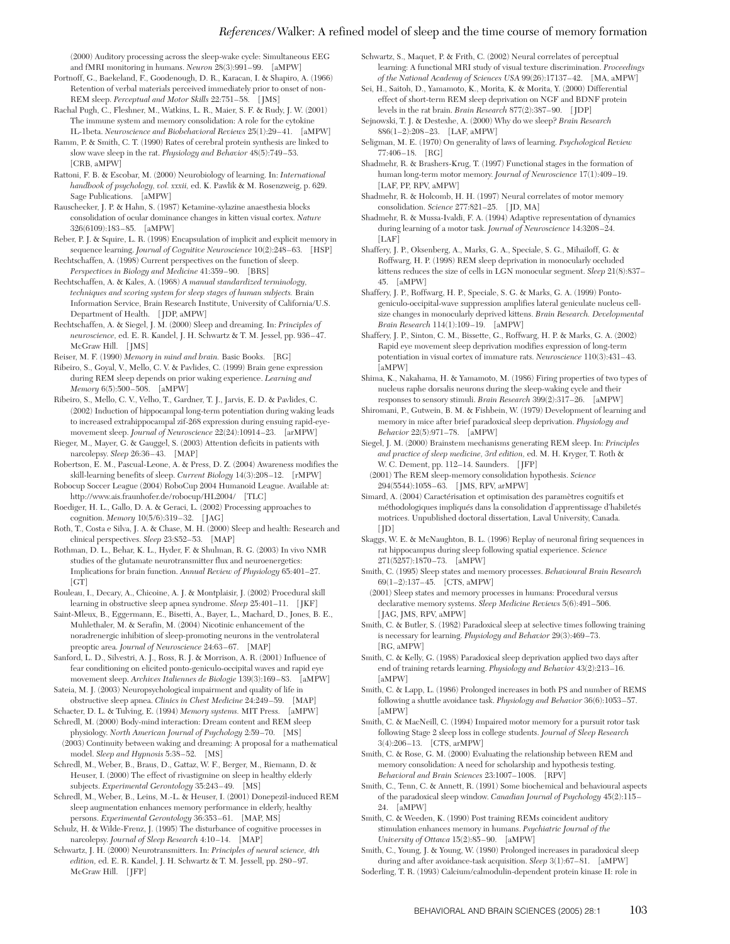(2000) Auditory processing across the sleep-wake cycle: Simultaneous EEG and fMRI monitoring in humans. *Neuron* 28(3):991–99. [aMPW]

Portnoff, G., Baekeland, F., Goodenough, D. R., Karacan, I. & Shapiro, A. (1966) Retention of verbal materials perceived immediately prior to onset of non-REM sleep. *Perceptual and Motor Skills* 22:751–58. [JMS]

Rachal Pugh, C., Fleshner, M., Watkins, L. R., Maier, S. F. & Rudy, J. W. (2001) The immune system and memory consolidation: A role for the cytokine IL-1beta. *Neuroscience and Biobehavioral Reviews* 25(1):29–41. [aMPW]

Ramm, P. & Smith, C. T. (1990) Rates of cerebral protein synthesis are linked to slow wave sleep in the rat. *Physiology and Behavior* 48(5):749–53. [CRB, aMPW]

Rattoni, F. B. & Escobar, M. (2000) Neurobiology of learning. In: *International handbook of psychology, vol. xxxii,* ed. K. Pawlik & M. Rosenzweig, p. 629. Sage Publications. [aMPW]

Rauschecker, J. P. & Hahn, S. (1987) Ketamine-xylazine anaesthesia blocks consolidation of ocular dominance changes in kitten visual cortex. *Nature* 326(6109):183–85. [aMPW]

Reber, P. J. & Squire, L. R. (1998) Encapsulation of implicit and explicit memory in sequence learning. *Journal of Cognitive Neuroscience* 10(2):248–63. [HSP]

Rechtschaffen, A. (1998) Current perspectives on the function of sleep. *Perspectives in Biology and Medicine* 41:359–90. [BRS]

Rechtschaffen, A. & Kales, A. (1968) *A manual standardized terminology, techniques and scoring system for sleep stages of human subjects.* Brain Information Service, Brain Research Institute, University of California/U.S. Department of Health. [JDP, aMPW]

Rechtschaffen, A. & Siegel, J. M. (2000) Sleep and dreaming. In: *Principles of neuroscience,* ed. E. R. Kandel, J. H. Schwartz & T. M. Jessel, pp. 936–47. McGraw Hill. [JMS]

Reiser, M. F. (1990) *Memory in mind and brain.* Basic Books. [RG]

Ribeiro, S., Goyal, V., Mello, C. V. & Pavlides, C. (1999) Brain gene expression during REM sleep depends on prior waking experience. *Learning and Memory* 6(5):500–508. [aMPW]

Ribeiro, S., Mello, C. V., Velho, T., Gardner, T. J., Jarvis, E. D. & Pavlides, C. (2002) Induction of hippocampal long-term potentiation during waking leads to increased extrahippocampal zif-268 expression during ensuing rapid-eyemovement sleep. *Journal of Neuroscience* 22(24):10914–23. [arMPW]

Rieger, M., Mayer, G. & Gauggel, S. (2003) Attention deficits in patients with narcolepsy. *Sleep* 26:36–43. [MAP]

Robertson, E. M., Pascual-Leone, A. & Press, D. Z. (2004) Awareness modifies the skill-learning benefits of sleep. *Current Biology* 14(3):208–12. [rMPW]

Robocup Soccer League (2004) RoboCup 2004 Humanoid League. Available at: http://www.ais.fraunhofer.de/robocup/HL2004/ [TLC]

Roediger, H. L., Gallo, D. A. & Geraci, L. (2002) Processing approaches to cognition. *Memory* 10(5/6):319–32. [JAG]

Roth, T., Costa e Silva, J. A. & Chase, M. H. (2000) Sleep and health: Research and clinical perspectives. *Sleep* 23:S52–53. [MAP]

Rothman, D. L., Behar, K. L., Hyder, F. & Shulman, R. G. (2003) In vivo NMR studies of the glutamate neurotransmitter flux and neuroenergetics: Implications for brain function. *Annual Review of Physiology* 65:401–27.  $[GT]$ 

Rouleau, I., Decary, A., Chicoine, A. J. & Montplaisir, J. (2002) Procedural skill learning in obstructive sleep apnea syndrome. *Sleep* 25:401–11. [JKF]

Saint-Mleux, B., Eggermann, E., Bisetti, A., Bayer, L., Machard, D., Jones, B. E., Muhlethaler, M. & Serafin, M. (2004) Nicotinic enhancement of the noradrenergic inhibition of sleep-promoting neurons in the ventrolateral preoptic area. *Journal of Neuroscience* 24:63–67. [MAP]

Sanford, L. D., Silvestri, A. J., Ross, R. J. & Morrison, A. R. (2001) Influence of fear conditioning on elicited ponto-geniculo-occipital waves and rapid eye movement sleep. *Archives Italiennes de Biologie* 139(3):169–83. [aMPW]

Sateia, M. J. (2003) Neuropsychological impairment and quality of life in obstructive sleep apnea. *Clinics in Chest Medicine* 24:249–59. [MAP]

Schacter, D. L. & Tulving, E. (1994) *Memory systems.* MIT Press. [aMPW] Schredl, M. (2000) Body-mind interaction: Dream content and REM sleep

physiology. *North American Journal of Psychology* 2:59–70. [MS] (2003) Continuity between waking and dreaming: A proposal for a mathematical model. *Sleep and Hypnosis* 5:38–52. [MS]

Schredl, M., Weber, B., Braus, D., Gattaz, W. F., Berger, M., Riemann, D. & Heuser, I. (2000) The effect of rivastigmine on sleep in healthy elderly subjects. *Experimental Gerontology* 35:243–49. [MS]

Schredl, M., Weber, B., Leins, M.-L. & Heuser, I. (2001) Donepezil-induced REM sleep augmentation enhances memory performance in elderly, healthy persons. *Experimental Gerontology* 36:353–61. [MAP, MS]

Schulz, H. & Wilde-Frenz, J. (1995) The disturbance of cognitive processes in narcolepsy. *Journal of Sleep Research* 4:10–14. [MAP]

Schwartz, J. H. (2000) Neurotransmitters. In: *Principles of neural science, 4th edition,* ed. E. R. Kandel, J. H. Schwartz & T. M. Jessell, pp. 280–97. McGraw Hill. [JFP]

Schwartz, S., Maquet, P. & Frith, C. (2002) Neural correlates of perceptual learning: A functional MRI study of visual texture discrimination. *Proceedings of the National Academy of Sciences USA* 99(26):17137–42. [MA, aMPW]

Sei, H., Saitoh, D., Yamamoto, K., Morita, K. & Morita, Y. (2000) Differential effect of short-term REM sleep deprivation on NGF and BDNF protein levels in the rat brain. *Brain Research* 877(2):387–90. [JDP]

Sejnowski, T. J. & Destexhe, A. (2000) Why do we sleep? *Brain Research* 886(1–2):208–23. [LAF, aMPW]

Seligman, M. E. (1970) On generality of laws of learning. *Psychological Review* 77:406–18. [RG]

Shadmehr, R. & Brashers-Krug, T. (1997) Functional stages in the formation of human long-term motor memory. *Journal of Neuroscience* 17(1):409–19. [LAF, PP, RPV, aMPW]

Shadmehr, R. & Holcomb, H. H. (1997) Neural correlates of motor memory consolidation. *Science* 277:821–25. [JD, MA]

Shadmehr, R. & Mussa-Ivaldi, F. A. (1994) Adaptive representation of dynamics during learning of a motor task. *Journal of Neuroscience* 14:3208–24.  $[LAF]$ 

Shaffery, J. P., Oksenberg, A., Marks, G. A., Speciale, S. G., Mihailoff, G. & Roffwarg, H. P. (1998) REM sleep deprivation in monocularly occluded kittens reduces the size of cells in LGN monocular segment. *Sleep* 21(8):837– 45. [aMPW]

Shaffery, J. P., Roffwarg, H. P., Speciale, S. G. & Marks, G. A. (1999) Pontogeniculo-occipital-wave suppression amplifies lateral geniculate nucleus cellsize changes in monocularly deprived kittens. *Brain Research. Developmental Brain Research* 114(1):109–19. [aMPW]

Shaffery, J. P., Sinton, C. M., Bissette, G., Roffwarg, H. P. & Marks, G. A. (2002) Rapid eye movement sleep deprivation modifies expression of long-term potentiation in visual cortex of immature rats. *Neuroscience* 110(3):431–43. [aMPW]

Shima, K., Nakahama, H. & Yamamoto, M. (1986) Firing properties of two types of nucleus raphe dorsalis neurons during the sleep-waking cycle and their responses to sensory stimuli. *Brain Research* 399(2):317–26. [aMPW]

Shiromani, P., Gutwein, B. M. & Fishbein, W. (1979) Development of learning and memory in mice after brief paradoxical sleep deprivation. *Physiology and Behavior* 22(5):971–78. [aMPW]

Siegel, J. M. (2000) Brainstem mechanisms generating REM sleep. In: *Principles and practice of sleep medicine, 3rd edition,* ed. M. H. Kryger, T. Roth & W. C. Dement, pp. 112–14. Saunders. [JFP]

(2001) The REM sleep-memory consolidation hypothesis. *Science* 294(5544):1058–63. [JMS, RPV, arMPW]

Simard, A. (2004) Caractérisation et optimisation des paramètres cognitifs et méthodologiques impliqués dans la consolidation d'apprentissage d'habiletés motrices. Unpublished doctoral dissertation, Laval University, Canada. [JD]

Skaggs, W. E. & McNaughton, B. L. (1996) Replay of neuronal firing sequences in rat hippocampus during sleep following spatial experience. *Science*  $271 (5257){:}1870{-}73. \quad [\rm{a}MPW]$ 

Smith, C. (1995) Sleep states and memory processes. *Behavioural Brain Research* 69(1–2):137–45. [CTS, aMPW]

(2001) Sleep states and memory processes in humans: Procedural versus declarative memory systems. *Sleep Medicine Reviews* 5(6):491–506. [JAG, JMS, RPV, aMPW]

Smith, C. & Butler, S. (1982) Paradoxical sleep at selective times following training is necessary for learning. *Physiology and Behavior* 29(3):469–73. [RG, aMPW]

Smith, C. & Kelly, G. (1988) Paradoxical sleep deprivation applied two days after end of training retards learning. *Physiology and Behavior* 43(2):213–16. [aMPW]

Smith, C. & Lapp, L. (1986) Prolonged increases in both PS and number of REMS following a shuttle avoidance task. *Physiology and Behavior* 36(6):1053–57. [aMPW]

Smith, C. & MacNeill, C. (1994) Impaired motor memory for a pursuit rotor task following Stage 2 sleep loss in college students. *Journal of Sleep Research* 3(4):206–13. [CTS, arMPW]

Smith, C. & Rose, G. M. (2000) Evaluating the relationship between REM and memory consolidation: A need for scholarship and hypothesis testing. *Behavioral and Brain Sciences* 23:1007–1008. [RPV]

Smith, C., Tenn, C. & Annett, R. (1991) Some biochemical and behavioural aspects of the paradoxical sleep window. *Canadian Journal of Psychology* 45(2):115– 24. [aMPW]

Smith, C. & Weeden, K. (1990) Post training REMs coincident auditory stimulation enhances memory in humans. *Psychiatric Journal of the University of Ottawa* 15(2):85–90. [aMPW]

Smith, C., Young, J. & Young, W. (1980) Prolonged increases in paradoxical sleep during and after avoidance-task acquisition. *Sleep* 3(1):67–81. [aMPW]

Soderling, T. R. (1993) Calcium/calmodulin-dependent protein kinase II: role in